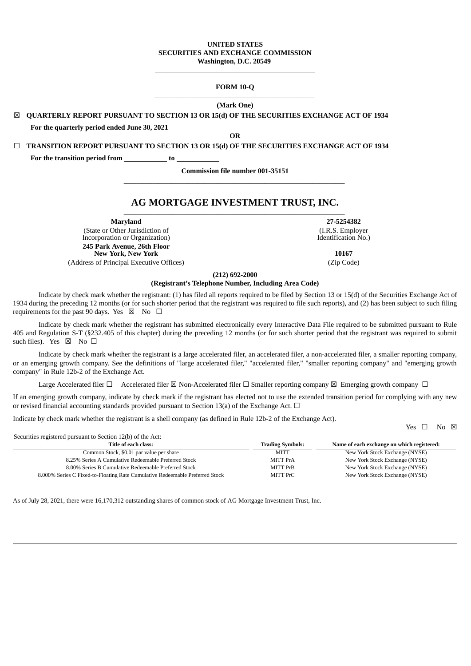### **UNITED STATES SECURITIES AND EXCHANGE COMMISSION Washington, D.C. 20549**

\_\_\_\_\_\_\_\_\_\_\_\_\_\_\_\_\_\_\_\_\_\_\_\_\_\_\_\_\_\_\_\_\_\_\_\_\_\_\_\_\_\_\_\_\_\_\_\_\_\_

#### **FORM 10-Q** \_\_\_\_\_\_\_\_\_\_\_\_\_\_\_\_\_\_\_\_\_\_\_\_\_\_\_\_\_\_\_\_\_\_\_\_\_\_\_\_\_\_\_\_\_\_\_\_\_\_

**(Mark One)**

☒ **QUARTERLY REPORT PURSUANT TO SECTION 13 OR 15(d) OF THE SECURITIES EXCHANGE ACT OF 1934**

**For the quarterly period ended June 30, 2021**

**OR**

☐ **TRANSITION REPORT PURSUANT TO SECTION 13 OR 15(d) OF THE SECURITIES EXCHANGE ACT OF 1934 For the transition period from to**

> **Commission file number 001-35151** \_\_\_\_\_\_\_\_\_\_\_\_\_\_\_\_\_\_\_\_\_\_\_\_\_\_\_\_\_\_\_\_\_\_\_\_\_\_\_\_\_\_\_\_\_\_\_\_\_\_\_\_\_\_\_\_\_\_\_\_\_\_\_\_\_\_\_\_\_

# **AG MORTGAGE INVESTMENT TRUST, INC.** \_\_\_\_\_\_\_\_\_\_\_\_\_\_\_\_\_\_\_\_\_\_\_\_\_\_\_\_\_\_\_\_\_\_\_\_\_\_\_\_\_\_\_\_\_\_\_\_\_\_\_\_\_\_\_\_\_\_\_\_\_\_\_\_\_\_\_\_\_

**Maryland 27-5254382** (State or Other Jurisdiction of Incorporation or Organization) **245 Park Avenue, 26th Floor New York, New York 10167** (Address of Principal Executive Offices) (Zip Code)

(I.R.S. Employer Identification No.)

Yes □ No ⊠

**(212) 692-2000**

#### **(Registrant's Telephone Number, Including Area Code)**

Indicate by check mark whether the registrant: (1) has filed all reports required to be filed by Section 13 or 15(d) of the Securities Exchange Act of 1934 during the preceding 12 months (or for such shorter period that the registrant was required to file such reports), and (2) has been subject to such filing requirements for the past 90 days. Yes  $\boxtimes$  No  $\Box$ 

Indicate by check mark whether the registrant has submitted electronically every Interactive Data File required to be submitted pursuant to Rule 405 and Regulation S-T (§232.405 of this chapter) during the preceding 12 months (or for such shorter period that the registrant was required to submit such files). Yes  $\boxtimes$  No  $\Box$ 

Indicate by check mark whether the registrant is a large accelerated filer, an accelerated filer, a non-accelerated filer, a smaller reporting company, or an emerging growth company. See the definitions of "large accelerated filer," "accelerated filer," "smaller reporting company" and "emerging growth company" in Rule 12b-2 of the Exchange Act.

Large Accelerated filer  $□$  Accelerated filer  $□$  Non-Accelerated filer  $□$  Smaller reporting company  $□$  Emerging growth company  $□$ 

If an emerging growth company, indicate by check mark if the registrant has elected not to use the extended transition period for complying with any new or revised financial accounting standards provided pursuant to Section 13(a) of the Exchange Act.  $\Box$ 

Indicate by check mark whether the registrant is a shell company (as defined in Rule 12b-2 of the Exchange Act).

| Securities registered pursuant to Section 12(b) of the Act:                  |                         |                                            |  |  |  |  |  |  |
|------------------------------------------------------------------------------|-------------------------|--------------------------------------------|--|--|--|--|--|--|
| Title of each class:                                                         | <b>Trading Symbols:</b> | Name of each exchange on which registered: |  |  |  |  |  |  |
| Common Stock, \$0.01 par value per share                                     | <b>MITT</b>             | New York Stock Exchange (NYSE)             |  |  |  |  |  |  |
| 8.25% Series A Cumulative Redeemable Preferred Stock                         | MITT PrA                | New York Stock Exchange (NYSE)             |  |  |  |  |  |  |
| 8.00% Series B Cumulative Redeemable Preferred Stock                         | MITT PrB                | New York Stock Exchange (NYSE)             |  |  |  |  |  |  |
| 8.000% Series C Fixed-to-Floating Rate Cumulative Redeemable Preferred Stock | MITT PrC                | New York Stock Exchange (NYSE)             |  |  |  |  |  |  |

As of July 28, 2021, there were 16,170,312 outstanding shares of common stock of AG Mortgage Investment Trust, Inc.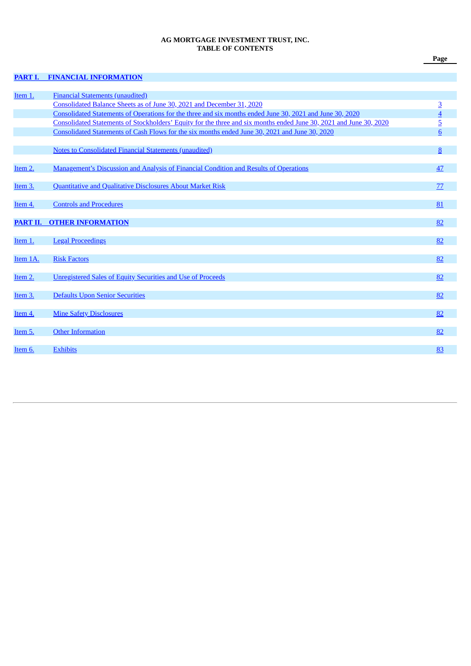# **AG MORTGAGE INVESTMENT TRUST, INC. TABLE OF CONTENTS**

# **PART I. FINANCIAL [INFORMATION](#page-1-0)**

<span id="page-1-0"></span>

| Item 1.        | <b>Financial Statements (unaudited)</b>                                                                            |                |
|----------------|--------------------------------------------------------------------------------------------------------------------|----------------|
|                | Consolidated Balance Sheets as of June 30, 2021 and December 31, 2020                                              | $\overline{3}$ |
|                | Consolidated Statements of Operations for the three and six months ended June 30, 2021 and June 30, 2020           | $\overline{4}$ |
|                | Consolidated Statements of Stockholders' Equity for the three and six months ended June 30, 2021 and June 30, 2020 | $\overline{5}$ |
|                | Consolidated Statements of Cash Flows for the six months ended June 30, 2021 and June 30, 2020                     | $\overline{6}$ |
|                |                                                                                                                    |                |
|                | <b>Notes to Consolidated Financial Statements (unaudited)</b>                                                      | 8              |
|                |                                                                                                                    |                |
| Item 2.        | Management's Discussion and Analysis of Financial Condition and Results of Operations                              | 47             |
|                |                                                                                                                    |                |
| Item 3.        | <b>Quantitative and Qualitative Disclosures About Market Risk</b>                                                  | 77             |
|                |                                                                                                                    |                |
| Item 4.        | <b>Controls and Procedures</b>                                                                                     | 81             |
|                |                                                                                                                    |                |
| <b>PART II</b> | <b>OTHER INFORMATION</b>                                                                                           | 82             |
|                |                                                                                                                    |                |
| Item 1.        | <b>Legal Proceedings</b>                                                                                           | 82             |
|                |                                                                                                                    |                |
| Item 1A.       | <b>Risk Factors</b>                                                                                                | 82             |
|                |                                                                                                                    |                |
| Item 2.        | <b>Unregistered Sales of Equity Securities and Use of Proceeds</b>                                                 | 82             |
|                |                                                                                                                    |                |
| Item 3.        | <b>Defaults Upon Senior Securities</b>                                                                             | 82             |
| Item 4.        | <b>Mine Safety Disclosures</b>                                                                                     | 82             |
|                |                                                                                                                    |                |
| Item 5.        | <b>Other Information</b>                                                                                           | 82             |
|                |                                                                                                                    |                |
| Item 6.        | <b>Exhibits</b>                                                                                                    | 83             |
|                |                                                                                                                    |                |

**Page**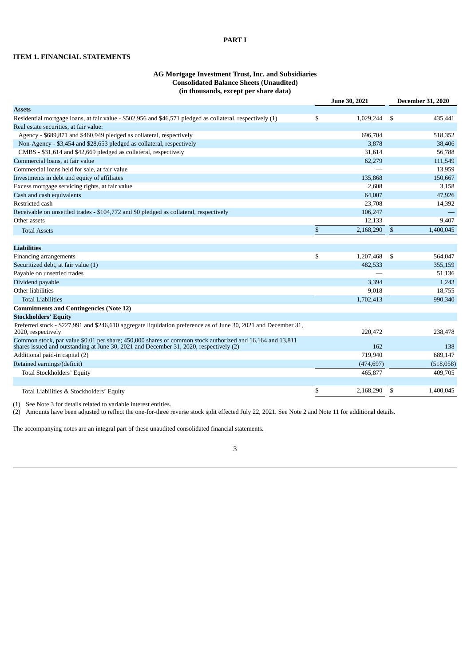# **PART I**

# <span id="page-2-1"></span><span id="page-2-0"></span>**ITEM 1. FINANCIAL STATEMENTS**

# **AG Mortgage Investment Trust, Inc. and Subsidiaries Consolidated Balance Sheets (Unaudited) (in thousands, except per share data)**

|                                                                                                                                                                                                     | June 30, 2021   |                | <b>December 31, 2020</b> |
|-----------------------------------------------------------------------------------------------------------------------------------------------------------------------------------------------------|-----------------|----------------|--------------------------|
| <b>Assets</b>                                                                                                                                                                                       |                 |                |                          |
| Residential mortgage loans, at fair value - \$502,956 and \$46,571 pledged as collateral, respectively (1)                                                                                          | \$<br>1,029,244 | - \$           | 435,441                  |
| Real estate securities, at fair value:                                                                                                                                                              |                 |                |                          |
| Agency - \$689,871 and \$460,949 pledged as collateral, respectively                                                                                                                                | 696.704         |                | 518,352                  |
| Non-Agency - \$3,454 and \$28,653 pledged as collateral, respectively                                                                                                                               | 3,878           |                | 38,406                   |
| CMBS - \$31,614 and \$42,669 pledged as collateral, respectively                                                                                                                                    | 31,614          |                | 56,788                   |
| Commercial loans, at fair value                                                                                                                                                                     | 62,279          |                | 111,549                  |
| Commercial loans held for sale, at fair value                                                                                                                                                       |                 |                | 13,959                   |
| Investments in debt and equity of affiliates                                                                                                                                                        | 135,868         |                | 150,667                  |
| Excess mortgage servicing rights, at fair value                                                                                                                                                     | 2,608           |                | 3,158                    |
| Cash and cash equivalents                                                                                                                                                                           | 64,007          |                | 47,926                   |
| Restricted cash                                                                                                                                                                                     | 23,708          |                | 14,392                   |
| Receivable on unsettled trades - \$104,772 and \$0 pledged as collateral, respectively                                                                                                              | 106,247         |                |                          |
| Other assets                                                                                                                                                                                        | 12,133          |                | 9,407                    |
| <b>Total Assets</b>                                                                                                                                                                                 | \$<br>2,168,290 | $\mathfrak{S}$ | 1,400,045                |
|                                                                                                                                                                                                     |                 |                |                          |
| <b>Liabilities</b>                                                                                                                                                                                  |                 |                |                          |
| Financing arrangements                                                                                                                                                                              | \$<br>1,207,468 | - \$           | 564,047                  |
| Securitized debt, at fair value (1)                                                                                                                                                                 | 482,533         |                | 355,159                  |
| Payable on unsettled trades                                                                                                                                                                         |                 |                | 51,136                   |
| Dividend payable                                                                                                                                                                                    | 3,394           |                | 1,243                    |
| Other liabilities                                                                                                                                                                                   | 9,018           |                | 18,755                   |
| <b>Total Liabilities</b>                                                                                                                                                                            | 1,702,413       |                | 990,340                  |
| <b>Commitments and Contingencies (Note 12)</b>                                                                                                                                                      |                 |                |                          |
| <b>Stockholders' Equity</b>                                                                                                                                                                         |                 |                |                          |
| Preferred stock - \$227,991 and \$246,610 aggregate liquidation preference as of June 30, 2021 and December 31,<br>2020, respectively                                                               | 220,472         |                | 238,478                  |
| Common stock, par value \$0.01 per share; 450,000 shares of common stock authorized and 16,164 and 13,811<br>shares issued and outstanding at June 30, 2021 and December 31, 2020, respectively (2) | 162             |                | 138                      |
| Additional paid-in capital (2)                                                                                                                                                                      | 719,940         |                | 689,147                  |
| Retained earnings/(deficit)                                                                                                                                                                         | (474, 697)      |                | (518,058)                |
| Total Stockholders' Equity                                                                                                                                                                          | 465,877         |                | 409,705                  |
|                                                                                                                                                                                                     |                 |                |                          |
| Total Liabilities & Stockholders' Equity                                                                                                                                                            | \$<br>2,168,290 | \$             | 1,400,045                |

(1) See Note 3 for details related to variable interest entities.

(2) Amounts have been adjusted to reflect the one-for-three reverse stock split effected July 22, 2021. See Note 2 and Note 11 for additional details.

<span id="page-2-2"></span>The accompanying notes are an integral part of these unaudited consolidated financial statements.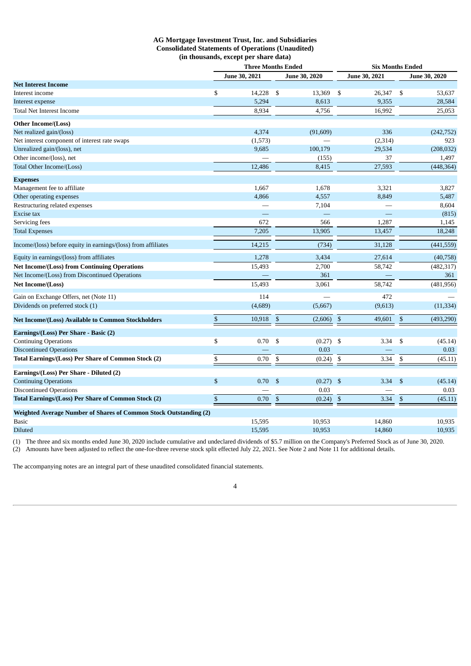# **AG Mortgage Investment Trust, Inc. and Subsidiaries Consolidated Statements of Operations (Unaudited) (in thousands, except per share data)**

|                                                                   |              | <b>Three Months Ended</b> |                           |               | <b>Six Months Ended</b> |               |               |                      |
|-------------------------------------------------------------------|--------------|---------------------------|---------------------------|---------------|-------------------------|---------------|---------------|----------------------|
|                                                                   |              | June 30, 2021             |                           | June 30, 2020 |                         | June 30, 2021 |               | <b>June 30, 2020</b> |
| <b>Net Interest Income</b>                                        |              |                           |                           |               |                         |               |               |                      |
| Interest income                                                   | \$           | 14,228                    | \$                        | 13,369        | \$                      | 26,347        | \$            | 53,637               |
| Interest expense                                                  |              | 5,294                     |                           | 8,613         |                         | 9,355         |               | 28,584               |
| <b>Total Net Interest Income</b>                                  |              | 8,934                     |                           | 4,756         |                         | 16,992        |               | 25,053               |
| Other Income/(Loss)                                               |              |                           |                           |               |                         |               |               |                      |
| Net realized gain/(loss)                                          |              | 4,374                     |                           | (91, 609)     |                         | 336           |               | (242, 752)           |
| Net interest component of interest rate swaps                     |              | (1,573)                   |                           |               |                         | (2, 314)      |               | 923                  |
| Unrealized gain/(loss), net                                       |              | 9,685                     |                           | 100,179       |                         | 29,534        |               | (208, 032)           |
| Other income/(loss), net                                          |              | $\overline{\phantom{0}}$  |                           | (155)         |                         | 37            |               | 1,497                |
| Total Other Income/(Loss)                                         |              | 12.486                    |                           | 8,415         |                         | 27,593        |               | (448, 364)           |
| <b>Expenses</b>                                                   |              |                           |                           |               |                         |               |               |                      |
| Management fee to affiliate                                       |              | 1,667                     |                           | 1,678         |                         | 3,321         |               | 3,827                |
| Other operating expenses                                          |              | 4,866                     |                           | 4,557         |                         | 8,849         |               | 5,487                |
| Restructuring related expenses                                    |              | <u>in</u>                 |                           | 7,104         |                         |               |               | 8,604                |
| Excise tax                                                        |              |                           |                           | $\equiv$      |                         | $\equiv$      |               | (815)                |
| Servicing fees                                                    |              | 672                       |                           | 566           |                         | 1,287         |               | 1,145                |
| <b>Total Expenses</b>                                             |              | 7,205                     |                           | 13,905        |                         | 13,457        |               | 18,248               |
| Income/(loss) before equity in earnings/(loss) from affiliates    |              | 14,215                    |                           | (734)         |                         | 31,128        |               | (441, 559)           |
| Equity in earnings/(loss) from affiliates                         |              | 1,278                     |                           | 3,434         |                         | 27,614        |               | (40, 758)            |
| <b>Net Income/(Loss) from Continuing Operations</b>               |              | 15,493                    |                           | 2,700         |                         | 58,742        |               | (482, 317)           |
| Net Income/(Loss) from Discontinued Operations                    |              |                           |                           | 361           |                         |               |               | 361                  |
| Net Income/(Loss)                                                 |              | 15,493                    |                           | 3,061         |                         | 58,742        |               | (481, 956)           |
| Gain on Exchange Offers, net (Note 11)                            |              | 114                       |                           |               |                         | 472           |               |                      |
| Dividends on preferred stock (1)                                  |              | (4,689)                   |                           | (5,667)       |                         | (9,613)       |               | (11, 334)            |
| Net Income/(Loss) Available to Common Stockholders                | $\mathbb{S}$ | 10,918                    | $\mathfrak{S}$            | (2,606)       | $\,$                    | 49,601        | $\mathfrak s$ | (493, 290)           |
| Earnings/(Loss) Per Share - Basic (2)                             |              |                           |                           |               |                         |               |               |                      |
| <b>Continuing Operations</b>                                      | \$           | 0.70                      | \$                        | (0.27)        | \$                      | 3.34          | \$            | (45.14)              |
| <b>Discontinued Operations</b>                                    |              |                           |                           | 0.03          |                         |               |               | 0.03                 |
| Total Earnings/(Loss) Per Share of Common Stock (2)               | \$           | 0.70                      | \$                        | (0.24)        | \$                      | 3.34          | \$            | (45.11)              |
| Earnings/(Loss) Per Share - Diluted (2)                           |              |                           |                           |               |                         |               |               |                      |
| <b>Continuing Operations</b>                                      | \$           | 0.70                      | \$                        | $(0.27)$ \$   |                         | 3.34          | \$            | (45.14)              |
| <b>Discontinued Operations</b>                                    |              |                           |                           | 0.03          |                         |               |               | 0.03                 |
| Total Earnings/(Loss) Per Share of Common Stock (2)               | \$           | 0.70                      | $\boldsymbol{\mathsf{S}}$ | (0.24)        | $\mathbb{S}$            | 3.34          | \$            | (45.11)              |
| Weighted Average Number of Shares of Common Stock Outstanding (2) |              |                           |                           |               |                         |               |               |                      |
| Basic                                                             |              | 15,595                    |                           | 10,953        |                         | 14,860        |               | 10,935               |
| Diluted                                                           |              | 15,595                    |                           | 10,953        |                         | 14,860        |               | 10,935               |
|                                                                   |              |                           |                           |               |                         |               |               |                      |

(1) The three and six months ended June 30, 2020 include cumulative and undeclared dividends of \$5.7 million on the Company's Preferred Stock as of June 30, 2020.

(2) Amounts have been adjusted to reflect the one-for-three reverse stock split effected July 22, 2021. See Note 2 and Note 11 for additional details.

<span id="page-3-0"></span>The accompanying notes are an integral part of these unaudited consolidated financial statements.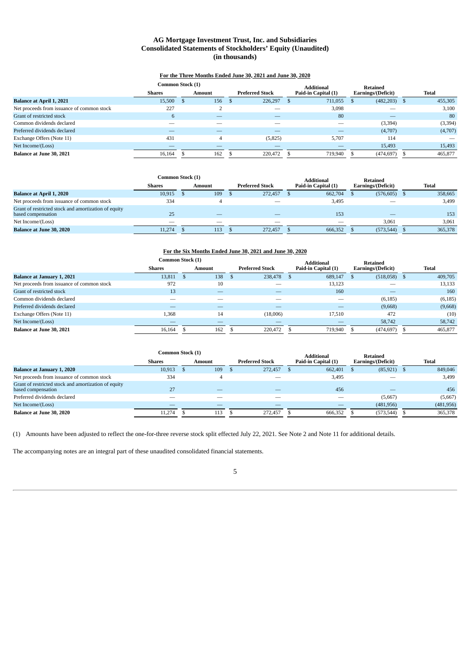# **AG Mortgage Investment Trust, Inc. and Subsidiaries Consolidated Statements of Stockholders' Equity (Unaudited) (in thousands)**

# **For the Three Months Ended June 30, 2021 and June 30, 2020**

|                                            |               | Common Stock (1) |        |     |                          |  | <b>Additional</b>   |                    | Retained       |  |         |
|--------------------------------------------|---------------|------------------|--------|-----|--------------------------|--|---------------------|--------------------|----------------|--|---------|
|                                            | <b>Shares</b> |                  | Amount |     | <b>Preferred Stock</b>   |  | Paid-in Capital (1) | Earnings/(Deficit) |                |  | Total   |
| <b>Balance at April 1, 2021</b>            | 15,500        | - \$             | 156    | - S | 226,297                  |  | 711,055             |                    | $(482,203)$ \$ |  | 455,305 |
| Net proceeds from issuance of common stock | 227           |                  |        |     | $\overline{\phantom{m}}$ |  | 3,098               |                    |                |  | 3,100   |
| Grant of restricted stock                  | 6             |                  | _      |     | $\overline{\phantom{a}}$ |  | 80                  |                    |                |  | 80      |
| Common dividends declared                  |               |                  | __     |     | $\overline{\phantom{m}}$ |  | __                  |                    | (3,394)        |  | (3,394) |
| Preferred dividends declared               |               |                  |        |     | $\overline{\phantom{a}}$ |  |                     |                    | (4,707)        |  | (4,707) |
| Exchange Offers (Note 11)                  | 431           |                  |        |     | (5,825)                  |  | 5,707               |                    | 114            |  |         |
| Net Income/(Loss)                          |               |                  |        |     |                          |  |                     |                    | 15,493         |  | 15,493  |
| <b>Balance at June 30, 2021</b>            | 16,164        |                  | 162    |     | 220,472                  |  | 719,940             |                    | (474, 697)     |  | 465,877 |

|                                                                            |                          | Common Stock (1) |                          |  |                          |  |                                   | Retained |                           |  |              |
|----------------------------------------------------------------------------|--------------------------|------------------|--------------------------|--|--------------------------|--|-----------------------------------|----------|---------------------------|--|--------------|
|                                                                            | <b>Shares</b>            |                  | Amount                   |  | <b>Preferred Stock</b>   |  | Additional<br>Paid-in Capital (1) |          | <b>Earnings/(Deficit)</b> |  | <b>Total</b> |
| <b>Balance at April 1, 2020</b>                                            | 10,915                   |                  | 109                      |  | 272,457                  |  | 662,704                           |          | (576, 605)                |  | 358,665      |
| Net proceeds from issuance of common stock                                 | 334                      |                  |                          |  |                          |  | 3.495                             |          |                           |  | 3,499        |
| Grant of restricted stock and amortization of equity<br>based compensation | 25                       |                  |                          |  | $\overline{\phantom{a}}$ |  | 153                               |          |                           |  | 153          |
| Net Income/(Loss)                                                          | $\overline{\phantom{a}}$ |                  | $\overline{\phantom{a}}$ |  | $\overline{\phantom{a}}$ |  |                                   |          | 3.061                     |  | 3,061        |
| <b>Balance at June 30, 2020</b>                                            | 11.274                   |                  | 113                      |  | 272,457                  |  | 666.352                           |          | (573, 544)                |  | 365,378      |

### **For the Six Months Ended June 30, 2021 and June 30, 2020**

|                                            |               | Common Stock (1) |        |  |                        |  | <b>Additional</b>   |  | Retained           |  |          |
|--------------------------------------------|---------------|------------------|--------|--|------------------------|--|---------------------|--|--------------------|--|----------|
|                                            | <b>Shares</b> |                  | Amount |  | <b>Preferred Stock</b> |  | Paid-in Capital (1) |  | Earnings/(Deficit) |  | Total    |
| <b>Balance at January 1, 2021</b>          | 13,811        |                  | 138    |  | 238,478                |  | 689,147             |  | (518,058)          |  | 409,705  |
| Net proceeds from issuance of common stock | 972           |                  | 10     |  | $\sim$                 |  | 13,123              |  |                    |  | 13,133   |
| Grant of restricted stock                  | 13            |                  |        |  |                        |  | 160                 |  |                    |  | 160      |
| Common dividends declared                  | __            |                  | __     |  |                        |  |                     |  | (6, 185)           |  | (6, 185) |
| Preferred dividends declared               |               |                  |        |  |                        |  |                     |  | (9,668)            |  | (9,668)  |
| Exchange Offers (Note 11)                  | 1.368         |                  | 14     |  | (18,006)               |  | 17,510              |  | 472                |  | (10)     |
| Net Income/(Loss)                          |               |                  |        |  |                        |  |                     |  | 58,742             |  | 58,742   |
| Balance at June 30, 2021                   | 16.164        |                  | 162    |  | 220,472                |  | 719,940             |  | (474, 697)         |  | 465.877  |

|                                                                            | Common Stock (1) |  |        |  |                          |  | <b>Additional</b>   | Retained                  |            |            |
|----------------------------------------------------------------------------|------------------|--|--------|--|--------------------------|--|---------------------|---------------------------|------------|------------|
|                                                                            | <b>Shares</b>    |  | Amount |  | <b>Preferred Stock</b>   |  | Paid-in Capital (1) | <b>Earnings/(Deficit)</b> |            | Total      |
| <b>Balance at January 1, 2020</b>                                          | 10,913           |  | 109    |  | 272,457                  |  | 662,401             |                           | (85, 921)  | 849,046    |
| Net proceeds from issuance of common stock                                 | 334              |  |        |  | $\overline{\phantom{a}}$ |  | 3,495               |                           |            | 3,499      |
| Grant of restricted stock and amortization of equity<br>based compensation | 27               |  |        |  |                          |  | 456                 |                           |            | 456        |
| Preferred dividends declared                                               |                  |  |        |  |                          |  |                     |                           | (5,667)    | (5,667)    |
| Net Income/(Loss)                                                          |                  |  |        |  |                          |  |                     |                           | (481,956)  | (481, 956) |
| <b>Balance at June 30, 2020</b>                                            | 11.274           |  | 113    |  | 272,457                  |  | 666.352             |                           | (573, 544) | 365,378    |

(1) Amounts have been adjusted to reflect the one-for-three reverse stock split effected July 22, 2021. See Note 2 and Note 11 for additional details.

<span id="page-4-0"></span>The accompanying notes are an integral part of these unaudited consolidated financial statements.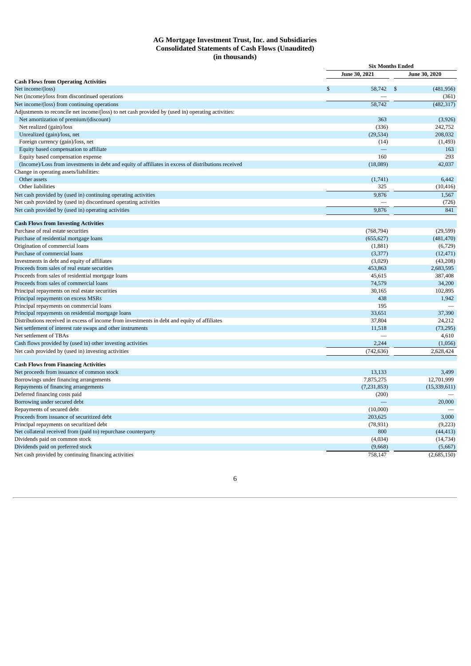## **AG Mortgage Investment Trust, Inc. and Subsidiaries Consolidated Statements of Cash Flows (Unaudited) (in thousands)**

|                                                                                                     |                        | <b>Six Months Ended</b>      |
|-----------------------------------------------------------------------------------------------------|------------------------|------------------------------|
|                                                                                                     | June 30, 2021          | June 30, 2020                |
| <b>Cash Flows from Operating Activities</b>                                                         |                        |                              |
| Net income/(loss)                                                                                   | $\mathbb{S}$<br>58,742 | $\mathfrak{s}$<br>(481, 956) |
| Net (income)/loss from discontinued operations                                                      |                        | (361)                        |
| Net income/(loss) from continuing operations                                                        | 58,742                 | (482, 317)                   |
| Adjustments to reconcile net income/(loss) to net cash provided by (used in) operating activities:  |                        |                              |
| Net amortization of premium/(discount)                                                              | 363                    | (3,926)                      |
| Net realized (gain)/loss                                                                            | (336)                  | 242,752                      |
| Unrealized (gain)/loss, net                                                                         | (29, 534)              | 208,032                      |
| Foreign currency (gain)/loss, net                                                                   | (14)                   | (1,493)                      |
| Equity based compensation to affiliate                                                              |                        | 163                          |
| Equity based compensation expense                                                                   | 160                    | 293                          |
| (Income)/Loss from investments in debt and equity of affiliates in excess of distributions received | (18,089)               | 42,037                       |
| Change in operating assets/liabilities:                                                             |                        |                              |
| Other assets                                                                                        | (1,741)                | 6,442                        |
| Other liabilities                                                                                   | 325                    | (10, 416)                    |
| Net cash provided by (used in) continuing operating activities                                      | 9.876                  | 1,567                        |
| Net cash provided by (used in) discontinued operating activities                                    |                        | (726)                        |
| Net cash provided by (used in) operating activities                                                 | 9,876                  | 841                          |
| <b>Cash Flows from Investing Activities</b>                                                         |                        |                              |
| Purchase of real estate securities                                                                  | (768, 794)             | (29, 599)                    |
| Purchase of residential mortgage loans                                                              | (655, 627)             | (481, 470)                   |
| Origination of commercial loans                                                                     | (1,881)                | (6,729)                      |
| Purchase of commercial loans                                                                        | (3, 377)               | (12, 471)                    |
| Investments in debt and equity of affiliates                                                        | (3,029)                | (43,208)                     |
| Proceeds from sales of real estate securities                                                       | 453,863                | 2,683,595                    |
| Proceeds from sales of residential mortgage loans                                                   | 45,615                 | 387,408                      |
| Proceeds from sales of commercial loans                                                             | 74,579                 | 34,200                       |
| Principal repayments on real estate securities                                                      | 30,165                 | 102,895                      |
| Principal repayments on excess MSRs                                                                 | 438                    | 1,942                        |
| Principal repayments on commercial loans                                                            | 195                    |                              |
| Principal repayments on residential mortgage loans                                                  | 33,651                 | 37,390                       |
| Distributions received in excess of income from investments in debt and equity of affiliates        | 37,804                 | 24,212                       |
| Net settlement of interest rate swaps and other instruments                                         | 11,518                 | (73, 295)                    |
| Net settlement of TBAs                                                                              |                        | 4,610                        |
| Cash flows provided by (used in) other investing activities                                         | 2,244                  | (1,056)                      |
| Net cash provided by (used in) investing activities                                                 | (742, 636)             | 2,628,424                    |
|                                                                                                     |                        |                              |
| <b>Cash Flows from Financing Activities</b>                                                         |                        |                              |
| Net proceeds from issuance of common stock                                                          | 13,133                 | 3,499                        |
| Borrowings under financing arrangements                                                             | 7,875,275              | 12,701,999                   |
| Repayments of financing arrangements                                                                | (7, 231, 853)          | (15, 339, 611)               |
| Deferred financing costs paid                                                                       | (200)                  |                              |
| Borrowing under secured debt                                                                        |                        | 20,000                       |
| Repayments of secured debt                                                                          | (10,000)               |                              |
| Proceeds from issuance of securitized debt                                                          | 203,625                | 3,000                        |
| Principal repayments on securitized debt                                                            | (78, 931)              | (9,223)                      |
| Net collateral received from (paid to) repurchase counterparty                                      | 800                    | (44, 413)                    |
| Dividends paid on common stock                                                                      | (4,034)                | (14, 734)                    |
| Dividends paid on preferred stock                                                                   | (9,668)                | (5,667)                      |
| Net cash provided by continuing financing activities                                                | 758,147                | (2,685,150)                  |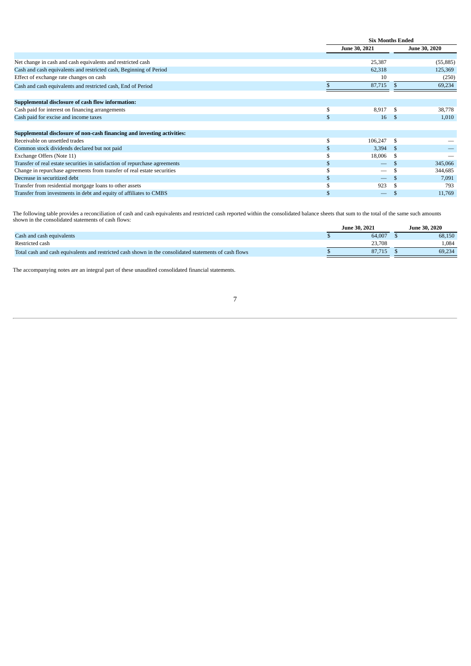|                                                                             | <b>Six Months Ended</b>       |     |                      |  |
|-----------------------------------------------------------------------------|-------------------------------|-----|----------------------|--|
|                                                                             | June 30, 2021                 |     | <b>June 30, 2020</b> |  |
|                                                                             |                               |     |                      |  |
| Net change in cash and cash equivalents and restricted cash                 | 25,387                        |     | (55, 885)            |  |
| Cash and cash equivalents and restricted cash, Beginning of Period          | 62,318                        |     | 125,369              |  |
| Effect of exchange rate changes on cash                                     | 10                            |     | (250)                |  |
| Cash and cash equivalents and restricted cash, End of Period                | 87,715                        |     | 69,234               |  |
| Supplemental disclosure of cash flow information:                           |                               |     |                      |  |
| Cash paid for interest on financing arrangements                            | 8,917                         | S   | 38,778               |  |
| Cash paid for excise and income taxes                                       | 16                            | -S  | 1,010                |  |
| Supplemental disclosure of non-cash financing and investing activities:     |                               |     |                      |  |
| Receivable on unsettled trades                                              | 106,247                       | - 5 |                      |  |
| Common stock dividends declared but not paid                                | 3,394                         | -5  |                      |  |
| Exchange Offers (Note 11)                                                   | 18,006                        |     |                      |  |
| Transfer of real estate securities in satisfaction of repurchase agreements | $\qquad \qquad -$             |     | 345,066              |  |
| Change in repurchase agreements from transfer of real estate securities     | $\overbrace{\phantom{aaaaa}}$ |     | 344,685              |  |
| Decrease in securitized debt                                                | $\overline{\phantom{0}}$      |     | 7,091                |  |
| Transfer from residential mortgage loans to other assets                    | 923                           |     | 793                  |  |
| Transfer from investments in debt and equity of affiliates to CMBS          |                               |     | 11,769               |  |

The following table provides a reconciliation of cash and cash equivalents and restricted cash reported within the consolidated balance sheets that sum to the total of the same such amounts shown in the consolidated statements of cash flows:

|                                                                                                        | <b>June 30, 2021</b> | <b>June 30, 2020</b> |
|--------------------------------------------------------------------------------------------------------|----------------------|----------------------|
| Cash and cash equivalents                                                                              | 64,007               | 68,150               |
| Restricted cash                                                                                        | 23.708               | .084                 |
| Total cash and cash equivalents and restricted cash shown in the consolidated statements of cash flows | 87,715               | 69.234               |
|                                                                                                        |                      |                      |

<span id="page-6-0"></span>The accompanying notes are an integral part of these unaudited consolidated financial statements.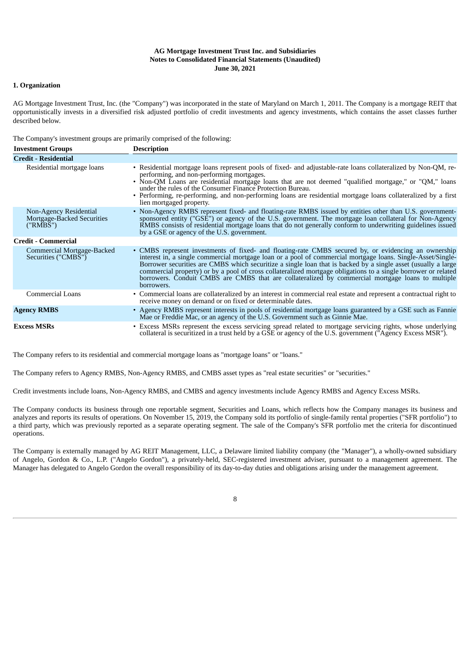# **1. Organization**

AG Mortgage Investment Trust, Inc. (the "Company") was incorporated in the state of Maryland on March 1, 2011. The Company is a mortgage REIT that opportunistically invests in a diversified risk adjusted portfolio of credit investments and agency investments, which contains the asset classes further described below.

The Company's investment groups are primarily comprised of the following:

| <b>Investment Groups</b>                                         | <b>Description</b>                                                                                                                                                                                                                                                                                                                                                                                                                                                                                                                                                        |
|------------------------------------------------------------------|---------------------------------------------------------------------------------------------------------------------------------------------------------------------------------------------------------------------------------------------------------------------------------------------------------------------------------------------------------------------------------------------------------------------------------------------------------------------------------------------------------------------------------------------------------------------------|
| <b>Credit - Residential</b>                                      |                                                                                                                                                                                                                                                                                                                                                                                                                                                                                                                                                                           |
| Residential mortgage loans                                       | • Residential mortgage loans represent pools of fixed- and adjustable-rate loans collateralized by Non-QM, re-<br>performing, and non-performing mortgages.<br>• Non-QM Loans are residential mortgage loans that are not deemed "qualified mortgage," or "QM," loans<br>under the rules of the Consumer Finance Protection Bureau.<br>• Performing, re-performing, and non-performing loans are residential mortgage loans collateralized by a first<br>lien mortgaged property.                                                                                         |
| Non-Agency Residential<br>Mortgage-Backed Securities<br>("RMBS") | • Non-Agency RMBS represent fixed- and floating-rate RMBS issued by entities other than U.S. government-<br>sponsored entity ("GSE") or agency of the U.S. government. The mortgage loan collateral for Non-Agency<br>RMBS consists of residential mortgage loans that do not generally conform to underwriting guidelines issued<br>by a GSE or agency of the U.S. government.                                                                                                                                                                                           |
| <b>Credit - Commercial</b>                                       |                                                                                                                                                                                                                                                                                                                                                                                                                                                                                                                                                                           |
| Commercial Mortgage-Backed<br>Securities ("CMBS")                | • CMBS represent investments of fixed- and floating-rate CMBS secured by, or evidencing an ownership<br>interest in, a single commercial mortgage loan or a pool of commercial mortgage loans. Single-Asset/Single-<br>Borrower securities are CMBS which securitize a single loan that is backed by a single asset (usually a large<br>commercial property) or by a pool of cross collateralized mortgage obligations to a single borrower or related<br>borrowers. Conduit CMBS are CMBS that are collateralized by commercial mortgage loans to multiple<br>borrowers. |
| Commercial Loans                                                 | • Commercial loans are collateralized by an interest in commercial real estate and represent a contractual right to<br>receive money on demand or on fixed or determinable dates.                                                                                                                                                                                                                                                                                                                                                                                         |
| <b>Agency RMBS</b>                                               | • Agency RMBS represent interests in pools of residential mortgage loans guaranteed by a GSE such as Fannie<br>Mae or Freddie Mac, or an agency of the U.S. Government such as Ginnie Mae.                                                                                                                                                                                                                                                                                                                                                                                |
| <b>Excess MSRs</b>                                               | • Excess MSRs represent the excess servicing spread related to mortgage servicing rights, whose underlying<br>collateral is securitized in a trust held by a GSE or agency of the U.S. government ("Agency Excess MSR").                                                                                                                                                                                                                                                                                                                                                  |

The Company refers to its residential and commercial mortgage loans as "mortgage loans" or "loans."

The Company refers to Agency RMBS, Non-Agency RMBS, and CMBS asset types as "real estate securities" or "securities."

Credit investments include loans, Non-Agency RMBS, and CMBS and agency investments include Agency RMBS and Agency Excess MSRs.

The Company conducts its business through one reportable segment, Securities and Loans, which reflects how the Company manages its business and analyzes and reports its results of operations. On November 15, 2019, the Company sold its portfolio of single-family rental properties ("SFR portfolio") to a third party, which was previously reported as a separate operating segment. The sale of the Company's SFR portfolio met the criteria for discontinued operations.

The Company is externally managed by AG REIT Management, LLC, a Delaware limited liability company (the "Manager"), a wholly-owned subsidiary of Angelo, Gordon & Co., L.P. ("Angelo Gordon"), a privately-held, SEC-registered investment adviser, pursuant to a management agreement. The Manager has delegated to Angelo Gordon the overall responsibility of its day-to-day duties and obligations arising under the management agreement.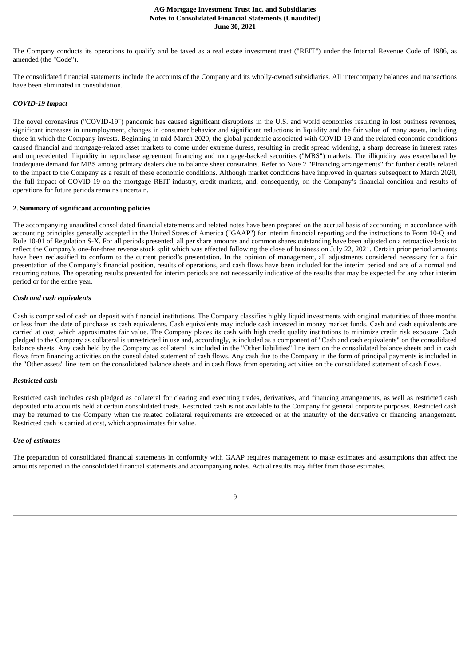The Company conducts its operations to qualify and be taxed as a real estate investment trust ("REIT") under the Internal Revenue Code of 1986, as amended (the "Code").

The consolidated financial statements include the accounts of the Company and its wholly-owned subsidiaries. All intercompany balances and transactions have been eliminated in consolidation.

### *COVID-19 Impact*

The novel coronavirus ("COVID-19") pandemic has caused significant disruptions in the U.S. and world economies resulting in lost business revenues, significant increases in unemployment, changes in consumer behavior and significant reductions in liquidity and the fair value of many assets, including those in which the Company invests. Beginning in mid-March 2020, the global pandemic associated with COVID-19 and the related economic conditions caused financial and mortgage-related asset markets to come under extreme duress, resulting in credit spread widening, a sharp decrease in interest rates and unprecedented illiquidity in repurchase agreement financing and mortgage-backed securities ("MBS") markets. The illiquidity was exacerbated by inadequate demand for MBS among primary dealers due to balance sheet constraints. Refer to Note 2 "Financing arrangements" for further details related to the impact to the Company as a result of these economic conditions. Although market conditions have improved in quarters subsequent to March 2020, the full impact of COVID-19 on the mortgage REIT industry, credit markets, and, consequently, on the Company's financial condition and results of operations for future periods remains uncertain.

### **2. Summary of significant accounting policies**

The accompanying unaudited consolidated financial statements and related notes have been prepared on the accrual basis of accounting in accordance with accounting principles generally accepted in the United States of America ("GAAP") for interim financial reporting and the instructions to Form 10-Q and Rule 10-01 of Regulation S-X. For all periods presented, all per share amounts and common shares outstanding have been adjusted on a retroactive basis to reflect the Company's one-for-three reverse stock split which was effected following the close of business on July 22, 2021. Certain prior period amounts have been reclassified to conform to the current period's presentation. In the opinion of management, all adjustments considered necessary for a fair presentation of the Company's financial position, results of operations, and cash flows have been included for the interim period and are of a normal and recurring nature. The operating results presented for interim periods are not necessarily indicative of the results that may be expected for any other interim period or for the entire year.

### *Cash and cash equivalents*

Cash is comprised of cash on deposit with financial institutions. The Company classifies highly liquid investments with original maturities of three months or less from the date of purchase as cash equivalents. Cash equivalents may include cash invested in money market funds. Cash and cash equivalents are carried at cost, which approximates fair value. The Company places its cash with high credit quality institutions to minimize credit risk exposure. Cash pledged to the Company as collateral is unrestricted in use and, accordingly, is included as a component of "Cash and cash equivalents" on the consolidated balance sheets. Any cash held by the Company as collateral is included in the "Other liabilities" line item on the consolidated balance sheets and in cash flows from financing activities on the consolidated statement of cash flows. Any cash due to the Company in the form of principal payments is included in the "Other assets" line item on the consolidated balance sheets and in cash flows from operating activities on the consolidated statement of cash flows.

#### *Restricted cash*

Restricted cash includes cash pledged as collateral for clearing and executing trades, derivatives, and financing arrangements, as well as restricted cash deposited into accounts held at certain consolidated trusts. Restricted cash is not available to the Company for general corporate purposes. Restricted cash may be returned to the Company when the related collateral requirements are exceeded or at the maturity of the derivative or financing arrangement. Restricted cash is carried at cost, which approximates fair value.

#### *Use of estimates*

The preparation of consolidated financial statements in conformity with GAAP requires management to make estimates and assumptions that affect the amounts reported in the consolidated financial statements and accompanying notes. Actual results may differ from those estimates.

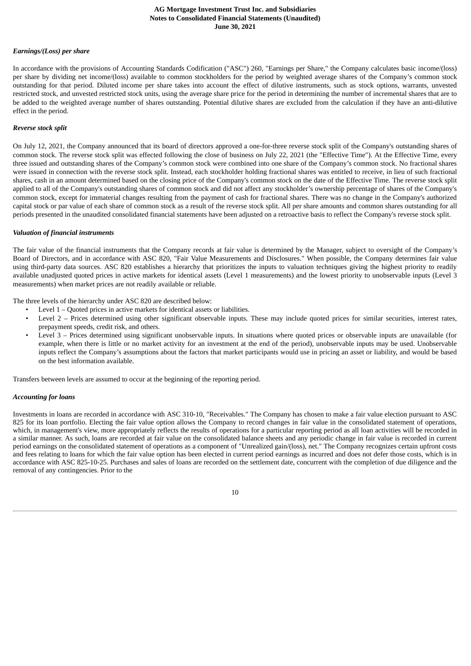### *Earnings/(Loss) per share*

In accordance with the provisions of Accounting Standards Codification ("ASC") 260, "Earnings per Share," the Company calculates basic income/(loss) per share by dividing net income/(loss) available to common stockholders for the period by weighted average shares of the Company's common stock outstanding for that period. Diluted income per share takes into account the effect of dilutive instruments, such as stock options, warrants, unvested restricted stock, and unvested restricted stock units, using the average share price for the period in determining the number of incremental shares that are to be added to the weighted average number of shares outstanding. Potential dilutive shares are excluded from the calculation if they have an anti-dilutive effect in the period.

## *Reverse stock split*

On July 12, 2021, the Company announced that its board of directors approved a one-for-three reverse stock split of the Company's outstanding shares of common stock. The reverse stock split was effected following the close of business on July 22, 2021 (the "Effective Time"). At the Effective Time, every three issued and outstanding shares of the Company's common stock were combined into one share of the Company's common stock. No fractional shares were issued in connection with the reverse stock split. Instead, each stockholder holding fractional shares was entitled to receive, in lieu of such fractional shares, cash in an amount determined based on the closing price of the Company's common stock on the date of the Effective Time. The reverse stock split applied to all of the Company's outstanding shares of common stock and did not affect any stockholder's ownership percentage of shares of the Company's common stock, except for immaterial changes resulting from the payment of cash for fractional shares. There was no change in the Company's authorized capital stock or par value of each share of common stock as a result of the reverse stock split. All per share amounts and common shares outstanding for all periods presented in the unaudited consolidated financial statements have been adjusted on a retroactive basis to reflect the Company's reverse stock split.

### *Valuation of financial instruments*

The fair value of the financial instruments that the Company records at fair value is determined by the Manager, subject to oversight of the Company's Board of Directors, and in accordance with ASC 820, "Fair Value Measurements and Disclosures." When possible, the Company determines fair value using third-party data sources. ASC 820 establishes a hierarchy that prioritizes the inputs to valuation techniques giving the highest priority to readily available unadjusted quoted prices in active markets for identical assets (Level 1 measurements) and the lowest priority to unobservable inputs (Level 3 measurements) when market prices are not readily available or reliable.

The three levels of the hierarchy under ASC 820 are described below:

- Level 1 Quoted prices in active markets for identical assets or liabilities.
- Level 2 Prices determined using other significant observable inputs. These may include quoted prices for similar securities, interest rates, prepayment speeds, credit risk, and others.
- Level 3 Prices determined using significant unobservable inputs. In situations where quoted prices or observable inputs are unavailable (for example, when there is little or no market activity for an investment at the end of the period), unobservable inputs may be used. Unobservable inputs reflect the Company's assumptions about the factors that market participants would use in pricing an asset or liability, and would be based on the best information available.

Transfers between levels are assumed to occur at the beginning of the reporting period.

### *Accounting for loans*

Investments in loans are recorded in accordance with ASC 310-10, "Receivables." The Company has chosen to make a fair value election pursuant to ASC 825 for its loan portfolio. Electing the fair value option allows the Company to record changes in fair value in the consolidated statement of operations, which, in management's view, more appropriately reflects the results of operations for a particular reporting period as all loan activities will be recorded in a similar manner. As such, loans are recorded at fair value on the consolidated balance sheets and any periodic change in fair value is recorded in current period earnings on the consolidated statement of operations as a component of "Unrealized gain/(loss), net." The Company recognizes certain upfront costs and fees relating to loans for which the fair value option has been elected in current period earnings as incurred and does not defer those costs, which is in accordance with ASC 825-10-25. Purchases and sales of loans are recorded on the settlement date, concurrent with the completion of due diligence and the removal of any contingencies. Prior to the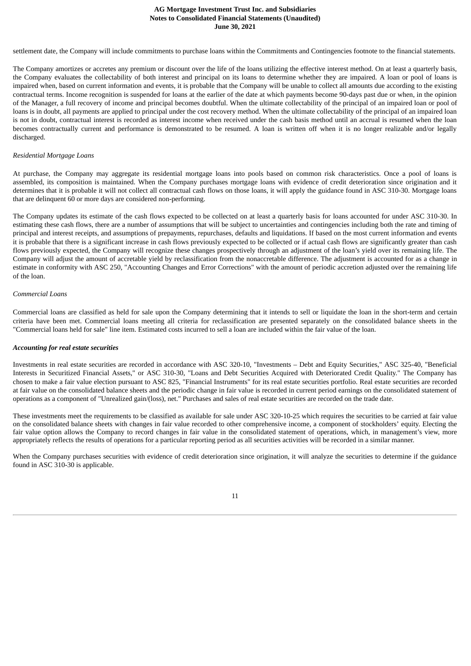settlement date, the Company will include commitments to purchase loans within the Commitments and Contingencies footnote to the financial statements.

The Company amortizes or accretes any premium or discount over the life of the loans utilizing the effective interest method. On at least a quarterly basis, the Company evaluates the collectability of both interest and principal on its loans to determine whether they are impaired. A loan or pool of loans is impaired when, based on current information and events, it is probable that the Company will be unable to collect all amounts due according to the existing contractual terms. Income recognition is suspended for loans at the earlier of the date at which payments become 90-days past due or when, in the opinion of the Manager, a full recovery of income and principal becomes doubtful. When the ultimate collectability of the principal of an impaired loan or pool of loans is in doubt, all payments are applied to principal under the cost recovery method. When the ultimate collectability of the principal of an impaired loan is not in doubt, contractual interest is recorded as interest income when received under the cash basis method until an accrual is resumed when the loan becomes contractually current and performance is demonstrated to be resumed. A loan is written off when it is no longer realizable and/or legally discharged.

### *Residential Mortgage Loans*

At purchase, the Company may aggregate its residential mortgage loans into pools based on common risk characteristics. Once a pool of loans is assembled, its composition is maintained. When the Company purchases mortgage loans with evidence of credit deterioration since origination and it determines that it is probable it will not collect all contractual cash flows on those loans, it will apply the guidance found in ASC 310-30. Mortgage loans that are delinquent 60 or more days are considered non-performing.

The Company updates its estimate of the cash flows expected to be collected on at least a quarterly basis for loans accounted for under ASC 310-30. In estimating these cash flows, there are a number of assumptions that will be subject to uncertainties and contingencies including both the rate and timing of principal and interest receipts, and assumptions of prepayments, repurchases, defaults and liquidations. If based on the most current information and events it is probable that there is a significant increase in cash flows previously expected to be collected or if actual cash flows are significantly greater than cash flows previously expected, the Company will recognize these changes prospectively through an adjustment of the loan's yield over its remaining life. The Company will adjust the amount of accretable yield by reclassification from the nonaccretable difference. The adjustment is accounted for as a change in estimate in conformity with ASC 250, "Accounting Changes and Error Corrections" with the amount of periodic accretion adjusted over the remaining life of the loan.

# *Commercial Loans*

Commercial loans are classified as held for sale upon the Company determining that it intends to sell or liquidate the loan in the short-term and certain criteria have been met. Commercial loans meeting all criteria for reclassification are presented separately on the consolidated balance sheets in the "Commercial loans held for sale" line item. Estimated costs incurred to sell a loan are included within the fair value of the loan.

#### *Accounting for real estate securities*

Investments in real estate securities are recorded in accordance with ASC 320-10, "Investments – Debt and Equity Securities," ASC 325-40, "Beneficial Interests in Securitized Financial Assets," or ASC 310-30, "Loans and Debt Securities Acquired with Deteriorated Credit Quality." The Company has chosen to make a fair value election pursuant to ASC 825, "Financial Instruments" for its real estate securities portfolio. Real estate securities are recorded at fair value on the consolidated balance sheets and the periodic change in fair value is recorded in current period earnings on the consolidated statement of operations as a component of "Unrealized gain/(loss), net." Purchases and sales of real estate securities are recorded on the trade date.

These investments meet the requirements to be classified as available for sale under ASC 320-10-25 which requires the securities to be carried at fair value on the consolidated balance sheets with changes in fair value recorded to other comprehensive income, a component of stockholders' equity. Electing the fair value option allows the Company to record changes in fair value in the consolidated statement of operations, which, in management's view, more appropriately reflects the results of operations for a particular reporting period as all securities activities will be recorded in a similar manner.

When the Company purchases securities with evidence of credit deterioration since origination, it will analyze the securities to determine if the guidance found in ASC 310-30 is applicable.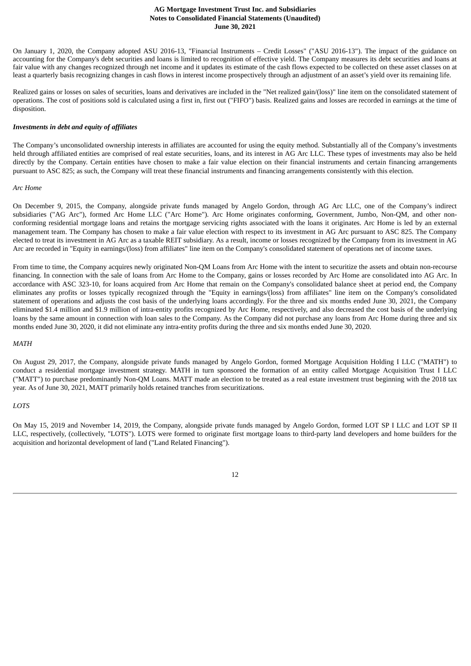On January 1, 2020, the Company adopted ASU 2016-13, "Financial Instruments – Credit Losses" ("ASU 2016-13"). The impact of the guidance on accounting for the Company's debt securities and loans is limited to recognition of effective yield. The Company measures its debt securities and loans at fair value with any changes recognized through net income and it updates its estimate of the cash flows expected to be collected on these asset classes on at least a quarterly basis recognizing changes in cash flows in interest income prospectively through an adjustment of an asset's yield over its remaining life.

Realized gains or losses on sales of securities, loans and derivatives are included in the "Net realized gain/(loss)" line item on the consolidated statement of operations. The cost of positions sold is calculated using a first in, first out ("FIFO") basis. Realized gains and losses are recorded in earnings at the time of disposition.

### *Investments in debt and equity of affiliates*

The Company's unconsolidated ownership interests in affiliates are accounted for using the equity method. Substantially all of the Company's investments held through affiliated entities are comprised of real estate securities, loans, and its interest in AG Arc LLC. These types of investments may also be held directly by the Company. Certain entities have chosen to make a fair value election on their financial instruments and certain financing arrangements pursuant to ASC 825; as such, the Company will treat these financial instruments and financing arrangements consistently with this election.

#### *Arc Home*

On December 9, 2015, the Company, alongside private funds managed by Angelo Gordon, through AG Arc LLC, one of the Company's indirect subsidiaries ("AG Arc"), formed Arc Home LLC ("Arc Home"). Arc Home originates conforming, Government, Jumbo, Non-QM, and other nonconforming residential mortgage loans and retains the mortgage servicing rights associated with the loans it originates. Arc Home is led by an external management team. The Company has chosen to make a fair value election with respect to its investment in AG Arc pursuant to ASC 825. The Company elected to treat its investment in AG Arc as a taxable REIT subsidiary. As a result, income or losses recognized by the Company from its investment in AG Arc are recorded in "Equity in earnings/(loss) from affiliates" line item on the Company's consolidated statement of operations net of income taxes.

From time to time, the Company acquires newly originated Non-QM Loans from Arc Home with the intent to securitize the assets and obtain non-recourse financing. In connection with the sale of loans from Arc Home to the Company, gains or losses recorded by Arc Home are consolidated into AG Arc. In accordance with ASC 323-10, for loans acquired from Arc Home that remain on the Company's consolidated balance sheet at period end, the Company eliminates any profits or losses typically recognized through the "Equity in earnings/(loss) from affiliates" line item on the Company's consolidated statement of operations and adjusts the cost basis of the underlying loans accordingly. For the three and six months ended June 30, 2021, the Company eliminated \$1.4 million and \$1.9 million of intra-entity profits recognized by Arc Home, respectively, and also decreased the cost basis of the underlying loans by the same amount in connection with loan sales to the Company. As the Company did not purchase any loans from Arc Home during three and six months ended June 30, 2020, it did not eliminate any intra-entity profits during the three and six months ended June 30, 2020.

#### *MATH*

On August 29, 2017, the Company, alongside private funds managed by Angelo Gordon, formed Mortgage Acquisition Holding I LLC ("MATH") to conduct a residential mortgage investment strategy. MATH in turn sponsored the formation of an entity called Mortgage Acquisition Trust I LLC ("MATT") to purchase predominantly Non-QM Loans. MATT made an election to be treated as a real estate investment trust beginning with the 2018 tax year. As of June 30, 2021, MATT primarily holds retained tranches from securitizations.

#### *LOTS*

On May 15, 2019 and November 14, 2019, the Company, alongside private funds managed by Angelo Gordon, formed LOT SP I LLC and LOT SP II LLC, respectively, (collectively, "LOTS"). LOTS were formed to originate first mortgage loans to third-party land developers and home builders for the acquisition and horizontal development of land ("Land Related Financing").

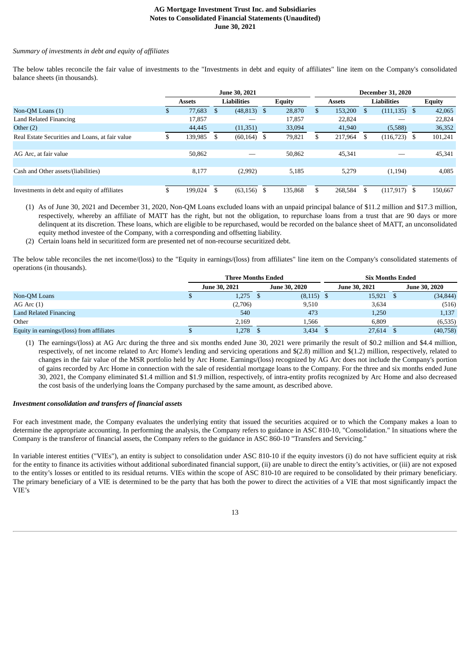# *Summary of investments in debt and equity of affiliates*

The below tables reconcile the fair value of investments to the "Investments in debt and equity of affiliates" line item on the Company's consolidated balance sheets (in thousands).

|                                                 |     |               |    | <b>June 30, 2021</b> |      |               | <b>December 31, 2020</b> |               |     |                 |  |               |
|-------------------------------------------------|-----|---------------|----|----------------------|------|---------------|--------------------------|---------------|-----|-----------------|--|---------------|
|                                                 |     | <b>Assets</b> |    | Liabilities          |      | <b>Equity</b> |                          | <b>Assets</b> |     | Liabilities     |  | <b>Equity</b> |
| Non-QM Loans (1)                                | \$  | 77,683        | S. | $(48, 813)$ \$       |      | 28,870        | \$                       | 153,200       | \$. | $(111, 135)$ \$ |  | 42,065        |
| Land Related Financing                          |     | 17,857        |    |                      |      | 17,857        |                          | 22,824        |     |                 |  | 22,824        |
| Other $(2)$                                     |     | 44,445        |    | (11, 351)            |      | 33,094        |                          | 41,940        |     | (5,588)         |  | 36,352        |
| Real Estate Securities and Loans, at fair value | пD. | 139,985       | S. | $(60, 164)$ \$       |      | 79,821        | \$                       | 217,964       | S   | $(116, 723)$ \$ |  | 101,241       |
|                                                 |     |               |    |                      |      |               |                          |               |     |                 |  |               |
| AG Arc. at fair value                           |     | 50.862        |    |                      |      | 50.862        |                          | 45,341        |     |                 |  | 45,341        |
|                                                 |     |               |    |                      |      |               |                          |               |     |                 |  |               |
| Cash and Other assets/(liabilities)             |     | 8,177         |    | (2,992)              |      | 5,185         |                          | 5,279         |     | (1, 194)        |  | 4,085         |
|                                                 |     |               |    |                      |      |               |                          |               |     |                 |  |               |
| Investments in debt and equity of affiliates    |     | 199.024       | \$ | (63, 156)            | - \$ | 135,868       | S                        | 268,584       | \$  | $(117, 917)$ \$ |  | 150,667       |

(1) As of June 30, 2021 and December 31, 2020, Non-QM Loans excluded loans with an unpaid principal balance of \$11.2 million and \$17.3 million, respectively, whereby an affiliate of MATT has the right, but not the obligation, to repurchase loans from a trust that are 90 days or more delinquent at its discretion. These loans, which are eligible to be repurchased, would be recorded on the balance sheet of MATT, an unconsolidated equity method investee of the Company, with a corresponding and offsetting liability.

(2) Certain loans held in securitized form are presented net of non-recourse securitized debt.

The below table reconciles the net income/(loss) to the "Equity in earnings/(loss) from affiliates" line item on the Company's consolidated statements of operations (in thousands).

|                                           | <b>Three Months Ended</b> |                      | <b>Six Months Ended</b> |        |  |                      |  |
|-------------------------------------------|---------------------------|----------------------|-------------------------|--------|--|----------------------|--|
|                                           | <b>June 30, 2021</b>      | <b>June 30, 2020</b> | <b>June 30, 2021</b>    |        |  | <b>June 30, 2020</b> |  |
| Non-OM Loans                              | 1,275                     | $(8,115)$ \$         |                         | 15,921 |  | (34, 844)            |  |
| AG Arc $(1)$                              | (2,706)                   | 9,510                |                         | 3,634  |  | (516)                |  |
| Land Related Financing                    | 540                       | 473                  |                         | 1,250  |  | 1,137                |  |
| Other                                     | 2,169                     | 1.566                |                         | 6.809  |  | (6, 535)             |  |
| Equity in earnings/(loss) from affiliates | 1,278                     | 3,434                |                         | 27.614 |  | (40,758)             |  |

(1) The earnings/(loss) at AG Arc during the three and six months ended June 30, 2021 were primarily the result of \$0.2 million and \$4.4 million, respectively, of net income related to Arc Home's lending and servicing operations and \$(2.8) million and \$(1.2) million, respectively, related to changes in the fair value of the MSR portfolio held by Arc Home. Earnings/(loss) recognized by AG Arc does not include the Company's portion of gains recorded by Arc Home in connection with the sale of residential mortgage loans to the Company. For the three and six months ended June 30, 2021, the Company eliminated \$1.4 million and \$1.9 million, respectively, of intra-entity profits recognized by Arc Home and also decreased the cost basis of the underlying loans the Company purchased by the same amount, as described above.

# *Investment consolidation and transfers of financial assets*

For each investment made, the Company evaluates the underlying entity that issued the securities acquired or to which the Company makes a loan to determine the appropriate accounting. In performing the analysis, the Company refers to guidance in ASC 810-10, "Consolidation." In situations where the Company is the transferor of financial assets, the Company refers to the guidance in ASC 860-10 "Transfers and Servicing."

In variable interest entities ("VIEs"), an entity is subject to consolidation under ASC 810-10 if the equity investors (i) do not have sufficient equity at risk for the entity to finance its activities without additional subordinated financial support, (ii) are unable to direct the entity's activities, or (iii) are not exposed to the entity's losses or entitled to its residual returns. VIEs within the scope of ASC 810-10 are required to be consolidated by their primary beneficiary. The primary beneficiary of a VIE is determined to be the party that has both the power to direct the activities of a VIE that most significantly impact the VIE's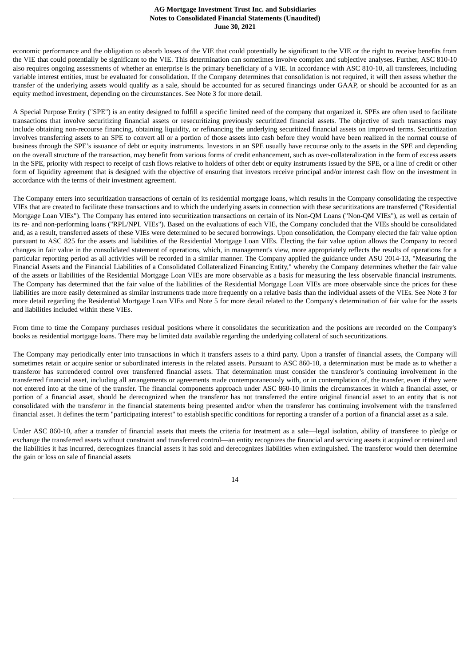economic performance and the obligation to absorb losses of the VIE that could potentially be significant to the VIE or the right to receive benefits from the VIE that could potentially be significant to the VIE. This determination can sometimes involve complex and subjective analyses. Further, ASC 810-10 also requires ongoing assessments of whether an enterprise is the primary beneficiary of a VIE. In accordance with ASC 810-10, all transferees, including variable interest entities, must be evaluated for consolidation. If the Company determines that consolidation is not required, it will then assess whether the transfer of the underlying assets would qualify as a sale, should be accounted for as secured financings under GAAP, or should be accounted for as an equity method investment, depending on the circumstances. See Note 3 for more detail.

A Special Purpose Entity ("SPE") is an entity designed to fulfill a specific limited need of the company that organized it. SPEs are often used to facilitate transactions that involve securitizing financial assets or resecuritizing previously securitized financial assets. The objective of such transactions may include obtaining non-recourse financing, obtaining liquidity, or refinancing the underlying securitized financial assets on improved terms. Securitization involves transferring assets to an SPE to convert all or a portion of those assets into cash before they would have been realized in the normal course of business through the SPE's issuance of debt or equity instruments. Investors in an SPE usually have recourse only to the assets in the SPE and depending on the overall structure of the transaction, may benefit from various forms of credit enhancement, such as over-collateralization in the form of excess assets in the SPE, priority with respect to receipt of cash flows relative to holders of other debt or equity instruments issued by the SPE, or a line of credit or other form of liquidity agreement that is designed with the objective of ensuring that investors receive principal and/or interest cash flow on the investment in accordance with the terms of their investment agreement.

The Company enters into securitization transactions of certain of its residential mortgage loans, which results in the Company consolidating the respective VIEs that are created to facilitate these transactions and to which the underlying assets in connection with these securitizations are transferred ("Residential Mortgage Loan VIEs"). The Company has entered into securitization transactions on certain of its Non-QM Loans ("Non-QM VIEs"), as well as certain of its re- and non-performing loans ("RPL/NPL VIEs"). Based on the evaluations of each VIE, the Company concluded that the VIEs should be consolidated and, as a result, transferred assets of these VIEs were determined to be secured borrowings. Upon consolidation, the Company elected the fair value option pursuant to ASC 825 for the assets and liabilities of the Residential Mortgage Loan VIEs. Electing the fair value option allows the Company to record changes in fair value in the consolidated statement of operations, which, in management's view, more appropriately reflects the results of operations for a particular reporting period as all activities will be recorded in a similar manner. The Company applied the guidance under ASU 2014-13, "Measuring the Financial Assets and the Financial Liabilities of a Consolidated Collateralized Financing Entity," whereby the Company determines whether the fair value of the assets or liabilities of the Residential Mortgage Loan VIEs are more observable as a basis for measuring the less observable financial instruments. The Company has determined that the fair value of the liabilities of the Residential Mortgage Loan VIEs are more observable since the prices for these liabilities are more easily determined as similar instruments trade more frequently on a relative basis than the individual assets of the VIEs. See Note 3 for more detail regarding the Residential Mortgage Loan VIEs and Note 5 for more detail related to the Company's determination of fair value for the assets and liabilities included within these VIEs.

From time to time the Company purchases residual positions where it consolidates the securitization and the positions are recorded on the Company's books as residential mortgage loans. There may be limited data available regarding the underlying collateral of such securitizations.

The Company may periodically enter into transactions in which it transfers assets to a third party. Upon a transfer of financial assets, the Company will sometimes retain or acquire senior or subordinated interests in the related assets. Pursuant to ASC 860-10, a determination must be made as to whether a transferor has surrendered control over transferred financial assets. That determination must consider the transferor's continuing involvement in the transferred financial asset, including all arrangements or agreements made contemporaneously with, or in contemplation of, the transfer, even if they were not entered into at the time of the transfer. The financial components approach under ASC 860-10 limits the circumstances in which a financial asset, or portion of a financial asset, should be derecognized when the transferor has not transferred the entire original financial asset to an entity that is not consolidated with the transferor in the financial statements being presented and/or when the transferor has continuing involvement with the transferred financial asset. It defines the term "participating interest" to establish specific conditions for reporting a transfer of a portion of a financial asset as a sale.

Under ASC 860-10, after a transfer of financial assets that meets the criteria for treatment as a sale—legal isolation, ability of transferee to pledge or exchange the transferred assets without constraint and transferred control—an entity recognizes the financial and servicing assets it acquired or retained and the liabilities it has incurred, derecognizes financial assets it has sold and derecognizes liabilities when extinguished. The transferor would then determine the gain or loss on sale of financial assets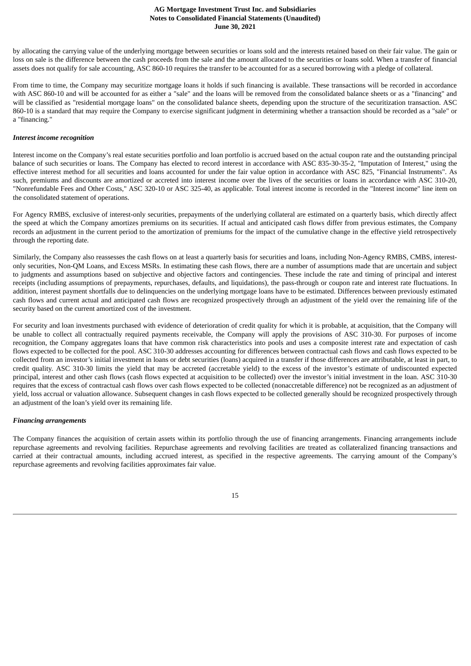by allocating the carrying value of the underlying mortgage between securities or loans sold and the interests retained based on their fair value. The gain or loss on sale is the difference between the cash proceeds from the sale and the amount allocated to the securities or loans sold. When a transfer of financial assets does not qualify for sale accounting, ASC 860-10 requires the transfer to be accounted for as a secured borrowing with a pledge of collateral.

From time to time, the Company may securitize mortgage loans it holds if such financing is available. These transactions will be recorded in accordance with ASC 860-10 and will be accounted for as either a "sale" and the loans will be removed from the consolidated balance sheets or as a "financing" and will be classified as "residential mortgage loans" on the consolidated balance sheets, depending upon the structure of the securitization transaction. ASC 860-10 is a standard that may require the Company to exercise significant judgment in determining whether a transaction should be recorded as a "sale" or a "financing."

### *Interest income recognition*

Interest income on the Company's real estate securities portfolio and loan portfolio is accrued based on the actual coupon rate and the outstanding principal balance of such securities or loans. The Company has elected to record interest in accordance with ASC 835-30-35-2, "Imputation of Interest," using the effective interest method for all securities and loans accounted for under the fair value option in accordance with ASC 825, "Financial Instruments". As such, premiums and discounts are amortized or accreted into interest income over the lives of the securities or loans in accordance with ASC 310-20, "Nonrefundable Fees and Other Costs," ASC 320-10 or ASC 325-40, as applicable. Total interest income is recorded in the "Interest income" line item on the consolidated statement of operations.

For Agency RMBS, exclusive of interest-only securities, prepayments of the underlying collateral are estimated on a quarterly basis, which directly affect the speed at which the Company amortizes premiums on its securities. If actual and anticipated cash flows differ from previous estimates, the Company records an adjustment in the current period to the amortization of premiums for the impact of the cumulative change in the effective yield retrospectively through the reporting date.

Similarly, the Company also reassesses the cash flows on at least a quarterly basis for securities and loans, including Non-Agency RMBS, CMBS, interestonly securities, Non-QM Loans, and Excess MSRs. In estimating these cash flows, there are a number of assumptions made that are uncertain and subject to judgments and assumptions based on subjective and objective factors and contingencies. These include the rate and timing of principal and interest receipts (including assumptions of prepayments, repurchases, defaults, and liquidations), the pass-through or coupon rate and interest rate fluctuations. In addition, interest payment shortfalls due to delinquencies on the underlying mortgage loans have to be estimated. Differences between previously estimated cash flows and current actual and anticipated cash flows are recognized prospectively through an adjustment of the yield over the remaining life of the security based on the current amortized cost of the investment.

For security and loan investments purchased with evidence of deterioration of credit quality for which it is probable, at acquisition, that the Company will be unable to collect all contractually required payments receivable, the Company will apply the provisions of ASC 310-30. For purposes of income recognition, the Company aggregates loans that have common risk characteristics into pools and uses a composite interest rate and expectation of cash flows expected to be collected for the pool. ASC 310-30 addresses accounting for differences between contractual cash flows and cash flows expected to be collected from an investor's initial investment in loans or debt securities (loans) acquired in a transfer if those differences are attributable, at least in part, to credit quality. ASC 310-30 limits the yield that may be accreted (accretable yield) to the excess of the investor's estimate of undiscounted expected principal, interest and other cash flows (cash flows expected at acquisition to be collected) over the investor's initial investment in the loan. ASC 310-30 requires that the excess of contractual cash flows over cash flows expected to be collected (nonaccretable difference) not be recognized as an adjustment of yield, loss accrual or valuation allowance. Subsequent changes in cash flows expected to be collected generally should be recognized prospectively through an adjustment of the loan's yield over its remaining life.

#### *Financing arrangements*

The Company finances the acquisition of certain assets within its portfolio through the use of financing arrangements. Financing arrangements include repurchase agreements and revolving facilities. Repurchase agreements and revolving facilities are treated as collateralized financing transactions and carried at their contractual amounts, including accrued interest, as specified in the respective agreements. The carrying amount of the Company's repurchase agreements and revolving facilities approximates fair value.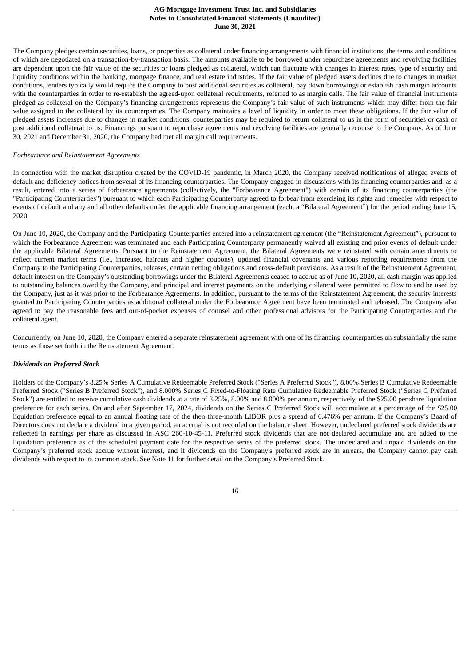The Company pledges certain securities, loans, or properties as collateral under financing arrangements with financial institutions, the terms and conditions of which are negotiated on a transaction-by-transaction basis. The amounts available to be borrowed under repurchase agreements and revolving facilities are dependent upon the fair value of the securities or loans pledged as collateral, which can fluctuate with changes in interest rates, type of security and liquidity conditions within the banking, mortgage finance, and real estate industries. If the fair value of pledged assets declines due to changes in market conditions, lenders typically would require the Company to post additional securities as collateral, pay down borrowings or establish cash margin accounts with the counterparties in order to re-establish the agreed-upon collateral requirements, referred to as margin calls. The fair value of financial instruments pledged as collateral on the Company's financing arrangements represents the Company's fair value of such instruments which may differ from the fair value assigned to the collateral by its counterparties. The Company maintains a level of liquidity in order to meet these obligations. If the fair value of pledged assets increases due to changes in market conditions, counterparties may be required to return collateral to us in the form of securities or cash or post additional collateral to us. Financings pursuant to repurchase agreements and revolving facilities are generally recourse to the Company. As of June 30, 2021 and December 31, 2020, the Company had met all margin call requirements.

#### *Forbearance and Reinstatement Agreements*

In connection with the market disruption created by the COVID-19 pandemic, in March 2020, the Company received notifications of alleged events of default and deficiency notices from several of its financing counterparties. The Company engaged in discussions with its financing counterparties and, as a result, entered into a series of forbearance agreements (collectively, the "Forbearance Agreement") with certain of its financing counterparties (the "Participating Counterparties") pursuant to which each Participating Counterparty agreed to forbear from exercising its rights and remedies with respect to events of default and any and all other defaults under the applicable financing arrangement (each, a "Bilateral Agreement") for the period ending June 15, 2020.

On June 10, 2020, the Company and the Participating Counterparties entered into a reinstatement agreement (the "Reinstatement Agreement"), pursuant to which the Forbearance Agreement was terminated and each Participating Counterparty permanently waived all existing and prior events of default under the applicable Bilateral Agreements. Pursuant to the Reinstatement Agreement, the Bilateral Agreements were reinstated with certain amendments to reflect current market terms (i.e., increased haircuts and higher coupons), updated financial covenants and various reporting requirements from the Company to the Participating Counterparties, releases, certain netting obligations and cross-default provisions. As a result of the Reinstatement Agreement, default interest on the Company's outstanding borrowings under the Bilateral Agreements ceased to accrue as of June 10, 2020, all cash margin was applied to outstanding balances owed by the Company, and principal and interest payments on the underlying collateral were permitted to flow to and be used by the Company, just as it was prior to the Forbearance Agreements. In addition, pursuant to the terms of the Reinstatement Agreement, the security interests granted to Participating Counterparties as additional collateral under the Forbearance Agreement have been terminated and released. The Company also agreed to pay the reasonable fees and out-of-pocket expenses of counsel and other professional advisors for the Participating Counterparties and the collateral agent.

Concurrently, on June 10, 2020, the Company entered a separate reinstatement agreement with one of its financing counterparties on substantially the same terms as those set forth in the Reinstatement Agreement.

#### *Dividends on Preferred Stock*

Holders of the Company's 8.25% Series A Cumulative Redeemable Preferred Stock ("Series A Preferred Stock"), 8.00% Series B Cumulative Redeemable Preferred Stock ("Series B Preferred Stock"), and 8.000% Series C Fixed-to-Floating Rate Cumulative Redeemable Preferred Stock ("Series C Preferred Stock") are entitled to receive cumulative cash dividends at a rate of 8.25%, 8.00% and 8.000% per annum, respectively, of the \$25.00 per share liquidation preference for each series. On and after September 17, 2024, dividends on the Series C Preferred Stock will accumulate at a percentage of the \$25.00 liquidation preference equal to an annual floating rate of the then three-month LIBOR plus a spread of 6.476% per annum. If the Company's Board of Directors does not declare a dividend in a given period, an accrual is not recorded on the balance sheet. However, undeclared preferred stock dividends are reflected in earnings per share as discussed in ASC 260-10-45-11. Preferred stock dividends that are not declared accumulate and are added to the liquidation preference as of the scheduled payment date for the respective series of the preferred stock. The undeclared and unpaid dividends on the Company's preferred stock accrue without interest, and if dividends on the Company's preferred stock are in arrears, the Company cannot pay cash dividends with respect to its common stock. See Note 11 for further detail on the Company's Preferred Stock.

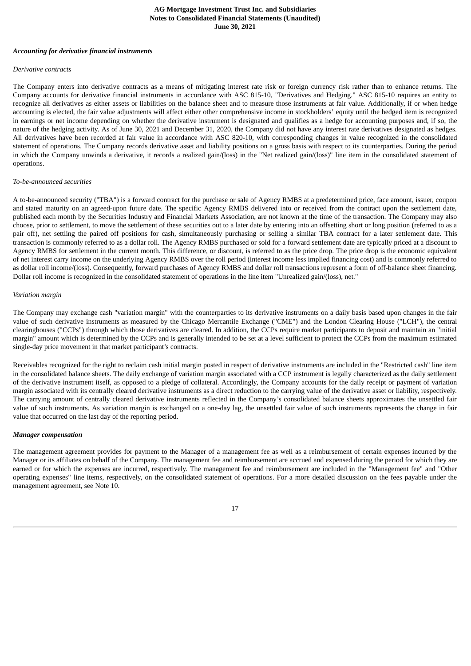### *Accounting for derivative financial instruments*

#### *Derivative contracts*

The Company enters into derivative contracts as a means of mitigating interest rate risk or foreign currency risk rather than to enhance returns. The Company accounts for derivative financial instruments in accordance with ASC 815-10, "Derivatives and Hedging." ASC 815-10 requires an entity to recognize all derivatives as either assets or liabilities on the balance sheet and to measure those instruments at fair value. Additionally, if or when hedge accounting is elected, the fair value adjustments will affect either other comprehensive income in stockholders' equity until the hedged item is recognized in earnings or net income depending on whether the derivative instrument is designated and qualifies as a hedge for accounting purposes and, if so, the nature of the hedging activity. As of June 30, 2021 and December 31, 2020, the Company did not have any interest rate derivatives designated as hedges. All derivatives have been recorded at fair value in accordance with ASC 820-10, with corresponding changes in value recognized in the consolidated statement of operations. The Company records derivative asset and liability positions on a gross basis with respect to its counterparties. During the period in which the Company unwinds a derivative, it records a realized gain/(loss) in the "Net realized gain/(loss)" line item in the consolidated statement of operations.

#### *To-be-announced securities*

A to-be-announced security ("TBA") is a forward contract for the purchase or sale of Agency RMBS at a predetermined price, face amount, issuer, coupon and stated maturity on an agreed-upon future date. The specific Agency RMBS delivered into or received from the contract upon the settlement date, published each month by the Securities Industry and Financial Markets Association, are not known at the time of the transaction. The Company may also choose, prior to settlement, to move the settlement of these securities out to a later date by entering into an offsetting short or long position (referred to as a pair off), net settling the paired off positions for cash, simultaneously purchasing or selling a similar TBA contract for a later settlement date. This transaction is commonly referred to as a dollar roll. The Agency RMBS purchased or sold for a forward settlement date are typically priced at a discount to Agency RMBS for settlement in the current month. This difference, or discount, is referred to as the price drop. The price drop is the economic equivalent of net interest carry income on the underlying Agency RMBS over the roll period (interest income less implied financing cost) and is commonly referred to as dollar roll income/(loss). Consequently, forward purchases of Agency RMBS and dollar roll transactions represent a form of off-balance sheet financing. Dollar roll income is recognized in the consolidated statement of operations in the line item "Unrealized gain/(loss), net."

#### *Variation margin*

The Company may exchange cash "variation margin" with the counterparties to its derivative instruments on a daily basis based upon changes in the fair value of such derivative instruments as measured by the Chicago Mercantile Exchange ("CME") and the London Clearing House ("LCH"), the central clearinghouses ("CCPs") through which those derivatives are cleared. In addition, the CCPs require market participants to deposit and maintain an "initial margin" amount which is determined by the CCPs and is generally intended to be set at a level sufficient to protect the CCPs from the maximum estimated single-day price movement in that market participant's contracts.

Receivables recognized for the right to reclaim cash initial margin posted in respect of derivative instruments are included in the "Restricted cash" line item in the consolidated balance sheets. The daily exchange of variation margin associated with a CCP instrument is legally characterized as the daily settlement of the derivative instrument itself, as opposed to a pledge of collateral. Accordingly, the Company accounts for the daily receipt or payment of variation margin associated with its centrally cleared derivative instruments as a direct reduction to the carrying value of the derivative asset or liability, respectively. The carrying amount of centrally cleared derivative instruments reflected in the Company's consolidated balance sheets approximates the unsettled fair value of such instruments. As variation margin is exchanged on a one-day lag, the unsettled fair value of such instruments represents the change in fair value that occurred on the last day of the reporting period.

#### *Manager compensation*

The management agreement provides for payment to the Manager of a management fee as well as a reimbursement of certain expenses incurred by the Manager or its affiliates on behalf of the Company. The management fee and reimbursement are accrued and expensed during the period for which they are earned or for which the expenses are incurred, respectively. The management fee and reimbursement are included in the "Management fee" and "Other operating expenses" line items, respectively, on the consolidated statement of operations. For a more detailed discussion on the fees payable under the management agreement, see Note 10.

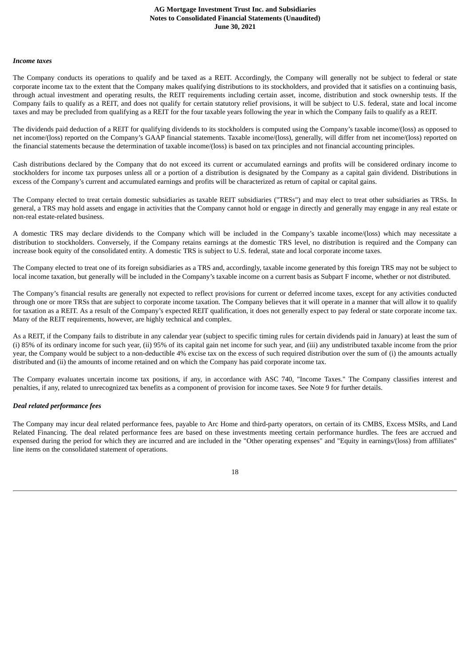#### *Income taxes*

The Company conducts its operations to qualify and be taxed as a REIT. Accordingly, the Company will generally not be subject to federal or state corporate income tax to the extent that the Company makes qualifying distributions to its stockholders, and provided that it satisfies on a continuing basis, through actual investment and operating results, the REIT requirements including certain asset, income, distribution and stock ownership tests. If the Company fails to qualify as a REIT, and does not qualify for certain statutory relief provisions, it will be subject to U.S. federal, state and local income taxes and may be precluded from qualifying as a REIT for the four taxable years following the year in which the Company fails to qualify as a REIT.

The dividends paid deduction of a REIT for qualifying dividends to its stockholders is computed using the Company's taxable income/(loss) as opposed to net income/(loss) reported on the Company's GAAP financial statements. Taxable income/(loss), generally, will differ from net income/(loss) reported on the financial statements because the determination of taxable income/(loss) is based on tax principles and not financial accounting principles.

Cash distributions declared by the Company that do not exceed its current or accumulated earnings and profits will be considered ordinary income to stockholders for income tax purposes unless all or a portion of a distribution is designated by the Company as a capital gain dividend. Distributions in excess of the Company's current and accumulated earnings and profits will be characterized as return of capital or capital gains.

The Company elected to treat certain domestic subsidiaries as taxable REIT subsidiaries ("TRSs") and may elect to treat other subsidiaries as TRSs. In general, a TRS may hold assets and engage in activities that the Company cannot hold or engage in directly and generally may engage in any real estate or non-real estate-related business.

A domestic TRS may declare dividends to the Company which will be included in the Company's taxable income/(loss) which may necessitate a distribution to stockholders. Conversely, if the Company retains earnings at the domestic TRS level, no distribution is required and the Company can increase book equity of the consolidated entity. A domestic TRS is subject to U.S. federal, state and local corporate income taxes.

The Company elected to treat one of its foreign subsidiaries as a TRS and, accordingly, taxable income generated by this foreign TRS may not be subject to local income taxation, but generally will be included in the Company's taxable income on a current basis as Subpart F income, whether or not distributed.

The Company's financial results are generally not expected to reflect provisions for current or deferred income taxes, except for any activities conducted through one or more TRSs that are subject to corporate income taxation. The Company believes that it will operate in a manner that will allow it to qualify for taxation as a REIT. As a result of the Company's expected REIT qualification, it does not generally expect to pay federal or state corporate income tax. Many of the REIT requirements, however, are highly technical and complex.

As a REIT, if the Company fails to distribute in any calendar year (subject to specific timing rules for certain dividends paid in January) at least the sum of (i) 85% of its ordinary income for such year, (ii) 95% of its capital gain net income for such year, and (iii) any undistributed taxable income from the prior year, the Company would be subject to a non-deductible 4% excise tax on the excess of such required distribution over the sum of (i) the amounts actually distributed and (ii) the amounts of income retained and on which the Company has paid corporate income tax.

The Company evaluates uncertain income tax positions, if any, in accordance with ASC 740, "Income Taxes." The Company classifies interest and penalties, if any, related to unrecognized tax benefits as a component of provision for income taxes. See Note 9 for further details.

#### *Deal related performance fees*

The Company may incur deal related performance fees, payable to Arc Home and third-party operators, on certain of its CMBS, Excess MSRs, and Land Related Financing. The deal related performance fees are based on these investments meeting certain performance hurdles. The fees are accrued and expensed during the period for which they are incurred and are included in the "Other operating expenses" and "Equity in earnings/(loss) from affiliates" line items on the consolidated statement of operations.

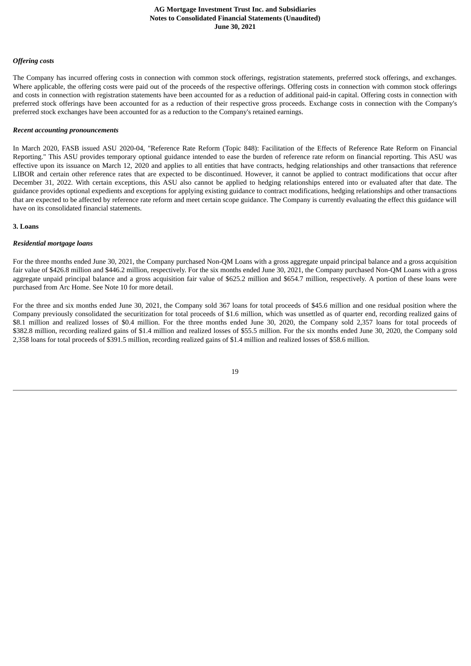### *Offering costs*

The Company has incurred offering costs in connection with common stock offerings, registration statements, preferred stock offerings, and exchanges. Where applicable, the offering costs were paid out of the proceeds of the respective offerings. Offering costs in connection with common stock offerings and costs in connection with registration statements have been accounted for as a reduction of additional paid-in capital. Offering costs in connection with preferred stock offerings have been accounted for as a reduction of their respective gross proceeds. Exchange costs in connection with the Company's preferred stock exchanges have been accounted for as a reduction to the Company's retained earnings.

### *Recent accounting pronouncements*

In March 2020, FASB issued ASU 2020-04, "Reference Rate Reform (Topic 848): Facilitation of the Effects of Reference Rate Reform on Financial Reporting." This ASU provides temporary optional guidance intended to ease the burden of reference rate reform on financial reporting. This ASU was effective upon its issuance on March 12, 2020 and applies to all entities that have contracts, hedging relationships and other transactions that reference LIBOR and certain other reference rates that are expected to be discontinued. However, it cannot be applied to contract modifications that occur after December 31, 2022. With certain exceptions, this ASU also cannot be applied to hedging relationships entered into or evaluated after that date. The guidance provides optional expedients and exceptions for applying existing guidance to contract modifications, hedging relationships and other transactions that are expected to be affected by reference rate reform and meet certain scope guidance. The Company is currently evaluating the effect this guidance will have on its consolidated financial statements.

### **3. Loans**

### *Residential mortgage loans*

For the three months ended June 30, 2021, the Company purchased Non-QM Loans with a gross aggregate unpaid principal balance and a gross acquisition fair value of \$426.8 million and \$446.2 million, respectively. For the six months ended June 30, 2021, the Company purchased Non-QM Loans with a gross aggregate unpaid principal balance and a gross acquisition fair value of \$625.2 million and \$654.7 million, respectively. A portion of these loans were purchased from Arc Home. See Note 10 for more detail.

For the three and six months ended June 30, 2021, the Company sold 367 loans for total proceeds of \$45.6 million and one residual position where the Company previously consolidated the securitization for total proceeds of \$1.6 million, which was unsettled as of quarter end, recording realized gains of \$8.1 million and realized losses of \$0.4 million. For the three months ended June 30, 2020, the Company sold 2,357 loans for total proceeds of \$382.8 million, recording realized gains of \$1.4 million and realized losses of \$55.5 million. For the six months ended June 30, 2020, the Company sold 2,358 loans for total proceeds of \$391.5 million, recording realized gains of \$1.4 million and realized losses of \$58.6 million.

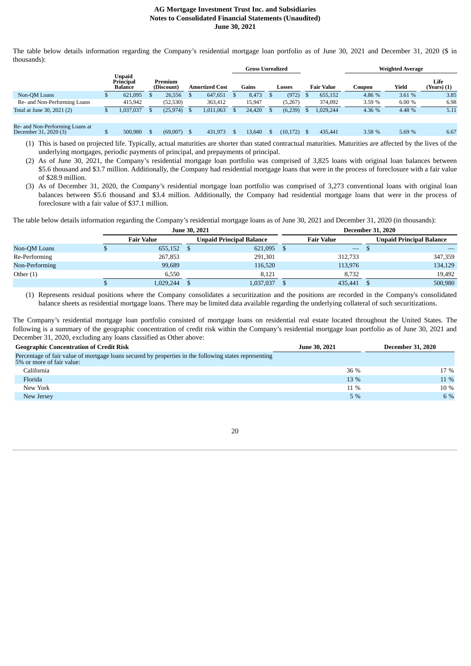The table below details information regarding the Company's residential mortgage loan portfolio as of June 30, 2021 and December 31, 2020 (\$ in thousands):

|                                                          |   |                                       |  |                       |  |                | <b>Gross Unrealized</b> |        |  |           |  |                   |  | <b>Weighted Average</b> |        |                     |  |
|----------------------------------------------------------|---|---------------------------------------|--|-----------------------|--|----------------|-------------------------|--------|--|-----------|--|-------------------|--|-------------------------|--------|---------------------|--|
|                                                          |   | Unpaid<br>Principal<br><b>Balance</b> |  | Premium<br>(Discount) |  | Amortized Cost |                         | Gains  |  | Losses    |  | <b>Fair Value</b> |  | Coupon                  | Yield  | Life<br>(Years) (1) |  |
| Non-QM Loans                                             | D | 621,095                               |  | 26,556                |  | 647,651        |                         | 8.473  |  | (972)     |  | 655,152           |  | 4.86 %                  | 3.61%  | 3.85                |  |
| Re- and Non-Performing Loans                             |   | 415,942                               |  | (52, 530)             |  | 363.412        |                         | 15,947 |  | (5,267)   |  | 374,092           |  | 3.59%                   | 6.00 % | 6.98                |  |
| Total at June 30, 2021 (2)                               |   | 1,037,037                             |  | (25, 974)             |  | 1,011,063      |                         | 24.420 |  | (6,239)   |  | 1,029,244         |  | 4.36 %                  | 4.48 % | 5.11                |  |
|                                                          |   |                                       |  |                       |  |                |                         |        |  |           |  |                   |  |                         |        |                     |  |
| Re- and Non-Performing Loans at<br>December 31, 2020 (3) |   | 500.980                               |  | (69,007)              |  | 431,973        |                         | 13.640 |  | (10, 172) |  | 435,441           |  | 3.58 %                  | 5.69 % | 6.67                |  |

(1) This is based on projected life. Typically, actual maturities are shorter than stated contractual maturities. Maturities are affected by the lives of the underlying mortgages, periodic payments of principal, and prepayments of principal.

(2) As of June 30, 2021, the Company's residential mortgage loan portfolio was comprised of 3,825 loans with original loan balances between \$5.6 thousand and \$3.7 million. Additionally, the Company had residential mortgage loans that were in the process of foreclosure with a fair value of \$28.9 million.

(3) As of December 31, 2020, the Company's residential mortgage loan portfolio was comprised of 3,273 conventional loans with original loan balances between \$5.6 thousand and \$3.4 million. Additionally, the Company had residential mortgage loans that were in the process of foreclosure with a fair value of \$37.1 million.

The table below details information regarding the Company's residential mortgage loans as of June 30, 2021 and December 31, 2020 (in thousands):

|                |                   |           | <b>June 30, 2021</b>     | <b>December 31, 2020</b> |                   |  |                                 |  |  |  |
|----------------|-------------------|-----------|--------------------------|--------------------------|-------------------|--|---------------------------------|--|--|--|
|                | <b>Fair Value</b> |           | Unpaid Principal Balance |                          | <b>Fair Value</b> |  | <b>Unpaid Principal Balance</b> |  |  |  |
| Non-QM Loans   | 655,152 \$        |           | 621,095 \$               |                          |                   |  |                                 |  |  |  |
| Re-Performing  | 267,853           |           | 291,301                  |                          | 312,733           |  | 347,359                         |  |  |  |
| Non-Performing | 99,689            |           | 116,520                  |                          | 113,976           |  | 134,129                         |  |  |  |
| Other $(1)$    | 6.550             |           | 8.121                    |                          | 8.732             |  | 19.492                          |  |  |  |
|                | 1,029,244         | 1,037,037 |                          |                          | 435,441 \$        |  | 500,980                         |  |  |  |

(1) Represents residual positions where the Company consolidates a securitization and the positions are recorded in the Company's consolidated balance sheets as residential mortgage loans. There may be limited data available regarding the underlying collateral of such securitizations.

The Company's residential mortgage loan portfolio consisted of mortgage loans on residential real estate located throughout the United States. The following is a summary of the geographic concentration of credit risk within the Company's residential mortgage loan portfolio as of June 30, 2021 and December 31, 2020, excluding any loans classified as Other above:

| <b>Geographic Concentration of Credit Risk</b>                                                                                     | <b>June 30, 2021</b> | <b>December 31, 2020</b> |
|------------------------------------------------------------------------------------------------------------------------------------|----------------------|--------------------------|
| Percentage of fair value of mortgage loans secured by properties in the following states representing<br>5% or more of fair value: |                      |                          |
| California                                                                                                                         | 36 %                 | $17\%$                   |
| Florida                                                                                                                            | 13 %                 | 11 %                     |
| New York                                                                                                                           | 11 %                 | $10\%$                   |
| New Jersey                                                                                                                         | 5%                   | 6 %                      |

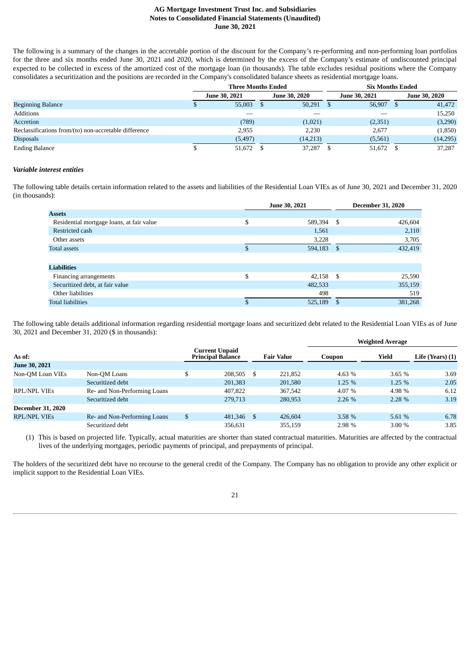The following is a summary of the changes in the accretable portion of the discount for the Company's re-performing and non-performing loan portfolios for the three and six months ended June 30, 2021 and 2020, which is determined by the excess of the Company's estimate of undiscounted principal expected to be collected in excess of the amortized cost of the mortgage loan (in thousands). The table excludes residual positions where the Company consolidates a securitization and the positions are recorded in the Company's consolidated balance sheets as residential mortgage loans.

|                                                       | <b>Three Months Ended</b> |                      | <b>Six Months Ended</b> |          |  |                      |  |
|-------------------------------------------------------|---------------------------|----------------------|-------------------------|----------|--|----------------------|--|
|                                                       | <b>June 30, 2021</b>      | <b>June 30, 2020</b> | <b>June 30, 2021</b>    |          |  | <b>June 30, 2020</b> |  |
| <b>Beginning Balance</b>                              | 55,003                    | 50,291               |                         | 56,907   |  | 41,472               |  |
| <b>Additions</b>                                      |                           |                      |                         |          |  | 15,250               |  |
| Accretion                                             | (789)                     | (1,021)              |                         | (2, 351) |  | (3,290)              |  |
| Reclassifications from/(to) non-accretable difference | 2,955                     | 2,230                |                         | 2,677    |  | (1,850)              |  |
| <b>Disposals</b>                                      | (5, 497)                  | (14,213)             |                         | (5, 561) |  | (14,295)             |  |
| <b>Ending Balance</b>                                 | 51.672                    | 37,287               |                         | 51,672   |  | 37.287               |  |

# *Variable interest entities*

The following table details certain information related to the assets and liabilities of the Residential Loan VIEs as of June 30, 2021 and December 31, 2020 (in thousands):

|                                           | <b>June 30, 2021</b> |   | <b>December 31, 2020</b> |
|-------------------------------------------|----------------------|---|--------------------------|
| <b>Assets</b>                             |                      |   |                          |
| Residential mortgage loans, at fair value | \$<br>589,394 \$     |   | 426,604                  |
| Restricted cash                           | 1,561                |   | 2,110                    |
| Other assets                              | 3,228                |   | 3,705                    |
| <b>Total assets</b>                       | \$<br>594,183 \$     |   | 432,419                  |
|                                           |                      |   |                          |
| <b>Liabilities</b>                        |                      |   |                          |
| Financing arrangements                    | \$<br>$42,158$ \$    |   | 25,590                   |
| Securitized debt, at fair value           | 482,533              |   | 355,159                  |
| Other liabilities                         | 498                  |   | 519                      |
| <b>Total liabilities</b>                  | \$<br>525,189        | S | 381,268                  |

The following table details additional information regarding residential mortgage loans and securitized debt related to the Residential Loan VIEs as of June 30, 2021 and December 31, 2020 (\$ in thousands):

|                          |                              |    |                                            |      |                   | <b>Weighted Average</b> |          |                  |  |  |  |
|--------------------------|------------------------------|----|--------------------------------------------|------|-------------------|-------------------------|----------|------------------|--|--|--|
| As of:                   |                              |    | Current Unpaid<br><b>Principal Balance</b> |      | <b>Fair Value</b> | Coupon                  | Yield    | Life (Years) (1) |  |  |  |
| <b>June 30, 2021</b>     |                              |    |                                            |      |                   |                         |          |                  |  |  |  |
| Non-QM Loan VIEs         | Non-OM Loans                 |    | 208,505                                    | - \$ | 221,852           | 4.63 %                  | 3.65%    | 3.69             |  |  |  |
|                          | Securitized debt             |    | 201,383                                    |      | 201,580           | 1.25%                   | 1.25%    | 2.05             |  |  |  |
| <b>RPL/NPL VIEs</b>      | Re- and Non-Performing Loans |    | 407,822                                    |      | 367,542           | 4.07 %                  | 4.98 %   | 6.12             |  |  |  |
|                          | Securitized debt             |    | 279,713                                    |      | 280,953           | 2.26%                   | 2.28 %   | 3.19             |  |  |  |
| <b>December 31, 2020</b> |                              |    |                                            |      |                   |                         |          |                  |  |  |  |
| <b>RPL/NPL VIEs</b>      | Re- and Non-Performing Loans | S. | 481,346 \$                                 |      | 426,604           | 3.58%                   | 5.61 $%$ | 6.78             |  |  |  |
|                          | Securitized debt             |    | 356,631                                    |      | 355,159           | 2.98 %                  | 3.00%    | 3.85             |  |  |  |

(1) This is based on projected life. Typically, actual maturities are shorter than stated contractual maturities. Maturities are affected by the contractual lives of the underlying mortgages, periodic payments of principal, and prepayments of principal.

The holders of the securitized debt have no recourse to the general credit of the Company. The Company has no obligation to provide any other explicit or implicit support to the Residential Loan VIEs.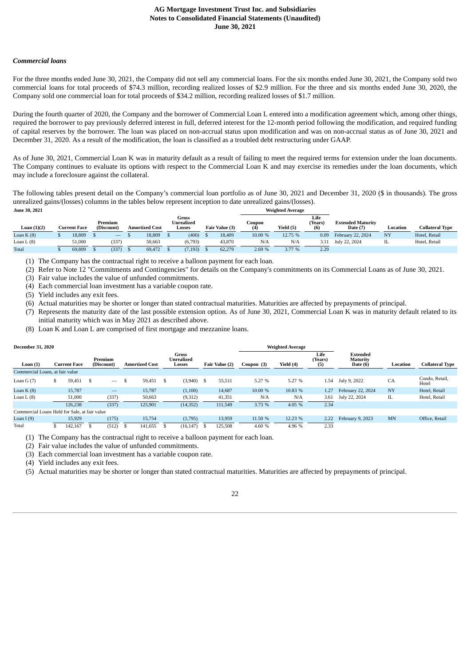### *Commercial loans*

For the three months ended June 30, 2021, the Company did not sell any commercial loans. For the six months ended June 30, 2021, the Company sold two commercial loans for total proceeds of \$74.3 million, recording realized losses of \$2.9 million. For the three and six months ended June 30, 2020, the Company sold one commercial loan for total proceeds of \$34.2 million, recording realized losses of \$1.7 million.

During the fourth quarter of 2020, the Company and the borrower of Commercial Loan L entered into a modification agreement which, among other things, required the borrower to pay previously deferred interest in full, deferred interest for the 12-month period following the modification, and required funding of capital reserves by the borrower. The loan was placed on non-accrual status upon modification and was on non-accrual status as of June 30, 2021 and December 31, 2020. As a result of the modification, the loan is classified as a troubled debt restructuring under GAAP.

As of June 30, 2021, Commercial Loan K was in maturity default as a result of failing to meet the required terms for extension under the loan documents. The Company continues to evaluate its options with respect to the Commercial Loan K and may exercise its remedies under the loan documents, which may include a foreclosure against the collateral.

The following tables present detail on the Company's commercial loan portfolio as of June 30, 2021 and December 31, 2020 (\$ in thousands). The gross unrealized gains/(losses) columns in the tables below represent inception to date unrealized gains/(losses). **June 30, 2021 Weighted Average**

| Loan $(1)(2)$ | Gross<br>Unrealized<br>Premium<br><b>Amortized Cost</b><br>Current Face<br>(Discount)<br>Losses |        |  |       |  |        |  |         | Fair Value (3) | Coupon<br>$\overline{4}$ | Yield (5) | Life<br>(Years)<br>(6) | <b>Extended Maturity</b><br><b>Collateral Type</b><br>Date (7)<br>Location |                   |           |               |
|---------------|-------------------------------------------------------------------------------------------------|--------|--|-------|--|--------|--|---------|----------------|--------------------------|-----------|------------------------|----------------------------------------------------------------------------|-------------------|-----------|---------------|
| Loan $K(8)$   |                                                                                                 | 18,809 |  |       |  | 18,809 |  | (400)   |                | 18,409                   | 10.00 %   | 12.75 %                | 0.09                                                                       | February 22, 2024 | <b>NY</b> | Hotel, Retail |
| Loan L $(8)$  |                                                                                                 | 51,000 |  | (337  |  | 50,663 |  | (6,793) |                | 43,870                   | N/A       | N/A                    | 3.11                                                                       | July 22, 2024     | IL        | Hotel, Retail |
| Total         |                                                                                                 | 69,809 |  | (337) |  | 69,472 |  | 7,193   |                | 62,279                   | 2.69%     | 3.77 %                 | 2.29                                                                       |                   |           |               |

(1) The Company has the contractual right to receive a balloon payment for each loan.

(2) Refer to Note 12 "Commitments and Contingencies" for details on the Company's commitments on its Commercial Loans as of June 30, 2021.

(3) Fair value includes the value of unfunded commitments.

(4) Each commercial loan investment has a variable coupon rate.

(5) Yield includes any exit fees.

(6) Actual maturities may be shorter or longer than stated contractual maturities. Maturities are affected by prepayments of principal.

(7) Represents the maturity date of the last possible extension option. As of June 30, 2021, Commercial Loan K was in maturity default related to its initial maturity which was in May 2021 as described above.

(8) Loan K and Loan L are comprised of first mortgage and mezzanine loans.

| <b>December 31, 2020</b>                      |                     |                       |     |                       |      |                               |    |                | <b>Weighted Average</b> |           |                        |                                         |           |                         |
|-----------------------------------------------|---------------------|-----------------------|-----|-----------------------|------|-------------------------------|----|----------------|-------------------------|-----------|------------------------|-----------------------------------------|-----------|-------------------------|
| Loan(1)                                       | <b>Current Face</b> | Premium<br>(Discount) |     | <b>Amortized Cost</b> |      | Gross<br>Unrealized<br>Losses |    | Fair Value (2) | Coupon (3)              | Yield (4) | Life<br>(Years)<br>(5) | Extended<br><b>Maturity</b><br>Date (6) | Location  | <b>Collateral Type</b>  |
| Commercial Loans, at fair value               |                     |                       |     |                       |      |                               |    |                |                         |           |                        |                                         |           |                         |
| Loan $G(7)$                                   | \$<br>59,451        |                       | - 5 | 59,451                | - \$ | (3,940)                       | -S | 55,511         | 5.27 %                  | 5.27 %    | 1.54                   | July 9, 2022                            | CA        | Condo, Retail.<br>Hotel |
| Loan $K(8)$                                   | 15,787              |                       |     | 15,787                |      | (1,100)                       |    | 14,687         | 10.00 %                 | 10.83 %   | 1.27                   | February 22, 2024                       | <b>NY</b> | Hotel, Retail           |
| Loan $L(8)$                                   | 51,000              | (337)                 |     | 50,663                |      | (9,312)                       |    | 41,351         | N/A                     | N/A       | 3.61                   | July 22, 2024                           | IL        | Hotel, Retail           |
|                                               | 126,238             | (337)                 |     | 125,901               |      | (14, 352)                     |    | 111,549        | 3.73 %                  | 4.05 %    | 2.34                   |                                         |           |                         |
| Commercial Loans Held for Sale, at fair value |                     |                       |     |                       |      |                               |    |                |                         |           |                        |                                         |           |                         |
| Loan I $(9)$                                  | 15,929              | (175)                 |     | 15,754                |      | (1,795)                       |    | 13,959         | 11.50 %                 | 12.23 %   | 2.22                   | February 9, 2023                        | MN        | Office, Retail          |
| Total                                         | 142.167             | (512)                 | - 5 | 141.655               |      | (16, 147)                     |    | 125.508        | 4.60 %                  | 4.96 %    | 2.33                   |                                         |           |                         |

(1) The Company has the contractual right to receive a balloon payment for each loan.

(2) Fair value includes the value of unfunded commitments.

(3) Each commercial loan investment has a variable coupon rate.

(4) Yield includes any exit fees.

(5) Actual maturities may be shorter or longer than stated contractual maturities. Maturities are affected by prepayments of principal.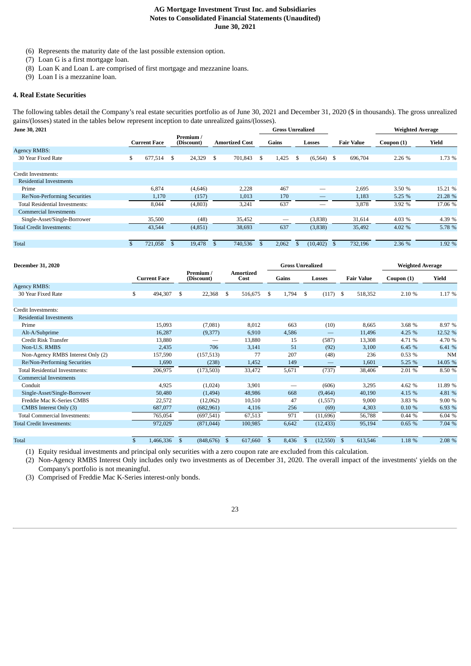- (6) Represents the maturity date of the last possible extension option.
- (7) Loan G is a first mortgage loan.
- (8) Loan K and Loan L are comprised of first mortgage and mezzanine loans.
- (9) Loan I is a mezzanine loan.

#### **4. Real Estate Securities**

The following tables detail the Company's real estate securities portfolio as of June 30, 2021 and December 31, 2020 (\$ in thousands). The gross unrealized gains/(losses) stated in the tables below represent inception to date unrealized gains/(losses).

| June 30, 2021                    |                     |         |    |                         |    |                       |     | <b>Gross Unrealized</b> |    |              |              |                   | <b>Weighted Average</b> |         |
|----------------------------------|---------------------|---------|----|-------------------------|----|-----------------------|-----|-------------------------|----|--------------|--------------|-------------------|-------------------------|---------|
|                                  | <b>Current Face</b> |         |    | Premium /<br>(Discount) |    | <b>Amortized Cost</b> |     | Gains                   |    | Losses       |              | <b>Fair Value</b> | Coupon (1)              | Yield   |
| <b>Agency RMBS:</b>              |                     |         |    |                         |    |                       |     |                         |    |              |              |                   |                         |         |
| 30 Year Fixed Rate               | \$                  | 677,514 | \$ | 24,329                  | S  | 701,843               | -S  | 1,425                   | -S | $(6,564)$ \$ |              | 696,704           | 2.26 %                  | 1.73 %  |
|                                  |                     |         |    |                         |    |                       |     |                         |    |              |              |                   |                         |         |
| Credit Investments:              |                     |         |    |                         |    |                       |     |                         |    |              |              |                   |                         |         |
| <b>Residential Investments</b>   |                     |         |    |                         |    |                       |     |                         |    |              |              |                   |                         |         |
| Prime                            |                     | 6,874   |    | (4,646)                 |    | 2,228                 |     | 467                     |    |              |              | 2,695             | 3.50 %                  | 15.21 % |
| Re/Non-Performing Securities     |                     | 1,170   |    | (157)                   |    | 1,013                 |     | 170                     |    | __           |              | 1,183             | 5.25 %                  | 21.28 % |
| Total Residential Investments:   |                     | 8,044   |    | (4,803)                 |    | 3,241                 |     | 637                     |    |              |              | 3,878             | 3.92 %                  | 17.06 % |
| Commercial Investments           |                     |         |    |                         |    |                       |     |                         |    |              |              |                   |                         |         |
| Single-Asset/Single-Borrower     |                     | 35,500  |    | (48)                    |    | 35,452                |     | —                       |    | (3,838)      |              | 31,614            | 4.03 %                  | 4.39 %  |
| <b>Total Credit Investments:</b> |                     | 43,544  |    | (4,851)                 |    | 38,693                |     | 637                     |    | (3,838)      |              | 35,492            | 4.02 %                  | 5.78 %  |
|                                  |                     |         |    |                         |    |                       |     |                         |    |              |              |                   |                         |         |
| Total                            | $\mathcal{L}$       | 721,058 | -S | 19,478                  | -S | 740,536               | -\$ | 2,062                   | -S | (10, 402)    | $\mathbf{S}$ | 732,196           | 2.36 %                  | 1.92 %  |

| <b>December 31, 2020</b>              |                     |          |                        |    |                          |    | <b>Gross Unrealized</b> |                |                          |     |                   | <b>Weighted Average</b> |           |
|---------------------------------------|---------------------|----------|------------------------|----|--------------------------|----|-------------------------|----------------|--------------------------|-----|-------------------|-------------------------|-----------|
|                                       | <b>Current Face</b> |          | Premium/<br>(Discount) |    | <b>Amortized</b><br>Cost |    | Gains                   |                | Losses                   |     | <b>Fair Value</b> | Coupon (1)              | Yield     |
| <b>Agency RMBS:</b>                   |                     |          |                        |    |                          |    |                         |                |                          |     |                   |                         |           |
| 30 Year Fixed Rate                    | \$<br>494,307       | \$       | 22,368                 | \$ | 516,675                  | \$ | 1,794                   | \$             | (117)                    | \$  | 518,352           | 2.10 %                  | 1.17 %    |
|                                       |                     |          |                        |    |                          |    |                         |                |                          |     |                   |                         |           |
| Credit Investments:                   |                     |          |                        |    |                          |    |                         |                |                          |     |                   |                         |           |
| <b>Residential Investments</b>        |                     |          |                        |    |                          |    |                         |                |                          |     |                   |                         |           |
| Prime                                 | 15,093              |          | (7,081)                |    | 8,012                    |    | 663                     |                | (10)                     |     | 8,665             | 3.68 %                  | 8.97 %    |
| Alt-A/Subprime                        | 16,287              |          | (9,377)                |    | 6,910                    |    | 4,586                   |                |                          |     | 11,496            | 4.25 %                  | 12.52 %   |
| Credit Risk Transfer                  | 13,880              |          |                        |    | 13,880                   |    | 15                      |                | (587)                    |     | 13,308            | 4.71 %                  | 4.70 %    |
| Non-U.S. RMBS                         | 2,435               |          | 706                    |    | 3,141                    |    | 51                      |                | (92)                     |     | 3,100             | 6.45 %                  | 6.41 %    |
| Non-Agency RMBS Interest Only (2)     | 157,590             |          | (157, 513)             |    | 77                       |    | 207                     |                | (48)                     |     | 236               | 0.53%                   | <b>NM</b> |
| Re/Non-Performing Securities          | 1,690               |          | (238)                  |    | 1,452                    |    | 149                     |                | $\overline{\phantom{0}}$ |     | 1,601             | 5.25 %                  | 14.05 %   |
| <b>Total Residential Investments:</b> | 206,975             |          | (173, 503)             |    | 33,472                   |    | 5,671                   |                | (737)                    |     | 38,406            | 2.01 %                  | 8.50 %    |
| <b>Commercial Investments</b>         |                     |          |                        |    |                          |    |                         |                |                          |     |                   |                         |           |
| Conduit                               | 4,925               |          | (1,024)                |    | 3,901                    |    |                         |                | (606)                    |     | 3,295             | 4.62 %                  | 11.89 %   |
| Single-Asset/Single-Borrower          | 50,480              |          | (1,494)                |    | 48,986                   |    | 668                     |                | (9, 464)                 |     | 40,190            | 4.15 %                  | 4.81 %    |
| Freddie Mac K-Series CMBS             | 22,572              |          | (12,062)               |    | 10,510                   |    | 47                      |                | (1,557)                  |     | 9,000             | 3.83 %                  | 9.00%     |
| CMBS Interest Only (3)                | 687,077             |          | (682, 961)             |    | 4,116                    |    | 256                     |                | (69)                     |     | 4,303             | 0.10%                   | 6.93 %    |
| <b>Total Commercial Investments:</b>  | 765,054             |          | (697, 541)             |    | 67,513                   |    | 971                     |                | (11,696)                 |     | 56,788            | 0.44 %                  | 6.04 %    |
| <b>Total Credit Investments:</b>      | 972,029             |          | (871, 044)             |    | 100,985                  |    | 6,642                   |                | (12, 433)                |     | 95,194            | 0.65%                   | 7.04 %    |
|                                       |                     |          |                        |    |                          |    |                         |                |                          |     |                   |                         |           |
| Total                                 | \$<br>1,466,336     | <b>S</b> | (848, 676)             | -S | 617,660                  | \$ | 8,436                   | $\mathfrak{S}$ | (12,550)                 | -\$ | 613,546           | 1.18 %                  | 2.08 %    |

(1) Equity residual investments and principal only securities with a zero coupon rate are excluded from this calculation.

(2) Non-Agency RMBS Interest Only includes only two investments as of December 31, 2020. The overall impact of the investments' yields on the Company's portfolio is not meaningful.

(3) Comprised of Freddie Mac K-Series interest-only bonds.

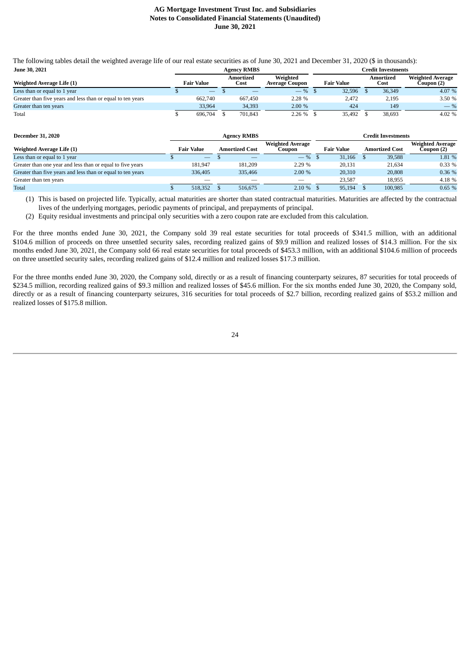The following tables detail the weighted average life of our real estate securities as of June 30, 2021 and December 31, 2020 (\$ in thousands): **June 30, 2021 Agency RMBS Credit Investments**

| Weighted Average Life (1)                                   | <b>Fair Value</b> | Amortized<br>Cost | Weighted<br>Average Coupon |  | <b>Fair Value</b> |  | Amortized<br>Cost | <b>Weighted Average</b><br>C <b>oupon (2)</b> |  |  |  |  |
|-------------------------------------------------------------|-------------------|-------------------|----------------------------|--|-------------------|--|-------------------|-----------------------------------------------|--|--|--|--|
| Less than or equal to 1 year                                | $\frac{1}{2}$     |                   | $-$ % \$                   |  | 32,596            |  | 36,349            | 4.07 %                                        |  |  |  |  |
| Greater than five years and less than or equal to ten years | 662,740           | 667.450           | 2.28 %                     |  | 2,472             |  | 2,195             | 3.50 %                                        |  |  |  |  |
| Greater than ten years                                      | 33.964            | 34.393            | 2.00 %                     |  | 424               |  | 149               | $-$ %                                         |  |  |  |  |
| Total                                                       | 696.704           | 701.843           | $2.26\%$ \$                |  | 35,492            |  | 38.693            | 4.02 %                                        |  |  |  |  |

| <b>December 31, 2020</b>                                    |                   | <b>Agency RMBS</b>    |                                   |  | Credit Investments |  |                       |                                       |  |  |  |
|-------------------------------------------------------------|-------------------|-----------------------|-----------------------------------|--|--------------------|--|-----------------------|---------------------------------------|--|--|--|
| <b>Weighted Average Life (1)</b>                            | <b>Fair Value</b> | <b>Amortized Cost</b> | <b>Weighted Average</b><br>Coupon |  | <b>Fair Value</b>  |  | <b>Amortized Cost</b> | <b>Weighted Average</b><br>Coupon (2) |  |  |  |
| Less than or equal to 1 year                                | $\frac{1}{2}$     |                       | $-$ % \$                          |  | 31.166             |  | 39,588                | 1.81 %                                |  |  |  |
| Greater than one year and less than or equal to five years  | 181.947           | 181.209               | 2.29%                             |  | 20.131             |  | 21.634                | $0.33\%$                              |  |  |  |
| Greater than five years and less than or equal to ten years | 336,405           | 335,466               | 2.00%                             |  | 20,310             |  | 20,808                | 0.36%                                 |  |  |  |
| Greater than ten years                                      |                   |                       |                                   |  | 23.587             |  | 18.955                | 4.18 %                                |  |  |  |
| <b>Total</b>                                                | 518,352           | 516,675               | 2.10 %                            |  | 95.194             |  | 100.985               | 0.65%                                 |  |  |  |

(1) This is based on projected life. Typically, actual maturities are shorter than stated contractual maturities. Maturities are affected by the contractual lives of the underlying mortgages, periodic payments of principal, and prepayments of principal.

(2) Equity residual investments and principal only securities with a zero coupon rate are excluded from this calculation.

For the three months ended June 30, 2021, the Company sold 39 real estate securities for total proceeds of \$341.5 million, with an additional \$104.6 million of proceeds on three unsettled security sales, recording realized gains of \$9.9 million and realized losses of \$14.3 million. For the six months ended June 30, 2021, the Company sold 66 real estate securities for total proceeds of \$453.3 million, with an additional \$104.6 million of proceeds on three unsettled security sales, recording realized gains of \$12.4 million and realized losses \$17.3 million.

For the three months ended June 30, 2020, the Company sold, directly or as a result of financing counterparty seizures, 87 securities for total proceeds of \$234.5 million, recording realized gains of \$9.3 million and realized losses of \$45.6 million. For the six months ended June 30, 2020, the Company sold, directly or as a result of financing counterparty seizures, 316 securities for total proceeds of \$2.7 billion, recording realized gains of \$53.2 million and realized losses of \$175.8 million.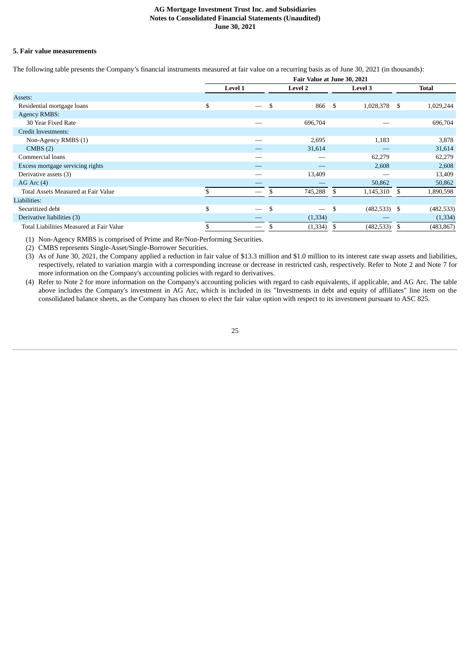# **5. Fair value measurements**

The following table presents the Company's financial instruments measured at fair value on a recurring basis as of June 30, 2021 (in thousands):

|                                          | Fair Value at June 30, 2021 |                          |    |                          |      |                |    |              |  |  |  |  |  |  |
|------------------------------------------|-----------------------------|--------------------------|----|--------------------------|------|----------------|----|--------------|--|--|--|--|--|--|
|                                          |                             | Level 1                  |    | <b>Level 2</b>           |      | <b>Level 3</b> |    | <b>Total</b> |  |  |  |  |  |  |
| Assets:                                  |                             |                          |    |                          |      |                |    |              |  |  |  |  |  |  |
| Residential mortgage loans               | \$                          | $\overline{\phantom{m}}$ | \$ | 866                      | - \$ | 1,028,378      | S. | 1,029,244    |  |  |  |  |  |  |
| <b>Agency RMBS:</b>                      |                             |                          |    |                          |      |                |    |              |  |  |  |  |  |  |
| 30 Year Fixed Rate                       |                             |                          |    | 696,704                  |      |                |    | 696,704      |  |  |  |  |  |  |
| Credit Investments:                      |                             |                          |    |                          |      |                |    |              |  |  |  |  |  |  |
| Non-Agency RMBS (1)                      |                             |                          |    | 2,695                    |      | 1,183          |    | 3,878        |  |  |  |  |  |  |
| CMBS(2)                                  |                             |                          |    | 31,614                   |      |                |    | 31,614       |  |  |  |  |  |  |
| Commercial loans                         |                             |                          |    |                          |      | 62,279         |    | 62,279       |  |  |  |  |  |  |
| Excess mortgage servicing rights         |                             |                          |    |                          |      | 2,608          |    | 2,608        |  |  |  |  |  |  |
| Derivative assets (3)                    |                             |                          |    | 13,409                   |      |                |    | 13,409       |  |  |  |  |  |  |
| AG Arc $(4)$                             |                             |                          |    |                          |      | 50,862         |    | 50,862       |  |  |  |  |  |  |
| Total Assets Measured at Fair Value      |                             |                          | \$ | 745,288                  | \$   | 1,145,310      | ъ  | 1,890,598    |  |  |  |  |  |  |
| Liabilities:                             |                             |                          |    |                          |      |                |    |              |  |  |  |  |  |  |
| Securitized debt                         | \$                          |                          | \$ | $\overline{\phantom{0}}$ | \$   | $(482,533)$ \$ |    | (482, 533)   |  |  |  |  |  |  |
| Derivative liabilities (3)               |                             |                          |    | (1, 334)                 |      |                |    | (1, 334)     |  |  |  |  |  |  |
| Total Liabilities Measured at Fair Value |                             | $\sim$                   |    | (1,334)                  | S    | (482, 533)     | S. | (483, 867)   |  |  |  |  |  |  |
|                                          |                             |                          |    |                          |      |                |    |              |  |  |  |  |  |  |

(1) Non-Agency RMBS is comprised of Prime and Re/Non-Performing Securities.

(2) CMBS represents Single-Asset/Single-Borrower Securities.

(3) As of June 30, 2021, the Company applied a reduction in fair value of \$13.3 million and \$1.0 million to its interest rate swap assets and liabilities, respectively, related to variation margin with a corresponding increase or decrease in restricted cash, respectively. Refer to Note 2 and Note 7 for more information on the Company's accounting policies with regard to derivatives.

(4) Refer to Note 2 for more information on the Company's accounting policies with regard to cash equivalents, if applicable, and AG Arc. The table above includes the Company's investment in AG Arc, which is included in its "Investments in debt and equity of affiliates" line item on the consolidated balance sheets, as the Company has chosen to elect the fair value option with respect to its investment pursuant to ASC 825.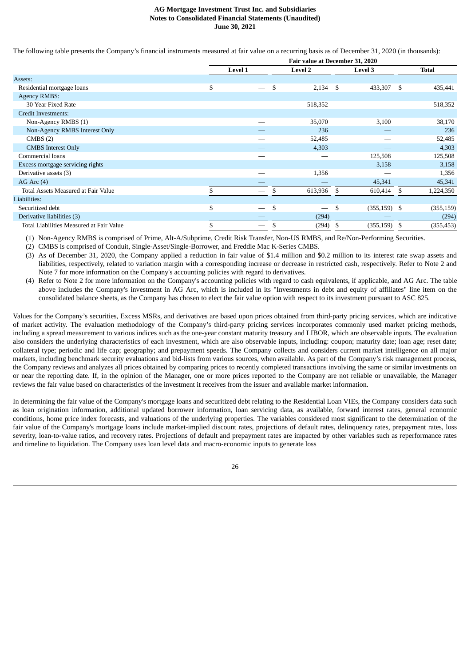The following table presents the Company's financial instruments measured at fair value on a recurring basis as of December 31, 2020 (in thousands):

|                                          | Fair value at December 31, 2020      |                |                         |    |              |  |  |  |  |  |  |  |  |
|------------------------------------------|--------------------------------------|----------------|-------------------------|----|--------------|--|--|--|--|--|--|--|--|
|                                          | Level 1                              | <b>Level 2</b> | <b>Level 3</b>          |    | <b>Total</b> |  |  |  |  |  |  |  |  |
| Assets:                                  |                                      |                |                         |    |              |  |  |  |  |  |  |  |  |
| Residential mortgage loans               | \$<br>\$<br>$\overline{\phantom{m}}$ | 2,134          | 433,307<br>- \$         | \$ | 435,441      |  |  |  |  |  |  |  |  |
| <b>Agency RMBS:</b>                      |                                      |                |                         |    |              |  |  |  |  |  |  |  |  |
| 30 Year Fixed Rate                       |                                      | 518,352        |                         |    | 518,352      |  |  |  |  |  |  |  |  |
| Credit Investments:                      |                                      |                |                         |    |              |  |  |  |  |  |  |  |  |
| Non-Agency RMBS (1)                      |                                      | 35,070         | 3,100                   |    | 38,170       |  |  |  |  |  |  |  |  |
| Non-Agency RMBS Interest Only            |                                      | 236            |                         |    | 236          |  |  |  |  |  |  |  |  |
| CMBS(2)                                  |                                      | 52,485         |                         |    | 52,485       |  |  |  |  |  |  |  |  |
| <b>CMBS</b> Interest Only                |                                      | 4,303          |                         |    | 4,303        |  |  |  |  |  |  |  |  |
| Commercial loans                         |                                      |                | 125,508                 |    | 125,508      |  |  |  |  |  |  |  |  |
| Excess mortgage servicing rights         |                                      |                | 3,158                   |    | 3,158        |  |  |  |  |  |  |  |  |
| Derivative assets (3)                    |                                      | 1,356          |                         |    | 1,356        |  |  |  |  |  |  |  |  |
| AG Arc $(4)$                             |                                      |                | 45,341                  |    | 45,341       |  |  |  |  |  |  |  |  |
| Total Assets Measured at Fair Value      | \$                                   | 613,936        | 610,414<br>-S           | \$ | 1,224,350    |  |  |  |  |  |  |  |  |
| Liabilities:                             |                                      |                |                         |    |              |  |  |  |  |  |  |  |  |
| Securitized debt                         | \$<br>\$                             |                | -\$<br>$(355, 159)$ \$  |    | (355, 159)   |  |  |  |  |  |  |  |  |
| Derivative liabilities (3)               |                                      | (294)          |                         |    | (294)        |  |  |  |  |  |  |  |  |
| Total Liabilities Measured at Fair Value | \$<br>\$                             | (294)          | $(355, 159)$ \$<br>- \$ |    | (355, 453)   |  |  |  |  |  |  |  |  |

(1) Non-Agency RMBS is comprised of Prime, Alt-A/Subprime, Credit Risk Transfer, Non-US RMBS, and Re/Non-Performing Securities.

(2) CMBS is comprised of Conduit, Single-Asset/Single-Borrower, and Freddie Mac K-Series CMBS.

(3) As of December 31, 2020, the Company applied a reduction in fair value of \$1.4 million and \$0.2 million to its interest rate swap assets and liabilities, respectively, related to variation margin with a corresponding increase or decrease in restricted cash, respectively. Refer to Note 2 and Note 7 for more information on the Company's accounting policies with regard to derivatives.

(4) Refer to Note 2 for more information on the Company's accounting policies with regard to cash equivalents, if applicable, and AG Arc. The table above includes the Company's investment in AG Arc, which is included in its "Investments in debt and equity of affiliates" line item on the consolidated balance sheets, as the Company has chosen to elect the fair value option with respect to its investment pursuant to ASC 825.

Values for the Company's securities, Excess MSRs, and derivatives are based upon prices obtained from third-party pricing services, which are indicative of market activity. The evaluation methodology of the Company's third-party pricing services incorporates commonly used market pricing methods, including a spread measurement to various indices such as the one-year constant maturity treasury and LIBOR, which are observable inputs. The evaluation also considers the underlying characteristics of each investment, which are also observable inputs, including: coupon; maturity date; loan age; reset date; collateral type; periodic and life cap; geography; and prepayment speeds. The Company collects and considers current market intelligence on all major markets, including benchmark security evaluations and bid-lists from various sources, when available. As part of the Company's risk management process, the Company reviews and analyzes all prices obtained by comparing prices to recently completed transactions involving the same or similar investments on or near the reporting date. If, in the opinion of the Manager, one or more prices reported to the Company are not reliable or unavailable, the Manager reviews the fair value based on characteristics of the investment it receives from the issuer and available market information.

In determining the fair value of the Company's mortgage loans and securitized debt relating to the Residential Loan VIEs, the Company considers data such as loan origination information, additional updated borrower information, loan servicing data, as available, forward interest rates, general economic conditions, home price index forecasts, and valuations of the underlying properties. The variables considered most significant to the determination of the fair value of the Company's mortgage loans include market-implied discount rates, projections of default rates, delinquency rates, prepayment rates, loss severity, loan-to-value ratios, and recovery rates. Projections of default and prepayment rates are impacted by other variables such as reperformance rates and timeline to liquidation. The Company uses loan level data and macro-economic inputs to generate loss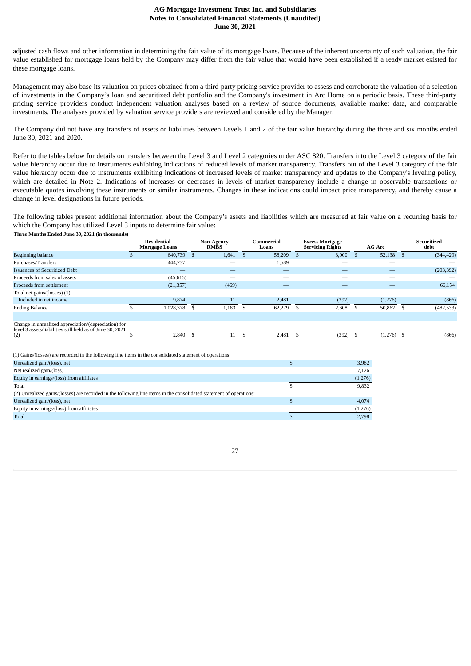adjusted cash flows and other information in determining the fair value of its mortgage loans. Because of the inherent uncertainty of such valuation, the fair value established for mortgage loans held by the Company may differ from the fair value that would have been established if a ready market existed for these mortgage loans.

Management may also base its valuation on prices obtained from a third-party pricing service provider to assess and corroborate the valuation of a selection of investments in the Company's loan and securitized debt portfolio and the Company's investment in Arc Home on a periodic basis. These third-party pricing service providers conduct independent valuation analyses based on a review of source documents, available market data, and comparable investments. The analyses provided by valuation service providers are reviewed and considered by the Manager.

The Company did not have any transfers of assets or liabilities between Levels 1 and 2 of the fair value hierarchy during the three and six months ended June 30, 2021 and 2020.

Refer to the tables below for details on transfers between the Level 3 and Level 2 categories under ASC 820. Transfers into the Level 3 category of the fair value hierarchy occur due to instruments exhibiting indications of reduced levels of market transparency. Transfers out of the Level 3 category of the fair value hierarchy occur due to instruments exhibiting indications of increased levels of market transparency and updates to the Company's leveling policy, which are detailed in Note 2. Indications of increases or decreases in levels of market transparency include a change in observable transactions or executable quotes involving these instruments or similar instruments. Changes in these indications could impact price transparency, and thereby cause a change in level designations in future periods.

The following tables present additional information about the Company's assets and liabilities which are measured at fair value on a recurring basis for which the Company has utilized Level 3 inputs to determine fair value: **Three Months Ended June 30, 2021 (in thousands)**

|                                                                                                                          | <b>Residential</b><br><b>Mortgage Loans</b> |     | <b>Non-Agency</b><br><b>RMBS</b> |     | Commercial<br>Loans |     | <b>Excess Mortgage</b><br><b>Servicing Rights</b> | AG Arc  |      | Securitized<br>debt |
|--------------------------------------------------------------------------------------------------------------------------|---------------------------------------------|-----|----------------------------------|-----|---------------------|-----|---------------------------------------------------|---------|------|---------------------|
| Beginning balance                                                                                                        | 640,739                                     | -56 | 1,641                            | - S | 58,209              | - S | 3,000                                             | 52,138  | - \$ | (344, 429)          |
| Purchases/Transfers                                                                                                      | 444,737                                     |     |                                  |     | 1,589               |     |                                                   |         |      |                     |
| <b>Issuances of Securitized Debt</b>                                                                                     | _                                           |     |                                  |     |                     |     |                                                   |         |      | (203, 392)          |
| Proceeds from sales of assets                                                                                            | (45, 615)                                   |     |                                  |     |                     |     |                                                   |         |      |                     |
| Proceeds from settlement                                                                                                 | (21, 357)                                   |     | (469)                            |     |                     |     |                                                   |         |      | 66,154              |
| Total net gains/(losses) (1)                                                                                             |                                             |     |                                  |     |                     |     |                                                   |         |      |                     |
| Included in net income                                                                                                   | 9,874                                       |     | 11                               |     | 2,481               |     | (392)                                             | (1,276) |      | (866)               |
| <b>Ending Balance</b>                                                                                                    | 1,028,378                                   |     | 1,183                            |     | 62,279              |     | 2,608                                             | 50,862  |      | (482, 533)          |
|                                                                                                                          |                                             |     |                                  |     |                     |     |                                                   |         |      |                     |
| Change in unrealized appreciation/(depreciation) for<br>level 3 assets/liabilities still held as of June 30, 2021<br>(2) | 2,840                                       | D.  |                                  |     | 2.481               |     | (392)                                             | (1,276) |      | (866)               |

(1) Gains/(losses) are recorded in the following line items in the consolidated statement of operations:

| Unrealized gain/(loss), net               |                                                                                                                     | 3,982   |
|-------------------------------------------|---------------------------------------------------------------------------------------------------------------------|---------|
| Net realized gain/(loss)                  |                                                                                                                     | 7,126   |
| Equity in earnings/(loss) from affiliates |                                                                                                                     | (1,276) |
| Total                                     |                                                                                                                     | 9,832   |
|                                           | (2) Unrealized gains/(losses) are recorded in the following line items in the consolidated statement of operations: |         |
| Unrealized gain/(loss), net               |                                                                                                                     | 4,074   |
| Equity in earnings/(loss) from affiliates |                                                                                                                     | (1,276) |
| Total                                     |                                                                                                                     | 2,798   |
|                                           |                                                                                                                     |         |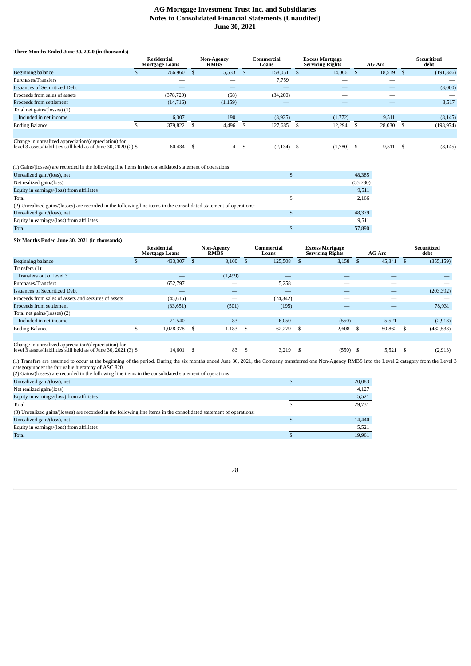| Three Months Ended June 30, 2020 (in thousands)                                                                          |                                             |    |                           |     |                          |    |                                                   |        |      |                     |
|--------------------------------------------------------------------------------------------------------------------------|---------------------------------------------|----|---------------------------|-----|--------------------------|----|---------------------------------------------------|--------|------|---------------------|
|                                                                                                                          | <b>Residential</b><br><b>Mortgage Loans</b> |    | Non-Agency<br><b>RMBS</b> |     | Commercial<br>Loans      |    | <b>Excess Mortgage</b><br><b>Servicing Rights</b> | AG Arc |      | Securitized<br>debt |
| Beginning balance                                                                                                        | 766,960                                     |    | 5,533                     | ъ   | 158,051                  |    | 14,066                                            | 18,519 |      | (191, 346)          |
| Purchases/Transfers                                                                                                      |                                             |    |                           |     | 7,759                    |    |                                                   |        |      |                     |
| Issuances of Securitized Debt                                                                                            |                                             |    |                           |     | $\overline{\phantom{a}}$ |    |                                                   |        |      | (3,000)             |
| Proceeds from sales of assets                                                                                            | (378, 729)                                  |    | (68)                      |     | (34,200)                 |    | $-$                                               | —      |      |                     |
| Proceeds from settlement                                                                                                 | (14,716)                                    |    | (1, 159)                  |     |                          |    |                                                   |        |      | 3,517               |
| Total net gains/(losses) (1)                                                                                             |                                             |    |                           |     |                          |    |                                                   |        |      |                     |
| Included in net income                                                                                                   | 6,307                                       |    | 190                       |     | (3,925)                  |    | (1,772)                                           | 9,511  |      | (8, 145)            |
| <b>Ending Balance</b>                                                                                                    | 379.822                                     | -S | 4,496                     | - S | 127,685                  | -S | 12,294                                            | 28,030 | - \$ | (198, 974)          |
|                                                                                                                          |                                             |    |                           |     |                          |    |                                                   |        |      |                     |
| Change in unrealized appreciation/(depreciation) for<br>level 3 assets/liabilities still held as of June 30, 2020 (2) \$ | 60.434                                      | -S | 4S                        |     | $(2,134)$ \$             |    | $(1,780)$ \$                                      | 9,511  |      | (8, 145)            |

## (1) Gains/(losses) are recorded in the following line items in the consolidated statement of operations:

| Unrealized gain/(loss), net                                                                                         | 48,385   |
|---------------------------------------------------------------------------------------------------------------------|----------|
| Net realized gain/(loss)                                                                                            | (55,730) |
| Equity in earnings/(loss) from affiliates                                                                           | 9,511    |
| Total                                                                                                               | 2,166    |
| (2) Unrealized gains/(losses) are recorded in the following line items in the consolidated statement of operations: |          |
| Unrealized gain/(loss), net                                                                                         | 48,379   |
| Equity in earnings/(loss) from affiliates                                                                           | 9,511    |
| Total                                                                                                               | 57,890   |

#### **Six Months Ended June 30, 2021 (in thousands)**

|                                                                                                                          |    | <b>Residential</b><br><b>Mortgage Loans</b> |     | <b>Non-Agency</b><br><b>RMBS</b> |    | Commercial<br>Loans      |               | <b>Excess Mortgage</b><br><b>Servicing Rights</b> |      | AG Arc |    | Securitized<br>debt |
|--------------------------------------------------------------------------------------------------------------------------|----|---------------------------------------------|-----|----------------------------------|----|--------------------------|---------------|---------------------------------------------------|------|--------|----|---------------------|
| Beginning balance                                                                                                        | S. | 433,307                                     | \$. | 3,100                            | .S | 125,508                  |               | 3,158                                             | -S   | 45,341 |    | (355, 159)          |
| Transfers (1):                                                                                                           |    |                                             |     |                                  |    |                          |               |                                                   |      |        |    |                     |
| Transfers out of level 3                                                                                                 |    |                                             |     | (1,499)                          |    |                          |               |                                                   |      |        |    |                     |
| Purchases/Transfers                                                                                                      |    | 652,797                                     |     |                                  |    | 5,258                    |               |                                                   |      |        |    |                     |
| <b>Issuances of Securitized Debt</b>                                                                                     |    | _                                           |     |                                  |    | $\overline{\phantom{a}}$ |               |                                                   |      |        |    | (203, 392)          |
| Proceeds from sales of assets and seizures of assets                                                                     |    | (45, 615)                                   |     | —                                |    | (74, 342)                |               |                                                   |      |        |    |                     |
| Proceeds from settlement                                                                                                 |    | (33, 651)                                   |     | (501)                            |    | (195)                    |               |                                                   |      |        |    | 78,931              |
| Total net gains/(losses) (2)                                                                                             |    |                                             |     |                                  |    |                          |               |                                                   |      |        |    |                     |
| Included in net income                                                                                                   |    | 21,540                                      |     | 83                               |    | 6,050                    |               | (550)                                             |      | 5,521  |    | (2,913)             |
| <b>Ending Balance</b>                                                                                                    |    | 1,028,378                                   | \$  | 1,183                            | .S | 62,279                   | <sup>\$</sup> | 2,608                                             |      | 50,862 |    | (482, 533)          |
|                                                                                                                          |    |                                             |     |                                  |    |                          |               |                                                   |      |        |    |                     |
| Change in unrealized appreciation/(depreciation) for<br>level 3 assets/liabilities still held as of June 30, 2021 (3) \$ |    | 14,601                                      | \$  | 83                               | \$ | 3,219                    | - \$          | (550)                                             | - \$ | 5,521  | -S | (2,913)             |

(1) Transfers are assumed to occur at the beginning of the period. During the six months ended June 30, 2021, the Company transferred one Non-Agency RMBS into the Level 2 category from the Level 3 category under the fair value hierarchy of ASC 820.

|  | (2) Gains/(losses) are recorded in the following line items in the consolidated statement of operations: |  |  |  |
|--|----------------------------------------------------------------------------------------------------------|--|--|--|
|--|----------------------------------------------------------------------------------------------------------|--|--|--|

| Unrealized gain/(loss), net                                                                                         | P. | 20,083 |
|---------------------------------------------------------------------------------------------------------------------|----|--------|
| Net realized gain/(loss)                                                                                            |    | 4,127  |
| Equity in earnings/(loss) from affiliates                                                                           |    | 5,521  |
| Total                                                                                                               |    | 29.731 |
| (3) Unrealized gains/(losses) are recorded in the following line items in the consolidated statement of operations: |    |        |
| Unrealized gain/(loss), net                                                                                         |    | 14,440 |
| Equity in earnings/(loss) from affiliates                                                                           |    | 5,521  |
| Total                                                                                                               |    | 19.961 |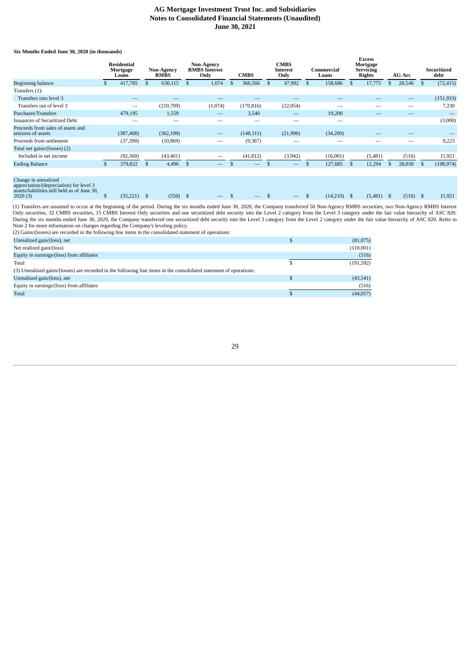### **Six Months Ended June 30, 2020 (in thousands)**

|                                                                                                                            |   | <b>Residential</b><br>Mortgage<br>Loans |              | <b>Non-Agency</b><br><b>RMBS</b> |                | Non-Agency<br><b>RMBS</b> Interest<br>Only |     | <b>CMBS</b>              |     | <b>CMBS</b><br>Interest<br>Only |               | Commercial<br>Loans |     | <b>Excess</b><br>Mortgage<br><b>Servicing</b><br><b>Rights</b> |      | AG Arc |      | Securitized<br>debt |
|----------------------------------------------------------------------------------------------------------------------------|---|-----------------------------------------|--------------|----------------------------------|----------------|--------------------------------------------|-----|--------------------------|-----|---------------------------------|---------------|---------------------|-----|----------------------------------------------------------------|------|--------|------|---------------------|
| Beginning balance                                                                                                          | ъ | 417,785                                 | \$.          | 630,115                          | \$             | 1,074                                      | \$. | 366,566                  | \$. | 47,992                          | <sup>\$</sup> | 158,686             | \$. | 17,775                                                         | ъ    | 28,546 | -S   | (72, 415)           |
| Transfers (1):                                                                                                             |   |                                         |              |                                  |                |                                            |     |                          |     |                                 |               |                     |     |                                                                |      |        |      |                     |
| Transfers into level 3                                                                                                     |   |                                         |              |                                  |                |                                            |     |                          |     |                                 |               |                     |     |                                                                |      |        |      | (151, 933)          |
| Transfers out of level 3                                                                                                   |   | --                                      |              | (210,709)                        |                | (1,074)                                    |     | (170, 816)               |     | (22,054)                        |               |                     |     |                                                                |      |        |      | 7,230               |
| Purchases/Transfers                                                                                                        |   | 479,195                                 |              | 1,559                            |                | $\overline{\phantom{m}}$                   |     | 3,540                    |     |                                 |               | 19,200              |     | —                                                              |      |        |      |                     |
| Issuances of Securitized Debt                                                                                              |   |                                         |              |                                  |                |                                            |     |                          |     |                                 |               | —                   |     |                                                                |      |        |      | (3,000)             |
| Proceeds from sales of assets and<br>seizures of assets                                                                    |   | (387, 408)                              |              | (362, 199)                       |                |                                            |     | (148, 111)               |     | (21,996)                        |               | (34,200)            |     |                                                                |      |        |      |                     |
| Proceeds from settlement                                                                                                   |   | (37, 390)                               |              | (10, 869)                        |                |                                            |     | (9,367)                  |     | –                               |               |                     |     |                                                                |      |        |      | 9,223               |
| Total net gains/(losses) (2)                                                                                               |   |                                         |              |                                  |                |                                            |     |                          |     |                                 |               |                     |     |                                                                |      |        |      |                     |
| Included in net income                                                                                                     |   | (92, 360)                               |              | (43, 401)                        |                |                                            |     | (41, 812)                |     | (3,942)                         |               | (16,001)            |     | (5,481)                                                        |      | (516)  |      | 11,921              |
| <b>Ending Balance</b>                                                                                                      |   | 379,822                                 | $\mathbb{S}$ | 4,496                            | $\mathfrak{s}$ | $\qquad \qquad \longleftarrow$             | -S  | $\overline{\phantom{0}}$ | \$. | $\qquad \qquad \longleftarrow$  | \$.           | 127,685             | S.  | 12,294                                                         | \$   | 28,030 | -S   | (198, 974)          |
|                                                                                                                            |   |                                         |              |                                  |                |                                            |     |                          |     |                                 |               |                     |     |                                                                |      |        |      |                     |
| Change in unrealized<br>appreciation/(depreciation) for level 3<br>assets/liabilities still held as of June 30,<br>2020(3) | S | (35, 221)                               | \$.          | (550)                            | - \$           | $\qquad \qquad \longleftarrow$             |     | $\overline{\phantom{0}}$ |     | $\overline{\phantom{0}}$        | \$            | $(14,210)$ \$       |     | (5,481)                                                        | - \$ | (516)  | - \$ | 11,921              |

(1) Transfers are assumed to occur at the beginning of the period. During the six months ended June 30, 2020, the Company transferred 50 Non-Agency RMBS securities, two Non-Agency RMBS Interest Only securities, 32 CMBS securities, 15 CMBS Interest Only securities and one securitized debt security into the Level 2 category from the Level 3 category under the fair value hierarchy of ASC 820. During the six months ended June 30, 2020, the Company transferred one securitized debt security into the Level 3 category from the Level 2 category under the fair value hierarchy of ASC 820. Refer to Note 2 for more information on changes regarding the Company's leveling policy.

(2) Gains/(losses) are recorded in the following line items in the consolidated statement of operations:

| Unrealized gain/(loss), net                                                                                         | \$<br>(81,075) |
|---------------------------------------------------------------------------------------------------------------------|----------------|
| Net realized gain/(loss)                                                                                            | (110,001)      |
| Equity in earnings/(loss) from affiliates                                                                           | (516)          |
| Total                                                                                                               | (191, 592)     |
| (3) Unrealized gains/(losses) are recorded in the following line items in the consolidated statement of operations: |                |
| Unrealized gain/(loss), net                                                                                         | (43, 541)      |
| Equity in earnings/(loss) from affiliates                                                                           | (516)          |
| Total                                                                                                               | (44, 057)      |
|                                                                                                                     |                |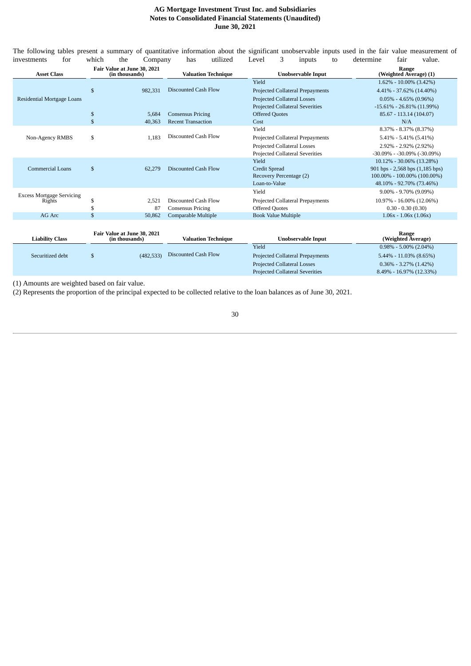The following tables present a summary of quantitative information about the significant unobservable inputs used in the fair value measurement of investments for which the Company has utilized Level 3 inputs to determine fair value.

| <b>Asset Class</b>               | Fair Value at June 30, 2021<br>(in thousands) | <b>Valuation Technique</b>  | Unobservable Input                     | Range<br>(Weighted Average) (1)     |
|----------------------------------|-----------------------------------------------|-----------------------------|----------------------------------------|-------------------------------------|
|                                  |                                               |                             | Yield                                  | $1.62\% - 10.00\%$ (3.42%)          |
|                                  | 982,331<br>\$                                 | <b>Discounted Cash Flow</b> | Projected Collateral Prepayments       | 4.41% - 37.62% (14.40%)             |
| Residential Mortgage Loans       |                                               |                             | Projected Collateral Losses            | $0.05\% - 4.65\%$ (0.96%)           |
|                                  |                                               |                             | <b>Projected Collateral Severities</b> | $-15.61\% - 26.81\% (11.99\%)$      |
|                                  | \$<br>5,684                                   | <b>Consensus Pricing</b>    | <b>Offered Quotes</b>                  | 85.67 - 113.14 (104.07)             |
|                                  | \$<br>40,363                                  | <b>Recent Transaction</b>   | Cost                                   | N/A                                 |
|                                  |                                               |                             | Yield                                  | 8.37% - 8.37% (8.37%)               |
| Non-Agency RMBS                  | \$<br>1,183                                   | Discounted Cash Flow        | Projected Collateral Prepayments       | $5.41\% - 5.41\%$ (5.41%)           |
|                                  |                                               |                             | Projected Collateral Losses            | 2.92% - 2.92% (2.92%)               |
|                                  |                                               |                             | <b>Projected Collateral Severities</b> | $-30.09\% - 30.09\%$ ( $-30.09\%$ ) |
|                                  |                                               |                             | Yield                                  | 10.12% - 30.06% (13.28%)            |
| Commercial Loans                 | \$<br>62,279                                  | Discounted Cash Flow        | <b>Credit Spread</b>                   | 901 bps - 2,568 bps (1,185 bps)     |
|                                  |                                               |                             | Recovery Percentage (2)                | 100.00% - 100.00% (100.00%)         |
|                                  |                                               |                             | Loan-to-Value                          | 48.10% - 92.70% (73.46%)            |
| <b>Excess Mortgage Servicing</b> |                                               |                             | Yield                                  | $9.00\% - 9.70\%$ (9.09%)           |
| Rights                           | 2.521                                         | Discounted Cash Flow        | Projected Collateral Prepayments       | 10.97% - 16.00% (12.06%)            |
|                                  | 87                                            | <b>Consensus Pricing</b>    | <b>Offered Quotes</b>                  | $0.30 - 0.30(0.30)$                 |
| AG Arc                           | \$<br>50,862                                  | Comparable Multiple         | <b>Book Value Multiple</b>             | $1.06x - 1.06x(1.06x)$              |
|                                  |                                               |                             |                                        |                                     |
| <b>Liability Class</b>           | Fair Value at June 30, 2021<br>(in thousands) | <b>Valuation Technique</b>  | Unobservable Input                     | Range<br>(Weighted Average)         |
|                                  |                                               |                             | Yield                                  | $0.98\% - 5.00\%$ (2.04%)           |

(1) Amounts are weighted based on fair value.

(2) Represents the proportion of the principal expected to be collected relative to the loan balances as of June 30, 2021.

30

Securitized debt  $\qquad \qquad$  \$ (482,533) Discounted Cash Flow Projected Collateral Prepayments 5.44% - 11.03% (8.65%)

Projected Collateral Severities

Projected Collateral Losses 0.36% - 3.27% (1.42%)<br>Projected Collateral Severities 8.49% - 16.97% (12.33%)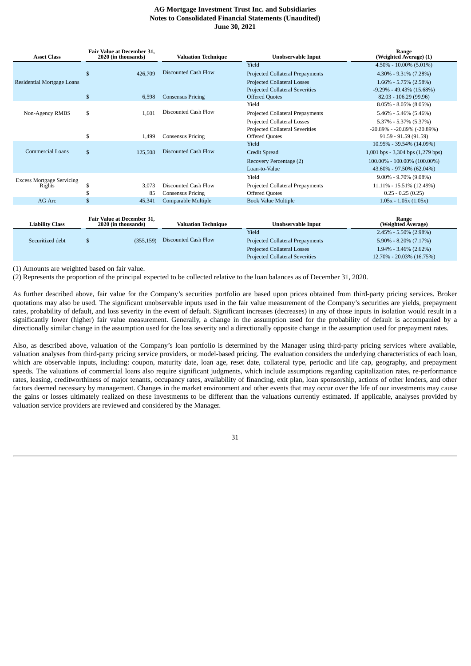| <b>Asset Class</b>               | <b>Fair Value at December 31,</b><br>2020 (in thousands) | <b>Valuation Technique</b>  | Unobservable Input                      | Range<br>(Weighted Average) (1)       |
|----------------------------------|----------------------------------------------------------|-----------------------------|-----------------------------------------|---------------------------------------|
|                                  |                                                          |                             | Yield                                   | 4.50% - 10.00% (5.01%)                |
|                                  | 426,709<br>\$                                            | Discounted Cash Flow        | <b>Projected Collateral Prepayments</b> | 4.30% - 9.31% (7.28%)                 |
| Residential Mortgage Loans       |                                                          |                             | <b>Projected Collateral Losses</b>      | $1.66\% - 5.75\%$ (2.58%)             |
|                                  |                                                          |                             | <b>Projected Collateral Severities</b>  | $-9.29\% - 49.43\% (15.68\%)$         |
|                                  | \$<br>6,598                                              | <b>Consensus Pricing</b>    | <b>Offered Quotes</b>                   | 82.03 - 106.29 (99.96)                |
|                                  |                                                          |                             | Yield                                   | $8.05\% - 8.05\%$ (8.05%)             |
| Non-Agency RMBS                  | \$<br>1,601                                              | Discounted Cash Flow        | <b>Projected Collateral Prepayments</b> | $5.46\% - 5.46\%$ (5.46%)             |
|                                  |                                                          |                             | <b>Projected Collateral Losses</b>      | 5.37% - 5.37% (5.37%)                 |
|                                  |                                                          |                             | <b>Projected Collateral Severities</b>  | $-20.89\% - 20.89\%$ ( $-20.89\%$ )   |
|                                  | \$<br>1,499                                              | <b>Consensus Pricing</b>    | <b>Offered Quotes</b>                   | $91.59 - 91.59(91.59)$                |
|                                  |                                                          |                             | Yield                                   | 10.95% - 39.54% (14.09%)              |
| <b>Commercial Loans</b>          | $\mathbb{S}$<br>125,508                                  | <b>Discounted Cash Flow</b> | Credit Spread                           | $1,001$ bps - 3,304 bps $(1,279$ bps) |
|                                  |                                                          |                             | Recovery Percentage (2)                 | 100.00% - 100.00% (100.00%)           |
|                                  |                                                          |                             | Loan-to-Value                           | 43.60% - 97.50% (62.04%)              |
| <b>Excess Mortgage Servicing</b> |                                                          |                             | Yield                                   | $9.00\% - 9.70\%$ (9.08%)             |
| Rights                           | \$<br>3,073                                              | Discounted Cash Flow        | Projected Collateral Prepayments        | 11.11% - 15.51% (12.49%)              |
|                                  | \$<br>85                                                 | <b>Consensus Pricing</b>    | <b>Offered Quotes</b>                   | $0.25 - 0.25(0.25)$                   |
| AG Arc                           | \$<br>45,341                                             | <b>Comparable Multiple</b>  | <b>Book Value Multiple</b>              | $1.05x - 1.05x(1.05x)$                |
|                                  |                                                          |                             |                                         |                                       |
| <b>Liability Class</b>           | <b>Fair Value at December 31.</b><br>2020 (in thousands) | <b>Valuation Technique</b>  | Unobservable Input                      | Range<br>(Weighted Average)           |
|                                  |                                                          |                             | Yield                                   | $2.45\% - 5.50\%$ (2.98%)             |
| Securitized debt                 | $\mathbb{S}$<br>(355, 159)                               | Discounted Cash Flow        | <b>Projected Collateral Prepayments</b> | $5.90\% - 8.20\%$ (7.17%)             |
|                                  |                                                          |                             | <b>Projected Collateral Losses</b>      | $1.94\% - 3.46\%$ (2.62%)             |
|                                  |                                                          |                             | <b>Projected Collateral Severities</b>  | 12.70% - 20.03% (16.75%)              |

(1) Amounts are weighted based on fair value.

(2) Represents the proportion of the principal expected to be collected relative to the loan balances as of December 31, 2020.

As further described above, fair value for the Company's securities portfolio are based upon prices obtained from third-party pricing services. Broker quotations may also be used. The significant unobservable inputs used in the fair value measurement of the Company's securities are yields, prepayment rates, probability of default, and loss severity in the event of default. Significant increases (decreases) in any of those inputs in isolation would result in a significantly lower (higher) fair value measurement. Generally, a change in the assumption used for the probability of default is accompanied by a directionally similar change in the assumption used for the loss severity and a directionally opposite change in the assumption used for prepayment rates.

Also, as described above, valuation of the Company's loan portfolio is determined by the Manager using third-party pricing services where available, valuation analyses from third-party pricing service providers, or model-based pricing. The evaluation considers the underlying characteristics of each loan, which are observable inputs, including: coupon, maturity date, loan age, reset date, collateral type, periodic and life cap, geography, and prepayment speeds. The valuations of commercial loans also require significant judgments, which include assumptions regarding capitalization rates, re-performance rates, leasing, creditworthiness of major tenants, occupancy rates, availability of financing, exit plan, loan sponsorship, actions of other lenders, and other factors deemed necessary by management. Changes in the market environment and other events that may occur over the life of our investments may cause the gains or losses ultimately realized on these investments to be different than the valuations currently estimated. If applicable, analyses provided by valuation service providers are reviewed and considered by the Manager.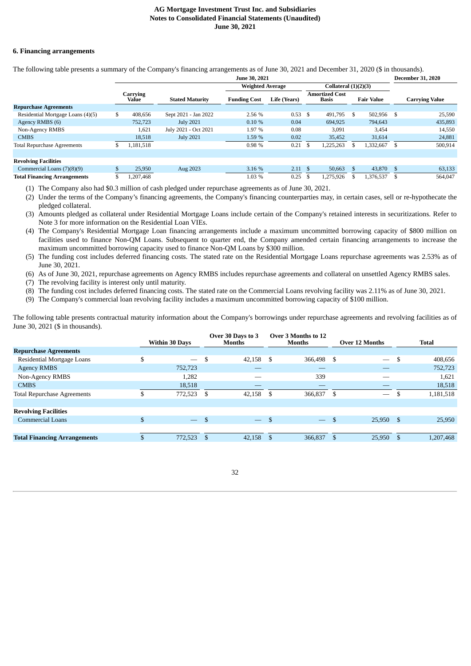## **6. Financing arrangements**

The following table presents a summary of the Company's financing arrangements as of June 30, 2021 and December 31, 2020 (\$ in thousands). **June 30, 2021 December 31, 2020**

|                                     |   | JUNE 30, ZVZI     |                        |                         |                        |  |                                       |               |                   |      | December 31, 2020     |
|-------------------------------------|---|-------------------|------------------------|-------------------------|------------------------|--|---------------------------------------|---------------|-------------------|------|-----------------------|
|                                     |   |                   |                        | <b>Weighted Average</b> | Collateral $(1)(2)(3)$ |  |                                       |               |                   |      |                       |
|                                     |   | Carrying<br>Value | <b>Stated Maturity</b> | <b>Funding Cost</b>     | Life (Years)           |  | <b>Amortized Cost</b><br><b>Basis</b> |               | <b>Fair Value</b> |      | <b>Carrying Value</b> |
| <b>Repurchase Agreements</b>        |   |                   |                        |                         |                        |  |                                       |               |                   |      |                       |
| Residential Mortgage Loans (4)(5)   | S | 408,656           | Sept 2021 - Jan 2022   | 2.56 %                  | 0.53 <sup>5</sup>      |  | 491.795                               | \$.           | 502.956           | - \$ | 25,590                |
| Agency RMBS (6)                     |   | 752,723           | <b>July 2021</b>       | $0.10 \%$               | 0.04                   |  | 694.925                               |               | 794,643           |      | 435,893               |
| Non-Agency RMBS                     |   | 1,621             | July 2021 - Oct 2021   | 1.97 %                  | 0.08                   |  | 3,091                                 |               | 3,454             |      | 14,550                |
| <b>CMBS</b>                         |   | 18,518            | <b>July 2021</b>       | 1.59 %                  | 0.02                   |  | 35,452                                |               | 31,614            |      | 24,881                |
| <b>Total Repurchase Agreements</b>  |   | 1,181,518         |                        | 0.98%                   | 0.21                   |  | 1,225,263                             |               | 1,332,667         | -S   | 500,914               |
|                                     |   |                   |                        |                         |                        |  |                                       |               |                   |      |                       |
| <b>Revolving Facilities</b>         |   |                   |                        |                         |                        |  |                                       |               |                   |      |                       |
| Commercial Loans $(7)(8)(9)$        |   | 25,950            | Aug 2023               | 3.16 %                  | $2.11 \quad$ \$        |  | 50.663                                | $\mathcal{S}$ | 43,870            | -\$  | 63,133                |
| <b>Total Financing Arrangements</b> |   | 1.207.468         |                        | 1.03 %                  | 0.25                   |  | 1,275,926                             |               | 1,376,537         |      | 564,047               |

(1) The Company also had \$0.3 million of cash pledged under repurchase agreements as of June 30, 2021.

(2) Under the terms of the Company's financing agreements, the Company's financing counterparties may, in certain cases, sell or re-hypothecate the pledged collateral.

(3) Amounts pledged as collateral under Residential Mortgage Loans include certain of the Company's retained interests in securitizations. Refer to Note 3 for more information on the Residential Loan VIEs.

(4) The Company's Residential Mortgage Loan financing arrangements include a maximum uncommitted borrowing capacity of \$800 million on facilities used to finance Non-QM Loans. Subsequent to quarter end, the Company amended certain financing arrangements to increase the maximum uncommitted borrowing capacity used to finance Non-QM Loans by \$300 million.

(5) The funding cost includes deferred financing costs. The stated rate on the Residential Mortgage Loans repurchase agreements was 2.53% as of June 30, 2021.

(6) As of June 30, 2021, repurchase agreements on Agency RMBS includes repurchase agreements and collateral on unsettled Agency RMBS sales.

(7) The revolving facility is interest only until maturity.

(8) The funding cost includes deferred financing costs. The stated rate on the Commercial Loans revolving facility was 2.11% as of June 30, 2021.

(9) The Company's commercial loan revolving facility includes a maximum uncommitted borrowing capacity of \$100 million.

The following table presents contractual maturity information about the Company's borrowings under repurchase agreements and revolving facilities as of June 30, 2021 (\$ in thousands).

|                                     | <b>Within 30 Days</b>          |                | Over 30 Days to 3<br>Months |      | <b>Over 3 Months to 12</b><br>Months |               | <b>Over 12 Months</b>    |     | Total     |
|-------------------------------------|--------------------------------|----------------|-----------------------------|------|--------------------------------------|---------------|--------------------------|-----|-----------|
| <b>Repurchase Agreements</b>        |                                |                |                             |      |                                      |               |                          |     |           |
| Residential Mortgage Loans          | \$<br>$\overline{\phantom{a}}$ | - \$           | 42,158                      | - \$ | 366,498                              | \$            | $\overline{\phantom{a}}$ | S   | 408,656   |
| <b>Agency RMBS</b>                  | 752,723                        |                |                             |      | _                                    |               |                          |     | 752,723   |
| Non-Agency RMBS                     | 1,282                          |                |                             |      | 339                                  |               |                          |     | 1,621     |
| <b>CMBS</b>                         | 18,518                         |                |                             |      |                                      |               |                          |     | 18,518    |
| <b>Total Repurchase Agreements</b>  | 772,523                        | - S            | 42,158                      | S    | 366,837                              | \$            | $\overline{\phantom{m}}$ |     | 1,181,518 |
|                                     |                                |                |                             |      |                                      |               |                          |     |           |
| <b>Revolving Facilities</b>         |                                |                |                             |      |                                      |               |                          |     |           |
| <b>Commercial Loans</b>             | \$<br>$\overline{\phantom{m}}$ | $\mathfrak{L}$ | $\frac{1}{2}$               | -\$  | $\overline{\phantom{a}}$             | \$            | 25,950                   | -\$ | 25,950    |
|                                     |                                |                |                             |      |                                      |               |                          |     |           |
| <b>Total Financing Arrangements</b> | 772,523                        |                | 42,158                      | S    | 366,837                              | <sup>\$</sup> | 25,950                   | S   | 1.207.468 |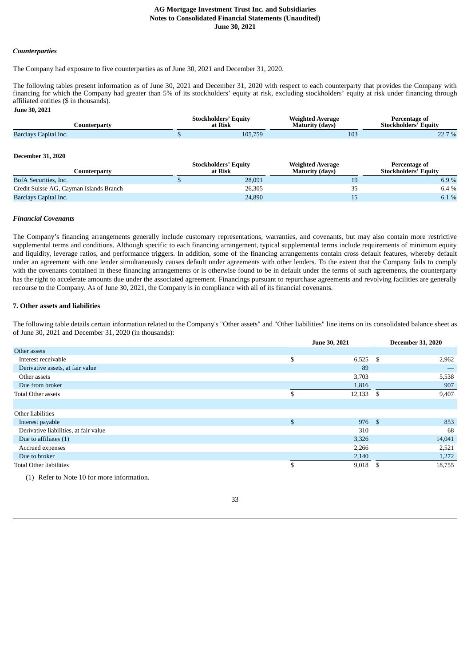### *Counterparties*

The Company had exposure to five counterparties as of June 30, 2021 and December 31, 2020.

The following tables present information as of June 30, 2021 and December 31, 2020 with respect to each counterparty that provides the Company with financing for which the Company had greater than 5% of its stockholders' equity at risk, excluding stockholders' equity at risk under financing through affiliated entities (\$ in thousands). **June 30, 2021**

| Counterparty                             | <b>Stockholders' Equity</b><br>at Risk | <b>Weighted Average</b><br><b>Maturity (days)</b> | Percentage of<br><b>Stockholders' Equity</b> |
|------------------------------------------|----------------------------------------|---------------------------------------------------|----------------------------------------------|
| Barclays Capital Inc.                    | 105,759                                | 103                                               | 22.7 %                                       |
| <b>December 31, 2020</b><br>Counterparty | <b>Stockholders' Equity</b><br>at Risk | <b>Weighted Average</b><br><b>Maturity (days)</b> | Percentage of<br><b>Stockholders' Equity</b> |
| BofA Securities, Inc.                    | 28,091                                 | 19                                                | 6.9 %                                        |
| Credit Suisse AG, Cayman Islands Branch  | 26.305                                 | 35                                                | 6.4%                                         |
| Barclays Capital Inc.                    | 24,890                                 | 15                                                | 6.1%                                         |

### *Financial Covenants*

The Company's financing arrangements generally include customary representations, warranties, and covenants, but may also contain more restrictive supplemental terms and conditions. Although specific to each financing arrangement, typical supplemental terms include requirements of minimum equity and liquidity, leverage ratios, and performance triggers. In addition, some of the financing arrangements contain cross default features, whereby default under an agreement with one lender simultaneously causes default under agreements with other lenders. To the extent that the Company fails to comply with the covenants contained in these financing arrangements or is otherwise found to be in default under the terms of such agreements, the counterparty has the right to accelerate amounts due under the associated agreement. Financings pursuant to repurchase agreements and revolving facilities are generally recourse to the Company. As of June 30, 2021, the Company is in compliance with all of its financial covenants.

# **7. Other assets and liabilities**

The following table details certain information related to the Company's "Other assets" and "Other liabilities" line items on its consolidated balance sheet as of June 30, 2021 and December 31, 2020 (in thousands):

|                                       | June 30, 2021 | <b>December 31, 2020</b> |        |
|---------------------------------------|---------------|--------------------------|--------|
| Other assets                          |               |                          |        |
| Interest receivable                   | \$<br>6,525   | -\$                      | 2,962  |
| Derivative assets, at fair value      | 89            |                          |        |
| Other assets                          | 3,703         |                          | 5,538  |
| Due from broker                       | 1,816         |                          | 907    |
| <b>Total Other assets</b>             | 12,133        | -\$                      | 9,407  |
|                                       |               |                          |        |
| Other liabilities                     |               |                          |        |
| Interest payable                      | \$<br>976S    |                          | 853    |
| Derivative liabilities, at fair value | 310           |                          | 68     |
| Due to affiliates $(1)$               | 3,326         |                          | 14,041 |
| Accrued expenses                      | 2,266         |                          | 2,521  |
| Due to broker                         | 2,140         |                          | 1,272  |
| <b>Total Other liabilities</b>        | 9,018         | \$                       | 18,755 |

(1) Refer to Note 10 for more information.

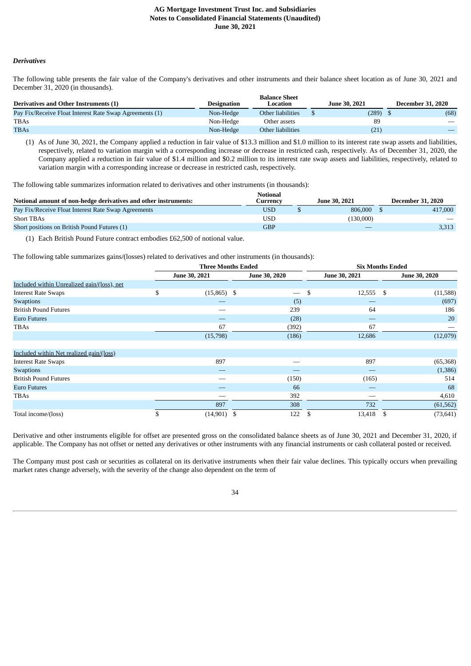### *Derivatives*

The following table presents the fair value of the Company's derivatives and other instruments and their balance sheet location as of June 30, 2021 and December 31, 2020 (in thousands).

| <b>Derivatives and Other Instruments (1)</b>            | Designation | <b>Balance Sheet</b><br>Location | <b>June 30, 2021</b> | <b>December 31, 2020</b> |
|---------------------------------------------------------|-------------|----------------------------------|----------------------|--------------------------|
| Pay Fix/Receive Float Interest Rate Swap Agreements (1) | Non-Hedge   | Other liabilities                | (289)                | (68)                     |
| <b>TBAs</b>                                             | Non-Hedge   | Other assets                     | 89                   |                          |
| <b>TBAs</b>                                             | Non-Hedge   | Other liabilities                | (21)                 |                          |

(1) As of June 30, 2021, the Company applied a reduction in fair value of \$13.3 million and \$1.0 million to its interest rate swap assets and liabilities, respectively, related to variation margin with a corresponding increase or decrease in restricted cash, respectively. As of December 31, 2020, the Company applied a reduction in fair value of \$1.4 million and \$0.2 million to its interest rate swap assets and liabilities, respectively, related to variation margin with a corresponding increase or decrease in restricted cash, respectively.

The following table summarizes information related to derivatives and other instruments (in thousands):

| Notional amount of non-hedge derivatives and other instruments: | Notional<br>Currencv | <b>June 30, 2021</b> | <b>December 31, 2020</b> |
|-----------------------------------------------------------------|----------------------|----------------------|--------------------------|
| Pay Fix/Receive Float Interest Rate Swap Agreements             | USD                  | 806,000              | 417,000                  |
| Short TBAs                                                      | USD                  | (130,000)            |                          |
| Short positions on British Pound Futures (1)                    | GBP                  |                      | 3,313                    |

(1) Each British Pound Future contract embodies £62,500 of notional value.

The following table summarizes gains/(losses) related to derivatives and other instruments (in thousands):

|                                             | <b>Three Months Ended</b> |               |     |                          | <b>Six Months Ended</b> |               |     |                      |
|---------------------------------------------|---------------------------|---------------|-----|--------------------------|-------------------------|---------------|-----|----------------------|
|                                             |                           | June 30, 2021 |     | June 30, 2020            |                         | June 30, 2021 |     | <b>June 30, 2020</b> |
| Included within Unrealized gain/(loss), net |                           |               |     |                          |                         |               |     |                      |
| <b>Interest Rate Swaps</b>                  | \$                        | (15, 865)     | -\$ | $\overline{\phantom{m}}$ | -\$                     | 12,555        | -\$ | (11,588)             |
| <b>Swaptions</b>                            |                           |               |     | (5)                      |                         | _             |     | (697)                |
| <b>British Pound Futures</b>                |                           | –             |     | 239                      |                         | 64            |     | 186                  |
| Euro Futures                                |                           |               |     | (28)                     |                         | –             |     | 20                   |
| TBAs                                        |                           | 67            |     | (392)                    |                         | 67            |     |                      |
|                                             |                           | (15,798)      |     | (186)                    |                         | 12,686        |     | (12,079)             |
|                                             |                           |               |     |                          |                         |               |     |                      |
| Included within Net realized gain/(loss)    |                           |               |     |                          |                         |               |     |                      |
| <b>Interest Rate Swaps</b>                  |                           | 897           |     |                          |                         | 897           |     | (65, 368)            |
| <b>Swaptions</b>                            |                           | _             |     |                          |                         | _             |     | (1,386)              |
| <b>British Pound Futures</b>                |                           |               |     | (150)                    |                         | (165)         |     | 514                  |
| <b>Euro Futures</b>                         |                           |               |     | 66                       |                         |               |     | 68                   |
| TBAs                                        |                           |               |     | 392                      |                         |               |     | 4,610                |
|                                             |                           | 897           |     | 308                      |                         | 732           |     | (61, 562)            |
| Total income/(loss)                         | \$                        | (14,901)      | \$  | 122                      | \$                      | 13,418        | \$  | (73, 641)            |

Derivative and other instruments eligible for offset are presented gross on the consolidated balance sheets as of June 30, 2021 and December 31, 2020, if applicable. The Company has not offset or netted any derivatives or other instruments with any financial instruments or cash collateral posted or received.

The Company must post cash or securities as collateral on its derivative instruments when their fair value declines. This typically occurs when prevailing market rates change adversely, with the severity of the change also dependent on the term of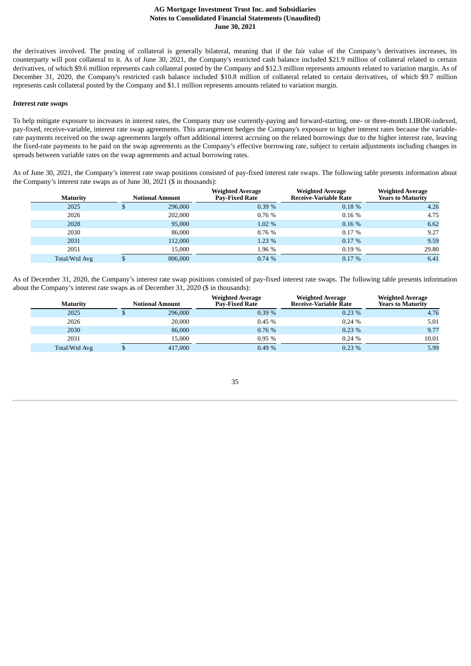the derivatives involved. The posting of collateral is generally bilateral, meaning that if the fair value of the Company's derivatives increases, its counterparty will post collateral to it. As of June 30, 2021, the Company's restricted cash balance included \$21.9 million of collateral related to certain derivatives, of which \$9.6 million represents cash collateral posted by the Company and \$12.3 million represents amounts related to variation margin. As of December 31, 2020, the Company's restricted cash balance included \$10.8 million of collateral related to certain derivatives, of which \$9.7 million represents cash collateral posted by the Company and \$1.1 million represents amounts related to variation margin.

#### *Interest rate swaps*

To help mitigate exposure to increases in interest rates, the Company may use currently-paying and forward-starting, one- or three-month LIBOR-indexed, pay-fixed, receive-variable, interest rate swap agreements. This arrangement hedges the Company's exposure to higher interest rates because the variablerate payments received on the swap agreements largely offset additional interest accruing on the related borrowings due to the higher interest rate, leaving the fixed-rate payments to be paid on the swap agreements as the Company's effective borrowing rate, subject to certain adjustments including changes in spreads between variable rates on the swap agreements and actual borrowing rates.

As of June 30, 2021, the Company's interest rate swap positions consisted of pay-fixed interest rate swaps. The following table presents information about the Company's interest rate swaps as of June 30, 2021 (\$ in thousands):

| <b>Maturity</b> | <b>Notional Amount</b> | <b>Weighted Average</b><br><b>Pay-Fixed Rate</b> | <b>Weighted Average</b><br><b>Receive-Variable Rate</b> | <b>Weighted Average</b><br><b>Years to Maturity</b> |
|-----------------|------------------------|--------------------------------------------------|---------------------------------------------------------|-----------------------------------------------------|
| 2025            | 296,000                | 0.39%                                            | $0.18 \%$                                               | 4.26                                                |
| 2026            | 202,000                | 0.76%                                            | 0.16%                                                   | 4.75                                                |
| 2028            | 95,000                 | 1.02 %                                           | 0.16%                                                   | 6.62                                                |
| 2030            | 86,000                 | 0.76%                                            | 0.17%                                                   | 9.27                                                |
| 2031            | 112,000                | 1.23%                                            | 0.17%                                                   | 9.59                                                |
| 2051            | 15,000                 | 1.96 %                                           | 0.19%                                                   | 29.80                                               |
| Total/Wtd Avg   | 806,000                | 0.74%                                            | 0.17%                                                   | 6.41                                                |

As of December 31, 2020, the Company's interest rate swap positions consisted of pay-fixed interest rate swaps. The following table presents information about the Company's interest rate swaps as of December 31, 2020 (\$ in thousands):

| <b>Maturity</b> | <b>Notional Amount</b> | <b>Weighted Average</b><br><b>Pay-Fixed Rate</b> | <b>Weighted Average</b><br><b>Receive-Variable Rate</b> | <b>Weighted Average</b><br><b>Years to Maturity</b> |
|-----------------|------------------------|--------------------------------------------------|---------------------------------------------------------|-----------------------------------------------------|
| 2025            | 296,000                | $0.39\%$                                         | $0.23\%$                                                | 4.76                                                |
| 2026            | 20,000                 | 0.45%                                            | 0.24%                                                   | 5.01                                                |
| 2030            | 86,000                 | 0.76%                                            | $0.23\%$                                                | 9.77                                                |
| 2031            | 15,000                 | $0.95\%$                                         | 0.24%                                                   | 10.01                                               |
| Total/Wtd Avg   | 417,000                | 0.49%                                            | $0.23\%$                                                | 5.99                                                |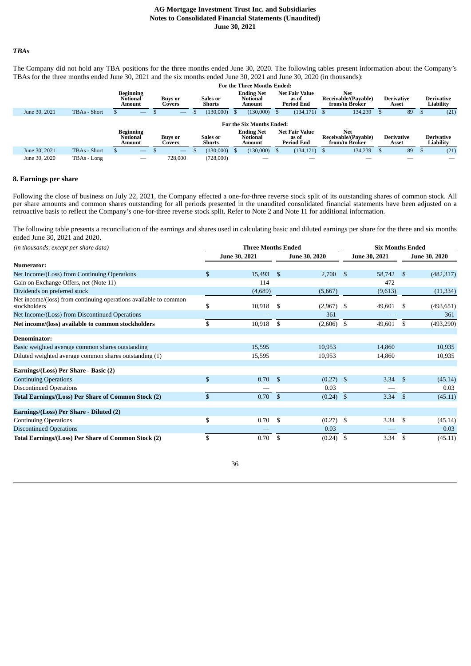### *TBAs*

The Company did not hold any TBA positions for the three months ended June 30, 2020. The following tables present information about the Company's TBAs for the three months ended June 30, 2021 and the six months ended June 30, 2021 and June 30, 2020 (in thousands):

| <b>For the Three Months Ended:</b> |              |                                        |                                 |                           |                           |                                         |                                                |  |                                                     |  |                                               |  |                            |     |                                |  |
|------------------------------------|--------------|----------------------------------------|---------------------------------|---------------------------|---------------------------|-----------------------------------------|------------------------------------------------|--|-----------------------------------------------------|--|-----------------------------------------------|--|----------------------------|-----|--------------------------------|--|
|                                    |              | <b>Beginning</b><br>Notional<br>Amount | Buys or<br>Covers               | Sales or<br><b>Shorts</b> |                           | <b>Ending Net</b><br>Notional<br>Amount |                                                |  | <b>Net Fair Value</b><br>as of<br><b>Period End</b> |  | Net<br>Receivable/(Pavable)<br>from/to Broker |  | <b>Derivative</b><br>Asset |     | <b>Derivative</b><br>Liability |  |
| June 30, 2021                      | TBAs - Short | $\frac{1}{2}$                          | $\hspace{0.1mm}-\hspace{0.1mm}$ |                           | (130,000)                 |                                         | (130,000)                                      |  | (134, 171)                                          |  | 134,239                                       |  | 89                         |     | (21)                           |  |
| For the Six Months Ended:          |              |                                        |                                 |                           |                           |                                         |                                                |  |                                                     |  |                                               |  |                            |     |                                |  |
|                                    |              | <b>Beginning</b><br>Notional<br>Amount | <b>Buvs</b> or<br>Covers        |                           | Sales or<br><b>Shorts</b> |                                         | <b>Ending Net</b><br><b>Notional</b><br>Amount |  | <b>Net Fair Value</b><br>as of<br><b>Period End</b> |  | Net<br>Receivable/(Payable)<br>from/to Broker |  | <b>Derivative</b><br>Asset |     | <b>Derivative</b><br>Liability |  |
| June 30, 2021                      | TBAs - Short | $\overline{\phantom{0}}$               | $\overline{\phantom{m}}$        |                           | (130,000)                 |                                         | (130,000)                                      |  | $(134, 171)$ \$                                     |  | 134,239                                       |  | 89                         | - 5 | (21)                           |  |
| June 30, 2020                      | TBAs - Long  |                                        | 728,000                         |                           | (728,000)                 |                                         |                                                |  |                                                     |  |                                               |  |                            |     |                                |  |

### **8. Earnings per share**

Following the close of business on July 22, 2021, the Company effected a one-for-three reverse stock split of its outstanding shares of common stock. All per share amounts and common shares outstanding for all periods presented in the unaudited consolidated financial statements have been adjusted on a retroactive basis to reflect the Company's one-for-three reverse stock split. Refer to Note 2 and Note 11 for additional information.

The following table presents a reconciliation of the earnings and shares used in calculating basic and diluted earnings per share for the three and six months ended June 30, 2021 and 2020.

| (in thousands, except per share data)                                            |                | <b>Three Months Ended</b> |               |              | <b>Six Months Ended</b> |               |                      |            |  |  |
|----------------------------------------------------------------------------------|----------------|---------------------------|---------------|--------------|-------------------------|---------------|----------------------|------------|--|--|
|                                                                                  |                | June 30, 2021             | June 30, 2020 |              |                         | June 30, 2021 | <b>June 30, 2020</b> |            |  |  |
| Numerator:                                                                       |                |                           |               |              |                         |               |                      |            |  |  |
| Net Income/(Loss) from Continuing Operations                                     | \$             | 15,493                    | - \$          | 2,700        | \$                      | 58,742        | - \$                 | (482, 317) |  |  |
| Gain on Exchange Offers, net (Note 11)                                           |                | 114                       |               |              |                         | 472           |                      |            |  |  |
| Dividends on preferred stock                                                     |                | (4,689)                   |               | (5,667)      |                         | (9,613)       |                      | (11, 334)  |  |  |
| Net income/(loss) from continuing operations available to common<br>stockholders | \$             | 10,918                    | S             | $(2,967)$ \$ |                         | 49,601        | S                    | (493, 651) |  |  |
| Net Income/(Loss) from Discontinued Operations                                   |                |                           |               | 361          |                         |               |                      | 361        |  |  |
| Net income/(loss) available to common stockholders                               | \$             | 10,918                    | \$            | (2,606)      | \$                      | 49,601        | -\$                  | (493,290)  |  |  |
|                                                                                  |                |                           |               |              |                         |               |                      |            |  |  |
| <b>Denominator:</b>                                                              |                |                           |               |              |                         |               |                      |            |  |  |
| Basic weighted average common shares outstanding                                 |                | 15,595                    |               | 10,953       |                         | 14,860        |                      | 10,935     |  |  |
| Diluted weighted average common shares outstanding (1)                           |                | 15,595                    |               | 10,953       |                         | 14,860        |                      | 10,935     |  |  |
| Earnings/(Loss) Per Share - Basic (2)                                            |                |                           |               |              |                         |               |                      |            |  |  |
| <b>Continuing Operations</b>                                                     | $\mathbf{s}$   | 0.70                      | - \$          | $(0.27)$ \$  |                         | 3.34          | - \$                 | (45.14)    |  |  |
| <b>Discontinued Operations</b>                                                   |                |                           |               | 0.03         |                         |               |                      | 0.03       |  |  |
| Total Earnings/(Loss) Per Share of Common Stock (2)                              | $\mathfrak{S}$ | 0.70                      | -\$           | $(0.24)$ \$  |                         | 3.34          | $\mathbf{S}$         | (45.11)    |  |  |
| Earnings/(Loss) Per Share - Diluted (2)                                          |                |                           |               |              |                         |               |                      |            |  |  |
| <b>Continuing Operations</b>                                                     | \$             | 0.70                      | \$            | $(0.27)$ \$  |                         | 3.34          | -\$                  | (45.14)    |  |  |
| <b>Discontinued Operations</b>                                                   |                |                           |               | 0.03         |                         |               |                      | 0.03       |  |  |
| Total Earnings/(Loss) Per Share of Common Stock (2)                              | \$             | 0.70                      | \$            | (0.24)       | \$                      | 3.34          | - \$                 | (45.11)    |  |  |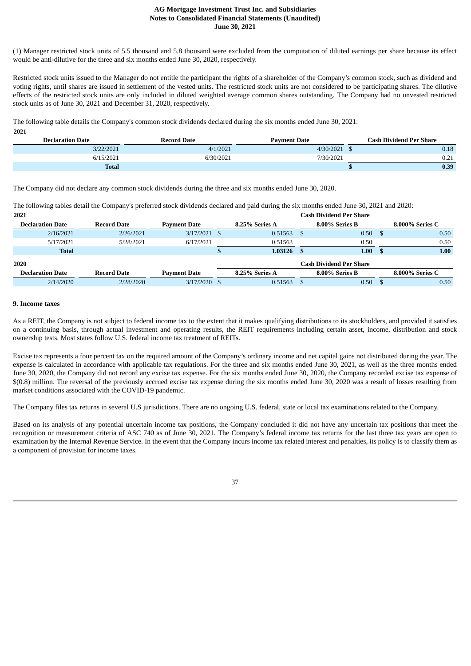(1) Manager restricted stock units of 5.5 thousand and 5.8 thousand were excluded from the computation of diluted earnings per share because its effect would be anti-dilutive for the three and six months ended June 30, 2020, respectively.

Restricted stock units issued to the Manager do not entitle the participant the rights of a shareholder of the Company's common stock, such as dividend and voting rights, until shares are issued in settlement of the vested units. The restricted stock units are not considered to be participating shares. The dilutive effects of the restricted stock units are only included in diluted weighted average common shares outstanding. The Company had no unvested restricted stock units as of June 30, 2021 and December 31, 2020, respectively.

The following table details the Company's common stock dividends declared during the six months ended June 30, 2021:

| <b>Declaration Date</b> | <b>Record Date</b> | <b>Payment Date</b> | Cash Dividend Per Share |
|-------------------------|--------------------|---------------------|-------------------------|
| 3/22/2021               | 4/1/2021           | 4/30/2021           | 0.18                    |
| 6/15/2021               | 6/30/2021          | 7/30/2021           | ∪.∠⊥                    |
| <b>Total</b>            |                    |                     | 0.39                    |

The Company did not declare any common stock dividends during the three and six months ended June 30, 2020.

The following tables detail the Company's preferred stock dividends declared and paid during the six months ended June 30, 2021 and 2020:

| 2021                    |                    |                     | <b>Cash Dividend Per Share</b> |  |                                |              |                 |  |
|-------------------------|--------------------|---------------------|--------------------------------|--|--------------------------------|--------------|-----------------|--|
| <b>Declaration Date</b> | <b>Record Date</b> | <b>Payment Date</b> | 8.25% Series A                 |  | 8.00% Series B                 |              | 8.000% Series C |  |
| 2/16/2021               | 2/26/2021          | 3/17/2021           | 0.51563                        |  | 0.50                           | <sup>S</sup> | 0.50            |  |
| 5/17/2021               | 5/28/2021          | 6/17/2021           | 0.51563                        |  | 0.50                           |              | 0.50            |  |
| <b>Total</b>            |                    |                     | 1.03126                        |  | 1.00                           | ъ            | 1.00            |  |
| 2020                    |                    |                     |                                |  | <b>Cash Dividend Per Share</b> |              |                 |  |
| <b>Declaration Date</b> | <b>Record Date</b> | <b>Payment Date</b> | 8.25% Series A                 |  | 8.00% Series B                 |              | 8.000% Series C |  |
| 2/14/2020               | 2/28/2020          | 3/17/2020           | 0.51563                        |  | 0.50                           |              | 0.50            |  |

# **9. Income taxes**

As a REIT, the Company is not subject to federal income tax to the extent that it makes qualifying distributions to its stockholders, and provided it satisfies on a continuing basis, through actual investment and operating results, the REIT requirements including certain asset, income, distribution and stock ownership tests. Most states follow U.S. federal income tax treatment of REITs.

Excise tax represents a four percent tax on the required amount of the Company's ordinary income and net capital gains not distributed during the year. The expense is calculated in accordance with applicable tax regulations. For the three and six months ended June 30, 2021, as well as the three months ended June 30, 2020, the Company did not record any excise tax expense. For the six months ended June 30, 2020, the Company recorded excise tax expense of \$(0.8) million. The reversal of the previously accrued excise tax expense during the six months ended June 30, 2020 was a result of losses resulting from market conditions associated with the COVID-19 pandemic.

The Company files tax returns in several U.S jurisdictions. There are no ongoing U.S. federal, state or local tax examinations related to the Company.

Based on its analysis of any potential uncertain income tax positions, the Company concluded it did not have any uncertain tax positions that meet the recognition or measurement criteria of ASC 740 as of June 30, 2021. The Company's federal income tax returns for the last three tax years are open to examination by the Internal Revenue Service. In the event that the Company incurs income tax related interest and penalties, its policy is to classify them as a component of provision for income taxes.

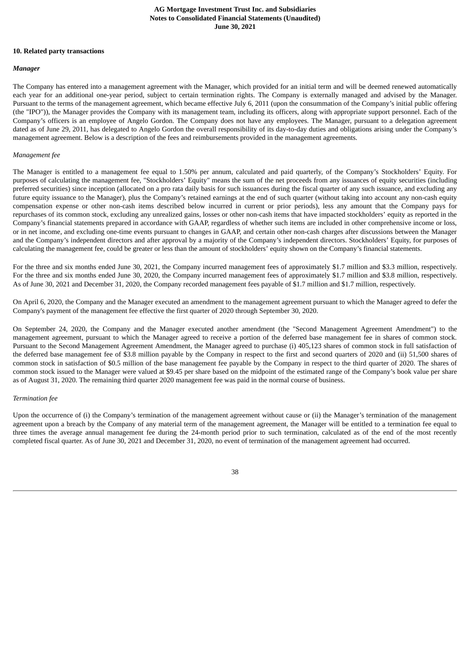#### **10. Related party transactions**

### *Manager*

The Company has entered into a management agreement with the Manager, which provided for an initial term and will be deemed renewed automatically each year for an additional one-year period, subject to certain termination rights. The Company is externally managed and advised by the Manager. Pursuant to the terms of the management agreement, which became effective July 6, 2011 (upon the consummation of the Company's initial public offering (the "IPO")), the Manager provides the Company with its management team, including its officers, along with appropriate support personnel. Each of the Company's officers is an employee of Angelo Gordon. The Company does not have any employees. The Manager, pursuant to a delegation agreement dated as of June 29, 2011, has delegated to Angelo Gordon the overall responsibility of its day-to-day duties and obligations arising under the Company's management agreement. Below is a description of the fees and reimbursements provided in the management agreements.

## *Management fee*

The Manager is entitled to a management fee equal to 1.50% per annum, calculated and paid quarterly, of the Company's Stockholders' Equity. For purposes of calculating the management fee, "Stockholders' Equity" means the sum of the net proceeds from any issuances of equity securities (including preferred securities) since inception (allocated on a pro rata daily basis for such issuances during the fiscal quarter of any such issuance, and excluding any future equity issuance to the Manager), plus the Company's retained earnings at the end of such quarter (without taking into account any non-cash equity compensation expense or other non-cash items described below incurred in current or prior periods), less any amount that the Company pays for repurchases of its common stock, excluding any unrealized gains, losses or other non-cash items that have impacted stockholders' equity as reported in the Company's financial statements prepared in accordance with GAAP, regardless of whether such items are included in other comprehensive income or loss, or in net income, and excluding one-time events pursuant to changes in GAAP, and certain other non-cash charges after discussions between the Manager and the Company's independent directors and after approval by a majority of the Company's independent directors. Stockholders' Equity, for purposes of calculating the management fee, could be greater or less than the amount of stockholders' equity shown on the Company's financial statements.

For the three and six months ended June 30, 2021, the Company incurred management fees of approximately \$1.7 million and \$3.3 million, respectively. For the three and six months ended June 30, 2020, the Company incurred management fees of approximately \$1.7 million and \$3.8 million, respectively. As of June 30, 2021 and December 31, 2020, the Company recorded management fees payable of \$1.7 million and \$1.7 million, respectively.

On April 6, 2020, the Company and the Manager executed an amendment to the management agreement pursuant to which the Manager agreed to defer the Company's payment of the management fee effective the first quarter of 2020 through September 30, 2020.

On September 24, 2020, the Company and the Manager executed another amendment (the "Second Management Agreement Amendment") to the management agreement, pursuant to which the Manager agreed to receive a portion of the deferred base management fee in shares of common stock. Pursuant to the Second Management Agreement Amendment, the Manager agreed to purchase (i) 405,123 shares of common stock in full satisfaction of the deferred base management fee of \$3.8 million payable by the Company in respect to the first and second quarters of 2020 and (ii) 51,500 shares of common stock in satisfaction of \$0.5 million of the base management fee payable by the Company in respect to the third quarter of 2020. The shares of common stock issued to the Manager were valued at \$9.45 per share based on the midpoint of the estimated range of the Company's book value per share as of August 31, 2020. The remaining third quarter 2020 management fee was paid in the normal course of business.

## *Termination fee*

Upon the occurrence of (i) the Company's termination of the management agreement without cause or (ii) the Manager's termination of the management agreement upon a breach by the Company of any material term of the management agreement, the Manager will be entitled to a termination fee equal to three times the average annual management fee during the 24-month period prior to such termination, calculated as of the end of the most recently completed fiscal quarter. As of June 30, 2021 and December 31, 2020, no event of termination of the management agreement had occurred.

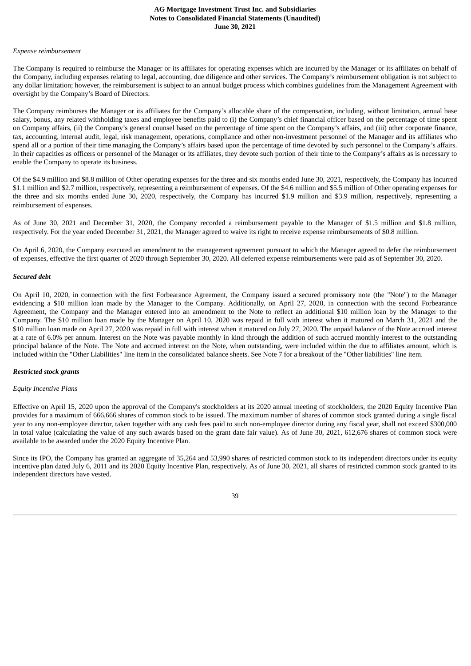#### *Expense reimbursement*

The Company is required to reimburse the Manager or its affiliates for operating expenses which are incurred by the Manager or its affiliates on behalf of the Company, including expenses relating to legal, accounting, due diligence and other services. The Company's reimbursement obligation is not subject to any dollar limitation; however, the reimbursement is subject to an annual budget process which combines guidelines from the Management Agreement with oversight by the Company's Board of Directors.

The Company reimburses the Manager or its affiliates for the Company's allocable share of the compensation, including, without limitation, annual base salary, bonus, any related withholding taxes and employee benefits paid to (i) the Company's chief financial officer based on the percentage of time spent on Company affairs, (ii) the Company's general counsel based on the percentage of time spent on the Company's affairs, and (iii) other corporate finance, tax, accounting, internal audit, legal, risk management, operations, compliance and other non-investment personnel of the Manager and its affiliates who spend all or a portion of their time managing the Company's affairs based upon the percentage of time devoted by such personnel to the Company's affairs. In their capacities as officers or personnel of the Manager or its affiliates, they devote such portion of their time to the Company's affairs as is necessary to enable the Company to operate its business.

Of the \$4.9 million and \$8.8 million of Other operating expenses for the three and six months ended June 30, 2021, respectively, the Company has incurred \$1.1 million and \$2.7 million, respectively, representing a reimbursement of expenses. Of the \$4.6 million and \$5.5 million of Other operating expenses for the three and six months ended June 30, 2020, respectively, the Company has incurred \$1.9 million and \$3.9 million, respectively, representing a reimbursement of expenses.

As of June 30, 2021 and December 31, 2020, the Company recorded a reimbursement payable to the Manager of \$1.5 million and \$1.8 million, respectively. For the year ended December 31, 2021, the Manager agreed to waive its right to receive expense reimbursements of \$0.8 million.

On April 6, 2020, the Company executed an amendment to the management agreement pursuant to which the Manager agreed to defer the reimbursement of expenses, effective the first quarter of 2020 through September 30, 2020. All deferred expense reimbursements were paid as of September 30, 2020.

#### *Secured debt*

On April 10, 2020, in connection with the first Forbearance Agreement, the Company issued a secured promissory note (the "Note") to the Manager evidencing a \$10 million loan made by the Manager to the Company. Additionally, on April 27, 2020, in connection with the second Forbearance Agreement, the Company and the Manager entered into an amendment to the Note to reflect an additional \$10 million loan by the Manager to the Company. The \$10 million loan made by the Manager on April 10, 2020 was repaid in full with interest when it matured on March 31, 2021 and the \$10 million loan made on April 27, 2020 was repaid in full with interest when it matured on July 27, 2020. The unpaid balance of the Note accrued interest at a rate of 6.0% per annum. Interest on the Note was payable monthly in kind through the addition of such accrued monthly interest to the outstanding principal balance of the Note. The Note and accrued interest on the Note, when outstanding, were included within the due to affiliates amount, which is included within the "Other Liabilities" line item in the consolidated balance sheets. See Note 7 for a breakout of the "Other liabilities" line item.

#### *Restricted stock grants*

#### *Equity Incentive Plans*

Effective on April 15, 2020 upon the approval of the Company's stockholders at its 2020 annual meeting of stockholders, the 2020 Equity Incentive Plan provides for a maximum of 666,666 shares of common stock to be issued. The maximum number of shares of common stock granted during a single fiscal year to any non-employee director, taken together with any cash fees paid to such non-employee director during any fiscal year, shall not exceed \$300,000 in total value (calculating the value of any such awards based on the grant date fair value). As of June 30, 2021, 612,676 shares of common stock were available to be awarded under the 2020 Equity Incentive Plan.

Since its IPO, the Company has granted an aggregate of 35,264 and 53,990 shares of restricted common stock to its independent directors under its equity incentive plan dated July 6, 2011 and its 2020 Equity Incentive Plan, respectively. As of June 30, 2021, all shares of restricted common stock granted to its independent directors have vested.

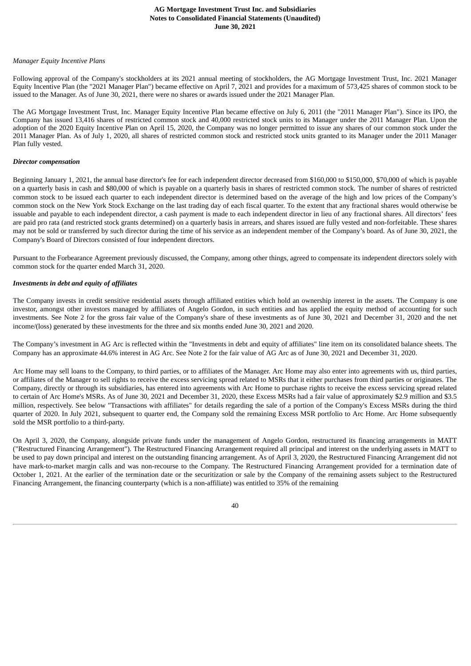### *Manager Equity Incentive Plans*

Following approval of the Company's stockholders at its 2021 annual meeting of stockholders, the AG Mortgage Investment Trust, Inc. 2021 Manager Equity Incentive Plan (the "2021 Manager Plan") became effective on April 7, 2021 and provides for a maximum of 573,425 shares of common stock to be issued to the Manager. As of June 30, 2021, there were no shares or awards issued under the 2021 Manager Plan.

The AG Mortgage Investment Trust, Inc. Manager Equity Incentive Plan became effective on July 6, 2011 (the "2011 Manager Plan"). Since its IPO, the Company has issued 13,416 shares of restricted common stock and 40,000 restricted stock units to its Manager under the 2011 Manager Plan. Upon the adoption of the 2020 Equity Incentive Plan on April 15, 2020, the Company was no longer permitted to issue any shares of our common stock under the 2011 Manager Plan. As of July 1, 2020, all shares of restricted common stock and restricted stock units granted to its Manager under the 2011 Manager Plan fully vested.

## *Director compensation*

Beginning January 1, 2021, the annual base director's fee for each independent director decreased from \$160,000 to \$150,000, \$70,000 of which is payable on a quarterly basis in cash and \$80,000 of which is payable on a quarterly basis in shares of restricted common stock. The number of shares of restricted common stock to be issued each quarter to each independent director is determined based on the average of the high and low prices of the Company's common stock on the New York Stock Exchange on the last trading day of each fiscal quarter. To the extent that any fractional shares would otherwise be issuable and payable to each independent director, a cash payment is made to each independent director in lieu of any fractional shares. All directors' fees are paid pro rata (and restricted stock grants determined) on a quarterly basis in arrears, and shares issued are fully vested and non-forfeitable. These shares may not be sold or transferred by such director during the time of his service as an independent member of the Company's board. As of June 30, 2021, the Company's Board of Directors consisted of four independent directors.

Pursuant to the Forbearance Agreement previously discussed, the Company, among other things, agreed to compensate its independent directors solely with common stock for the quarter ended March 31, 2020.

## *Investments in debt and equity of affiliates*

The Company invests in credit sensitive residential assets through affiliated entities which hold an ownership interest in the assets. The Company is one investor, amongst other investors managed by affiliates of Angelo Gordon, in such entities and has applied the equity method of accounting for such investments. See Note 2 for the gross fair value of the Company's share of these investments as of June 30, 2021 and December 31, 2020 and the net income/(loss) generated by these investments for the three and six months ended June 30, 2021 and 2020.

The Company's investment in AG Arc is reflected within the "Investments in debt and equity of affiliates" line item on its consolidated balance sheets. The Company has an approximate 44.6% interest in AG Arc. See Note 2 for the fair value of AG Arc as of June 30, 2021 and December 31, 2020.

Arc Home may sell loans to the Company, to third parties, or to affiliates of the Manager. Arc Home may also enter into agreements with us, third parties, or affiliates of the Manager to sell rights to receive the excess servicing spread related to MSRs that it either purchases from third parties or originates. The Company, directly or through its subsidiaries, has entered into agreements with Arc Home to purchase rights to receive the excess servicing spread related to certain of Arc Home's MSRs. As of June 30, 2021 and December 31, 2020, these Excess MSRs had a fair value of approximately \$2.9 million and \$3.5 million, respectively. See below "Transactions with affiliates" for details regarding the sale of a portion of the Company's Excess MSRs during the third quarter of 2020. In July 2021, subsequent to quarter end, the Company sold the remaining Excess MSR portfolio to Arc Home. Arc Home subsequently sold the MSR portfolio to a third-party.

On April 3, 2020, the Company, alongside private funds under the management of Angelo Gordon, restructured its financing arrangements in MATT ("Restructured Financing Arrangement"). The Restructured Financing Arrangement required all principal and interest on the underlying assets in MATT to be used to pay down principal and interest on the outstanding financing arrangement. As of April 3, 2020, the Restructured Financing Arrangement did not have mark-to-market margin calls and was non-recourse to the Company. The Restructured Financing Arrangement provided for a termination date of October 1, 2021. At the earlier of the termination date or the securitization or sale by the Company of the remaining assets subject to the Restructured Financing Arrangement, the financing counterparty (which is a non-affiliate) was entitled to 35% of the remaining

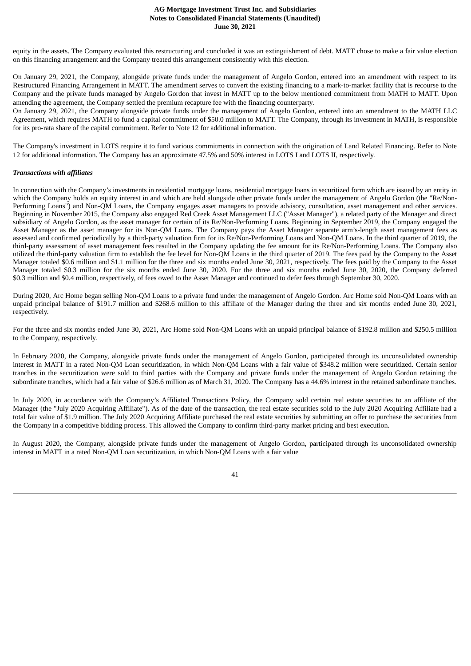equity in the assets. The Company evaluated this restructuring and concluded it was an extinguishment of debt. MATT chose to make a fair value election on this financing arrangement and the Company treated this arrangement consistently with this election.

On January 29, 2021, the Company, alongside private funds under the management of Angelo Gordon, entered into an amendment with respect to its Restructured Financing Arrangement in MATT. The amendment serves to convert the existing financing to a mark-to-market facility that is recourse to the Company and the private funds managed by Angelo Gordon that invest in MATT up to the below mentioned commitment from MATH to MATT. Upon amending the agreement, the Company settled the premium recapture fee with the financing counterparty.

On January 29, 2021, the Company alongside private funds under the management of Angelo Gordon, entered into an amendment to the MATH LLC Agreement, which requires MATH to fund a capital commitment of \$50.0 million to MATT. The Company, through its investment in MATH, is responsible for its pro-rata share of the capital commitment. Refer to Note 12 for additional information.

The Company's investment in LOTS require it to fund various commitments in connection with the origination of Land Related Financing. Refer to Note 12 for additional information. The Company has an approximate 47.5% and 50% interest in LOTS I and LOTS II, respectively.

## *Transactions with affiliates*

In connection with the Company's investments in residential mortgage loans, residential mortgage loans in securitized form which are issued by an entity in which the Company holds an equity interest in and which are held alongside other private funds under the management of Angelo Gordon (the "Re/Non-Performing Loans") and Non-QM Loans, the Company engages asset managers to provide advisory, consultation, asset management and other services. Beginning in November 2015, the Company also engaged Red Creek Asset Management LLC ("Asset Manager"), a related party of the Manager and direct subsidiary of Angelo Gordon, as the asset manager for certain of its Re/Non-Performing Loans. Beginning in September 2019, the Company engaged the Asset Manager as the asset manager for its Non-QM Loans. The Company pays the Asset Manager separate arm's-length asset management fees as assessed and confirmed periodically by a third-party valuation firm for its Re/Non-Performing Loans and Non-QM Loans. In the third quarter of 2019, the third-party assessment of asset management fees resulted in the Company updating the fee amount for its Re/Non-Performing Loans. The Company also utilized the third-party valuation firm to establish the fee level for Non-QM Loans in the third quarter of 2019. The fees paid by the Company to the Asset Manager totaled \$0.6 million and \$1.1 million for the three and six months ended June 30, 2021, respectively. The fees paid by the Company to the Asset Manager totaled \$0.3 million for the six months ended June 30, 2020. For the three and six months ended June 30, 2020, the Company deferred \$0.3 million and \$0.4 million, respectively, of fees owed to the Asset Manager and continued to defer fees through September 30, 2020.

During 2020, Arc Home began selling Non-QM Loans to a private fund under the management of Angelo Gordon. Arc Home sold Non-QM Loans with an unpaid principal balance of \$191.7 million and \$268.6 million to this affiliate of the Manager during the three and six months ended June 30, 2021, respectively.

For the three and six months ended June 30, 2021, Arc Home sold Non-QM Loans with an unpaid principal balance of \$192.8 million and \$250.5 million to the Company, respectively.

In February 2020, the Company, alongside private funds under the management of Angelo Gordon, participated through its unconsolidated ownership interest in MATT in a rated Non-QM Loan securitization, in which Non-QM Loans with a fair value of \$348.2 million were securitized. Certain senior tranches in the securitization were sold to third parties with the Company and private funds under the management of Angelo Gordon retaining the subordinate tranches, which had a fair value of \$26.6 million as of March 31, 2020. The Company has a 44.6% interest in the retained subordinate tranches.

In July 2020, in accordance with the Company's Affiliated Transactions Policy, the Company sold certain real estate securities to an affiliate of the Manager (the "July 2020 Acquiring Affiliate"). As of the date of the transaction, the real estate securities sold to the July 2020 Acquiring Affiliate had a total fair value of \$1.9 million. The July 2020 Acquiring Affiliate purchased the real estate securities by submitting an offer to purchase the securities from the Company in a competitive bidding process. This allowed the Company to confirm third-party market pricing and best execution.

In August 2020, the Company, alongside private funds under the management of Angelo Gordon, participated through its unconsolidated ownership interest in MATT in a rated Non-QM Loan securitization, in which Non-QM Loans with a fair value

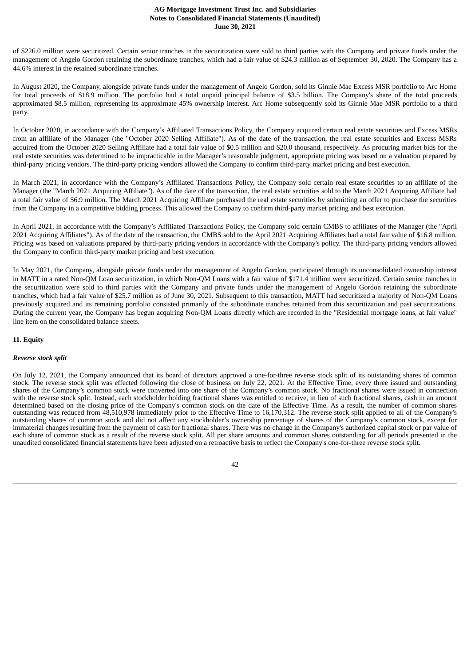of \$226.0 million were securitized. Certain senior tranches in the securitization were sold to third parties with the Company and private funds under the management of Angelo Gordon retaining the subordinate tranches, which had a fair value of \$24.3 million as of September 30, 2020. The Company has a 44.6% interest in the retained subordinate tranches.

In August 2020, the Company, alongside private funds under the management of Angelo Gordon, sold its Ginnie Mae Excess MSR portfolio to Arc Home for total proceeds of \$18.9 million. The portfolio had a total unpaid principal balance of \$3.5 billion. The Company's share of the total proceeds approximated \$8.5 million, representing its approximate 45% ownership interest. Arc Home subsequently sold its Ginnie Mae MSR portfolio to a third party.

In October 2020, in accordance with the Company's Affiliated Transactions Policy, the Company acquired certain real estate securities and Excess MSRs from an affiliate of the Manager (the "October 2020 Selling Affiliate"). As of the date of the transaction, the real estate securities and Excess MSRs acquired from the October 2020 Selling Affiliate had a total fair value of \$0.5 million and \$20.0 thousand, respectively. As procuring market bids for the real estate securities was determined to be impracticable in the Manager's reasonable judgment, appropriate pricing was based on a valuation prepared by third-party pricing vendors. The third-party pricing vendors allowed the Company to confirm third-party market pricing and best execution.

In March 2021, in accordance with the Company's Affiliated Transactions Policy, the Company sold certain real estate securities to an affiliate of the Manager (the "March 2021 Acquiring Affiliate"). As of the date of the transaction, the real estate securities sold to the March 2021 Acquiring Affiliate had a total fair value of \$6.9 million. The March 2021 Acquiring Affiliate purchased the real estate securities by submitting an offer to purchase the securities from the Company in a competitive bidding process. This allowed the Company to confirm third-party market pricing and best execution.

In April 2021, in accordance with the Company's Affiliated Transactions Policy, the Company sold certain CMBS to affiliates of the Manager (the "April 2021 Acquiring Affiliates"). As of the date of the transaction, the CMBS sold to the April 2021 Acquiring Affiliates had a total fair value of \$16.8 million. Pricing was based on valuations prepared by third-party pricing vendors in accordance with the Company's policy. The third-party pricing vendors allowed the Company to confirm third-party market pricing and best execution.

In May 2021, the Company, alongside private funds under the management of Angelo Gordon, participated through its unconsolidated ownership interest in MATT in a rated Non-QM Loan securitization, in which Non-QM Loans with a fair value of \$171.4 million were securitized. Certain senior tranches in the securitization were sold to third parties with the Company and private funds under the management of Angelo Gordon retaining the subordinate tranches, which had a fair value of \$25.7 million as of June 30, 2021. Subsequent to this transaction, MATT had securitized a majority of Non-QM Loans previously acquired and its remaining portfolio consisted primarily of the subordinate tranches retained from this securitization and past securitizations. During the current year, the Company has begun acquiring Non-QM Loans directly which are recorded in the "Residential mortgage loans, at fair value" line item on the consolidated balance sheets.

## **11. Equity**

## *Reverse stock split*

On July 12, 2021, the Company announced that its board of directors approved a one-for-three reverse stock split of its outstanding shares of common stock. The reverse stock split was effected following the close of business on July 22, 2021. At the Effective Time, every three issued and outstanding shares of the Company's common stock were converted into one share of the Company's common stock. No fractional shares were issued in connection with the reverse stock split. Instead, each stockholder holding fractional shares was entitled to receive, in lieu of such fractional shares, cash in an amount determined based on the closing price of the Company's common stock on the date of the Effective Time. As a result, the number of common shares outstanding was reduced from 48,510,978 immediately prior to the Effective Time to 16,170,312. The reverse stock split applied to all of the Company's outstanding shares of common stock and did not affect any stockholder's ownership percentage of shares of the Company's common stock, except for immaterial changes resulting from the payment of cash for fractional shares. There was no change in the Company's authorized capital stock or par value of each share of common stock as a result of the reverse stock split. All per share amounts and common shares outstanding for all periods presented in the unaudited consolidated financial statements have been adjusted on a retroactive basis to reflect the Company's one-for-three reverse stock split.

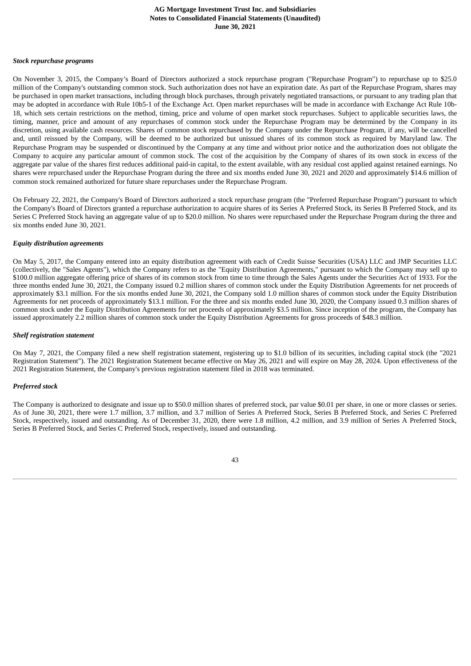#### *Stock repurchase programs*

On November 3, 2015, the Company's Board of Directors authorized a stock repurchase program ("Repurchase Program") to repurchase up to \$25.0 million of the Company's outstanding common stock. Such authorization does not have an expiration date. As part of the Repurchase Program, shares may be purchased in open market transactions, including through block purchases, through privately negotiated transactions, or pursuant to any trading plan that may be adopted in accordance with Rule 10b5-1 of the Exchange Act. Open market repurchases will be made in accordance with Exchange Act Rule 10b-18, which sets certain restrictions on the method, timing, price and volume of open market stock repurchases. Subject to applicable securities laws, the timing, manner, price and amount of any repurchases of common stock under the Repurchase Program may be determined by the Company in its discretion, using available cash resources. Shares of common stock repurchased by the Company under the Repurchase Program, if any, will be cancelled and, until reissued by the Company, will be deemed to be authorized but unissued shares of its common stock as required by Maryland law. The Repurchase Program may be suspended or discontinued by the Company at any time and without prior notice and the authorization does not obligate the Company to acquire any particular amount of common stock. The cost of the acquisition by the Company of shares of its own stock in excess of the aggregate par value of the shares first reduces additional paid-in capital, to the extent available, with any residual cost applied against retained earnings. No shares were repurchased under the Repurchase Program during the three and six months ended June 30, 2021 and 2020 and approximately \$14.6 million of common stock remained authorized for future share repurchases under the Repurchase Program.

On February 22, 2021, the Company's Board of Directors authorized a stock repurchase program (the "Preferred Repurchase Program") pursuant to which the Company's Board of Directors granted a repurchase authorization to acquire shares of its Series A Preferred Stock, its Series B Preferred Stock, and its Series C Preferred Stock having an aggregate value of up to \$20.0 million. No shares were repurchased under the Repurchase Program during the three and six months ended June 30, 2021.

#### *Equity distribution agreements*

On May 5, 2017, the Company entered into an equity distribution agreement with each of Credit Suisse Securities (USA) LLC and JMP Securities LLC (collectively, the "Sales Agents"), which the Company refers to as the "Equity Distribution Agreements," pursuant to which the Company may sell up to \$100.0 million aggregate offering price of shares of its common stock from time to time through the Sales Agents under the Securities Act of 1933. For the three months ended June 30, 2021, the Company issued 0.2 million shares of common stock under the Equity Distribution Agreements for net proceeds of approximately \$3.1 million. For the six months ended June 30, 2021, the Company sold 1.0 million shares of common stock under the Equity Distribution Agreements for net proceeds of approximately \$13.1 million. For the three and six months ended June 30, 2020, the Company issued 0.3 million shares of common stock under the Equity Distribution Agreements for net proceeds of approximately \$3.5 million. Since inception of the program, the Company has issued approximately 2.2 million shares of common stock under the Equity Distribution Agreements for gross proceeds of \$48.3 million.

### *Shelf registration statement*

On May 7, 2021, the Company filed a new shelf registration statement, registering up to \$1.0 billion of its securities, including capital stock (the "2021 Registration Statement"). The 2021 Registration Statement became effective on May 26, 2021 and will expire on May 28, 2024. Upon effectiveness of the 2021 Registration Statement, the Company's previous registration statement filed in 2018 was terminated.

### *Preferred stock*

The Company is authorized to designate and issue up to \$50.0 million shares of preferred stock, par value \$0.01 per share, in one or more classes or series. As of June 30, 2021, there were 1.7 million, 3.7 million, and 3.7 million of Series A Preferred Stock, Series B Preferred Stock, and Series C Preferred Stock, respectively, issued and outstanding. As of December 31, 2020, there were 1.8 million, 4.2 million, and 3.9 million of Series A Preferred Stock, Series B Preferred Stock, and Series C Preferred Stock, respectively, issued and outstanding.

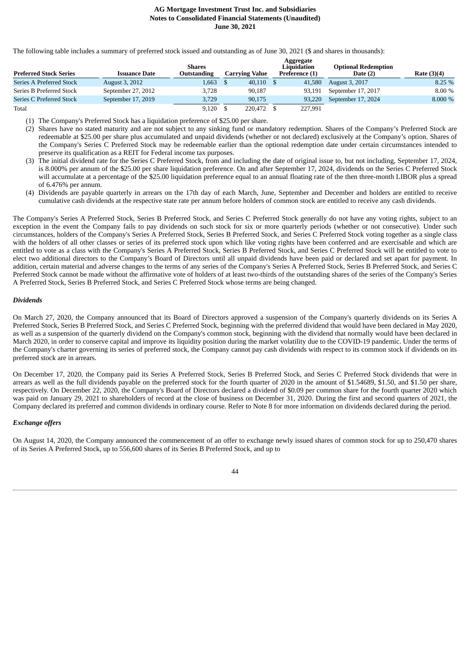The following table includes a summary of preferred stock issued and outstanding as of June 30, 2021 (\$ and shares in thousands):

| <b>Preferred Stock Series</b> | <b>Issuance Date</b>  | <b>Shares</b><br>Outstanding | Carrving Value | Aggregate<br>Liauidation<br>Preference (1) | <b>Optional Redemption</b><br>Date (2) | Rate $(3)(4)$ |
|-------------------------------|-----------------------|------------------------------|----------------|--------------------------------------------|----------------------------------------|---------------|
| Series A Preferred Stock      | <b>August 3, 2012</b> | $1,663$ \$                   | 40,110         | 41,580                                     | <b>August 3, 2017</b>                  | 8.25%         |
| Series B Preferred Stock      | September 27, 2012    | 3.728                        | 90.187         | 93.191                                     | September 17, 2017                     | $8.00\%$      |
| Series C Preferred Stock      | September 17, 2019    | 3.729                        | 90.175         | 93.220                                     | September 17, 2024                     | 8.000 %       |
| Total                         |                       | 9.120                        | 220,472        | 227,991                                    |                                        |               |

(1) The Company's Preferred Stock has a liquidation preference of \$25.00 per share.

- (2) Shares have no stated maturity and are not subject to any sinking fund or mandatory redemption. Shares of the Company's Preferred Stock are redeemable at \$25.00 per share plus accumulated and unpaid dividends (whether or not declared) exclusively at the Company's option. Shares of the Company's Series C Preferred Stock may be redeemable earlier than the optional redemption date under certain circumstances intended to preserve its qualification as a REIT for Federal income tax purposes.
- (3) The initial dividend rate for the Series C Preferred Stock, from and including the date of original issue to, but not including, September 17, 2024, is 8.000% per annum of the \$25.00 per share liquidation preference. On and after September 17, 2024, dividends on the Series C Preferred Stock will accumulate at a percentage of the \$25.00 liquidation preference equal to an annual floating rate of the then three-month LIBOR plus a spread of 6.476% per annum.
- (4) Dividends are payable quarterly in arrears on the 17th day of each March, June, September and December and holders are entitled to receive cumulative cash dividends at the respective state rate per annum before holders of common stock are entitled to receive any cash dividends.

The Company's Series A Preferred Stock, Series B Preferred Stock, and Series C Preferred Stock generally do not have any voting rights, subject to an exception in the event the Company fails to pay dividends on such stock for six or more quarterly periods (whether or not consecutive). Under such circumstances, holders of the Company's Series A Preferred Stock, Series B Preferred Stock, and Series C Preferred Stock voting together as a single class with the holders of all other classes or series of its preferred stock upon which like voting rights have been conferred and are exercisable and which are entitled to vote as a class with the Company's Series A Preferred Stock, Series B Preferred Stock, and Series C Preferred Stock will be entitled to vote to elect two additional directors to the Company's Board of Directors until all unpaid dividends have been paid or declared and set apart for payment. In addition, certain material and adverse changes to the terms of any series of the Company's Series A Preferred Stock, Series B Preferred Stock, and Series C Preferred Stock cannot be made without the affirmative vote of holders of at least two-thirds of the outstanding shares of the series of the Company's Series A Preferred Stock, Series B Preferred Stock, and Series C Preferred Stock whose terms are being changed.

## *Dividends*

On March 27, 2020, the Company announced that its Board of Directors approved a suspension of the Company's quarterly dividends on its Series A Preferred Stock, Series B Preferred Stock, and Series C Preferred Stock, beginning with the preferred dividend that would have been declared in May 2020, as well as a suspension of the quarterly dividend on the Company's common stock, beginning with the dividend that normally would have been declared in March 2020, in order to conserve capital and improve its liquidity position during the market volatility due to the COVID-19 pandemic. Under the terms of the Company's charter governing its series of preferred stock, the Company cannot pay cash dividends with respect to its common stock if dividends on its preferred stock are in arrears.

On December 17, 2020, the Company paid its Series A Preferred Stock, Series B Preferred Stock, and Series C Preferred Stock dividends that were in arrears as well as the full dividends payable on the preferred stock for the fourth quarter of 2020 in the amount of \$1.54689, \$1.50, and \$1.50 per share, respectively. On December 22, 2020, the Company's Board of Directors declared a dividend of \$0.09 per common share for the fourth quarter 2020 which was paid on January 29, 2021 to shareholders of record at the close of business on December 31, 2020. During the first and second quarters of 2021, the Company declared its preferred and common dividends in ordinary course. Refer to Note 8 for more information on dividends declared during the period.

# *Exchange offers*

On August 14, 2020, the Company announced the commencement of an offer to exchange newly issued shares of common stock for up to 250,470 shares of its Series A Preferred Stock, up to 556,600 shares of its Series B Preferred Stock, and up to

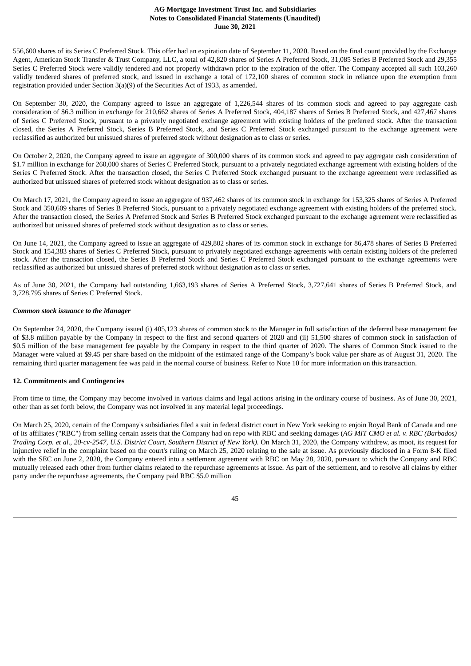556,600 shares of its Series C Preferred Stock. This offer had an expiration date of September 11, 2020. Based on the final count provided by the Exchange Agent, American Stock Transfer & Trust Company, LLC, a total of 42,820 shares of Series A Preferred Stock, 31,085 Series B Preferred Stock and 29,355 Series C Preferred Stock were validly tendered and not properly withdrawn prior to the expiration of the offer. The Company accepted all such 103,260 validly tendered shares of preferred stock, and issued in exchange a total of 172,100 shares of common stock in reliance upon the exemption from registration provided under Section 3(a)(9) of the Securities Act of 1933, as amended.

On September 30, 2020, the Company agreed to issue an aggregate of 1,226,544 shares of its common stock and agreed to pay aggregate cash consideration of \$6.3 million in exchange for 210,662 shares of Series A Preferred Stock, 404,187 shares of Series B Preferred Stock, and 427,467 shares of Series C Preferred Stock, pursuant to a privately negotiated exchange agreement with existing holders of the preferred stock. After the transaction closed, the Series A Preferred Stock, Series B Preferred Stock, and Series C Preferred Stock exchanged pursuant to the exchange agreement were reclassified as authorized but unissued shares of preferred stock without designation as to class or series.

On October 2, 2020, the Company agreed to issue an aggregate of 300,000 shares of its common stock and agreed to pay aggregate cash consideration of \$1.7 million in exchange for 260,000 shares of Series C Preferred Stock, pursuant to a privately negotiated exchange agreement with existing holders of the Series C Preferred Stock. After the transaction closed, the Series C Preferred Stock exchanged pursuant to the exchange agreement were reclassified as authorized but unissued shares of preferred stock without designation as to class or series.

On March 17, 2021, the Company agreed to issue an aggregate of 937,462 shares of its common stock in exchange for 153,325 shares of Series A Preferred Stock and 350,609 shares of Series B Preferred Stock, pursuant to a privately negotiated exchange agreement with existing holders of the preferred stock. After the transaction closed, the Series A Preferred Stock and Series B Preferred Stock exchanged pursuant to the exchange agreement were reclassified as authorized but unissued shares of preferred stock without designation as to class or series.

On June 14, 2021, the Company agreed to issue an aggregate of 429,802 shares of its common stock in exchange for 86,478 shares of Series B Preferred Stock and 154,383 shares of Series C Preferred Stock, pursuant to privately negotiated exchange agreements with certain existing holders of the preferred stock. After the transaction closed, the Series B Preferred Stock and Series C Preferred Stock exchanged pursuant to the exchange agreements were reclassified as authorized but unissued shares of preferred stock without designation as to class or series.

As of June 30, 2021, the Company had outstanding 1,663,193 shares of Series A Preferred Stock, 3,727,641 shares of Series B Preferred Stock, and 3,728,795 shares of Series C Preferred Stock.

## *Common stock issuance to the Manager*

On September 24, 2020, the Company issued (i) 405,123 shares of common stock to the Manager in full satisfaction of the deferred base management fee of \$3.8 million payable by the Company in respect to the first and second quarters of 2020 and (ii) 51,500 shares of common stock in satisfaction of \$0.5 million of the base management fee payable by the Company in respect to the third quarter of 2020. The shares of Common Stock issued to the Manager were valued at \$9.45 per share based on the midpoint of the estimated range of the Company's book value per share as of August 31, 2020. The remaining third quarter management fee was paid in the normal course of business. Refer to Note 10 for more information on this transaction.

#### **12. Commitments and Contingencies**

From time to time, the Company may become involved in various claims and legal actions arising in the ordinary course of business. As of June 30, 2021, other than as set forth below, the Company was not involved in any material legal proceedings.

On March 25, 2020, certain of the Company's subsidiaries filed a suit in federal district court in New York seeking to enjoin Royal Bank of Canada and one of its affiliates ("RBC") from selling certain assets that the Company had on repo with RBC and seeking damages (*AG MIT CMO et al. v. RBC (Barbados)* Tradina Corp. et al., 20-cv-2547, U.S. District Court, Southern District of New York). On March 31, 2020, the Company withdrew, as moot, its request for injunctive relief in the complaint based on the court's ruling on March 25, 2020 relating to the sale at issue. As previously disclosed in a Form 8-K filed with the SEC on June 2, 2020, the Company entered into a settlement agreement with RBC on May 28, 2020, pursuant to which the Company and RBC mutually released each other from further claims related to the repurchase agreements at issue. As part of the settlement, and to resolve all claims by either party under the repurchase agreements, the Company paid RBC \$5.0 million

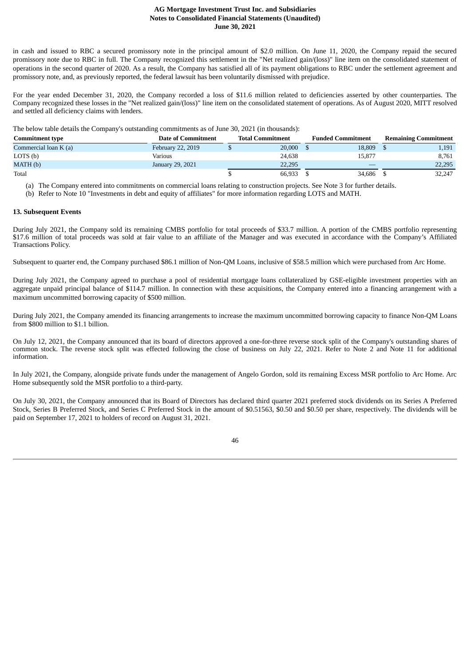in cash and issued to RBC a secured promissory note in the principal amount of \$2.0 million. On June 11, 2020, the Company repaid the secured promissory note due to RBC in full. The Company recognized this settlement in the "Net realized gain/(loss)" line item on the consolidated statement of operations in the second quarter of 2020. As a result, the Company has satisfied all of its payment obligations to RBC under the settlement agreement and promissory note, and, as previously reported, the federal lawsuit has been voluntarily dismissed with prejudice.

For the year ended December 31, 2020, the Company recorded a loss of \$11.6 million related to deficiencies asserted by other counterparties. The Company recognized these losses in the "Net realized gain/(loss)" line item on the consolidated statement of operations. As of August 2020, MITT resolved and settled all deficiency claims with lenders.

The below table details the Company's outstanding commitments as of June 30, 2021 (in thousands):

| <b>Commitment type</b> | <b>Date of Commitment</b> | <b>Total Commitment</b> |        | <b>Funded Commitment</b> |        | <b>Remaining Commitment</b> |
|------------------------|---------------------------|-------------------------|--------|--------------------------|--------|-----------------------------|
| Commercial loan K (a)  | February 22, 2019         |                         | 20,000 |                          | 18,809 | 1,191                       |
| LOTS(b)                | Various                   |                         | 24,638 |                          | 15.877 | 8.761                       |
| MATH (b)               | January 29, 2021          |                         | 22.295 |                          |        | 22,295                      |
| Total                  |                           |                         | 66.933 |                          | 34,686 | 32,247                      |

(a) The Company entered into commitments on commercial loans relating to construction projects. See Note 3 for further details.

(b) Refer to Note 10 "Investments in debt and equity of affiliates" for more information regarding LOTS and MATH.

## **13. Subsequent Events**

During July 2021, the Company sold its remaining CMBS portfolio for total proceeds of \$33.7 million. A portion of the CMBS portfolio representing \$17.6 million of total proceeds was sold at fair value to an affiliate of the Manager and was executed in accordance with the Company's Affiliated Transactions Policy.

Subsequent to quarter end, the Company purchased \$86.1 million of Non-QM Loans, inclusive of \$58.5 million which were purchased from Arc Home.

During July 2021, the Company agreed to purchase a pool of residential mortgage loans collateralized by GSE-eligible investment properties with an aggregate unpaid principal balance of \$114.7 million. In connection with these acquisitions, the Company entered into a financing arrangement with a maximum uncommitted borrowing capacity of \$500 million.

During July 2021, the Company amended its financing arrangements to increase the maximum uncommitted borrowing capacity to finance Non-QM Loans from \$800 million to \$1.1 billion.

On July 12, 2021, the Company announced that its board of directors approved a one-for-three reverse stock split of the Company's outstanding shares of common stock. The reverse stock split was effected following the close of business on July 22, 2021. Refer to Note 2 and Note 11 for additional information.

In July 2021, the Company, alongside private funds under the management of Angelo Gordon, sold its remaining Excess MSR portfolio to Arc Home. Arc Home subsequently sold the MSR portfolio to a third-party.

On July 30, 2021, the Company announced that its Board of Directors has declared third quarter 2021 preferred stock dividends on its Series A Preferred Stock, Series B Preferred Stock, and Series C Preferred Stock in the amount of \$0.51563, \$0.50 and \$0.50 per share, respectively. The dividends will be paid on September 17, 2021 to holders of record on August 31, 2021.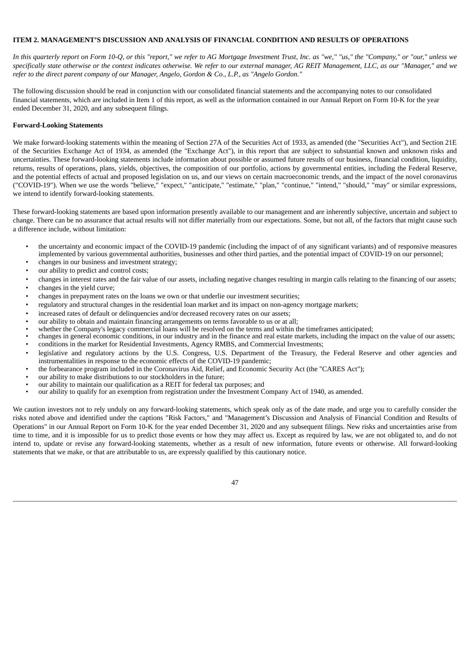## **ITEM 2. MANAGEMENT'S DISCUSSION AND ANALYSIS OF FINANCIAL CONDITION AND RESULTS OF OPERATIONS**

In this quarterly report on Form 10-Q, or this "report," we refer to AG Mortgage Investment Trust, Inc. as "we," "us," the "Company," or "our," unless we specifically state otherwise or the context indicates otherwise. We refer to our external manager, AG REIT Management, LLC, as our "Manager," and we *refer to the direct parent company of our Manager, Angelo, Gordon & Co., L.P., as "Angelo Gordon."*

The following discussion should be read in conjunction with our consolidated financial statements and the accompanying notes to our consolidated financial statements, which are included in Item 1 of this report, as well as the information contained in our Annual Report on Form 10-K for the year ended December 31, 2020, and any subsequent filings.

### **Forward-Looking Statements**

We make forward-looking statements within the meaning of Section 27A of the Securities Act of 1933, as amended (the "Securities Act"), and Section 21E of the Securities Exchange Act of 1934, as amended (the "Exchange Act"), in this report that are subject to substantial known and unknown risks and uncertainties. These forward-looking statements include information about possible or assumed future results of our business, financial condition, liquidity, returns, results of operations, plans, yields, objectives, the composition of our portfolio, actions by governmental entities, including the Federal Reserve, and the potential effects of actual and proposed legislation on us, and our views on certain macroeconomic trends, and the impact of the novel coronavirus ("COVID-19"). When we use the words "believe," "expect," "anticipate," "estimate," "plan," "continue," "intend," "should," "may" or similar expressions, we intend to identify forward-looking statements.

These forward-looking statements are based upon information presently available to our management and are inherently subjective, uncertain and subject to change. There can be no assurance that actual results will not differ materially from our expectations. Some, but not all, of the factors that might cause such a difference include, without limitation:

- the uncertainty and economic impact of the COVID-19 pandemic (including the impact of of any significant variants) and of responsive measures implemented by various governmental authorities, businesses and other third parties, and the potential impact of COVID-19 on our personnel;
- changes in our business and investment strategy;
- our ability to predict and control costs;
- changes in interest rates and the fair value of our assets, including negative changes resulting in margin calls relating to the financing of our assets;
- changes in the yield curve;
- changes in prepayment rates on the loans we own or that underlie our investment securities;
- regulatory and structural changes in the residential loan market and its impact on non-agency mortgage markets;
- increased rates of default or delinquencies and/or decreased recovery rates on our assets;
- our ability to obtain and maintain financing arrangements on terms favorable to us or at all;
- whether the Company's legacy commercial loans will be resolved on the terms and within the timeframes anticipated;
- changes in general economic conditions, in our industry and in the finance and real estate markets, including the impact on the value of our assets;
- conditions in the market for Residential Investments, Agency RMBS, and Commercial Investments;
- legislative and regulatory actions by the U.S. Congress, U.S. Department of the Treasury, the Federal Reserve and other agencies and instrumentalities in response to the economic effects of the COVID-19 pandemic;
- the forbearance program included in the Coronavirus Aid, Relief, and Economic Security Act (the "CARES Act");
- our ability to make distributions to our stockholders in the future;
- our ability to maintain our qualification as a REIT for federal tax purposes; and
- our ability to qualify for an exemption from registration under the Investment Company Act of 1940, as amended.

We caution investors not to rely unduly on any forward-looking statements, which speak only as of the date made, and urge you to carefully consider the risks noted above and identified under the captions "Risk Factors," and "Management's Discussion and Analysis of Financial Condition and Results of Operations" in our Annual Report on Form 10-K for the year ended December 31, 2020 and any subsequent filings. New risks and uncertainties arise from time to time, and it is impossible for us to predict those events or how they may affect us. Except as required by law, we are not obligated to, and do not intend to, update or revise any forward-looking statements, whether as a result of new information, future events or otherwise. All forward-looking statements that we make, or that are attributable to us, are expressly qualified by this cautionary notice.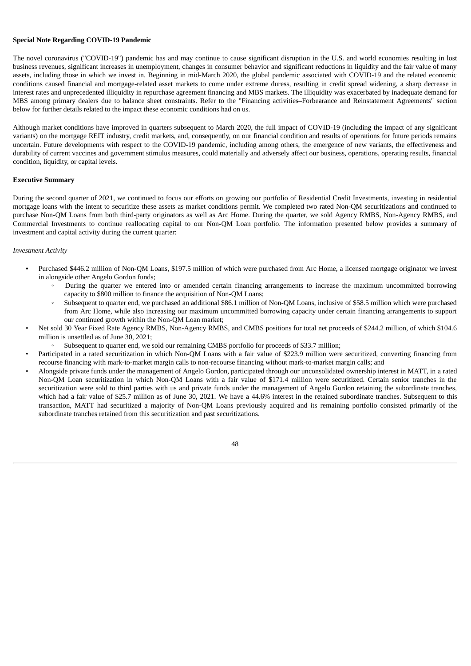## **Special Note Regarding COVID-19 Pandemic**

The novel coronavirus ("COVID-19") pandemic has and may continue to cause significant disruption in the U.S. and world economies resulting in lost business revenues, significant increases in unemployment, changes in consumer behavior and significant reductions in liquidity and the fair value of many assets, including those in which we invest in. Beginning in mid-March 2020, the global pandemic associated with COVID-19 and the related economic conditions caused financial and mortgage-related asset markets to come under extreme duress, resulting in credit spread widening, a sharp decrease in interest rates and unprecedented illiquidity in repurchase agreement financing and MBS markets. The illiquidity was exacerbated by inadequate demand for MBS among primary dealers due to balance sheet constraints. Refer to the "Financing activities–Forbearance and Reinstatement Agreements" section below for further details related to the impact these economic conditions had on us.

Although market conditions have improved in quarters subsequent to March 2020, the full impact of COVID-19 (including the impact of any significant variants) on the mortgage REIT industry, credit markets, and, consequently, on our financial condition and results of operations for future periods remains uncertain. Future developments with respect to the COVID-19 pandemic, including among others, the emergence of new variants, the effectiveness and durability of current vaccines and government stimulus measures, could materially and adversely affect our business, operations, operating results, financial condition, liquidity, or capital levels.

## **Executive Summary**

During the second quarter of 2021, we continued to focus our efforts on growing our portfolio of Residential Credit Investments, investing in residential mortgage loans with the intent to securitize these assets as market conditions permit. We completed two rated Non-QM securitizations and continued to purchase Non-QM Loans from both third-party originators as well as Arc Home. During the quarter, we sold Agency RMBS, Non-Agency RMBS, and Commercial Investments to continue reallocating capital to our Non-QM Loan portfolio. The information presented below provides a summary of investment and capital activity during the current quarter:

#### *Investment Activity*

- **•** Purchased \$446.2 million of Non-QM Loans, \$197.5 million of which were purchased from Arc Home, a licensed mortgage originator we invest in alongside other Angelo Gordon funds;
	- During the quarter we entered into or amended certain financing arrangements to increase the maximum uncommitted borrowing capacity to \$800 million to finance the acquisition of Non-QM Loans;
	- Subsequent to quarter end, we purchased an additional \$86.1 million of Non-QM Loans, inclusive of \$58.5 million which were purchased from Arc Home, while also increasing our maximum uncommitted borrowing capacity under certain financing arrangements to support our continued growth within the Non-QM Loan market;
	- Net sold 30 Year Fixed Rate Agency RMBS, Non-Agency RMBS, and CMBS positions for total net proceeds of \$244.2 million, of which \$104.6 million is unsettled as of June 30, 2021;
		- Subsequent to quarter end, we sold our remaining CMBS portfolio for proceeds of \$33.7 million;
- Participated in a rated securitization in which Non-QM Loans with a fair value of \$223.9 million were securitized, converting financing from recourse financing with mark-to-market margin calls to non-recourse financing without mark-to-market margin calls; and
- Alongside private funds under the management of Angelo Gordon, participated through our unconsolidated ownership interest in MATT, in a rated Non-QM Loan securitization in which Non-QM Loans with a fair value of \$171.4 million were securitized. Certain senior tranches in the securitization were sold to third parties with us and private funds under the management of Angelo Gordon retaining the subordinate tranches, which had a fair value of \$25.7 million as of June 30, 2021. We have a 44.6% interest in the retained subordinate tranches. Subsequent to this transaction, MATT had securitized a majority of Non-QM Loans previously acquired and its remaining portfolio consisted primarily of the subordinate tranches retained from this securitization and past securitizations.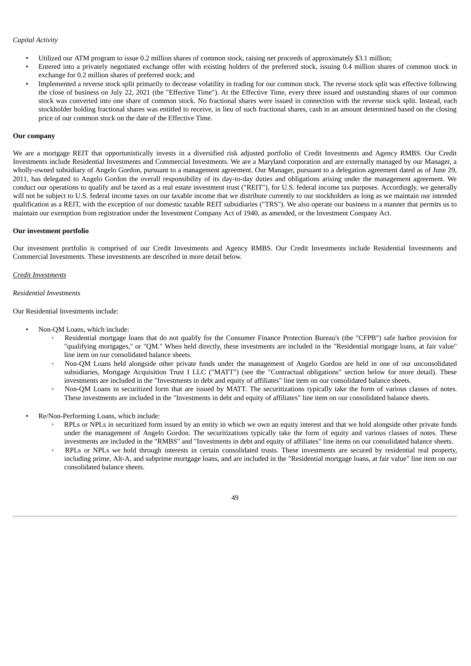## *Capital Activity*

- Utilized our ATM program to issue 0.2 million shares of common stock, raising net proceeds of approximately \$3.1 million;
- Entered into a privately negotiated exchange offer with existing holders of the preferred stock, issuing 0.4 million shares of common stock in exchange for 0.2 million shares of preferred stock; and
- Implemented a reverse stock split primarily to decrease volatility in trading for our common stock. The reverse stock split was effective following the close of business on July 22, 2021 (the "Effective Time"). At the Effective Time, every three issued and outstanding shares of our common stock was converted into one share of common stock. No fractional shares were issued in connection with the reverse stock split. Instead, each stockholder holding fractional shares was entitled to receive, in lieu of such fractional shares, cash in an amount determined based on the closing price of our common stock on the date of the Effective Time.

## **Our company**

We are a mortgage REIT that opportunistically invests in a diversified risk adjusted portfolio of Credit Investments and Agency RMBS. Our Credit Investments include Residential Investments and Commercial Investments. We are a Maryland corporation and are externally managed by our Manager, a wholly-owned subsidiary of Angelo Gordon, pursuant to a management agreement. Our Manager, pursuant to a delegation agreement dated as of June 29, 2011, has delegated to Angelo Gordon the overall responsibility of its day-to-day duties and obligations arising under the management agreement. We conduct our operations to qualify and be taxed as a real estate investment trust ("REIT"), for U.S. federal income tax purposes. Accordingly, we generally will not be subject to U.S. federal income taxes on our taxable income that we distribute currently to our stockholders as long as we maintain our intended qualification as a REIT, with the exception of our domestic taxable REIT subsidiaries ("TRS"). We also operate our business in a manner that permits us to maintain our exemption from registration under the Investment Company Act of 1940, as amended, or the Investment Company Act.

## **Our investment portfolio**

Our investment portfolio is comprised of our Credit Investments and Agency RMBS. Our Credit Investments include Residential Investments and Commercial Investments. These investments are described in more detail below.

## *Credit Investments*

# *Residential Investments*

Our Residential Investments include:

- Non-QM Loans, which include:
	- Residential mortgage loans that do not qualify for the Consumer Finance Protection Bureau's (the "CFPB") safe harbor provision for "qualifying mortgages," or "QM." When held directly, these investments are included in the "Residential mortgage loans, at fair value" line item on our consolidated balance sheets.
	- Non-QM Loans held alongside other private funds under the management of Angelo Gordon are held in one of our unconsolidated subsidiaries, Mortgage Acquisition Trust I LLC ("MATT") (see the "Contractual obligations" section below for more detail). These investments are included in the "Investments in debt and equity of affiliates" line item on our consolidated balance sheets.
	- Non-OM Loans in securitized form that are issued by MATT. The securitizations typically take the form of various classes of notes. These investments are included in the "Investments in debt and equity of affiliates" line item on our consolidated balance sheets.
- Re/Non-Performing Loans, which include:
	- RPLs or NPLs in securitized form issued by an entity in which we own an equity interest and that we hold alongside other private funds under the management of Angelo Gordon. The securitizations typically take the form of equity and various classes of notes. These investments are included in the "RMBS" and "Investments in debt and equity of affiliates" line items on our consolidated balance sheets.
	- RPLs or NPLs we hold through interests in certain consolidated trusts. These investments are secured by residential real property, including prime, Alt-A, and subprime mortgage loans, and are included in the "Residential mortgage loans, at fair value" line item on our consolidated balance sheets.

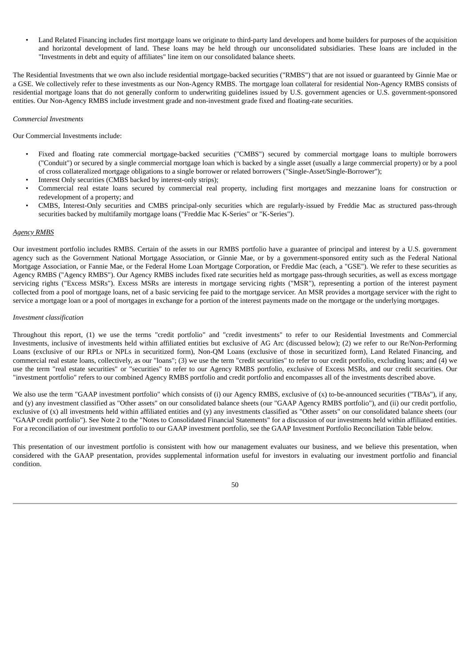• Land Related Financing includes first mortgage loans we originate to third-party land developers and home builders for purposes of the acquisition and horizontal development of land. These loans may be held through our unconsolidated subsidiaries. These loans are included in the "Investments in debt and equity of affiliates" line item on our consolidated balance sheets.

The Residential Investments that we own also include residential mortgage-backed securities ("RMBS") that are not issued or guaranteed by Ginnie Mae or a GSE. We collectively refer to these investments as our Non-Agency RMBS. The mortgage loan collateral for residential Non-Agency RMBS consists of residential mortgage loans that do not generally conform to underwriting guidelines issued by U.S. government agencies or U.S. government-sponsored entities. Our Non-Agency RMBS include investment grade and non-investment grade fixed and floating-rate securities.

### *Commercial Investments*

Our Commercial Investments include:

- Fixed and floating rate commercial mortgage-backed securities ("CMBS") secured by commercial mortgage loans to multiple borrowers ("Conduit") or secured by a single commercial mortgage loan which is backed by a single asset (usually a large commercial property) or by a pool of cross collateralized mortgage obligations to a single borrower or related borrowers ("Single-Asset/Single-Borrower");
- Interest Only securities (CMBS backed by interest-only strips);
- Commercial real estate loans secured by commercial real property, including first mortgages and mezzanine loans for construction or redevelopment of a property; and
- CMBS, Interest-Only securities and CMBS principal-only securities which are regularly-issued by Freddie Mac as structured pass-through securities backed by multifamily mortgage loans ("Freddie Mac K-Series" or "K-Series").

## *Agency RMBS*

Our investment portfolio includes RMBS. Certain of the assets in our RMBS portfolio have a guarantee of principal and interest by a U.S. government agency such as the Government National Mortgage Association, or Ginnie Mae, or by a government-sponsored entity such as the Federal National Mortgage Association, or Fannie Mae, or the Federal Home Loan Mortgage Corporation, or Freddie Mac (each, a "GSE"). We refer to these securities as Agency RMBS ("Agency RMBS"). Our Agency RMBS includes fixed rate securities held as mortgage pass-through securities, as well as excess mortgage servicing rights ("Excess MSRs"). Excess MSRs are interests in mortgage servicing rights ("MSR"), representing a portion of the interest payment collected from a pool of mortgage loans, net of a basic servicing fee paid to the mortgage servicer. An MSR provides a mortgage servicer with the right to service a mortgage loan or a pool of mortgages in exchange for a portion of the interest payments made on the mortgage or the underlying mortgages.

## *Investment classification*

Throughout this report, (1) we use the terms "credit portfolio" and "credit investments" to refer to our Residential Investments and Commercial Investments, inclusive of investments held within affiliated entities but exclusive of AG Arc (discussed below); (2) we refer to our Re/Non-Performing Loans (exclusive of our RPLs or NPLs in securitized form), Non-QM Loans (exclusive of those in securitized form), Land Related Financing, and commercial real estate loans, collectively, as our "loans"; (3) we use the term "credit securities" to refer to our credit portfolio, excluding loans; and (4) we use the term "real estate securities" or "securities" to refer to our Agency RMBS portfolio, exclusive of Excess MSRs, and our credit securities. Our "investment portfolio" refers to our combined Agency RMBS portfolio and credit portfolio and encompasses all of the investments described above.

We also use the term "GAAP investment portfolio" which consists of (i) our Agency RMBS, exclusive of (x) to-be-announced securities ("TBAs"), if any, and (y) any investment classified as "Other assets" on our consolidated balance sheets (our "GAAP Agency RMBS portfolio"), and (ii) our credit portfolio, exclusive of (x) all investments held within affiliated entities and (y) any investments classified as "Other assets" on our consolidated balance sheets (our "GAAP credit portfolio"). See Note 2 to the "Notes to Consolidated Financial Statements" for a discussion of our investments held within affiliated entities. For a reconciliation of our investment portfolio to our GAAP investment portfolio, see the GAAP Investment Portfolio Reconciliation Table below.

This presentation of our investment portfolio is consistent with how our management evaluates our business, and we believe this presentation, when considered with the GAAP presentation, provides supplemental information useful for investors in evaluating our investment portfolio and financial condition.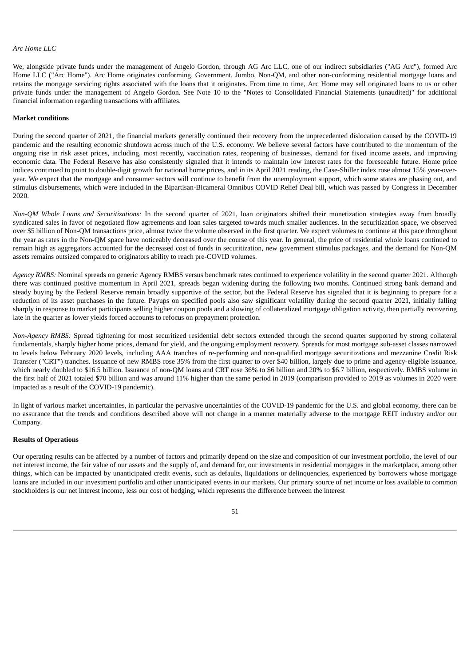## *Arc Home LLC*

We, alongside private funds under the management of Angelo Gordon, through AG Arc LLC, one of our indirect subsidiaries ("AG Arc"), formed Arc Home LLC ("Arc Home"). Arc Home originates conforming, Government, Jumbo, Non-QM, and other non-conforming residential mortgage loans and retains the mortgage servicing rights associated with the loans that it originates. From time to time, Arc Home may sell originated loans to us or other private funds under the management of Angelo Gordon. See Note 10 to the "Notes to Consolidated Financial Statements (unaudited)" for additional financial information regarding transactions with affiliates.

### **Market conditions**

During the second quarter of 2021, the financial markets generally continued their recovery from the unprecedented dislocation caused by the COVID-19 pandemic and the resulting economic shutdown across much of the U.S. economy. We believe several factors have contributed to the momentum of the ongoing rise in risk asset prices, including, most recently, vaccination rates, reopening of businesses, demand for fixed income assets, and improving economic data. The Federal Reserve has also consistently signaled that it intends to maintain low interest rates for the foreseeable future. Home price indices continued to point to double-digit growth for national home prices, and in its April 2021 reading, the Case-Shiller index rose almost 15% year-overyear. We expect that the mortgage and consumer sectors will continue to benefit from the unemployment support, which some states are phasing out, and stimulus disbursements, which were included in the Bipartisan-Bicameral Omnibus COVID Relief Deal bill, which was passed by Congress in December 2020.

*Non-QM Whole Loans and Securitizations:* In the second quarter of 2021, loan originators shifted their monetization strategies away from broadly syndicated sales in favor of negotiated flow agreements and loan sales targeted towards much smaller audiences. In the securitization space, we observed over \$5 billion of Non-QM transactions price, almost twice the volume observed in the first quarter. We expect volumes to continue at this pace throughout the year as rates in the Non-QM space have noticeably decreased over the course of this year. In general, the price of residential whole loans continued to remain high as aggregators accounted for the decreased cost of funds in securitization, new government stimulus packages, and the demand for Non-QM assets remains outsized compared to originators ability to reach pre-COVID volumes.

*Agency RMBS:* Nominal spreads on generic Agency RMBS versus benchmark rates continued to experience volatility in the second quarter 2021. Although there was continued positive momentum in April 2021, spreads began widening during the following two months. Continued strong bank demand and steady buying by the Federal Reserve remain broadly supportive of the sector, but the Federal Reserve has signaled that it is beginning to prepare for a reduction of its asset purchases in the future. Payups on specified pools also saw significant volatility during the second quarter 2021, initially falling sharply in response to market participants selling higher coupon pools and a slowing of collateralized mortgage obligation activity, then partially recovering late in the quarter as lower yields forced accounts to refocus on prepayment protection.

*Non-Agency RMBS:* Spread tightening for most securitized residential debt sectors extended through the second quarter supported by strong collateral fundamentals, sharply higher home prices, demand for yield, and the ongoing employment recovery. Spreads for most mortgage sub-asset classes narrowed to levels below February 2020 levels, including AAA tranches of re-performing and non-qualified mortgage securitizations and mezzanine Credit Risk Transfer ("CRT") tranches. Issuance of new RMBS rose 35% from the first quarter to over \$40 billion, largely due to prime and agency-eligible issuance, which nearly doubled to \$16.5 billion. Issuance of non-QM loans and CRT rose 36% to \$6 billion and 20% to \$6.7 billion, respectively. RMBS volume in the first half of 2021 totaled \$70 billion and was around 11% higher than the same period in 2019 (comparison provided to 2019 as volumes in 2020 were impacted as a result of the COVID-19 pandemic).

In light of various market uncertainties, in particular the pervasive uncertainties of the COVID-19 pandemic for the U.S. and global economy, there can be no assurance that the trends and conditions described above will not change in a manner materially adverse to the mortgage REIT industry and/or our Company.

### **Results of Operations**

Our operating results can be affected by a number of factors and primarily depend on the size and composition of our investment portfolio, the level of our net interest income, the fair value of our assets and the supply of, and demand for, our investments in residential mortgages in the marketplace, among other things, which can be impacted by unanticipated credit events, such as defaults, liquidations or delinquencies, experienced by borrowers whose mortgage loans are included in our investment portfolio and other unanticipated events in our markets. Our primary source of net income or loss available to common stockholders is our net interest income, less our cost of hedging, which represents the difference between the interest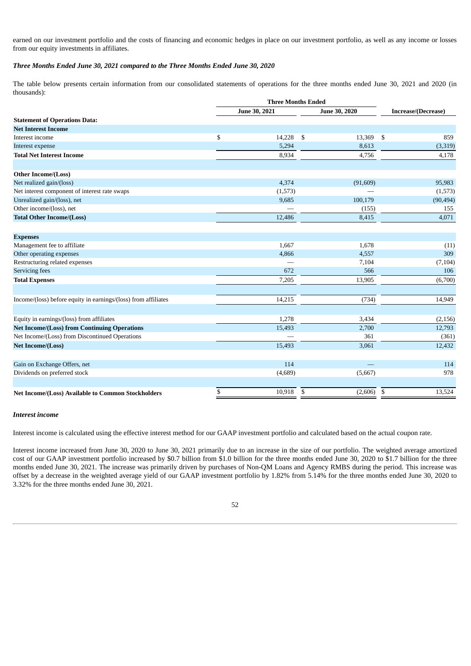earned on our investment portfolio and the costs of financing and economic hedges in place on our investment portfolio, as well as any income or losses from our equity investments in affiliates.

## *Three Months Ended June 30, 2021 compared to the Three Months Ended June 30, 2020*

The table below presents certain information from our consolidated statements of operations for the three months ended June 30, 2021 and 2020 (in thousands):

|                                                                | <b>Three Months Ended</b> |               |     |               |    |                     |
|----------------------------------------------------------------|---------------------------|---------------|-----|---------------|----|---------------------|
|                                                                |                           | June 30, 2021 |     | June 30, 2020 |    | Increase/(Decrease) |
| <b>Statement of Operations Data:</b>                           |                           |               |     |               |    |                     |
| <b>Net Interest Income</b>                                     |                           |               |     |               |    |                     |
| Interest income                                                | \$                        | 14,228        | -\$ | 13,369        | \$ | 859                 |
| Interest expense                                               |                           | 5,294         |     | 8,613         |    | (3,319)             |
| <b>Total Net Interest Income</b>                               |                           | 8,934         |     | 4,756         |    | 4,178               |
| <b>Other Income/(Loss)</b>                                     |                           |               |     |               |    |                     |
| Net realized gain/(loss)                                       |                           | 4,374         |     | (91,609)      |    | 95,983              |
| Net interest component of interest rate swaps                  |                           | (1,573)       |     |               |    | (1,573)             |
| Unrealized gain/(loss), net                                    |                           | 9,685         |     | 100,179       |    | (90, 494)           |
| Other income/(loss), net                                       |                           |               |     | (155)         |    | 155                 |
| <b>Total Other Income/(Loss)</b>                               |                           | 12,486        |     | 8,415         |    | 4,071               |
| <b>Expenses</b>                                                |                           |               |     |               |    |                     |
| Management fee to affiliate                                    |                           | 1,667         |     | 1,678         |    | (11)                |
| Other operating expenses                                       |                           | 4,866         |     | 4,557         |    | 309                 |
| Restructuring related expenses                                 |                           |               |     | 7,104         |    | (7, 104)            |
| Servicing fees                                                 |                           | 672           |     | 566           |    | 106                 |
| <b>Total Expenses</b>                                          |                           | 7,205         |     | 13,905        |    | (6,700)             |
| Income/(loss) before equity in earnings/(loss) from affiliates |                           | 14,215        |     | (734)         |    | 14,949              |
|                                                                |                           |               |     |               |    |                     |
| Equity in earnings/(loss) from affiliates                      |                           | 1,278         |     | 3,434         |    | (2, 156)            |
| <b>Net Income/(Loss) from Continuing Operations</b>            |                           | 15,493        |     | 2,700         |    | 12,793              |
| Net Income/(Loss) from Discontinued Operations                 |                           |               |     | 361           |    | (361)               |
| Net Income/(Loss)                                              |                           | 15,493        |     | 3,061         |    | 12,432              |
| Gain on Exchange Offers, net                                   |                           | 114           |     |               |    | 114                 |
| Dividends on preferred stock                                   |                           | (4,689)       |     | (5,667)       |    | 978                 |
| Net Income/(Loss) Available to Common Stockholders             | \$                        | 10,918        | \$  | $(2,606)$ \$  |    | 13,524              |

### *Interest income*

Interest income is calculated using the effective interest method for our GAAP investment portfolio and calculated based on the actual coupon rate.

Interest income increased from June 30, 2020 to June 30, 2021 primarily due to an increase in the size of our portfolio. The weighted average amortized cost of our GAAP investment portfolio increased by \$0.7 billion from \$1.0 billion for the three months ended June 30, 2020 to \$1.7 billion for the three months ended June 30, 2021. The increase was primarily driven by purchases of Non-QM Loans and Agency RMBS during the period. This increase was offset by a decrease in the weighted average yield of our GAAP investment portfolio by 1.82% from 5.14% for the three months ended June 30, 2020 to 3.32% for the three months ended June 30, 2021.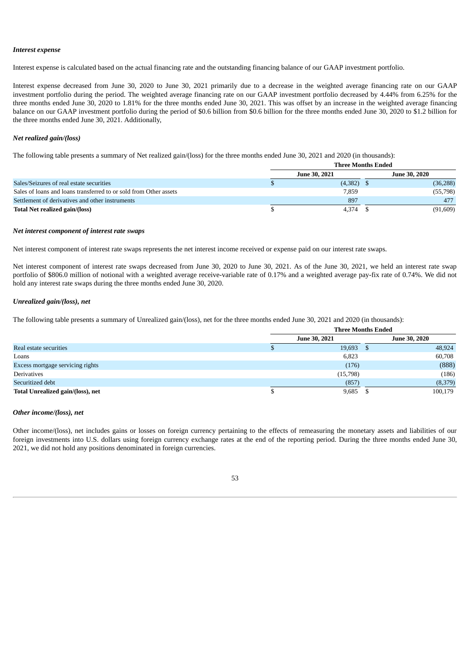#### *Interest expense*

Interest expense is calculated based on the actual financing rate and the outstanding financing balance of our GAAP investment portfolio.

Interest expense decreased from June 30, 2020 to June 30, 2021 primarily due to a decrease in the weighted average financing rate on our GAAP investment portfolio during the period. The weighted average financing rate on our GAAP investment portfolio decreased by 4.44% from 6.25% for the three months ended June 30, 2020 to 1.81% for the three months ended June 30, 2021. This was offset by an increase in the weighted average financing balance on our GAAP investment portfolio during the period of \$0.6 billion from \$0.6 billion for the three months ended June 30, 2020 to \$1.2 billion for the three months ended June 30, 2021. Additionally,

## *Net realized gain/(loss)*

The following table presents a summary of Net realized gain/(loss) for the three months ended June 30, 2021 and 2020 (in thousands):

|                                                                   | <b>Three Months Ended</b> |                      |  |                      |  |
|-------------------------------------------------------------------|---------------------------|----------------------|--|----------------------|--|
|                                                                   |                           | <b>June 30, 2021</b> |  | <b>June 30, 2020</b> |  |
| Sales/Seizures of real estate securities                          |                           | $(4,382)$ \$         |  | (36, 288)            |  |
| Sales of loans and loans transferred to or sold from Other assets |                           | 7,859                |  | (55,798)             |  |
| Settlement of derivatives and other instruments                   |                           | 897                  |  | 477                  |  |
| Total Net realized gain/(loss)                                    |                           | 4,374 \$             |  | (91,609)             |  |

## *Net interest component of interest rate swaps*

Net interest component of interest rate swaps represents the net interest income received or expense paid on our interest rate swaps.

Net interest component of interest rate swaps decreased from June 30, 2020 to June 30, 2021. As of the June 30, 2021, we held an interest rate swap portfolio of \$806.0 million of notional with a weighted average receive-variable rate of 0.17% and a weighted average pay-fix rate of 0.74%. We did not hold any interest rate swaps during the three months ended June 30, 2020.

## *Unrealized gain/(loss), net*

The following table presents a summary of Unrealized gain/(loss), net for the three months ended June 30, 2021 and 2020 (in thousands):

|                                   | Three Months Ended |                      |  |                      |  |
|-----------------------------------|--------------------|----------------------|--|----------------------|--|
|                                   |                    | <b>June 30, 2021</b> |  | <b>June 30, 2020</b> |  |
| Real estate securities            |                    | 19,693 \$            |  | 48,924               |  |
| Loans                             |                    | 6,823                |  | 60,708               |  |
| Excess mortgage servicing rights  |                    | (176)                |  | (888)                |  |
| Derivatives                       |                    | (15,798)             |  | (186)                |  |
| Securitized debt                  |                    | (857)                |  | (8,379)              |  |
| Total Unrealized gain/(loss), net |                    | $9,685$ \$           |  | 100,179              |  |

**Three Months Ended**

## *Other income/(loss), net*

Other income/(loss), net includes gains or losses on foreign currency pertaining to the effects of remeasuring the monetary assets and liabilities of our foreign investments into U.S. dollars using foreign currency exchange rates at the end of the reporting period. During the three months ended June 30, 2021, we did not hold any positions denominated in foreign currencies.

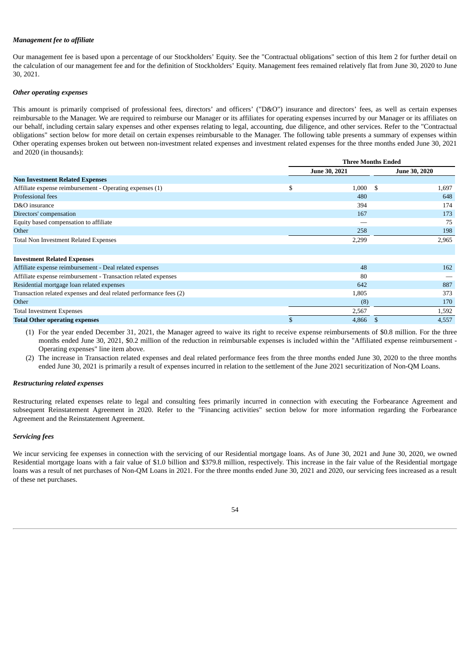## *Management fee to affiliate*

Our management fee is based upon a percentage of our Stockholders' Equity. See the "Contractual obligations" section of this Item 2 for further detail on the calculation of our management fee and for the definition of Stockholders' Equity. Management fees remained relatively flat from June 30, 2020 to June 30, 2021.

### *Other operating expenses*

This amount is primarily comprised of professional fees, directors' and officers' ("D&O") insurance and directors' fees, as well as certain expenses reimbursable to the Manager. We are required to reimburse our Manager or its affiliates for operating expenses incurred by our Manager or its affiliates on our behalf, including certain salary expenses and other expenses relating to legal, accounting, due diligence, and other services. Refer to the "Contractual obligations" section below for more detail on certain expenses reimbursable to the Manager. The following table presents a summary of expenses within Other operating expenses broken out between non-investment related expenses and investment related expenses for the three months ended June 30, 2021 and 2020 (in thousands):

|                                                                    | <b>Three Months Ended</b> |    |               |  |
|--------------------------------------------------------------------|---------------------------|----|---------------|--|
|                                                                    | June 30, 2021             |    | June 30, 2020 |  |
| <b>Non Investment Related Expenses</b>                             |                           |    |               |  |
| Affiliate expense reimbursement - Operating expenses (1)           | \$<br>1,000               | \$ | 1,697         |  |
| Professional fees                                                  | 480                       |    | 648           |  |
| D&O insurance                                                      | 394                       |    | 174           |  |
| Directors' compensation                                            | 167                       |    | 173           |  |
| Equity based compensation to affiliate                             |                           |    | 75            |  |
| Other                                                              | 258                       |    | 198           |  |
| <b>Total Non Investment Related Expenses</b>                       | 2,299                     |    | 2,965         |  |
| <b>Investment Related Expenses</b>                                 |                           |    |               |  |
| Affiliate expense reimbursement - Deal related expenses            | 48                        |    | 162           |  |
| Affiliate expense reimbursement - Transaction related expenses     | 80                        |    |               |  |
| Residential mortgage loan related expenses                         | 642                       |    | 887           |  |
| Transaction related expenses and deal related performance fees (2) | 1,805                     |    | 373           |  |
| Other                                                              | (8)                       |    | 170           |  |
| <b>Total Investment Expenses</b>                                   | 2,567                     |    | 1,592         |  |
| <b>Total Other operating expenses</b>                              | \$<br>4,866               |    | 4,557         |  |

(1) For the year ended December 31, 2021, the Manager agreed to waive its right to receive expense reimbursements of \$0.8 million. For the three months ended June 30, 2021, \$0.2 million of the reduction in reimbursable expenses is included within the "Affiliated expense reimbursement - Operating expenses" line item above.

(2) The increase in Transaction related expenses and deal related performance fees from the three months ended June 30, 2020 to the three months ended June 30, 2021 is primarily a result of expenses incurred in relation to the settlement of the June 2021 securitization of Non-QM Loans.

#### *Restructuring related expenses*

Restructuring related expenses relate to legal and consulting fees primarily incurred in connection with executing the Forbearance Agreement and subsequent Reinstatement Agreement in 2020. Refer to the "Financing activities" section below for more information regarding the Forbearance Agreement and the Reinstatement Agreement.

#### *Servicing fees*

We incur servicing fee expenses in connection with the servicing of our Residential mortgage loans. As of June 30, 2021 and June 30, 2020, we owned Residential mortgage loans with a fair value of \$1.0 billion and \$379.8 million, respectively. This increase in the fair value of the Residential mortgage loans was a result of net purchases of Non-QM Loans in 2021. For the three months ended June 30, 2021 and 2020, our servicing fees increased as a result of these net purchases.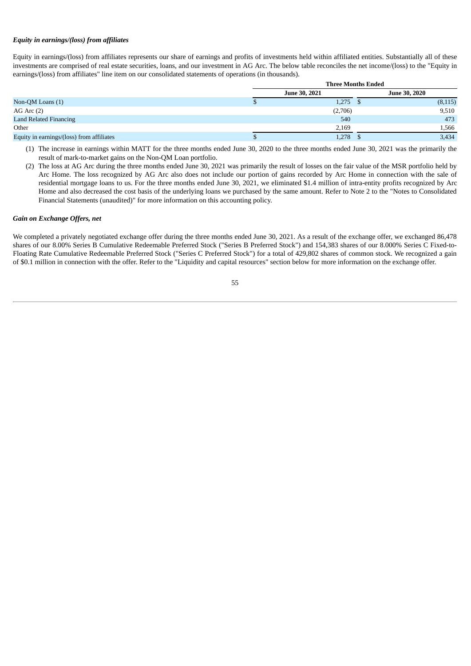## *Equity in earnings/(loss) from affiliates*

Equity in earnings/(loss) from affiliates represents our share of earnings and profits of investments held within affiliated entities. Substantially all of these investments are comprised of real estate securities, loans, and our investment in AG Arc. The below table reconciles the net income/(loss) to the "Equity in earnings/(loss) from affiliates" line item on our consolidated statements of operations (in thousands).

|                                           | <b>Three Months Ended</b> |  |                      |  |  |  |
|-------------------------------------------|---------------------------|--|----------------------|--|--|--|
|                                           | <b>June 30, 2021</b>      |  | <b>June 30, 2020</b> |  |  |  |
| Non-QM Loans (1)                          | 1,275                     |  | (8, 115)             |  |  |  |
| AG Arc $(2)$                              | (2,706)                   |  | 9,510                |  |  |  |
| Land Related Financing                    | 540                       |  | 473                  |  |  |  |
| Other                                     | 2,169                     |  | 1,566                |  |  |  |
| Equity in earnings/(loss) from affiliates | 1,278                     |  | 3,434                |  |  |  |

(1) The increase in earnings within MATT for the three months ended June 30, 2020 to the three months ended June 30, 2021 was the primarily the result of mark-to-market gains on the Non-QM Loan portfolio.

(2) The loss at AG Arc during the three months ended June 30, 2021 was primarily the result of losses on the fair value of the MSR portfolio held by Arc Home. The loss recognized by AG Arc also does not include our portion of gains recorded by Arc Home in connection with the sale of residential mortgage loans to us. For the three months ended June 30, 2021, we eliminated \$1.4 million of intra-entity profits recognized by Arc Home and also decreased the cost basis of the underlying loans we purchased by the same amount. Refer to Note 2 to the "Notes to Consolidated Financial Statements (unaudited)" for more information on this accounting policy.

## *Gain on Exchange Offers, net*

We completed a privately negotiated exchange offer during the three months ended June 30, 2021. As a result of the exchange offer, we exchanged 86,478 shares of our 8.00% Series B Cumulative Redeemable Preferred Stock ("Series B Preferred Stock") and 154,383 shares of our 8.000% Series C Fixed-to-Floating Rate Cumulative Redeemable Preferred Stock ("Series C Preferred Stock") for a total of 429,802 shares of common stock. We recognized a gain of \$0.1 million in connection with the offer. Refer to the "Liquidity and capital resources" section below for more information on the exchange offer.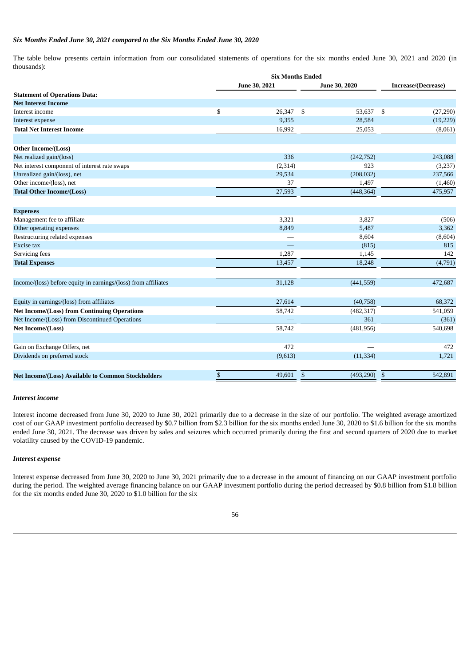## *Six Months Ended June 30, 2021 compared to the Six Months Ended June 30, 2020*

The table below presents certain information from our consolidated statements of operations for the six months ended June 30, 2021 and 2020 (in thousands):

|                                                                | <b>Six Months Ended</b> |  |                |    |                     |
|----------------------------------------------------------------|-------------------------|--|----------------|----|---------------------|
|                                                                | June 30, 2021           |  | June 30, 2020  |    | Increase/(Decrease) |
| <b>Statement of Operations Data:</b>                           |                         |  |                |    |                     |
| <b>Net Interest Income</b>                                     |                         |  |                |    |                     |
| Interest income                                                | \$<br>26,347 \$         |  | 53,637         | \$ | (27, 290)           |
| Interest expense                                               | 9,355                   |  | 28,584         |    | (19, 229)           |
| <b>Total Net Interest Income</b>                               | 16,992                  |  | 25,053         |    | (8,061)             |
| Other Income/(Loss)                                            |                         |  |                |    |                     |
| Net realized gain/(loss)                                       | 336                     |  | (242, 752)     |    | 243,088             |
| Net interest component of interest rate swaps                  | (2,314)                 |  | 923            |    | (3,237)             |
| Unrealized gain/(loss), net                                    | 29,534                  |  | (208, 032)     |    | 237,566             |
| Other income/(loss), net                                       | 37                      |  | 1,497          |    | (1,460)             |
| <b>Total Other Income/(Loss)</b>                               | 27,593                  |  | (448, 364)     |    | 475,957             |
| <b>Expenses</b>                                                |                         |  |                |    |                     |
| Management fee to affiliate                                    | 3,321                   |  | 3,827          |    | (506)               |
| Other operating expenses                                       | 8,849                   |  | 5,487          |    | 3,362               |
| Restructuring related expenses                                 |                         |  | 8,604          |    | (8,604)             |
| Excise tax                                                     |                         |  | (815)          |    | 815                 |
| Servicing fees                                                 | 1,287                   |  | 1,145          |    | 142                 |
| <b>Total Expenses</b>                                          | 13,457                  |  | 18,248         |    | (4,791)             |
| Income/(loss) before equity in earnings/(loss) from affiliates | 31,128                  |  | (441, 559)     |    | 472,687             |
|                                                                |                         |  |                |    |                     |
| Equity in earnings/(loss) from affiliates                      | 27,614                  |  | (40,758)       |    | 68,372              |
| <b>Net Income/(Loss) from Continuing Operations</b>            | 58,742                  |  | (482, 317)     |    | 541,059             |
| Net Income/(Loss) from Discontinued Operations                 |                         |  | 361            |    | (361)               |
| Net Income/(Loss)                                              | 58,742                  |  | (481, 956)     |    | 540,698             |
| Gain on Exchange Offers, net                                   | 472                     |  |                |    | 472                 |
| Dividends on preferred stock                                   | (9,613)                 |  | (11, 334)      |    | 1,721               |
| Net Income/(Loss) Available to Common Stockholders             | \$<br>49,601 \$         |  | $(493,290)$ \$ |    | 542,891             |

#### *Interest income*

Interest income decreased from June 30, 2020 to June 30, 2021 primarily due to a decrease in the size of our portfolio. The weighted average amortized cost of our GAAP investment portfolio decreased by \$0.7 billion from \$2.3 billion for the six months ended June 30, 2020 to \$1.6 billion for the six months ended June 30, 2021. The decrease was driven by sales and seizures which occurred primarily during the first and second quarters of 2020 due to market volatility caused by the COVID-19 pandemic.

#### *Interest expense*

Interest expense decreased from June 30, 2020 to June 30, 2021 primarily due to a decrease in the amount of financing on our GAAP investment portfolio during the period. The weighted average financing balance on our GAAP investment portfolio during the period decreased by \$0.8 billion from \$1.8 billion for the six months ended June 30, 2020 to \$1.0 billion for the six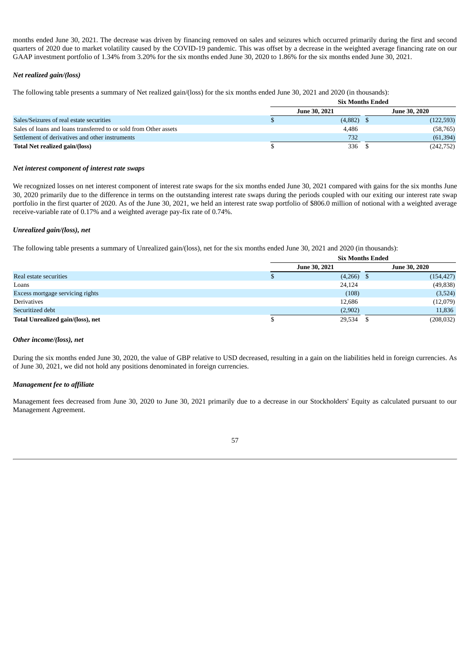months ended June 30, 2021. The decrease was driven by financing removed on sales and seizures which occurred primarily during the first and second quarters of 2020 due to market volatility caused by the COVID-19 pandemic. This was offset by a decrease in the weighted average financing rate on our GAAP investment portfolio of 1.34% from 3.20% for the six months ended June 30, 2020 to 1.86% for the six months ended June 30, 2021.

## *Net realized gain/(loss)*

The following table presents a summary of Net realized gain/(loss) for the six months ended June 30, 2021 and 2020 (in thousands):

|                                                                   | <b>Six Months Ended</b> |                      |  |                      |  |  |
|-------------------------------------------------------------------|-------------------------|----------------------|--|----------------------|--|--|
|                                                                   |                         | <b>June 30, 2021</b> |  | <b>June 30, 2020</b> |  |  |
| Sales/Seizures of real estate securities                          |                         | (4,882)              |  | (122, 593)           |  |  |
| Sales of loans and loans transferred to or sold from Other assets |                         | 4.486                |  | (58, 765)            |  |  |
| Settlement of derivatives and other instruments                   |                         | 732                  |  | (61, 394)            |  |  |
| Total Net realized gain/(loss)                                    |                         | 336                  |  | (242,752)            |  |  |

## *Net interest component of interest rate swaps*

We recognized losses on net interest component of interest rate swaps for the six months ended June 30, 2021 compared with gains for the six months June 30, 2020 primarily due to the difference in terms on the outstanding interest rate swaps during the periods coupled with our exiting our interest rate swap portfolio in the first quarter of 2020. As of the June 30, 2021, we held an interest rate swap portfolio of \$806.0 million of notional with a weighted average receive-variable rate of 0.17% and a weighted average pay-fix rate of 0.74%.

## *Unrealized gain/(loss), net*

The following table presents a summary of Unrealized gain/(loss), net for the six months ended June 30, 2021 and 2020 (in thousands):

|                                   | <b>Six Months Ended</b> |              |  |                      |  |  |  |
|-----------------------------------|-------------------------|--------------|--|----------------------|--|--|--|
|                                   | <b>June 30, 2021</b>    |              |  | <b>June 30, 2020</b> |  |  |  |
| Real estate securities            |                         | $(4,266)$ \$ |  | (154, 427)           |  |  |  |
| Loans                             |                         | 24,124       |  | (49, 838)            |  |  |  |
| Excess mortgage servicing rights  |                         | (108)        |  | (3,524)              |  |  |  |
| <b>Derivatives</b>                |                         | 12,686       |  | (12,079)             |  |  |  |
| Securitized debt                  |                         | (2,902)      |  | 11,836               |  |  |  |
| Total Unrealized gain/(loss), net |                         | 29,534       |  | (208, 032)           |  |  |  |

## *Other income/(loss), net*

During the six months ended June 30, 2020, the value of GBP relative to USD decreased, resulting in a gain on the liabilities held in foreign currencies. As of June 30, 2021, we did not hold any positions denominated in foreign currencies.

## *Management fee to affiliate*

Management fees decreased from June 30, 2020 to June 30, 2021 primarily due to a decrease in our Stockholders' Equity as calculated pursuant to our Management Agreement.

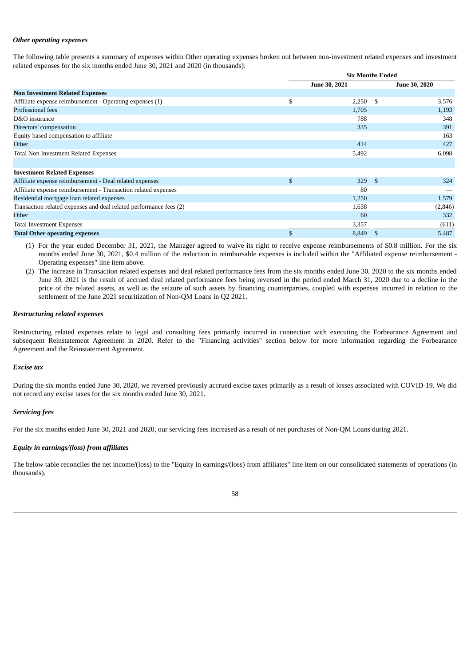## *Other operating expenses*

The following table presents a summary of expenses within Other operating expenses broken out between non-investment related expenses and investment related expenses for the six months ended June 30, 2021 and 2020 (in thousands):

|                                                                    | <b>Six Months Ended</b> |                      |     |                      |  |
|--------------------------------------------------------------------|-------------------------|----------------------|-----|----------------------|--|
|                                                                    |                         | <b>June 30, 2021</b> |     | <b>June 30, 2020</b> |  |
| <b>Non Investment Related Expenses</b>                             |                         |                      |     |                      |  |
| Affiliate expense reimbursement - Operating expenses (1)           | \$                      | 2,250                | -\$ | 3,576                |  |
| Professional fees                                                  |                         | 1,705                |     | 1,193                |  |
| D&O insurance                                                      |                         | 788                  |     | 348                  |  |
| Directors' compensation                                            |                         | 335                  |     | 391                  |  |
| Equity based compensation to affiliate                             |                         |                      |     | 163                  |  |
| Other                                                              |                         | 414                  |     | 427                  |  |
| <b>Total Non Investment Related Expenses</b>                       |                         | 5,492                |     | 6,098                |  |
|                                                                    |                         |                      |     |                      |  |
| <b>Investment Related Expenses</b>                                 |                         |                      |     |                      |  |
| Affiliate expense reimbursement - Deal related expenses            | \$                      | 329                  | \$  | 324                  |  |
| Affiliate expense reimbursement - Transaction related expenses     |                         | 80                   |     |                      |  |
| Residential mortgage loan related expenses                         |                         | 1,250                |     | 1,579                |  |
| Transaction related expenses and deal related performance fees (2) |                         | 1,638                |     | (2,846)              |  |
| Other                                                              |                         | 60                   |     | 332                  |  |
| <b>Total Investment Expenses</b>                                   |                         | 3,357                |     | (611)                |  |
| <b>Total Other operating expenses</b>                              |                         | 8,849                | -S  | 5,487                |  |

(1) For the year ended December 31, 2021, the Manager agreed to waive its right to receive expense reimbursements of \$0.8 million. For the six months ended June 30, 2021, \$0.4 million of the reduction in reimbursable expenses is included within the "Affiliated expense reimbursement - Operating expenses" line item above.

(2) The increase in Transaction related expenses and deal related performance fees from the six months ended June 30, 2020 to the six months ended June 30, 2021 is the result of accrued deal related performance fees being reversed in the period ended March 31, 2020 due to a decline in the price of the related assets, as well as the seizure of such assets by financing counterparties, coupled with expenses incurred in relation to the settlement of the June 2021 securitization of Non-QM Loans in Q2 2021.

#### *Restructuring related expenses*

Restructuring related expenses relate to legal and consulting fees primarily incurred in connection with executing the Forbearance Agreement and subsequent Reinstatement Agreement in 2020. Refer to the "Financing activities" section below for more information regarding the Forbearance Agreement and the Reinstatement Agreement.

## *Excise tax*

During the six months ended June 30, 2020, we reversed previously accrued excise taxes primarily as a result of losses associated with COVID-19. We did not record any excise taxes for the six months ended June 30, 2021.

### *Servicing fees*

For the six months ended June 30, 2021 and 2020, our servicing fees increased as a result of net purchases of Non-QM Loans during 2021.

## *Equity in earnings/(loss) from affiliates*

The below table reconciles the net income/(loss) to the "Equity in earnings/(loss) from affiliates" line item on our consolidated statements of operations (in thousands).

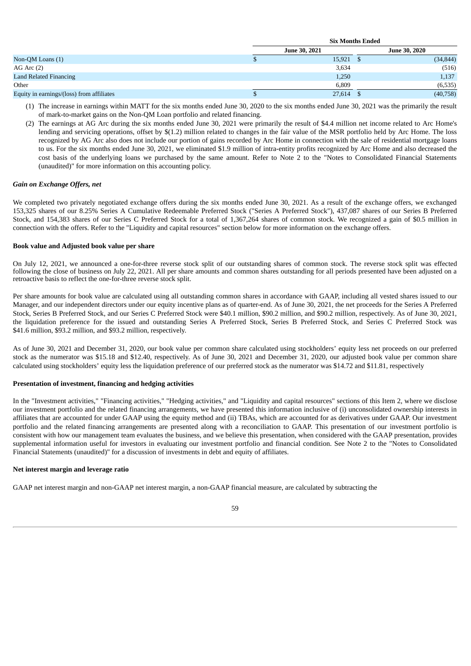|                                           | <b>Six Months Ended</b> |  |                      |  |  |  |  |
|-------------------------------------------|-------------------------|--|----------------------|--|--|--|--|
|                                           | <b>June 30, 2021</b>    |  | <b>June 30, 2020</b> |  |  |  |  |
| Non-QM Loans (1)                          | 15,921                  |  | (34, 844)            |  |  |  |  |
| AG Arc $(2)$                              | 3,634                   |  | (516)                |  |  |  |  |
| <b>Land Related Financing</b>             | 1,250                   |  | 1,137                |  |  |  |  |
| Other                                     | 6,809                   |  | (6,535)              |  |  |  |  |
| Equity in earnings/(loss) from affiliates | 27,614                  |  | (40, 758)            |  |  |  |  |

- (1) The increase in earnings within MATT for the six months ended June 30, 2020 to the six months ended June 30, 2021 was the primarily the result of mark-to-market gains on the Non-QM Loan portfolio and related financing.
- (2) The earnings at AG Arc during the six months ended June 30, 2021 were primarily the result of \$4.4 million net income related to Arc Home's lending and servicing operations, offset by \$(1.2) million related to changes in the fair value of the MSR portfolio held by Arc Home. The loss recognized by AG Arc also does not include our portion of gains recorded by Arc Home in connection with the sale of residential mortgage loans to us. For the six months ended June 30, 2021, we eliminated \$1.9 million of intra-entity profits recognized by Arc Home and also decreased the cost basis of the underlying loans we purchased by the same amount. Refer to Note 2 to the "Notes to Consolidated Financial Statements (unaudited)" for more information on this accounting policy.

# *Gain on Exchange Offers, net*

We completed two privately negotiated exchange offers during the six months ended June 30, 2021. As a result of the exchange offers, we exchanged 153,325 shares of our 8.25% Series A Cumulative Redeemable Preferred Stock ("Series A Preferred Stock"), 437,087 shares of our Series B Preferred Stock, and 154,383 shares of our Series C Preferred Stock for a total of 1,367,264 shares of common stock. We recognized a gain of \$0.5 million in connection with the offers. Refer to the "Liquidity and capital resources" section below for more information on the exchange offers.

## **Book value and Adjusted book value per share**

On July 12, 2021, we announced a one-for-three reverse stock split of our outstanding shares of common stock. The reverse stock split was effected following the close of business on July 22, 2021. All per share amounts and common shares outstanding for all periods presented have been adjusted on a retroactive basis to reflect the one-for-three reverse stock split.

Per share amounts for book value are calculated using all outstanding common shares in accordance with GAAP, including all vested shares issued to our Manager, and our independent directors under our equity incentive plans as of quarter-end. As of June 30, 2021, the net proceeds for the Series A Preferred Stock, Series B Preferred Stock, and our Series C Preferred Stock were \$40.1 million, \$90.2 million, and \$90.2 million, respectively. As of June 30, 2021, the liquidation preference for the issued and outstanding Series A Preferred Stock, Series B Preferred Stock, and Series C Preferred Stock was \$41.6 million, \$93.2 million, and \$93.2 million, respectively.

As of June 30, 2021 and December 31, 2020, our book value per common share calculated using stockholders' equity less net proceeds on our preferred stock as the numerator was \$15.18 and \$12.40, respectively. As of June 30, 2021 and December 31, 2020, our adjusted book value per common share calculated using stockholders' equity less the liquidation preference of our preferred stock as the numerator was \$14.72 and \$11.81, respectively

#### **Presentation of investment, financing and hedging activities**

In the "Investment activities," "Financing activities," "Hedging activities," and "Liquidity and capital resources" sections of this Item 2, where we disclose our investment portfolio and the related financing arrangements, we have presented this information inclusive of (i) unconsolidated ownership interests in affiliates that are accounted for under GAAP using the equity method and (ii) TBAs, which are accounted for as derivatives under GAAP. Our investment portfolio and the related financing arrangements are presented along with a reconciliation to GAAP. This presentation of our investment portfolio is consistent with how our management team evaluates the business, and we believe this presentation, when considered with the GAAP presentation, provides supplemental information useful for investors in evaluating our investment portfolio and financial condition. See Note 2 to the "Notes to Consolidated Financial Statements (unaudited)" for a discussion of investments in debt and equity of affiliates.

#### **Net interest margin and leverage ratio**

GAAP net interest margin and non-GAAP net interest margin, a non-GAAP financial measure, are calculated by subtracting the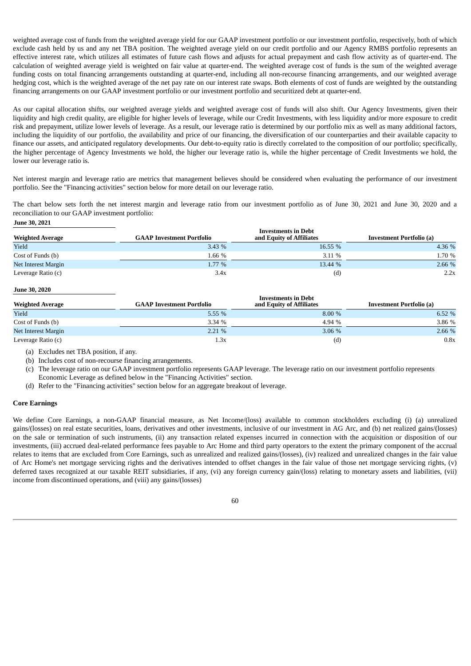weighted average cost of funds from the weighted average yield for our GAAP investment portfolio or our investment portfolio, respectively, both of which exclude cash held by us and any net TBA position. The weighted average yield on our credit portfolio and our Agency RMBS portfolio represents an effective interest rate, which utilizes all estimates of future cash flows and adjusts for actual prepayment and cash flow activity as of quarter-end. The calculation of weighted average yield is weighted on fair value at quarter-end. The weighted average cost of funds is the sum of the weighted average funding costs on total financing arrangements outstanding at quarter-end, including all non-recourse financing arrangements, and our weighted average hedging cost, which is the weighted average of the net pay rate on our interest rate swaps. Both elements of cost of funds are weighted by the outstanding financing arrangements on our GAAP investment portfolio or our investment portfolio and securitized debt at quarter-end.

As our capital allocation shifts, our weighted average yields and weighted average cost of funds will also shift. Our Agency Investments, given their liquidity and high credit quality, are eligible for higher levels of leverage, while our Credit Investments, with less liquidity and/or more exposure to credit risk and prepayment, utilize lower levels of leverage. As a result, our leverage ratio is determined by our portfolio mix as well as many additional factors, including the liquidity of our portfolio, the availability and price of our financing, the diversification of our counterparties and their available capacity to finance our assets, and anticipated regulatory developments. Our debt-to-equity ratio is directly correlated to the composition of our portfolio; specifically, the higher percentage of Agency Investments we hold, the higher our leverage ratio is, while the higher percentage of Credit Investments we hold, the lower our leverage ratio is.

Net interest margin and leverage ratio are metrics that management believes should be considered when evaluating the performance of our investment portfolio. See the "Financing activities" section below for more detail on our leverage ratio.

The chart below sets forth the net interest margin and leverage ratio from our investment portfolio as of June 30, 2021 and June 30, 2020 and a reconciliation to our GAAP investment portfolio:

**June 30, 2021**

| <b>Weighted Average</b> | <b>GAAP Investment Portfolio</b> | <b>Investments in Debt</b><br>and Equity of Affiliates | <b>Investment Portfolio (a)</b> |
|-------------------------|----------------------------------|--------------------------------------------------------|---------------------------------|
| Yield                   | 3.43%                            | 16.55 %                                                | 4.36 %                          |
| Cost of Funds (b)       | 1.66 %                           | $3.11\%$                                               | 1.70 %                          |
| Net Interest Margin     | 1.77 %                           | 13.44 %                                                | 2.66 %                          |
| Leverage Ratio (c)      | 3.4x                             | (d)                                                    | 2.2x                            |

## **June 30, 2020**

| <b>Weighted Average</b> | <b>GAAP Investment Portfolio</b> | <b>Investments in Debt</b><br>and Equity of Affiliates |        |  |  |  |  |  |
|-------------------------|----------------------------------|--------------------------------------------------------|--------|--|--|--|--|--|
| Yield                   | 5.55%                            | 8.00%                                                  | 6.52 % |  |  |  |  |  |
| Cost of Funds (b)       | 3.34%                            | 4.94%                                                  | 3.86 % |  |  |  |  |  |
| Net Interest Margin     | 2.21 %                           | $3.06\%$                                               | 2.66 % |  |  |  |  |  |
| Leverage Ratio (c)      | 1.3x                             | (d)                                                    | 0.8x   |  |  |  |  |  |

(a) Excludes net TBA position, if any.

- (b) Includes cost of non-recourse financing arrangements.
- (c) The leverage ratio on our GAAP investment portfolio represents GAAP leverage. The leverage ratio on our investment portfolio represents Economic Leverage as defined below in the "Financing Activities" section.
- (d) Refer to the "Financing activities" section below for an aggregate breakout of leverage.

### **Core Earnings**

We define Core Earnings, a non-GAAP financial measure, as Net Income/(loss) available to common stockholders excluding (i) (a) unrealized gains/(losses) on real estate securities, loans, derivatives and other investments, inclusive of our investment in AG Arc, and (b) net realized gains/(losses) on the sale or termination of such instruments, (ii) any transaction related expenses incurred in connection with the acquisition or disposition of our investments, (iii) accrued deal-related performance fees payable to Arc Home and third party operators to the extent the primary component of the accrual relates to items that are excluded from Core Earnings, such as unrealized and realized gains/(losses), (iv) realized and unrealized changes in the fair value of Arc Home's net mortgage servicing rights and the derivatives intended to offset changes in the fair value of those net mortgage servicing rights, (v) deferred taxes recognized at our taxable REIT subsidiaries, if any, (vi) any foreign currency gain/(loss) relating to monetary assets and liabilities, (vii) income from discontinued operations, and (viii) any gains/(losses)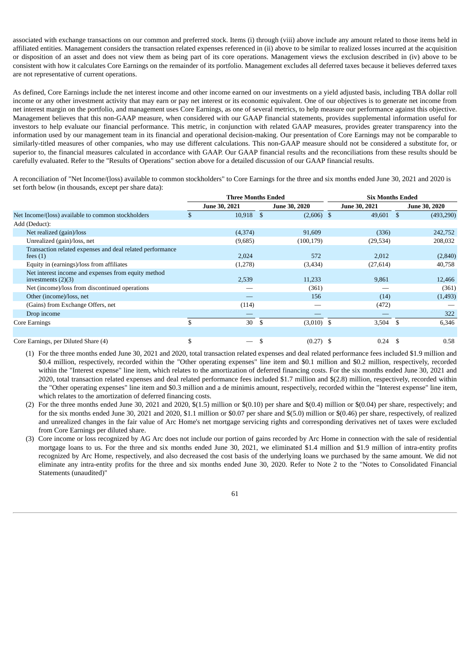associated with exchange transactions on our common and preferred stock. Items (i) through (viii) above include any amount related to those items held in affiliated entities. Management considers the transaction related expenses referenced in (ii) above to be similar to realized losses incurred at the acquisition or disposition of an asset and does not view them as being part of its core operations. Management views the exclusion described in (iv) above to be consistent with how it calculates Core Earnings on the remainder of its portfolio. Management excludes all deferred taxes because it believes deferred taxes are not representative of current operations.

As defined, Core Earnings include the net interest income and other income earned on our investments on a yield adjusted basis, including TBA dollar roll income or any other investment activity that may earn or pay net interest or its economic equivalent. One of our objectives is to generate net income from net interest margin on the portfolio, and management uses Core Earnings, as one of several metrics, to help measure our performance against this objective. Management believes that this non-GAAP measure, when considered with our GAAP financial statements, provides supplemental information useful for investors to help evaluate our financial performance. This metric, in conjunction with related GAAP measures, provides greater transparency into the information used by our management team in its financial and operational decision-making. Our presentation of Core Earnings may not be comparable to similarly-titled measures of other companies, who may use different calculations. This non-GAAP measure should not be considered a substitute for, or superior to, the financial measures calculated in accordance with GAAP. Our GAAP financial results and the reconciliations from these results should be carefully evaluated. Refer to the "Results of Operations" section above for a detailed discussion of our GAAP financial results.

A reconciliation of "Net Income/(loss) available to common stockholders" to Core Earnings for the three and six months ended June 30, 2021 and 2020 is set forth below (in thousands, except per share data):

|                                                                             | <b>Three Months Ended</b> |      |               | <b>Six Months Ended</b> |  |                      |  |  |  |  |
|-----------------------------------------------------------------------------|---------------------------|------|---------------|-------------------------|--|----------------------|--|--|--|--|
|                                                                             | <b>June 30, 2021</b>      |      | June 30, 2020 | <b>June 30, 2021</b>    |  | <b>June 30, 2020</b> |  |  |  |  |
| Net Income/(loss) available to common stockholders                          | $10,918$ \$               |      | $(2,606)$ \$  | 49,601 \$               |  | (493, 290)           |  |  |  |  |
| Add (Deduct):                                                               |                           |      |               |                         |  |                      |  |  |  |  |
| Net realized (gain)/loss                                                    | (4,374)                   |      | 91,609        | (336)                   |  | 242,752              |  |  |  |  |
| Unrealized (gain)/loss, net                                                 | (9,685)                   |      | (100, 179)    | (29, 534)               |  | 208,032              |  |  |  |  |
| Transaction related expenses and deal related performance<br>fees $(1)$     | 2,024                     |      | 572           | 2,012                   |  | (2,840)              |  |  |  |  |
| Equity in (earnings)/loss from affiliates                                   | (1,278)                   |      | (3,434)       | (27, 614)               |  | 40,758               |  |  |  |  |
| Net interest income and expenses from equity method<br>investments $(2)(3)$ | 2,539                     |      | 11,233        | 9,861                   |  | 12,466               |  |  |  |  |
| Net (income)/loss from discontinued operations                              |                           |      | (361)         |                         |  | (361)                |  |  |  |  |
| Other (income)/loss, net                                                    |                           |      | 156           | (14)                    |  | (1, 493)             |  |  |  |  |
| (Gains) from Exchange Offers, net                                           | (114)                     |      |               | (472)                   |  |                      |  |  |  |  |
| Drop income                                                                 |                           |      |               |                         |  | 322                  |  |  |  |  |
| Core Earnings                                                               | \$<br>30                  | - \$ | $(3,010)$ \$  | $3,504$ \$              |  | 6,346                |  |  |  |  |
|                                                                             |                           |      |               |                         |  |                      |  |  |  |  |
| Core Earnings, per Diluted Share (4)                                        | \$                        |      | $(0.27)$ \$   | $0.24$ \$               |  | 0.58                 |  |  |  |  |

(1) For the three months ended June 30, 2021 and 2020, total transaction related expenses and deal related performance fees included \$1.9 million and \$0.4 million, respectively, recorded within the "Other operating expenses" line item and \$0.1 million and \$0.2 million, respectively, recorded within the "Interest expense" line item, which relates to the amortization of deferred financing costs. For the six months ended June 30, 2021 and 2020, total transaction related expenses and deal related performance fees included \$1.7 million and \$(2.8) million, respectively, recorded within the "Other operating expenses" line item and \$0.3 million and a de minimis amount, respectively, recorded within the "Interest expense" line item, which relates to the amortization of deferred financing costs.

- (2) For the three months ended June 30, 2021 and 2020, \$(1.5) million or \$(0.10) per share and \$(0.4) million or \$(0.04) per share, respectively; and for the six months ended June 30, 2021 and 2020, \$1.1 million or \$0.07 per share and \$(5.0) million or \$(0.46) per share, respectively, of realized and unrealized changes in the fair value of Arc Home's net mortgage servicing rights and corresponding derivatives net of taxes were excluded from Core Earnings per diluted share.
- (3) Core income or loss recognized by AG Arc does not include our portion of gains recorded by Arc Home in connection with the sale of residential mortgage loans to us. For the three and six months ended June 30, 2021, we eliminated \$1.4 million and \$1.9 million of intra-entity profits recognized by Arc Home, respectively, and also decreased the cost basis of the underlying loans we purchased by the same amount. We did not eliminate any intra-entity profits for the three and six months ended June 30, 2020. Refer to Note 2 to the "Notes to Consolidated Financial Statements (unaudited)"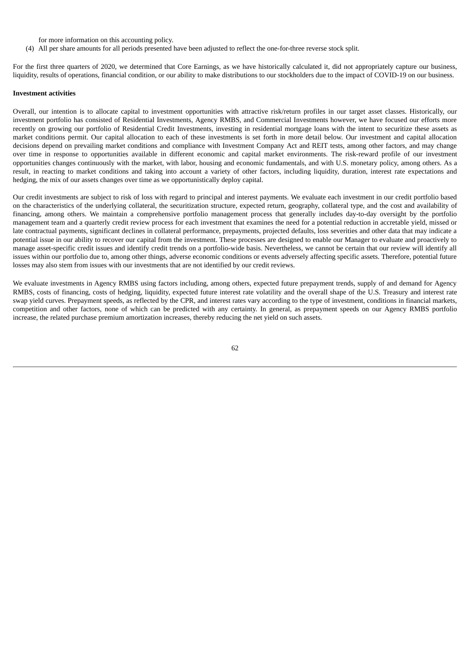for more information on this accounting policy.

(4) All per share amounts for all periods presented have been adjusted to reflect the one-for-three reverse stock split.

For the first three quarters of 2020, we determined that Core Earnings, as we have historically calculated it, did not appropriately capture our business, liquidity, results of operations, financial condition, or our ability to make distributions to our stockholders due to the impact of COVID-19 on our business.

### **Investment activities**

Overall, our intention is to allocate capital to investment opportunities with attractive risk/return profiles in our target asset classes. Historically, our investment portfolio has consisted of Residential Investments, Agency RMBS, and Commercial Investments however, we have focused our efforts more recently on growing our portfolio of Residential Credit Investments, investing in residential mortgage loans with the intent to securitize these assets as market conditions permit. Our capital allocation to each of these investments is set forth in more detail below. Our investment and capital allocation decisions depend on prevailing market conditions and compliance with Investment Company Act and REIT tests, among other factors, and may change over time in response to opportunities available in different economic and capital market environments. The risk-reward profile of our investment opportunities changes continuously with the market, with labor, housing and economic fundamentals, and with U.S. monetary policy, among others. As a result, in reacting to market conditions and taking into account a variety of other factors, including liquidity, duration, interest rate expectations and hedging, the mix of our assets changes over time as we opportunistically deploy capital.

Our credit investments are subject to risk of loss with regard to principal and interest payments. We evaluate each investment in our credit portfolio based on the characteristics of the underlying collateral, the securitization structure, expected return, geography, collateral type, and the cost and availability of financing, among others. We maintain a comprehensive portfolio management process that generally includes day-to-day oversight by the portfolio management team and a quarterly credit review process for each investment that examines the need for a potential reduction in accretable yield, missed or late contractual payments, significant declines in collateral performance, prepayments, projected defaults, loss severities and other data that may indicate a potential issue in our ability to recover our capital from the investment. These processes are designed to enable our Manager to evaluate and proactively to manage asset-specific credit issues and identify credit trends on a portfolio-wide basis. Nevertheless, we cannot be certain that our review will identify all issues within our portfolio due to, among other things, adverse economic conditions or events adversely affecting specific assets. Therefore, potential future losses may also stem from issues with our investments that are not identified by our credit reviews.

We evaluate investments in Agency RMBS using factors including, among others, expected future prepayment trends, supply of and demand for Agency RMBS, costs of financing, costs of hedging, liquidity, expected future interest rate volatility and the overall shape of the U.S. Treasury and interest rate swap yield curves. Prepayment speeds, as reflected by the CPR, and interest rates vary according to the type of investment, conditions in financial markets, competition and other factors, none of which can be predicted with any certainty. In general, as prepayment speeds on our Agency RMBS portfolio increase, the related purchase premium amortization increases, thereby reducing the net yield on such assets.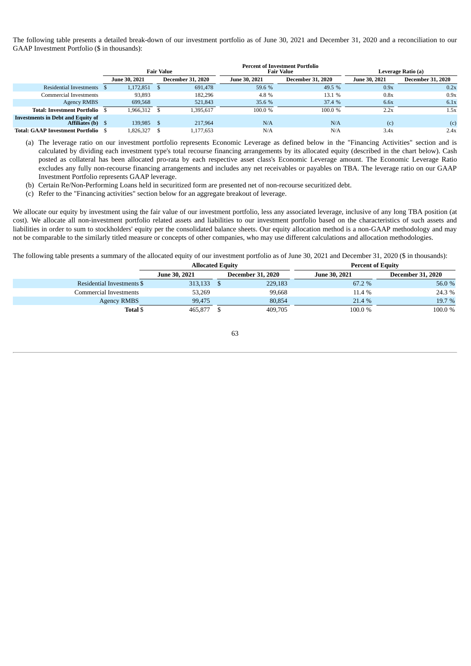The following table presents a detailed break-down of our investment portfolio as of June 30, 2021 and December 31, 2020 and a reconciliation to our GAAP Investment Portfolio (\$ in thousands):

|                                                               |                      |      | <b>Fair Value</b>        |                      | Leverage Ratio (a)       |                      |                          |
|---------------------------------------------------------------|----------------------|------|--------------------------|----------------------|--------------------------|----------------------|--------------------------|
|                                                               | <b>June 30, 2021</b> |      | <b>December 31, 2020</b> | <b>June 30, 2021</b> | <b>December 31, 2020</b> | <b>June 30, 2021</b> | <b>December 31, 2020</b> |
| Residential Investments \$                                    | 1,172,851            | - S  | 691,478                  | 59.6 %               | 49.5 %                   | 0.9x                 | 0.2x                     |
| Commercial Investments                                        | 93.893               |      | 182,296                  | 4.8 %                | 13.1 %                   | 0.8x                 | 0.9x                     |
| Agency RMBS                                                   | 699,568              |      | 521,843                  | 35.6 %               | 37.4 %                   | 6.6x                 | 6.1x                     |
| <b>Total: Investment Portfolio</b> \$                         | 1,966,312 \$         |      | 1,395,617                | 100.0 %              | 100.0 %                  | 2.2x                 | 1.5x                     |
| <b>Investments in Debt and Equity of</b><br>Affiliates (b) \$ | 139,985              | - \$ | 217,964                  | N/A                  | N/A                      | (c)                  | (c)                      |
| Total: GAAP Investment Portfolio \$                           | 1,826,327            |      | 1,177,653                | N/A                  | N/A                      | 3.4x                 | 2.4x                     |

(a) The leverage ratio on our investment portfolio represents Economic Leverage as defined below in the "Financing Activities" section and is calculated by dividing each investment type's total recourse financing arrangements by its allocated equity (described in the chart below). Cash posted as collateral has been allocated pro-rata by each respective asset class's Economic Leverage amount. The Economic Leverage Ratio excludes any fully non-recourse financing arrangements and includes any net receivables or payables on TBA. The leverage ratio on our GAAP Investment Portfolio represents GAAP leverage.

- (b) Certain Re/Non-Performing Loans held in securitized form are presented net of non-recourse securitized debt.
- (c) Refer to the "Financing activities" section below for an aggregate breakout of leverage.

We allocate our equity by investment using the fair value of our investment portfolio, less any associated leverage, inclusive of any long TBA position (at cost). We allocate all non-investment portfolio related assets and liabilities to our investment portfolio based on the characteristics of such assets and liabilities in order to sum to stockholders' equity per the consolidated balance sheets. Our equity allocation method is a non-GAAP methodology and may not be comparable to the similarly titled measure or concepts of other companies, who may use different calculations and allocation methodologies.

The following table presents a summary of the allocated equity of our investment portfolio as of June 30, 2021 and December 31, 2020 (\$ in thousands):

|                            | <b>Allocated Equity</b> |                          |                      | <b>Percent of Equity</b> |
|----------------------------|-------------------------|--------------------------|----------------------|--------------------------|
|                            | <b>June 30, 2021</b>    | <b>December 31, 2020</b> | <b>June 30, 2021</b> | <b>December 31, 2020</b> |
| Residential Investments \$ | 313,133                 | 229,183                  | 67.2 %               | 56.0 %                   |
| Commercial Investments     | 53,269                  | 99.668                   | 11.4 %               | 24.3 %                   |
| Agency RMBS                | 99.475                  | 80,854                   | 21.4 %               | 19.7 %                   |
| <b>Total \$</b>            | 465,877                 | 409,705                  | 100.0%               | 100.0%                   |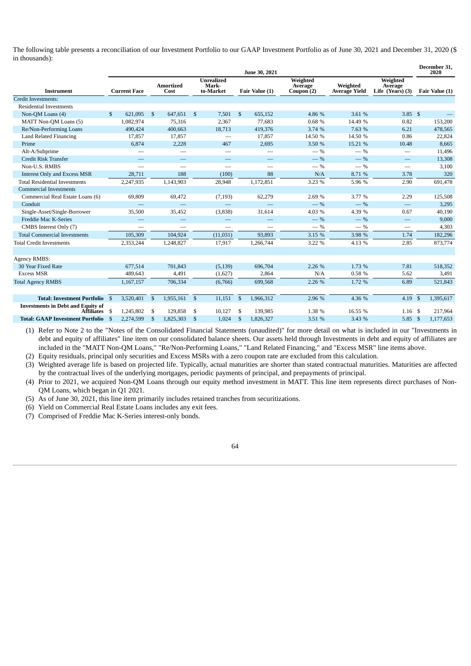The following table presents a reconciliation of our Investment Portfolio to our GAAP Investment Portfolio as of June 30, 2021 and December 31, 2020 (\$ in thousands):

|                                                               |              |                     |              |                          |              |                                         |                | June 30, 2021            |                                   |                           |                                           |              | December 31,<br>2020 |
|---------------------------------------------------------------|--------------|---------------------|--------------|--------------------------|--------------|-----------------------------------------|----------------|--------------------------|-----------------------------------|---------------------------|-------------------------------------------|--------------|----------------------|
| Instrument                                                    |              | <b>Current Face</b> |              | <b>Amortized</b><br>Cost |              | <b>Unrealized</b><br>Mark-<br>to-Market |                | Fair Value (1)           | Weighted<br>Average<br>Coupon (2) | Weighted<br>Average Yield | Weighted<br>Average<br>Life (Years) $(3)$ |              | Fair Value (1)       |
| <b>Credit Investments:</b>                                    |              |                     |              |                          |              |                                         |                |                          |                                   |                           |                                           |              |                      |
| <b>Residential Investments</b>                                |              |                     |              |                          |              |                                         |                |                          |                                   |                           |                                           |              |                      |
| Non-QM Loans (4)                                              | $\mathbb{S}$ | 621,095             | $\mathbb{S}$ | 647,651                  | $\mathbf{s}$ | 7,501                                   | $\mathfrak{s}$ | 655,152                  | 4.86 %                            | 3.61 %                    | $3.85$ \$                                 |              |                      |
| MATT Non-QM Loans (5)                                         |              | 1,082,974           |              | 75,316                   |              | 2,367                                   |                | 77,683                   | 0.68 %                            | 14.49 %                   | 0.82                                      |              | 153,200              |
| Re/Non-Performing Loans                                       |              | 490,424             |              | 400,663                  |              | 18,713                                  |                | 419,376                  | 3.74 %                            | 7.63 %                    | 6.21                                      |              | 478,565              |
| Land Related Financing                                        |              | 17,857              |              | 17,857                   |              |                                         |                | 17,857                   | 14.50 %                           | 14.50 %                   | 0.86                                      |              | 22,824               |
| Prime                                                         |              | 6,874               |              | 2,228                    |              | 467                                     |                | 2,695                    | 3.50 %                            | 15.21 %                   | 10.48                                     |              | 8,665                |
| Alt-A/Subprime                                                |              |                     |              |                          |              | $\overline{\phantom{0}}$                |                |                          | $-$ %                             | $-$ %                     | $\overline{\phantom{0}}$                  |              | 11,496               |
| Credit Risk Transfer                                          |              |                     |              |                          |              | —                                       |                | $\overline{\phantom{0}}$ | $-$ %                             | $-$ %                     | $\hspace{0.05cm}$                         |              | 13,308               |
| Non-U.S. RMBS                                                 |              |                     |              |                          |              |                                         |                | $\overline{\phantom{0}}$ | $-$ %                             | $-$ %                     | $\overline{\phantom{0}}$                  |              | 3,100                |
| <b>Interest Only and Excess MSR</b>                           |              | 28,711              |              | 188                      |              | (100)                                   |                | 88                       | N/A                               | 8.71 %                    | 3.78                                      |              | 320                  |
| <b>Total Residential Investments</b>                          |              | 2,247,935           |              | 1,143,903                |              | 28,948                                  |                | 1,172,851                | 3.23 %                            | 5.96 %                    | 2.90                                      |              | 691,478              |
| <b>Commercial Investments</b>                                 |              |                     |              |                          |              |                                         |                |                          |                                   |                           |                                           |              |                      |
| Commercial Real Estate Loans (6)                              |              | 69,809              |              | 69,472                   |              | (7, 193)                                |                | 62,279                   | 2.69 %                            | 3.77 %                    | 2.29                                      |              | 125,508              |
| Conduit                                                       |              |                     |              |                          |              |                                         |                |                          | $-$ %                             | $-$ %                     | $\equiv$                                  |              | 3,295                |
| Single-Asset/Single-Borrower                                  |              | 35,500              |              | 35,452                   |              | (3,838)                                 |                | 31,614                   | 4.03 %                            | 4.39 %                    | 0.67                                      |              | 40,190               |
| Freddie Mac K-Series                                          |              |                     |              |                          |              | $\overline{\phantom{0}}$                |                |                          | $-$ %                             | $-$ %                     |                                           |              | 9,000                |
| CMBS Interest Only (7)                                        |              |                     |              |                          |              | $\overline{\phantom{0}}$                |                | $\overline{\phantom{0}}$ | $-$ %                             | $-$ %                     | $\overline{\phantom{0}}$                  |              | 4,303                |
| <b>Total Commercial Investments</b>                           |              | 105,309             |              | 104,924                  |              | (11,031)                                |                | 93,893                   | 3.15 %                            | 3.98 %                    | 1.74                                      |              | 182,296              |
| <b>Total Credit Investments</b>                               |              | 2,353,244           |              | 1,248,827                |              | 17,917                                  |                | 1,266,744                | 3.22 %                            | 4.13 %                    | 2.85                                      |              | 873,774              |
|                                                               |              |                     |              |                          |              |                                         |                |                          |                                   |                           |                                           |              |                      |
| <b>Agency RMBS:</b>                                           |              |                     |              |                          |              |                                         |                |                          |                                   |                           |                                           |              |                      |
| 30 Year Fixed Rate                                            |              | 677,514             |              | 701,843                  |              | (5, 139)                                |                | 696,704                  | 2.26 %                            | 1.73 %                    | 7.81                                      |              | 518,352              |
| <b>Excess MSR</b>                                             |              | 489,643             |              | 4,491                    |              | (1,627)                                 |                | 2,864                    | N/A                               | 0.58 %                    | 5.62                                      |              | 3,491                |
| <b>Total Agency RMBS</b>                                      |              | 1,167,157           |              | 706,334                  |              | (6,766)                                 |                | 699,568                  | 2.26 %                            | 1.72 %                    | 6.89                                      |              | 521,843              |
|                                                               |              |                     |              |                          |              |                                         |                |                          |                                   |                           |                                           |              |                      |
| <b>Total: Investment Portfolio</b>                            | - \$         | 3,520,401           | $\mathbb{S}$ | 1,955,161                | $\mathbb{S}$ | 11,151                                  | $\mathfrak{s}$ | 1,966,312                | 2.96 %                            | 4.36 %                    | 4.19                                      | $\mathbb{S}$ | 1,395,617            |
| <b>Investments in Debt and Equity of</b><br><b>Affiliates</b> | - \$         | 1,245,802           | -S           | 129.858                  | - \$         | 10,127                                  | S              | 139,985                  | 1.38 %                            | 16.55 %                   | 1.16 <sup>5</sup>                         |              | 217,964              |
| <b>Total: GAAP Investment Portfolio</b>                       | - \$         | 2,274,599           | $\mathbb{S}$ | 1,825,303                | \$           | 1,024                                   | \$             | 1,826,327                | 3.51 %                            | 3.43 %                    | 5.85 \$                                   |              | 1,177,653            |

(1) Refer to Note 2 to the "Notes of the Consolidated Financial Statements (unaudited)" for more detail on what is included in our "Investments in debt and equity of affiliates" line item on our consolidated balance sheets. Our assets held through Investments in debt and equity of affiliates are included in the "MATT Non-QM Loans," "Re/Non-Performing Loans," "Land Related Financing," and "Excess MSR" line items above.

(2) Equity residuals, principal only securities and Excess MSRs with a zero coupon rate are excluded from this calculation.

(3) Weighted average life is based on projected life. Typically, actual maturities are shorter than stated contractual maturities. Maturities are affected by the contractual lives of the underlying mortgages, periodic payments of principal, and prepayments of principal.

(4) Prior to 2021, we acquired Non-QM Loans through our equity method investment in MATT. This line item represents direct purchases of Non-QM Loans, which began in Q1 2021.

- (5) As of June 30, 2021, this line item primarily includes retained tranches from securitizations.
- (6) Yield on Commercial Real Estate Loans includes any exit fees.
- (7) Comprised of Freddie Mac K-Series interest-only bonds.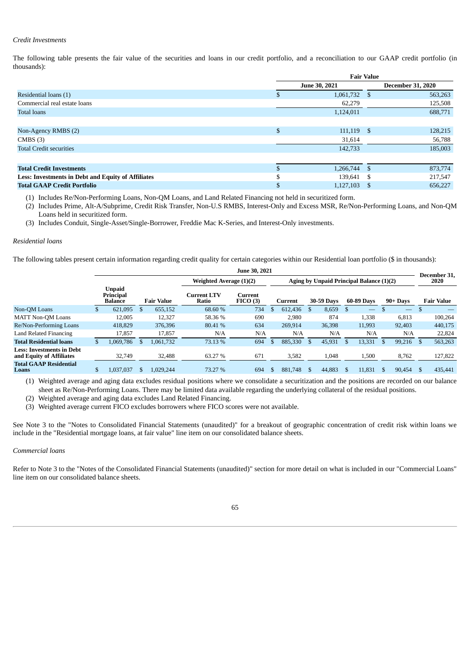## *Credit Investments*

The following table presents the fair value of the securities and loans in our credit portfolio, and a reconciliation to our GAAP credit portfolio (in thousands):

|                                                    |              | <b>Fair Value</b> |   |                          |  |  |  |
|----------------------------------------------------|--------------|-------------------|---|--------------------------|--|--|--|
|                                                    |              | June 30, 2021     |   | <b>December 31, 2020</b> |  |  |  |
| Residential loans (1)                              | -S           | $1,061,732$ \$    |   | 563,263                  |  |  |  |
| Commercial real estate loans                       |              | 62,279            |   | 125,508                  |  |  |  |
| <b>Total loans</b>                                 |              | 1,124,011         |   | 688,771                  |  |  |  |
|                                                    |              |                   |   |                          |  |  |  |
| Non-Agency RMBS (2)                                | \$           | 111,119 \$        |   | 128,215                  |  |  |  |
| CMBS(3)                                            |              | 31,614            |   | 56,788                   |  |  |  |
| <b>Total Credit securities</b>                     |              | 142,733           |   | 185,003                  |  |  |  |
|                                                    |              |                   |   |                          |  |  |  |
| <b>Total Credit Investments</b>                    | $\mathbf{S}$ | 1,266,744 \$      |   | 873,774                  |  |  |  |
| Less: Investments in Debt and Equity of Affiliates | \$           | 139.641 \$        |   | 217,547                  |  |  |  |
| <b>Total GAAP Credit Portfolio</b>                 | \$           | 1,127,103         | S | 656.227                  |  |  |  |

(1) Includes Re/Non-Performing Loans, Non-QM Loans, and Land Related Financing not held in securitized form.

(2) Includes Prime, Alt-A/Subprime, Credit Risk Transfer, Non-U.S RMBS, Interest-Only and Excess MSR, Re/Non-Performing Loans, and Non-QM Loans held in securitized form.

(3) Includes Conduit, Single-Asset/Single-Borrower, Freddie Mac K-Series, and Interest-Only investments.

#### *Residential loans*

The following tables present certain information regarding credit quality for certain categories within our Residential loan portfolio (\$ in thousands):

|                                                              |    | June 30, 2021                         |               |                   |                             |                    |    |                                          |  |                   |     | December 31,             |    |            |    |                   |
|--------------------------------------------------------------|----|---------------------------------------|---------------|-------------------|-----------------------------|--------------------|----|------------------------------------------|--|-------------------|-----|--------------------------|----|------------|----|-------------------|
|                                                              |    | <b>Weighted Average (1)(2)</b>        |               |                   |                             |                    |    | Aging by Unpaid Principal Balance (1)(2) |  |                   |     |                          |    |            |    | 2020              |
|                                                              |    | Unpaid<br>Principal<br><b>Balance</b> |               | <b>Fair Value</b> | <b>Current LTV</b><br>Ratio | Current<br>FICO(3) |    | Current                                  |  | <b>30-59 Days</b> |     | 60-89 Days               |    | $90+$ Davs |    | <b>Fair Value</b> |
| Non-QM Loans                                                 | D. | 621,095                               | \$            | 655,152           | 68.60 %                     | 734                |    | 612.436                                  |  | 8,659             |     | $\overline{\phantom{0}}$ |    |            | D  |                   |
| <b>MATT Non-QM Loans</b>                                     |    | 12.005                                |               | 12.327            | 58.36 %                     | 690                |    | 2,980                                    |  | 874               |     | 1,338                    |    | 6,813      |    | 100,264           |
| Re/Non-Performing Loans                                      |    | 418,829                               |               | 376,396           | 80.41 %                     | 634                |    | 269,914                                  |  | 36,398            |     | 11,993                   |    | 92,403     |    | 440,175           |
| <b>Land Related Financing</b>                                |    | 17.857                                |               | 17.857            | N/A                         | N/A                |    | N/A                                      |  | N/A               |     | N/A                      |    | N/A        |    | 22,824            |
| <b>Total Residential loans</b>                               |    | 1.069.786                             | £.            | .061,732          | 73.13 %                     | 694                | S. | 885,330                                  |  | 45,931            |     | 13,331                   |    | 99,216     | -S | 563,263           |
| <b>Less: Investments in Debt</b><br>and Equity of Affiliates |    | 32,749                                |               | 32,488            | 63.27 %                     | 671                |    | 3,582                                    |  | 1,048             |     | 1,500                    |    | 8,762      |    | 127,822           |
| <b>Total GAAP Residential</b><br>Loans                       |    | 1.037.037                             | <sup>\$</sup> | 1,029,244         | 73.27 %                     | 694                | \$ | 881,748                                  |  | 44.883            | \$. | 11.831                   | S. | 90,454     |    | 435,441           |

(1) Weighted average and aging data excludes residual positions where we consolidate a securitization and the positions are recorded on our balance sheet as Re/Non-Performing Loans. There may be limited data available regarding the underlying collateral of the residual positions.

- (2) Weighted average and aging data excludes Land Related Financing.
- (3) Weighted average current FICO excludes borrowers where FICO scores were not available.

See Note 3 to the "Notes to Consolidated Financial Statements (unaudited)" for a breakout of geographic concentration of credit risk within loans we include in the "Residential mortgage loans, at fair value" line item on our consolidated balance sheets.

#### *Commercial loans*

Refer to Note 3 to the "Notes of the Consolidated Financial Statements (unaudited)" section for more detail on what is included in our "Commercial Loans" line item on our consolidated balance sheets.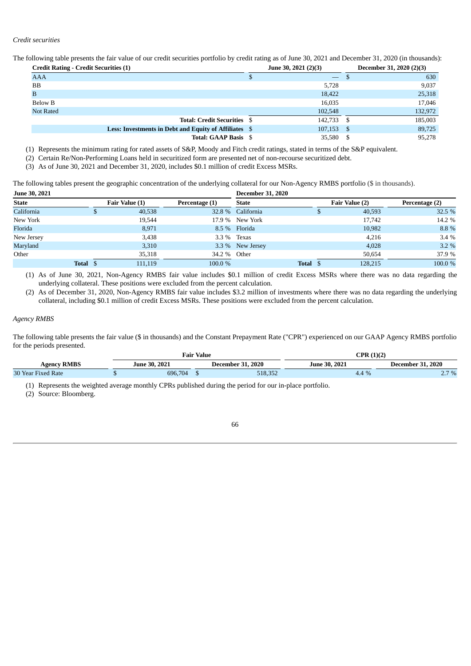## *Credit securities*

The following table presents the fair value of our credit securities portfolio by credit rating as of June 30, 2021 and December 31, 2020 (in thousands):

| <b>Credit Rating - Credit Securities (1)</b> | June 30, 2021 (2)(3)                                  |  |              | December 31, 2020 (2)(3) |         |  |
|----------------------------------------------|-------------------------------------------------------|--|--------------|--------------------------|---------|--|
| <b>AAA</b>                                   |                                                       |  | $\equiv$     |                          | 630     |  |
| <b>BB</b>                                    |                                                       |  | 5.728        |                          | 9,037   |  |
| B                                            |                                                       |  | 18,422       |                          | 25,318  |  |
| Below B                                      |                                                       |  | 16.035       |                          | 17,046  |  |
| <b>Not Rated</b>                             |                                                       |  | 102,548      |                          | 132,972 |  |
|                                              | <b>Total: Credit Securities \$</b>                    |  | 142,733 \$   |                          | 185,003 |  |
|                                              | Less: Investments in Debt and Equity of Affiliates \$ |  | $107,153$ \$ |                          | 89,725  |  |
|                                              | Total: GAAP Basis \$                                  |  | 35,580       |                          | 95.278  |  |

(1) Represents the minimum rating for rated assets of S&P, Moody and Fitch credit ratings, stated in terms of the S&P equivalent.

(2) Certain Re/Non-Performing Loans held in securitized form are presented net of non-recourse securitized debt.

(3) As of June 30, 2021 and December 31, 2020, includes \$0.1 million of credit Excess MSRs.

The following tables present the geographic concentration of the underlying collateral for our Non-Agency RMBS portfolio (\$ in thousands).

| <b>June 30, 2021</b> |              |                |                | <b>December 31, 2020</b> |              |                |                |
|----------------------|--------------|----------------|----------------|--------------------------|--------------|----------------|----------------|
| <b>State</b>         |              | Fair Value (1) | Percentage (1) | <b>State</b>             |              | Fair Value (2) | Percentage (2) |
| California           |              | 40,538         |                | 32.8 % California        |              | 40,593         | 32.5 %         |
| New York             |              | 19,544         |                | 17.9 % New York          |              | 17,742         | 14.2 %         |
| Florida              |              | 8,971          |                | 8.5 % Florida            |              | 10,982         | 8.8 %          |
| New Jersey           |              | 3,438          |                | $3.3\%$ Texas            |              | 4,216          | 3.4%           |
| Maryland             |              | 3,310          |                | 3.3 % New Jersey         |              | 4,028          | 3.2%           |
| Other                |              | 35,318         | 34.2 % Other   |                          |              | 50.654         | 37.9 %         |
|                      | <b>Total</b> | 111.119        | 100.0%         |                          | <b>Total</b> | 128.215        | 100.0%         |

(1) As of June 30, 2021, Non-Agency RMBS fair value includes \$0.1 million of credit Excess MSRs where there was no data regarding the underlying collateral. These positions were excluded from the percent calculation.

(2) As of December 31, 2020, Non-Agency RMBS fair value includes \$3.2 million of investments where there was no data regarding the underlying collateral, including \$0.1 million of credit Excess MSRs. These positions were excluded from the percent calculation.

## *Agency RMBS*

The following table presents the fair value (\$ in thousands) and the Constant Prepayment Rate ("CPR") experienced on our GAAP Agency RMBS portfolio for the periods presented.

|                    | <b>Fair Value</b> |                      |  |                          |                      | (1)(2)<br>$\mathsf{PR}$ |                                 |  |  |  |  |  |
|--------------------|-------------------|----------------------|--|--------------------------|----------------------|-------------------------|---------------------------------|--|--|--|--|--|
| <b>Agency RMBS</b> |                   | <b>June 30, 2021</b> |  | <b>December 31, 2020</b> | <b>June 30, 2021</b> |                         | 31.2020<br>$\sim$<br>December ' |  |  |  |  |  |
| 30 Year Fixed Rate |                   | 696,704              |  | 518,352                  |                      | 4.4 $%$                 | $2.7\%$                         |  |  |  |  |  |

(1) Represents the weighted average monthly CPRs published during the period for our in-place portfolio.

(2) Source: Bloomberg.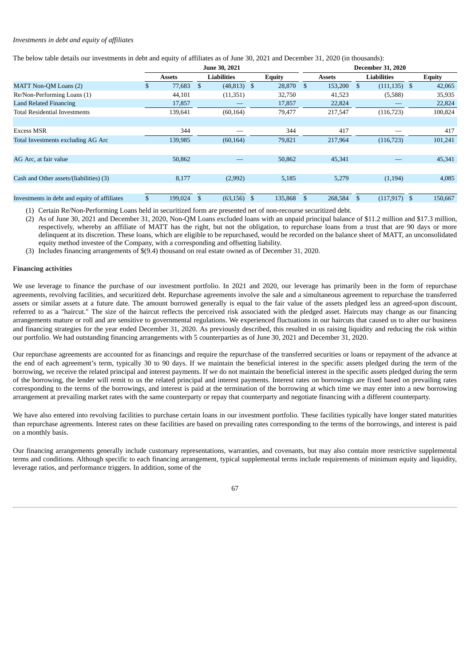# *Investments in debt and equity of affiliates*

The below table details our investments in debt and equity of affiliates as of June 30, 2021 and December 31, 2020 (in thousands):

|                                              |               | June 30, 2021        |               | <b>December 31, 2020</b> |               |    |                    |               |
|----------------------------------------------|---------------|----------------------|---------------|--------------------------|---------------|----|--------------------|---------------|
|                                              | <b>Assets</b> | <b>Liabilities</b>   | <b>Equity</b> |                          | <b>Assets</b> |    | <b>Liabilities</b> | <b>Equity</b> |
| <b>MATT Non-QM Loans (2)</b>                 | \$<br>77,683  | \$<br>$(48, 813)$ \$ | 28,870        | \$                       | 153,200       | \$ | $(111, 135)$ \$    | 42,065        |
| Re/Non-Performing Loans (1)                  | 44,101        | (11, 351)            | 32,750        |                          | 41,523        |    | (5,588)            | 35,935        |
| <b>Land Related Financing</b>                | 17,857        |                      | 17,857        |                          | 22,824        |    |                    | 22,824        |
| <b>Total Residential Investments</b>         | 139,641       | (60, 164)            | 79,477        |                          | 217,547       |    | (116, 723)         | 100,824       |
|                                              |               |                      |               |                          |               |    |                    |               |
| <b>Excess MSR</b>                            | 344           |                      | 344           |                          | 417           |    |                    | 417           |
| Total Investments excluding AG Arc           | 139,985       | (60, 164)            | 79,821        |                          | 217,964       |    | (116, 723)         | 101,241       |
|                                              |               |                      |               |                          |               |    |                    |               |
| AG Arc, at fair value                        | 50,862        |                      | 50,862        |                          | 45,341        |    |                    | 45,341        |
|                                              |               |                      |               |                          |               |    |                    |               |
| Cash and Other assets/(liabilities) (3)      | 8,177         | (2,992)              | 5,185         |                          | 5,279         |    | (1, 194)           | 4,085         |
|                                              |               |                      |               |                          |               |    |                    |               |
| Investments in debt and equity of affiliates | \$<br>199,024 | \$<br>$(63, 156)$ \$ | 135,868       | \$                       | 268,584       | S. | $(117,917)$ \$     | 150,667       |

(1) Certain Re/Non-Performing Loans held in securitized form are presented net of non-recourse securitized debt.

(2) As of June 30, 2021 and December 31, 2020, Non-QM Loans excluded loans with an unpaid principal balance of \$11.2 million and \$17.3 million, respectively, whereby an affiliate of MATT has the right, but not the obligation, to repurchase loans from a trust that are 90 days or more delinquent at its discretion. These loans, which are eligible to be repurchased, would be recorded on the balance sheet of MATT, an unconsolidated equity method investee of the Company, with a corresponding and offsetting liability.

(3) Includes financing arrangements of \$(9.4) thousand on real estate owned as of December 31, 2020.

#### **Financing activities**

We use leverage to finance the purchase of our investment portfolio. In 2021 and 2020, our leverage has primarily been in the form of repurchase agreements, revolving facilities, and securitized debt. Repurchase agreements involve the sale and a simultaneous agreement to repurchase the transferred assets or similar assets at a future date. The amount borrowed generally is equal to the fair value of the assets pledged less an agreed-upon discount, referred to as a "haircut." The size of the haircut reflects the perceived risk associated with the pledged asset. Haircuts may change as our financing arrangements mature or roll and are sensitive to governmental regulations. We experienced fluctuations in our haircuts that caused us to alter our business and financing strategies for the year ended December 31, 2020. As previously described, this resulted in us raising liquidity and reducing the risk within our portfolio. We had outstanding financing arrangements with 5 counterparties as of June 30, 2021 and December 31, 2020.

Our repurchase agreements are accounted for as financings and require the repurchase of the transferred securities or loans or repayment of the advance at the end of each agreement's term, typically 30 to 90 days. If we maintain the beneficial interest in the specific assets pledged during the term of the borrowing, we receive the related principal and interest payments. If we do not maintain the beneficial interest in the specific assets pledged during the term of the borrowing, the lender will remit to us the related principal and interest payments. Interest rates on borrowings are fixed based on prevailing rates corresponding to the terms of the borrowings, and interest is paid at the termination of the borrowing at which time we may enter into a new borrowing arrangement at prevailing market rates with the same counterparty or repay that counterparty and negotiate financing with a different counterparty.

We have also entered into revolving facilities to purchase certain loans in our investment portfolio. These facilities typically have longer stated maturities than repurchase agreements. Interest rates on these facilities are based on prevailing rates corresponding to the terms of the borrowings, and interest is paid on a monthly basis.

Our financing arrangements generally include customary representations, warranties, and covenants, but may also contain more restrictive supplemental terms and conditions. Although specific to each financing arrangement, typical supplemental terms include requirements of minimum equity and liquidity, leverage ratios, and performance triggers. In addition, some of the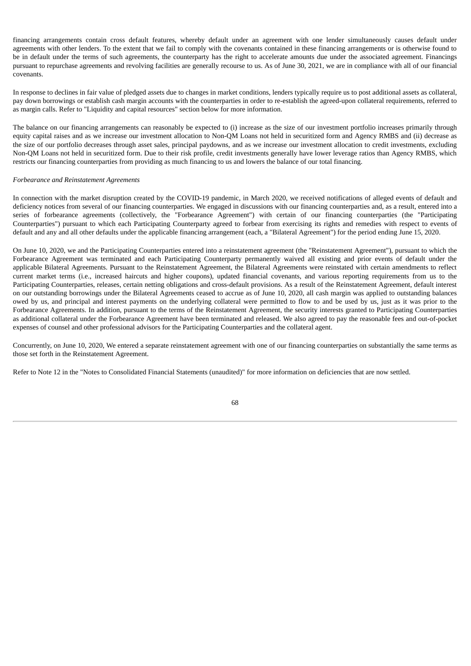financing arrangements contain cross default features, whereby default under an agreement with one lender simultaneously causes default under agreements with other lenders. To the extent that we fail to comply with the covenants contained in these financing arrangements or is otherwise found to be in default under the terms of such agreements, the counterparty has the right to accelerate amounts due under the associated agreement. Financings pursuant to repurchase agreements and revolving facilities are generally recourse to us. As of June 30, 2021, we are in compliance with all of our financial covenants.

In response to declines in fair value of pledged assets due to changes in market conditions, lenders typically require us to post additional assets as collateral, pay down borrowings or establish cash margin accounts with the counterparties in order to re-establish the agreed-upon collateral requirements, referred to as margin calls. Refer to "Liquidity and capital resources" section below for more information.

The balance on our financing arrangements can reasonably be expected to (i) increase as the size of our investment portfolio increases primarily through equity capital raises and as we increase our investment allocation to Non-QM Loans not held in securitized form and Agency RMBS and (ii) decrease as the size of our portfolio decreases through asset sales, principal paydowns, and as we increase our investment allocation to credit investments, excluding Non-QM Loans not held in securitized form. Due to their risk profile, credit investments generally have lower leverage ratios than Agency RMBS, which restricts our financing counterparties from providing as much financing to us and lowers the balance of our total financing.

#### *Forbearance and Reinstatement Agreements*

In connection with the market disruption created by the COVID-19 pandemic, in March 2020, we received notifications of alleged events of default and deficiency notices from several of our financing counterparties. We engaged in discussions with our financing counterparties and, as a result, entered into a series of forbearance agreements (collectively, the "Forbearance Agreement") with certain of our financing counterparties (the "Participating Counterparties") pursuant to which each Participating Counterparty agreed to forbear from exercising its rights and remedies with respect to events of default and any and all other defaults under the applicable financing arrangement (each, a "Bilateral Agreement") for the period ending June 15, 2020.

On June 10, 2020, we and the Participating Counterparties entered into a reinstatement agreement (the "Reinstatement Agreement"), pursuant to which the Forbearance Agreement was terminated and each Participating Counterparty permanently waived all existing and prior events of default under the applicable Bilateral Agreements. Pursuant to the Reinstatement Agreement, the Bilateral Agreements were reinstated with certain amendments to reflect current market terms (i.e., increased haircuts and higher coupons), updated financial covenants, and various reporting requirements from us to the Participating Counterparties, releases, certain netting obligations and cross-default provisions. As a result of the Reinstatement Agreement, default interest on our outstanding borrowings under the Bilateral Agreements ceased to accrue as of June 10, 2020, all cash margin was applied to outstanding balances owed by us, and principal and interest payments on the underlying collateral were permitted to flow to and be used by us, just as it was prior to the Forbearance Agreements. In addition, pursuant to the terms of the Reinstatement Agreement, the security interests granted to Participating Counterparties as additional collateral under the Forbearance Agreement have been terminated and released. We also agreed to pay the reasonable fees and out-of-pocket expenses of counsel and other professional advisors for the Participating Counterparties and the collateral agent.

Concurrently, on June 10, 2020, We entered a separate reinstatement agreement with one of our financing counterparties on substantially the same terms as those set forth in the Reinstatement Agreement.

Refer to Note 12 in the "Notes to Consolidated Financial Statements (unaudited)" for more information on deficiencies that are now settled.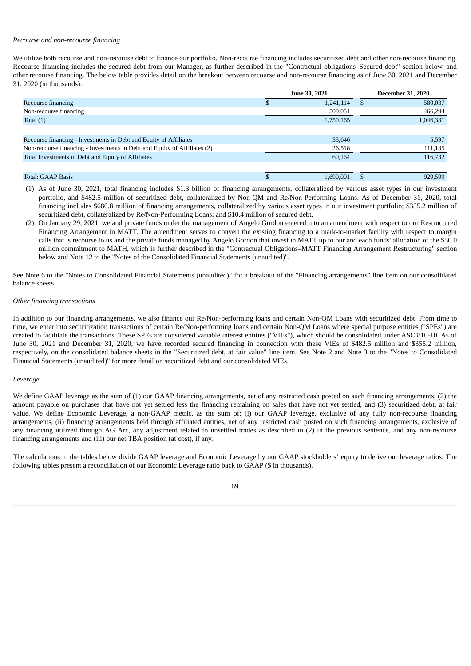## *Recourse and non-recourse financing*

We utilize both recourse and non-recourse debt to finance our portfolio. Non-recourse financing includes securitized debt and other non-recourse financing. Recourse financing includes the secured debt from our Manager, as further described in the "Contractual obligations–Secured debt" section below, and other recourse financing. The below table provides detail on the breakout between recourse and non-recourse financing as of June 30, 2021 and December 31, 2020 (in thousands):

|                                                                           | <b>June 30, 2021</b> |      | <b>December 31, 2020</b> |
|---------------------------------------------------------------------------|----------------------|------|--------------------------|
| Recourse financing                                                        | 1,241,114            | - \$ | 580,037                  |
| Non-recourse financing                                                    | 509,051              |      | 466,294                  |
| Total $(1)$                                                               | 1,750,165            |      | 1,046,331                |
|                                                                           |                      |      |                          |
| Recourse financing - Investments in Debt and Equity of Affiliates         | 33,646               |      | 5,597                    |
| Non-recourse financing - Investments in Debt and Equity of Affiliates (2) | 26,518               |      | 111,135                  |
| Total Investments in Debt and Equity of Affiliates                        | 60,164               |      | 116,732                  |
|                                                                           |                      |      |                          |
| <b>Total: GAAP Basis</b>                                                  | 1.690.001            |      | 929.599                  |

- (1) As of June 30, 2021, total financing includes \$1.3 billion of financing arrangements, collateralized by various asset types in our investment portfolio, and \$482.5 million of securitized debt, collateralized by Non-QM and Re/Non-Performing Loans. As of December 31, 2020, total financing includes \$680.8 million of financing arrangements, collateralized by various asset types in our investment portfolio; \$355.2 million of securitized debt, collateralized by Re/Non-Performing Loans; and \$10.4 million of secured debt.
- (2) On January 29, 2021, we and private funds under the management of Angelo Gordon entered into an amendment with respect to our Restructured Financing Arrangement in MATT. The amendment serves to convert the existing financing to a mark-to-market facility with respect to margin calls that is recourse to us and the private funds managed by Angelo Gordon that invest in MATT up to our and each funds' allocation of the \$50.0 million commitment to MATH, which is further described in the "Contractual Obligations–MATT Financing Arrangement Restructuring" section below and Note 12 to the "Notes of the Consolidated Financial Statements (unaudited)".

See Note 6 to the "Notes to Consolidated Financial Statements (unaudited)" for a breakout of the "Financing arrangements" line item on our consolidated balance sheets.

## *Other financing transactions*

In addition to our financing arrangements, we also finance our Re/Non-performing loans and certain Non-QM Loans with securitized debt. From time to time, we enter into securitization transactions of certain Re/Non-performing loans and certain Non-QM Loans where special purpose entities ("SPEs") are created to facilitate the transactions. These SPEs are considered variable interest entities ("VIEs"), which should be consolidated under ASC 810-10. As of June 30, 2021 and December 31, 2020, we have recorded secured financing in connection with these VIEs of \$482.5 million and \$355.2 million, respectively, on the consolidated balance sheets in the "Securitized debt, at fair value" line item. See Note 2 and Note 3 to the "Notes to Consolidated Financial Statements (unaudited)" for more detail on securitized debt and our consolidated VIEs.

#### *Leverage*

We define GAAP leverage as the sum of (1) our GAAP financing arrangements, net of any restricted cash posted on such financing arrangements, (2) the amount payable on purchases that have not yet settled less the financing remaining on sales that have not yet settled, and (3) securitized debt, at fair value. We define Economic Leverage, a non-GAAP metric, as the sum of: (i) our GAAP leverage, exclusive of any fully non-recourse financing arrangements, (ii) financing arrangements held through affiliated entities, net of any restricted cash posted on such financing arrangements, exclusive of any financing utilized through AG Arc, any adjustment related to unsettled trades as described in (2) in the previous sentence, and any non-recourse financing arrangements and (iii) our net TBA position (at cost), if any.

The calculations in the tables below divide GAAP leverage and Economic Leverage by our GAAP stockholders' equity to derive our leverage ratios. The following tables present a reconciliation of our Economic Leverage ratio back to GAAP (\$ in thousands).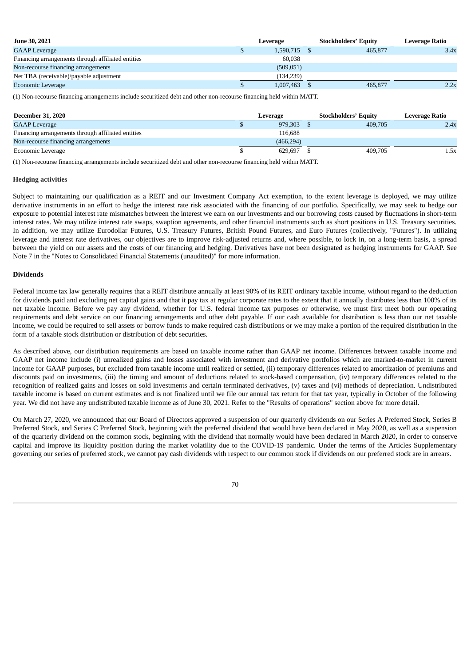| <b>June 30, 2021</b>                               |  | Leverage     | <b>Stockholders' Equity</b> | Leverage Ratio |  |
|----------------------------------------------------|--|--------------|-----------------------------|----------------|--|
| <b>GAAP Leverage</b>                               |  | 1,590,715 \$ | 465,877                     | 3.4x           |  |
| Financing arrangements through affiliated entities |  | 60.038       |                             |                |  |
| Non-recourse financing arrangements                |  | (509, 051)   |                             |                |  |
| Net TBA (receivable)/payable adjustment            |  | (134.239)    |                             |                |  |
| Economic Leverage                                  |  | 1,007,463    | 465,877                     | 2.2x           |  |

(1) Non-recourse financing arrangements include securitized debt and other non-recourse financing held within MATT.

| <b>December 31, 2020</b>                           |    | Leverage   | <b>Stockholders' Equity</b> | Leverage Ratio |
|----------------------------------------------------|----|------------|-----------------------------|----------------|
| <b>GAAP Leverage</b>                               | τυ | 979.303    | 409,705                     | 2.4x           |
| Financing arrangements through affiliated entities |    | 116.688    |                             |                |
| Non-recourse financing arrangements                |    | (466, 294) |                             |                |
| Economic Leverage                                  |    | 629.697    | 409,705                     | 1.5x           |

(1) Non-recourse financing arrangements include securitized debt and other non-recourse financing held within MATT.

#### **Hedging activities**

Subject to maintaining our qualification as a REIT and our Investment Company Act exemption, to the extent leverage is deployed, we may utilize derivative instruments in an effort to hedge the interest rate risk associated with the financing of our portfolio. Specifically, we may seek to hedge our exposure to potential interest rate mismatches between the interest we earn on our investments and our borrowing costs caused by fluctuations in short-term interest rates. We may utilize interest rate swaps, swaption agreements, and other financial instruments such as short positions in U.S. Treasury securities. In addition, we may utilize Eurodollar Futures, U.S. Treasury Futures, British Pound Futures, and Euro Futures (collectively, "Futures"). In utilizing leverage and interest rate derivatives, our objectives are to improve risk-adjusted returns and, where possible, to lock in, on a long-term basis, a spread between the yield on our assets and the costs of our financing and hedging. Derivatives have not been designated as hedging instruments for GAAP. See Note 7 in the "Notes to Consolidated Financial Statements (unaudited)" for more information.

## **Dividends**

Federal income tax law generally requires that a REIT distribute annually at least 90% of its REIT ordinary taxable income, without regard to the deduction for dividends paid and excluding net capital gains and that it pay tax at regular corporate rates to the extent that it annually distributes less than 100% of its net taxable income. Before we pay any dividend, whether for U.S. federal income tax purposes or otherwise, we must first meet both our operating requirements and debt service on our financing arrangements and other debt payable. If our cash available for distribution is less than our net taxable income, we could be required to sell assets or borrow funds to make required cash distributions or we may make a portion of the required distribution in the form of a taxable stock distribution or distribution of debt securities.

As described above, our distribution requirements are based on taxable income rather than GAAP net income. Differences between taxable income and GAAP net income include (i) unrealized gains and losses associated with investment and derivative portfolios which are marked-to-market in current income for GAAP purposes, but excluded from taxable income until realized or settled, (ii) temporary differences related to amortization of premiums and discounts paid on investments, (iii) the timing and amount of deductions related to stock-based compensation, (iv) temporary differences related to the recognition of realized gains and losses on sold investments and certain terminated derivatives, (v) taxes and (vi) methods of depreciation. Undistributed taxable income is based on current estimates and is not finalized until we file our annual tax return for that tax year, typically in October of the following year. We did not have any undistributed taxable income as of June 30, 2021. Refer to the "Results of operations" section above for more detail.

On March 27, 2020, we announced that our Board of Directors approved a suspension of our quarterly dividends on our Series A Preferred Stock, Series B Preferred Stock, and Series C Preferred Stock, beginning with the preferred dividend that would have been declared in May 2020, as well as a suspension of the quarterly dividend on the common stock, beginning with the dividend that normally would have been declared in March 2020, in order to conserve capital and improve its liquidity position during the market volatility due to the COVID-19 pandemic. Under the terms of the Articles Supplementary governing our series of preferred stock, we cannot pay cash dividends with respect to our common stock if dividends on our preferred stock are in arrears.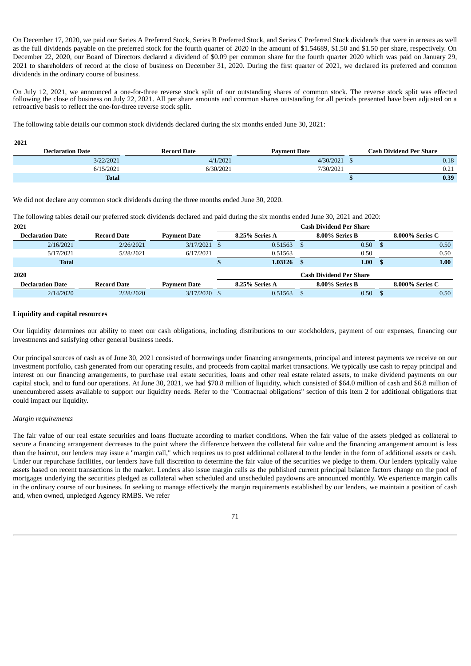On December 17, 2020, we paid our Series A Preferred Stock, Series B Preferred Stock, and Series C Preferred Stock dividends that were in arrears as well as the full dividends payable on the preferred stock for the fourth quarter of 2020 in the amount of \$1.54689, \$1.50 and \$1.50 per share, respectively. On December 22, 2020, our Board of Directors declared a dividend of \$0.09 per common share for the fourth quarter 2020 which was paid on January 29, 2021 to shareholders of record at the close of business on December 31, 2020. During the first quarter of 2021, we declared its preferred and common dividends in the ordinary course of business.

On July 12, 2021, we announced a one-for-three reverse stock split of our outstanding shares of common stock. The reverse stock split was effected following the close of business on July 22, 2021. All per share amounts and common shares outstanding for all periods presented have been adjusted on a retroactive basis to reflect the one-for-three reverse stock split.

The following table details our common stock dividends declared during the six months ended June 30, 2021:

### **2021**

| <b>Declaration Date</b> | Record Date | <b>Payment Date</b> | <b>Cash Dividend Per Share</b> |
|-------------------------|-------------|---------------------|--------------------------------|
| 3/22/2021               | 4/1/2021    | 4/30/2021           | 0.18                           |
| 6/15/2021               | 6/30/2021   | 7/30/2021           | 0.21                           |
| <b>Total</b>            |             |                     | 0.39                           |

We did not declare any common stock dividends during the three months ended June 30, 2020.

The following tables detail our preferred stock dividends declared and paid during the six months ended June 30, 2021 and 2020:

| 2021                                                                 |                    |                     | <b>Cash Dividend Per Share</b> |                |  |                         |                 |                   |  |  |
|----------------------------------------------------------------------|--------------------|---------------------|--------------------------------|----------------|--|-------------------------|-----------------|-------------------|--|--|
| <b>Record Date</b><br><b>Declaration Date</b><br><b>Payment Date</b> |                    |                     | 8.25% Series A                 | 8.00% Series B |  |                         | 8.000% Series C |                   |  |  |
| 2/16/2021                                                            | 2/26/2021          | 3/17/2021           |                                | 0.51563        |  | 0.50                    |                 | 0.50              |  |  |
| 5/17/2021                                                            | 5/28/2021          | 6/17/2021           |                                | 0.51563        |  | 0.50                    |                 | 0.50              |  |  |
| <b>Total</b>                                                         |                    |                     |                                | 1.03126        |  | $1.00\,$                | - 35            | 1.00 <sub>1</sub> |  |  |
| 2020                                                                 |                    |                     |                                |                |  | Cash Dividend Per Share |                 |                   |  |  |
| <b>Declaration Date</b>                                              | <b>Record Date</b> | <b>Payment Date</b> |                                | 8.25% Series A |  | 8.00% Series B          |                 | 8.000% Series C   |  |  |
| 2/14/2020                                                            | 2/28/2020          | 3/17/2020           |                                | 0.51563        |  | 0.50                    |                 | 0.50              |  |  |

#### **Liquidity and capital resources**

Our liquidity determines our ability to meet our cash obligations, including distributions to our stockholders, payment of our expenses, financing our investments and satisfying other general business needs.

Our principal sources of cash as of June 30, 2021 consisted of borrowings under financing arrangements, principal and interest payments we receive on our investment portfolio, cash generated from our operating results, and proceeds from capital market transactions. We typically use cash to repay principal and interest on our financing arrangements, to purchase real estate securities, loans and other real estate related assets, to make dividend payments on our capital stock, and to fund our operations. At June 30, 2021, we had \$70.8 million of liquidity, which consisted of \$64.0 million of cash and \$6.8 million of unencumbered assets available to support our liquidity needs. Refer to the "Contractual obligations" section of this Item 2 for additional obligations that could impact our liquidity.

#### *Margin requirements*

The fair value of our real estate securities and loans fluctuate according to market conditions. When the fair value of the assets pledged as collateral to secure a financing arrangement decreases to the point where the difference between the collateral fair value and the financing arrangement amount is less than the haircut, our lenders may issue a "margin call," which requires us to post additional collateral to the lender in the form of additional assets or cash. Under our repurchase facilities, our lenders have full discretion to determine the fair value of the securities we pledge to them. Our lenders typically value assets based on recent transactions in the market. Lenders also issue margin calls as the published current principal balance factors change on the pool of mortgages underlying the securities pledged as collateral when scheduled and unscheduled paydowns are announced monthly. We experience margin calls in the ordinary course of our business. In seeking to manage effectively the margin requirements established by our lenders, we maintain a position of cash and, when owned, unpledged Agency RMBS. We refer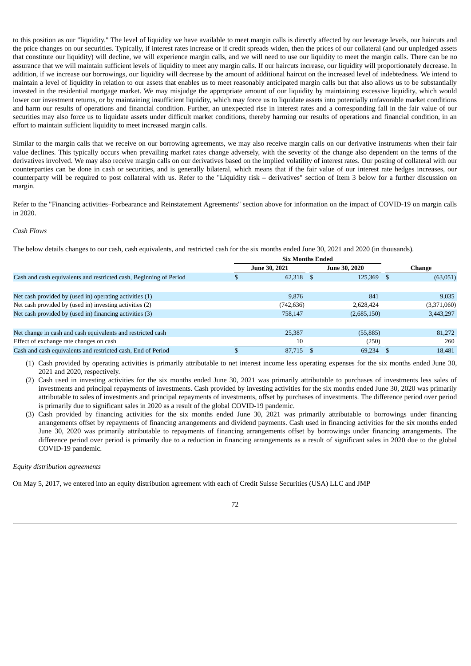to this position as our "liquidity." The level of liquidity we have available to meet margin calls is directly affected by our leverage levels, our haircuts and the price changes on our securities. Typically, if interest rates increase or if credit spreads widen, then the prices of our collateral (and our unpledged assets that constitute our liquidity) will decline, we will experience margin calls, and we will need to use our liquidity to meet the margin calls. There can be no assurance that we will maintain sufficient levels of liquidity to meet any margin calls. If our haircuts increase, our liquidity will proportionately decrease. In addition, if we increase our borrowings, our liquidity will decrease by the amount of additional haircut on the increased level of indebtedness. We intend to maintain a level of liquidity in relation to our assets that enables us to meet reasonably anticipated margin calls but that also allows us to be substantially invested in the residential mortgage market. We may misjudge the appropriate amount of our liquidity by maintaining excessive liquidity, which would lower our investment returns, or by maintaining insufficient liquidity, which may force us to liquidate assets into potentially unfavorable market conditions and harm our results of operations and financial condition. Further, an unexpected rise in interest rates and a corresponding fall in the fair value of our securities may also force us to liquidate assets under difficult market conditions, thereby harming our results of operations and financial condition, in an effort to maintain sufficient liquidity to meet increased margin calls.

Similar to the margin calls that we receive on our borrowing agreements, we may also receive margin calls on our derivative instruments when their fair value declines. This typically occurs when prevailing market rates change adversely, with the severity of the change also dependent on the terms of the derivatives involved. We may also receive margin calls on our derivatives based on the implied volatility of interest rates. Our posting of collateral with our counterparties can be done in cash or securities, and is generally bilateral, which means that if the fair value of our interest rate hedges increases, our counterparty will be required to post collateral with us. Refer to the "Liquidity risk – derivatives" section of Item 3 below for a further discussion on margin.

Refer to the "Financing activities–Forbearance and Reinstatement Agreements" section above for information on the impact of COVID-19 on margin calls in 2020.

#### *Cash Flows*

The below details changes to our cash, cash equivalents, and restricted cash for the six months ended June 30, 2021 and 2020 (in thousands).

|                                                                    | <b>Six Months Ended</b> |                      |             |
|--------------------------------------------------------------------|-------------------------|----------------------|-------------|
|                                                                    | <b>June 30, 2021</b>    | <b>June 30, 2020</b> | Change      |
| Cash and cash equivalents and restricted cash, Beginning of Period | 62,318 \$               | 125,369              | (63,051)    |
|                                                                    |                         |                      |             |
| Net cash provided by (used in) operating activities (1)            | 9,876                   | 841                  | 9,035       |
| Net cash provided by (used in) investing activities (2)            | (742, 636)              | 2,628,424            | (3,371,060) |
| Net cash provided by (used in) financing activities (3)            | 758,147                 | (2,685,150)          | 3,443,297   |
|                                                                    |                         |                      |             |
| Net change in cash and cash equivalents and restricted cash        | 25,387                  | (55, 885)            | 81,272      |
| Effect of exchange rate changes on cash                            | 10                      | (250)                | 260         |
| Cash and cash equivalents and restricted cash, End of Period       | 87,715                  | 69,234               | 18,481      |
|                                                                    |                         |                      |             |

(1) Cash provided by operating activities is primarily attributable to net interest income less operating expenses for the six months ended June 30, 2021 and 2020, respectively.

- (2) Cash used in investing activities for the six months ended June 30, 2021 was primarily attributable to purchases of investments less sales of investments and principal repayments of investments. Cash provided by investing activities for the six months ended June 30, 2020 was primarily attributable to sales of investments and principal repayments of investments, offset by purchases of investments. The difference period over period is primarily due to significant sales in 2020 as a result of the global COVID-19 pandemic.
- (3) Cash provided by financing activities for the six months ended June 30, 2021 was primarily attributable to borrowings under financing arrangements offset by repayments of financing arrangements and dividend payments. Cash used in financing activities for the six months ended June 30, 2020 was primarily attributable to repayments of financing arrangements offset by borrowings under financing arrangements. The difference period over period is primarily due to a reduction in financing arrangements as a result of significant sales in 2020 due to the global COVID-19 pandemic.

#### *Equity distribution agreements*

On May 5, 2017, we entered into an equity distribution agreement with each of Credit Suisse Securities (USA) LLC and JMP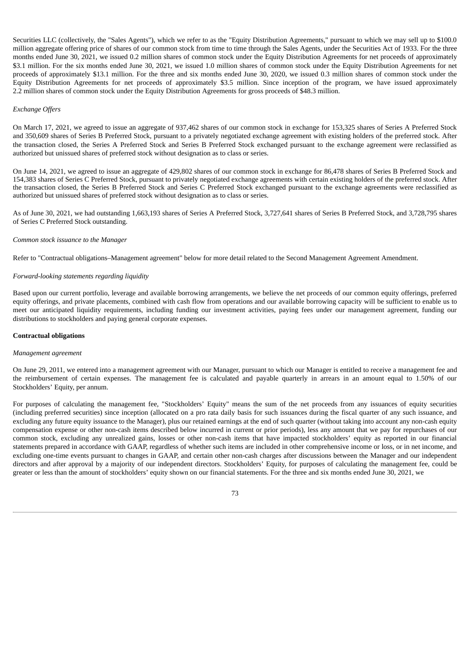Securities LLC (collectively, the "Sales Agents"), which we refer to as the "Equity Distribution Agreements," pursuant to which we may sell up to \$100.0 million aggregate offering price of shares of our common stock from time to time through the Sales Agents, under the Securities Act of 1933. For the three months ended June 30, 2021, we issued 0.2 million shares of common stock under the Equity Distribution Agreements for net proceeds of approximately \$3.1 million. For the six months ended June 30, 2021, we issued 1.0 million shares of common stock under the Equity Distribution Agreements for net proceeds of approximately \$13.1 million. For the three and six months ended June 30, 2020, we issued 0.3 million shares of common stock under the Equity Distribution Agreements for net proceeds of approximately \$3.5 million. Since inception of the program, we have issued approximately 2.2 million shares of common stock under the Equity Distribution Agreements for gross proceeds of \$48.3 million.

### *Exchange Offers*

On March 17, 2021, we agreed to issue an aggregate of 937,462 shares of our common stock in exchange for 153,325 shares of Series A Preferred Stock and 350,609 shares of Series B Preferred Stock, pursuant to a privately negotiated exchange agreement with existing holders of the preferred stock. After the transaction closed, the Series A Preferred Stock and Series B Preferred Stock exchanged pursuant to the exchange agreement were reclassified as authorized but unissued shares of preferred stock without designation as to class or series.

On June 14, 2021, we agreed to issue an aggregate of 429,802 shares of our common stock in exchange for 86,478 shares of Series B Preferred Stock and 154,383 shares of Series C Preferred Stock, pursuant to privately negotiated exchange agreements with certain existing holders of the preferred stock. After the transaction closed, the Series B Preferred Stock and Series C Preferred Stock exchanged pursuant to the exchange agreements were reclassified as authorized but unissued shares of preferred stock without designation as to class or series.

As of June 30, 2021, we had outstanding 1,663,193 shares of Series A Preferred Stock, 3,727,641 shares of Series B Preferred Stock, and 3,728,795 shares of Series C Preferred Stock outstanding.

## *Common stock issuance to the Manager*

Refer to "Contractual obligations–Management agreement" below for more detail related to the Second Management Agreement Amendment.

### *Forward-looking statements regarding liquidity*

Based upon our current portfolio, leverage and available borrowing arrangements, we believe the net proceeds of our common equity offerings, preferred equity offerings, and private placements, combined with cash flow from operations and our available borrowing capacity will be sufficient to enable us to meet our anticipated liquidity requirements, including funding our investment activities, paying fees under our management agreement, funding our distributions to stockholders and paying general corporate expenses.

#### **Contractual obligations**

#### *Management agreement*

On June 29, 2011, we entered into a management agreement with our Manager, pursuant to which our Manager is entitled to receive a management fee and the reimbursement of certain expenses. The management fee is calculated and payable quarterly in arrears in an amount equal to 1.50% of our Stockholders' Equity, per annum.

For purposes of calculating the management fee, "Stockholders' Equity" means the sum of the net proceeds from any issuances of equity securities (including preferred securities) since inception (allocated on a pro rata daily basis for such issuances during the fiscal quarter of any such issuance, and excluding any future equity issuance to the Manager), plus our retained earnings at the end of such quarter (without taking into account any non-cash equity compensation expense or other non-cash items described below incurred in current or prior periods), less any amount that we pay for repurchases of our common stock, excluding any unrealized gains, losses or other non-cash items that have impacted stockholders' equity as reported in our financial statements prepared in accordance with GAAP, regardless of whether such items are included in other comprehensive income or loss, or in net income, and excluding one-time events pursuant to changes in GAAP, and certain other non-cash charges after discussions between the Manager and our independent directors and after approval by a majority of our independent directors. Stockholders' Equity, for purposes of calculating the management fee, could be greater or less than the amount of stockholders' equity shown on our financial statements. For the three and six months ended June 30, 2021, we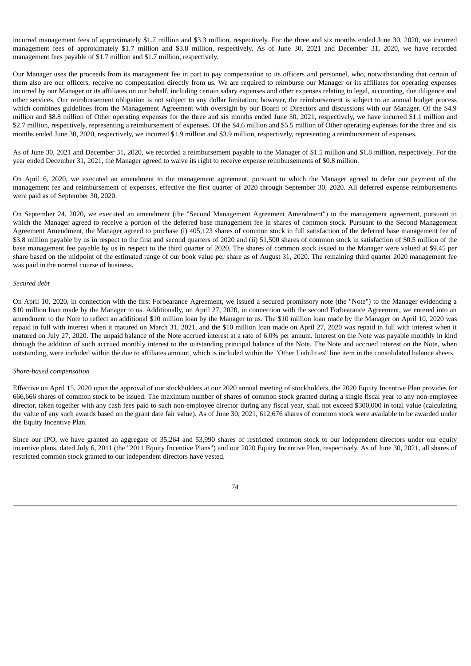incurred management fees of approximately \$1.7 million and \$3.3 million, respectively. For the three and six months ended June 30, 2020, we incurred management fees of approximately \$1.7 million and \$3.8 million, respectively. As of June 30, 2021 and December 31, 2020, we have recorded management fees payable of \$1.7 million and \$1.7 million, respectively.

Our Manager uses the proceeds from its management fee in part to pay compensation to its officers and personnel, who, notwithstanding that certain of them also are our officers, receive no compensation directly from us. We are required to reimburse our Manager or its affiliates for operating expenses incurred by our Manager or its affiliates on our behalf, including certain salary expenses and other expenses relating to legal, accounting, due diligence and other services. Our reimbursement obligation is not subject to any dollar limitation; however, the reimbursement is subject to an annual budget process which combines guidelines from the Management Agreement with oversight by our Board of Directors and discussions with our Manager. Of the \$4.9 million and \$8.8 million of Other operating expenses for the three and six months ended June 30, 2021, respectively, we have incurred \$1.1 million and \$2.7 million, respectively, representing a reimbursement of expenses. Of the \$4.6 million and \$5.5 million of Other operating expenses for the three and six months ended June 30, 2020, respectively, we incurred \$1.9 million and \$3.9 million, respectively, representing a reimbursement of expenses.

As of June 30, 2021 and December 31, 2020, we recorded a reimbursement payable to the Manager of \$1.5 million and \$1.8 million, respectively. For the year ended December 31, 2021, the Manager agreed to waive its right to receive expense reimbursements of \$0.8 million.

On April 6, 2020, we executed an amendment to the management agreement, pursuant to which the Manager agreed to defer our payment of the management fee and reimbursement of expenses, effective the first quarter of 2020 through September 30, 2020. All deferred expense reimbursements were paid as of September 30, 2020.

On September 24, 2020, we executed an amendment (the "Second Management Agreement Amendment") to the management agreement, pursuant to which the Manager agreed to receive a portion of the deferred base management fee in shares of common stock. Pursuant to the Second Management Agreement Amendment, the Manager agreed to purchase (i) 405,123 shares of common stock in full satisfaction of the deferred base management fee of \$3.8 million payable by us in respect to the first and second quarters of 2020 and (ii) 51,500 shares of common stock in satisfaction of \$0.5 million of the base management fee payable by us in respect to the third quarter of 2020. The shares of common stock issued to the Manager were valued at \$9.45 per share based on the midpoint of the estimated range of our book value per share as of August 31, 2020. The remaining third quarter 2020 management fee was paid in the normal course of business.

### *Secured debt*

On April 10, 2020, in connection with the first Forbearance Agreement, we issued a secured promissory note (the "Note") to the Manager evidencing a \$10 million loan made by the Manager to us. Additionally, on April 27, 2020, in connection with the second Forbearance Agreement, we entered into an amendment to the Note to reflect an additional \$10 million loan by the Manager to us. The \$10 million loan made by the Manager on April 10, 2020 was repaid in full with interest when it matured on March 31, 2021, and the \$10 million loan made on April 27, 2020 was repaid in full with interest when it matured on July 27, 2020. The unpaid balance of the Note accrued interest at a rate of 6.0% per annum. Interest on the Note was payable monthly in kind through the addition of such accrued monthly interest to the outstanding principal balance of the Note. The Note and accrued interest on the Note, when outstanding, were included within the due to affiliates amount, which is included within the "Other Liabilities" line item in the consolidated balance sheets.

#### *Share-based compensation*

Effective on April 15, 2020 upon the approval of our stockholders at our 2020 annual meeting of stockholders, the 2020 Equity Incentive Plan provides for 666,666 shares of common stock to be issued. The maximum number of shares of common stock granted during a single fiscal year to any non-employee director, taken together with any cash fees paid to such non-employee director during any fiscal year, shall not exceed \$300,000 in total value (calculating the value of any such awards based on the grant date fair value). As of June 30, 2021, 612,676 shares of common stock were available to be awarded under the Equity Incentive Plan.

Since our IPO, we have granted an aggregate of 35,264 and 53,990 shares of restricted common stock to our independent directors under our equity incentive plans, dated July 6, 2011 (the "2011 Equity Incentive Plans") and our 2020 Equity Incentive Plan, respectively. As of June 30, 2021, all shares of restricted common stock granted to our independent directors have vested.

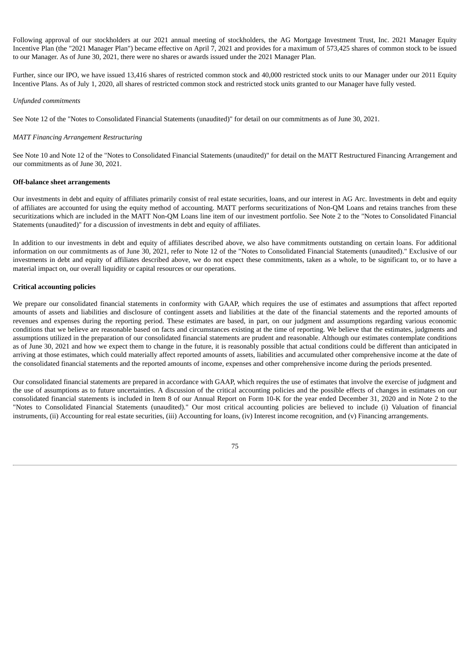Following approval of our stockholders at our 2021 annual meeting of stockholders, the AG Mortgage Investment Trust, Inc. 2021 Manager Equity Incentive Plan (the "2021 Manager Plan") became effective on April 7, 2021 and provides for a maximum of 573,425 shares of common stock to be issued to our Manager. As of June 30, 2021, there were no shares or awards issued under the 2021 Manager Plan.

Further, since our IPO, we have issued 13,416 shares of restricted common stock and 40,000 restricted stock units to our Manager under our 2011 Equity Incentive Plans. As of July 1, 2020, all shares of restricted common stock and restricted stock units granted to our Manager have fully vested.

### *Unfunded commitments*

See Note 12 of the "Notes to Consolidated Financial Statements (unaudited)" for detail on our commitments as of June 30, 2021.

#### *MATT Financing Arrangement Restructuring*

See Note 10 and Note 12 of the "Notes to Consolidated Financial Statements (unaudited)" for detail on the MATT Restructured Financing Arrangement and our commitments as of June 30, 2021.

#### **Off-balance sheet arrangements**

Our investments in debt and equity of affiliates primarily consist of real estate securities, loans, and our interest in AG Arc. Investments in debt and equity of affiliates are accounted for using the equity method of accounting. MATT performs securitizations of Non-QM Loans and retains tranches from these securitizations which are included in the MATT Non-QM Loans line item of our investment portfolio. See Note 2 to the "Notes to Consolidated Financial Statements (unaudited)" for a discussion of investments in debt and equity of affiliates.

In addition to our investments in debt and equity of affiliates described above, we also have commitments outstanding on certain loans. For additional information on our commitments as of June 30, 2021, refer to Note 12 of the "Notes to Consolidated Financial Statements (unaudited)." Exclusive of our investments in debt and equity of affiliates described above, we do not expect these commitments, taken as a whole, to be significant to, or to have a material impact on, our overall liquidity or capital resources or our operations.

#### **Critical accounting policies**

We prepare our consolidated financial statements in conformity with GAAP, which requires the use of estimates and assumptions that affect reported amounts of assets and liabilities and disclosure of contingent assets and liabilities at the date of the financial statements and the reported amounts of revenues and expenses during the reporting period. These estimates are based, in part, on our judgment and assumptions regarding various economic conditions that we believe are reasonable based on facts and circumstances existing at the time of reporting. We believe that the estimates, judgments and assumptions utilized in the preparation of our consolidated financial statements are prudent and reasonable. Although our estimates contemplate conditions as of June 30, 2021 and how we expect them to change in the future, it is reasonably possible that actual conditions could be different than anticipated in arriving at those estimates, which could materially affect reported amounts of assets, liabilities and accumulated other comprehensive income at the date of the consolidated financial statements and the reported amounts of income, expenses and other comprehensive income during the periods presented.

Our consolidated financial statements are prepared in accordance with GAAP, which requires the use of estimates that involve the exercise of judgment and the use of assumptions as to future uncertainties. A discussion of the critical accounting policies and the possible effects of changes in estimates on our consolidated financial statements is included in Item 8 of our Annual Report on Form 10-K for the year ended December 31, 2020 and in Note 2 to the "Notes to Consolidated Financial Statements (unaudited)." Our most critical accounting policies are believed to include (i) Valuation of financial instruments, (ii) Accounting for real estate securities, (iii) Accounting for loans, (iv) Interest income recognition, and (v) Financing arrangements.

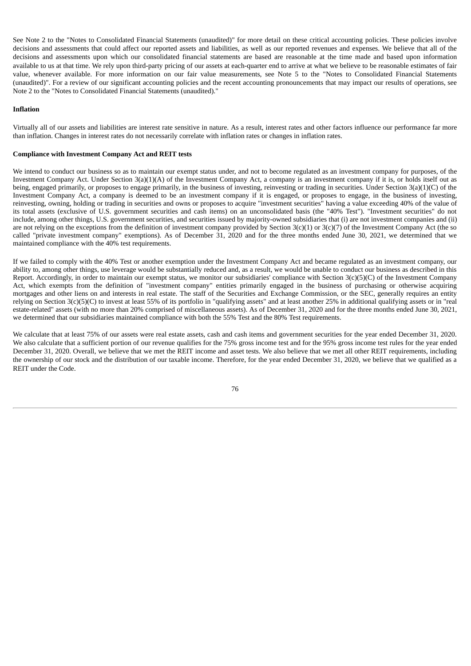See Note 2 to the "Notes to Consolidated Financial Statements (unaudited)" for more detail on these critical accounting policies. These policies involve decisions and assessments that could affect our reported assets and liabilities, as well as our reported revenues and expenses. We believe that all of the decisions and assessments upon which our consolidated financial statements are based are reasonable at the time made and based upon information available to us at that time. We rely upon third-party pricing of our assets at each-quarter end to arrive at what we believe to be reasonable estimates of fair value, whenever available. For more information on our fair value measurements, see Note 5 to the "Notes to Consolidated Financial Statements (unaudited)". For a review of our significant accounting policies and the recent accounting pronouncements that may impact our results of operations, see Note 2 to the "Notes to Consolidated Financial Statements (unaudited)."

## **Inflation**

Virtually all of our assets and liabilities are interest rate sensitive in nature. As a result, interest rates and other factors influence our performance far more than inflation. Changes in interest rates do not necessarily correlate with inflation rates or changes in inflation rates.

## **Compliance with Investment Company Act and REIT tests**

We intend to conduct our business so as to maintain our exempt status under, and not to become regulated as an investment company for purposes, of the Investment Company Act. Under Section 3(a)(1)(A) of the Investment Company Act, a company is an investment company if it is, or holds itself out as being, engaged primarily, or proposes to engage primarily, in the business of investing, reinvesting or trading in securities. Under Section 3(a)(1)(C) of the Investment Company Act, a company is deemed to be an investment company if it is engaged, or proposes to engage, in the business of investing, reinvesting, owning, holding or trading in securities and owns or proposes to acquire "investment securities" having a value exceeding 40% of the value of its total assets (exclusive of U.S. government securities and cash items) on an unconsolidated basis (the "40% Test"). "Investment securities" do not include, among other things, U.S. government securities, and securities issued by majority-owned subsidiaries that (i) are not investment companies and (ii) are not relying on the exceptions from the definition of investment company provided by Section 3(c)(1) or 3(c)(7) of the Investment Company Act (the so called "private investment company" exemptions). As of December 31, 2020 and for the three months ended June 30, 2021, we determined that we maintained compliance with the 40% test requirements.

If we failed to comply with the 40% Test or another exemption under the Investment Company Act and became regulated as an investment company, our ability to, among other things, use leverage would be substantially reduced and, as a result, we would be unable to conduct our business as described in this Report. Accordingly, in order to maintain our exempt status, we monitor our subsidiaries' compliance with Section 3(c)(5)(C) of the Investment Company Act, which exempts from the definition of "investment company" entities primarily engaged in the business of purchasing or otherwise acquiring mortgages and other liens on and interests in real estate. The staff of the Securities and Exchange Commission, or the SEC, generally requires an entity relying on Section 3(c)(5)(C) to invest at least 55% of its portfolio in "qualifying assets" and at least another 25% in additional qualifying assets or in "real estate-related" assets (with no more than 20% comprised of miscellaneous assets). As of December 31, 2020 and for the three months ended June 30, 2021, we determined that our subsidiaries maintained compliance with both the 55% Test and the 80% Test requirements.

We calculate that at least 75% of our assets were real estate assets, cash and cash items and government securities for the year ended December 31, 2020. We also calculate that a sufficient portion of our revenue qualifies for the 75% gross income test and for the 95% gross income test rules for the year ended December 31, 2020. Overall, we believe that we met the REIT income and asset tests. We also believe that we met all other REIT requirements, including the ownership of our stock and the distribution of our taxable income. Therefore, for the year ended December 31, 2020, we believe that we qualified as a REIT under the Code.

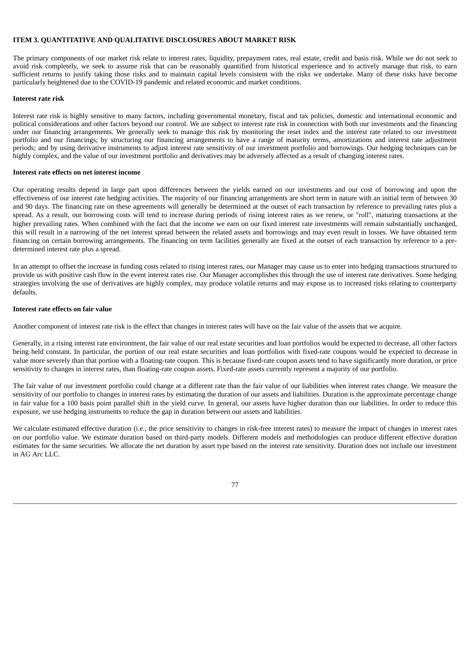## **ITEM 3. QUANTITATIVE AND QUALITATIVE DISCLOSURES ABOUT MARKET RISK**

The primary components of our market risk relate to interest rates, liquidity, prepayment rates, real estate, credit and basis risk. While we do not seek to avoid risk completely, we seek to assume risk that can be reasonably quantified from historical experience and to actively manage that risk, to earn sufficient returns to justify taking those risks and to maintain capital levels consistent with the risks we undertake. Many of these risks have become particularly heightened due to the COVID-19 pandemic and related economic and market conditions.

### **Interest rate risk**

Interest rate risk is highly sensitive to many factors, including governmental monetary, fiscal and tax policies, domestic and international economic and political considerations and other factors beyond our control. We are subject to interest rate risk in connection with both our investments and the financing under our financing arrangements. We generally seek to manage this risk by monitoring the reset index and the interest rate related to our investment portfolio and our financings; by structuring our financing arrangements to have a range of maturity terms, amortizations and interest rate adjustment periods; and by using derivative instruments to adjust interest rate sensitivity of our investment portfolio and borrowings. Our hedging techniques can be highly complex, and the value of our investment portfolio and derivatives may be adversely affected as a result of changing interest rates.

#### **Interest rate effects on net interest income**

Our operating results depend in large part upon differences between the yields earned on our investments and our cost of borrowing and upon the effectiveness of our interest rate hedging activities. The majority of our financing arrangements are short term in nature with an initial term of between 30 and 90 days. The financing rate on these agreements will generally be determined at the outset of each transaction by reference to prevailing rates plus a spread. As a result, our borrowing costs will tend to increase during periods of rising interest rates as we renew, or "roll", maturing transactions at the higher prevailing rates. When combined with the fact that the income we earn on our fixed interest rate investments will remain substantially unchanged, this will result in a narrowing of the net interest spread between the related assets and borrowings and may even result in losses. We have obtained term financing on certain borrowing arrangements. The financing on term facilities generally are fixed at the outset of each transaction by reference to a predetermined interest rate plus a spread.

In an attempt to offset the increase in funding costs related to rising interest rates, our Manager may cause us to enter into hedging transactions structured to provide us with positive cash flow in the event interest rates rise. Our Manager accomplishes this through the use of interest rate derivatives. Some hedging strategies involving the use of derivatives are highly complex, may produce volatile returns and may expose us to increased risks relating to counterparty defaults.

## **Interest rate effects on fair value**

Another component of interest rate risk is the effect that changes in interest rates will have on the fair value of the assets that we acquire.

Generally, in a rising interest rate environment, the fair value of our real estate securities and loan portfolios would be expected to decrease, all other factors being held constant. In particular, the portion of our real estate securities and loan portfolios with fixed-rate coupons would be expected to decrease in value more severely than that portion with a floating-rate coupon. This is because fixed-rate coupon assets tend to have significantly more duration, or price sensitivity to changes in interest rates, than floating-rate coupon assets. Fixed-rate assets currently represent a majority of our portfolio.

The fair value of our investment portfolio could change at a different rate than the fair value of our liabilities when interest rates change. We measure the sensitivity of our portfolio to changes in interest rates by estimating the duration of our assets and liabilities. Duration is the approximate percentage change in fair value for a 100 basis point parallel shift in the yield curve. In general, our assets have higher duration than our liabilities. In order to reduce this exposure, we use hedging instruments to reduce the gap in duration between our assets and liabilities.

We calculate estimated effective duration (i.e., the price sensitivity to changes in risk-free interest rates) to measure the impact of changes in interest rates on our portfolio value. We estimate duration based on third-party models. Different models and methodologies can produce different effective duration estimates for the same securities. We allocate the net duration by asset type based on the interest rate sensitivity. Duration does not include our investment in AG Arc LLC.

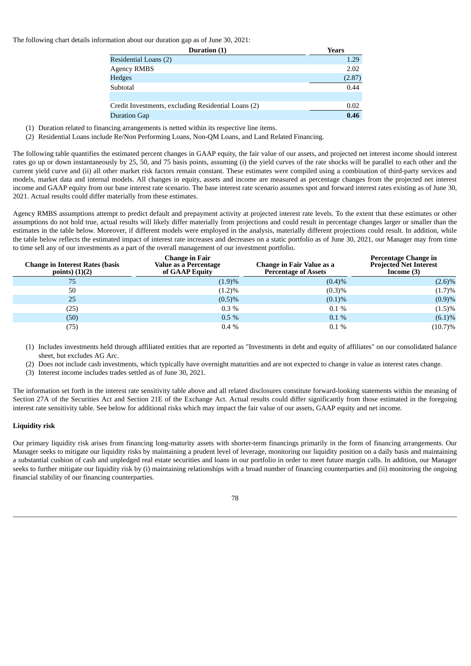The following chart details information about our duration gap as of June 30, 2021:

| Duration (1)                                        | Years  |
|-----------------------------------------------------|--------|
| Residential Loans (2)                               | 1.29   |
| <b>Agency RMBS</b>                                  | 2.02   |
| <b>Hedges</b>                                       | (2.87) |
| Subtotal                                            | 0.44   |
|                                                     |        |
| Credit Investments, excluding Residential Loans (2) | 0.02   |
| Duration Gap                                        | 0.46   |

(1) Duration related to financing arrangements is netted within its respective line items.

(2) Residential Loans include Re/Non Performing Loans, Non-QM Loans, and Land Related Financing.

The following table quantifies the estimated percent changes in GAAP equity, the fair value of our assets, and projected net interest income should interest rates go up or down instantaneously by 25, 50, and 75 basis points, assuming (i) the yield curves of the rate shocks will be parallel to each other and the current yield curve and (ii) all other market risk factors remain constant. These estimates were compiled using a combination of third-party services and models, market data and internal models. All changes in equity, assets and income are measured as percentage changes from the projected net interest income and GAAP equity from our base interest rate scenario. The base interest rate scenario assumes spot and forward interest rates existing as of June 30, 2021. Actual results could differ materially from these estimates.

Agency RMBS assumptions attempt to predict default and prepayment activity at projected interest rate levels. To the extent that these estimates or other assumptions do not hold true, actual results will likely differ materially from projections and could result in percentage changes larger or smaller than the estimates in the table below. Moreover, if different models were employed in the analysis, materially different projections could result. In addition, while the table below reflects the estimated impact of interest rate increases and decreases on a static portfolio as of June 30, 2021, our Manager may from time to time sell any of our investments as a part of the overall management of our investment portfolio.

| <b>Change in Interest Rates (basis</b><br>points) $(1)(2)$ | <b>Change in Fair</b><br>Value as a Percentage<br>of GAAP Equity | Change in Fair Value as a<br><b>Percentage of Assets</b> | <b>Percentage Change in</b><br><b>Projected Net Interest</b><br>Income (3) |
|------------------------------------------------------------|------------------------------------------------------------------|----------------------------------------------------------|----------------------------------------------------------------------------|
| 75                                                         | (1.9)%                                                           | (0.4)%                                                   | $(2.6)\%$                                                                  |
| 50                                                         | $(1.2)\%$                                                        | (0.3)%                                                   | (1.7)%                                                                     |
| 25                                                         | $(0.5)\%$                                                        | (0.1)%                                                   | (0.9)%                                                                     |
| (25)                                                       | $0.3\%$                                                          | $0.1\%$                                                  | $(1.5)\%$                                                                  |
| (50)                                                       | $0.5\%$                                                          | $0.1\%$                                                  | $(6.1)\%$                                                                  |
| (75)                                                       | $0.4\%$                                                          | $0.1\%$                                                  | $(10.7)\%$                                                                 |

- (1) Includes investments held through affiliated entities that are reported as "Investments in debt and equity of affiliates" on our consolidated balance sheet, but excludes AG Arc.
- (2) Does not include cash investments, which typically have overnight maturities and are not expected to change in value as interest rates change.
- (3) Interest income includes trades settled as of June 30, 2021.

The information set forth in the interest rate sensitivity table above and all related disclosures constitute forward-looking statements within the meaning of Section 27A of the Securities Act and Section 21E of the Exchange Act. Actual results could differ significantly from those estimated in the foregoing interest rate sensitivity table. See below for additional risks which may impact the fair value of our assets, GAAP equity and net income.

## **Liquidity risk**

Our primary liquidity risk arises from financing long-maturity assets with shorter-term financings primarily in the form of financing arrangements. Our Manager seeks to mitigate our liquidity risks by maintaining a prudent level of leverage, monitoring our liquidity position on a daily basis and maintaining a substantial cushion of cash and unpledged real estate securities and loans in our portfolio in order to meet future margin calls. In addition, our Manager seeks to further mitigate our liquidity risk by (i) maintaining relationships with a broad number of financing counterparties and (ii) monitoring the ongoing financial stability of our financing counterparties.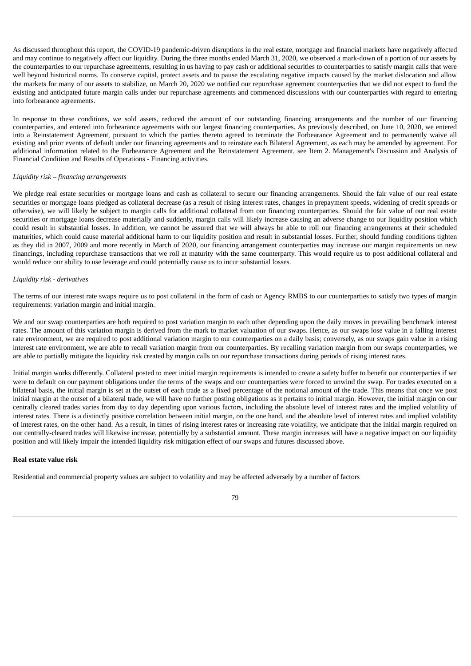As discussed throughout this report, the COVID-19 pandemic-driven disruptions in the real estate, mortgage and financial markets have negatively affected and may continue to negatively affect our liquidity. During the three months ended March 31, 2020, we observed a mark-down of a portion of our assets by the counterparties to our repurchase agreements, resulting in us having to pay cash or additional securities to counterparties to satisfy margin calls that were well beyond historical norms. To conserve capital, protect assets and to pause the escalating negative impacts caused by the market dislocation and allow the markets for many of our assets to stabilize, on March 20, 2020 we notified our repurchase agreement counterparties that we did not expect to fund the existing and anticipated future margin calls under our repurchase agreements and commenced discussions with our counterparties with regard to entering into forbearance agreements.

In response to these conditions, we sold assets, reduced the amount of our outstanding financing arrangements and the number of our financing counterparties, and entered into forbearance agreements with our largest financing counterparties. As previously described, on June 10, 2020, we entered into a Reinstatement Agreement, pursuant to which the parties thereto agreed to terminate the Forbearance Agreement and to permanently waive all existing and prior events of default under our financing agreements and to reinstate each Bilateral Agreement, as each may be amended by agreement. For additional information related to the Forbearance Agreement and the Reinstatement Agreement, see Item 2. Management's Discussion and Analysis of Financial Condition and Results of Operations - Financing activities.

#### *Liquidity risk – financing arrangements*

We pledge real estate securities or mortgage loans and cash as collateral to secure our financing arrangements. Should the fair value of our real estate securities or mortgage loans pledged as collateral decrease (as a result of rising interest rates, changes in prepayment speeds, widening of credit spreads or otherwise), we will likely be subject to margin calls for additional collateral from our financing counterparties. Should the fair value of our real estate securities or mortgage loans decrease materially and suddenly, margin calls will likely increase causing an adverse change to our liquidity position which could result in substantial losses. In addition, we cannot be assured that we will always be able to roll our financing arrangements at their scheduled maturities, which could cause material additional harm to our liquidity position and result in substantial losses. Further, should funding conditions tighten as they did in 2007, 2009 and more recently in March of 2020, our financing arrangement counterparties may increase our margin requirements on new financings, including repurchase transactions that we roll at maturity with the same counterparty. This would require us to post additional collateral and would reduce our ability to use leverage and could potentially cause us to incur substantial losses.

#### *Liquidity risk - derivatives*

The terms of our interest rate swaps require us to post collateral in the form of cash or Agency RMBS to our counterparties to satisfy two types of margin requirements: variation margin and initial margin.

We and our swap counterparties are both required to post variation margin to each other depending upon the daily moves in prevailing benchmark interest rates. The amount of this variation margin is derived from the mark to market valuation of our swaps. Hence, as our swaps lose value in a falling interest rate environment, we are required to post additional variation margin to our counterparties on a daily basis; conversely, as our swaps gain value in a rising interest rate environment, we are able to recall variation margin from our counterparties. By recalling variation margin from our swaps counterparties, we are able to partially mitigate the liquidity risk created by margin calls on our repurchase transactions during periods of rising interest rates.

Initial margin works differently. Collateral posted to meet initial margin requirements is intended to create a safety buffer to benefit our counterparties if we were to default on our payment obligations under the terms of the swaps and our counterparties were forced to unwind the swap. For trades executed on a bilateral basis, the initial margin is set at the outset of each trade as a fixed percentage of the notional amount of the trade. This means that once we post initial margin at the outset of a bilateral trade, we will have no further posting obligations as it pertains to initial margin. However, the initial margin on our centrally cleared trades varies from day to day depending upon various factors, including the absolute level of interest rates and the implied volatility of interest rates. There is a distinctly positive correlation between initial margin, on the one hand, and the absolute level of interest rates and implied volatility of interest rates, on the other hand. As a result, in times of rising interest rates or increasing rate volatility, we anticipate that the initial margin required on our centrally-cleared trades will likewise increase, potentially by a substantial amount. These margin increases will have a negative impact on our liquidity position and will likely impair the intended liquidity risk mitigation effect of our swaps and futures discussed above.

#### **Real estate value risk**

Residential and commercial property values are subject to volatility and may be affected adversely by a number of factors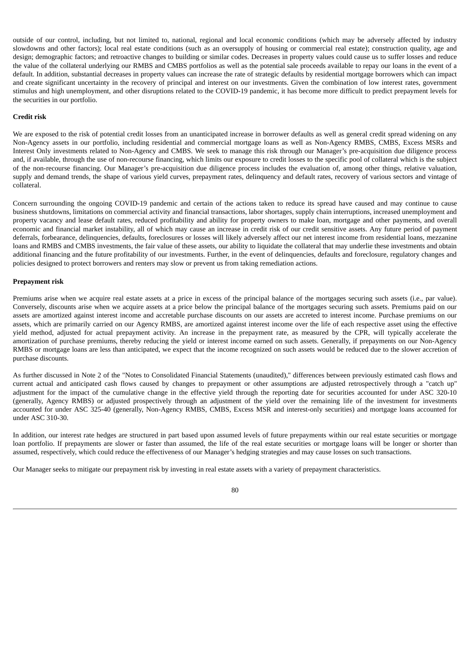outside of our control, including, but not limited to, national, regional and local economic conditions (which may be adversely affected by industry slowdowns and other factors); local real estate conditions (such as an oversupply of housing or commercial real estate); construction quality, age and design; demographic factors; and retroactive changes to building or similar codes. Decreases in property values could cause us to suffer losses and reduce the value of the collateral underlying our RMBS and CMBS portfolios as well as the potential sale proceeds available to repay our loans in the event of a default. In addition, substantial decreases in property values can increase the rate of strategic defaults by residential mortgage borrowers which can impact and create significant uncertainty in the recovery of principal and interest on our investments. Given the combination of low interest rates, government stimulus and high unemployment, and other disruptions related to the COVID-19 pandemic, it has become more difficult to predict prepayment levels for the securities in our portfolio.

## **Credit risk**

We are exposed to the risk of potential credit losses from an unanticipated increase in borrower defaults as well as general credit spread widening on any Non-Agency assets in our portfolio, including residential and commercial mortgage loans as well as Non-Agency RMBS, CMBS, Excess MSRs and Interest Only investments related to Non-Agency and CMBS. We seek to manage this risk through our Manager's pre-acquisition due diligence process and, if available, through the use of non-recourse financing, which limits our exposure to credit losses to the specific pool of collateral which is the subject of the non-recourse financing. Our Manager's pre-acquisition due diligence process includes the evaluation of, among other things, relative valuation, supply and demand trends, the shape of various yield curves, prepayment rates, delinquency and default rates, recovery of various sectors and vintage of collateral.

Concern surrounding the ongoing COVID-19 pandemic and certain of the actions taken to reduce its spread have caused and may continue to cause business shutdowns, limitations on commercial activity and financial transactions, labor shortages, supply chain interruptions, increased unemployment and property vacancy and lease default rates, reduced profitability and ability for property owners to make loan, mortgage and other payments, and overall economic and financial market instability, all of which may cause an increase in credit risk of our credit sensitive assets. Any future period of payment deferrals, forbearance, delinquencies, defaults, foreclosures or losses will likely adversely affect our net interest income from residential loans, mezzanine loans and RMBS and CMBS investments, the fair value of these assets, our ability to liquidate the collateral that may underlie these investments and obtain additional financing and the future profitability of our investments. Further, in the event of delinquencies, defaults and foreclosure, regulatory changes and policies designed to protect borrowers and renters may slow or prevent us from taking remediation actions.

## **Prepayment risk**

Premiums arise when we acquire real estate assets at a price in excess of the principal balance of the mortgages securing such assets (i.e., par value). Conversely, discounts arise when we acquire assets at a price below the principal balance of the mortgages securing such assets. Premiums paid on our assets are amortized against interest income and accretable purchase discounts on our assets are accreted to interest income. Purchase premiums on our assets, which are primarily carried on our Agency RMBS, are amortized against interest income over the life of each respective asset using the effective yield method, adjusted for actual prepayment activity. An increase in the prepayment rate, as measured by the CPR, will typically accelerate the amortization of purchase premiums, thereby reducing the yield or interest income earned on such assets. Generally, if prepayments on our Non-Agency RMBS or mortgage loans are less than anticipated, we expect that the income recognized on such assets would be reduced due to the slower accretion of purchase discounts.

As further discussed in Note 2 of the "Notes to Consolidated Financial Statements (unaudited)," differences between previously estimated cash flows and current actual and anticipated cash flows caused by changes to prepayment or other assumptions are adjusted retrospectively through a "catch up" adjustment for the impact of the cumulative change in the effective yield through the reporting date for securities accounted for under ASC 320-10 (generally, Agency RMBS) or adjusted prospectively through an adjustment of the yield over the remaining life of the investment for investments accounted for under ASC 325-40 (generally, Non-Agency RMBS, CMBS, Excess MSR and interest-only securities) and mortgage loans accounted for under ASC 310-30.

In addition, our interest rate hedges are structured in part based upon assumed levels of future prepayments within our real estate securities or mortgage loan portfolio. If prepayments are slower or faster than assumed, the life of the real estate securities or mortgage loans will be longer or shorter than assumed, respectively, which could reduce the effectiveness of our Manager's hedging strategies and may cause losses on such transactions.

Our Manager seeks to mitigate our prepayment risk by investing in real estate assets with a variety of prepayment characteristics.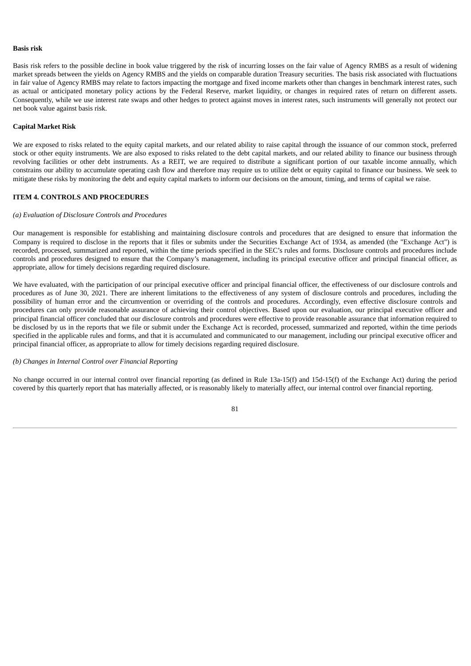### **Basis risk**

Basis risk refers to the possible decline in book value triggered by the risk of incurring losses on the fair value of Agency RMBS as a result of widening market spreads between the yields on Agency RMBS and the yields on comparable duration Treasury securities. The basis risk associated with fluctuations in fair value of Agency RMBS may relate to factors impacting the mortgage and fixed income markets other than changes in benchmark interest rates, such as actual or anticipated monetary policy actions by the Federal Reserve, market liquidity, or changes in required rates of return on different assets. Consequently, while we use interest rate swaps and other hedges to protect against moves in interest rates, such instruments will generally not protect our net book value against basis risk.

## **Capital Market Risk**

We are exposed to risks related to the equity capital markets, and our related ability to raise capital through the issuance of our common stock, preferred stock or other equity instruments. We are also exposed to risks related to the debt capital markets, and our related ability to finance our business through revolving facilities or other debt instruments. As a REIT, we are required to distribute a significant portion of our taxable income annually, which constrains our ability to accumulate operating cash flow and therefore may require us to utilize debt or equity capital to finance our business. We seek to mitigate these risks by monitoring the debt and equity capital markets to inform our decisions on the amount, timing, and terms of capital we raise.

## **ITEM 4. CONTROLS AND PROCEDURES**

### *(a) Evaluation of Disclosure Controls and Procedures*

Our management is responsible for establishing and maintaining disclosure controls and procedures that are designed to ensure that information the Company is required to disclose in the reports that it files or submits under the Securities Exchange Act of 1934, as amended (the "Exchange Act") is recorded, processed, summarized and reported, within the time periods specified in the SEC's rules and forms. Disclosure controls and procedures include controls and procedures designed to ensure that the Company's management, including its principal executive officer and principal financial officer, as appropriate, allow for timely decisions regarding required disclosure.

We have evaluated, with the participation of our principal executive officer and principal financial officer, the effectiveness of our disclosure controls and procedures as of June 30, 2021. There are inherent limitations to the effectiveness of any system of disclosure controls and procedures, including the possibility of human error and the circumvention or overriding of the controls and procedures. Accordingly, even effective disclosure controls and procedures can only provide reasonable assurance of achieving their control objectives. Based upon our evaluation, our principal executive officer and principal financial officer concluded that our disclosure controls and procedures were effective to provide reasonable assurance that information required to be disclosed by us in the reports that we file or submit under the Exchange Act is recorded, processed, summarized and reported, within the time periods specified in the applicable rules and forms, and that it is accumulated and communicated to our management, including our principal executive officer and principal financial officer, as appropriate to allow for timely decisions regarding required disclosure.

#### *(b) Changes in Internal Control over Financial Reporting*

No change occurred in our internal control over financial reporting (as defined in Rule 13a-15(f) and 15d-15(f) of the Exchange Act) during the period covered by this quarterly report that has materially affected, or is reasonably likely to materially affect, our internal control over financial reporting.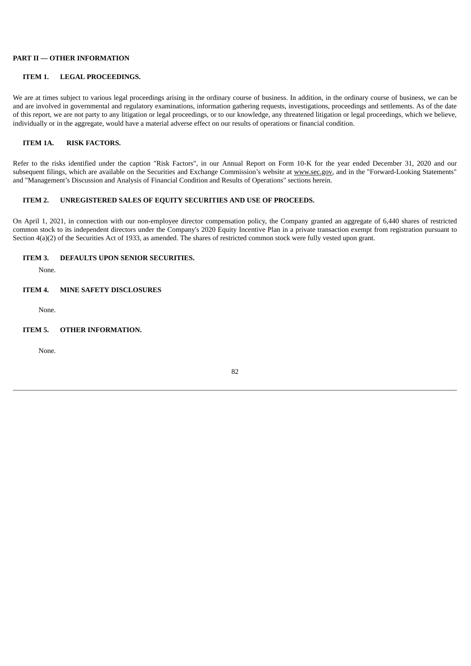## **PART II — OTHER INFORMATION**

## **ITEM 1. LEGAL PROCEEDINGS.**

We are at times subject to various legal proceedings arising in the ordinary course of business. In addition, in the ordinary course of business, we can be and are involved in governmental and regulatory examinations, information gathering requests, investigations, proceedings and settlements. As of the date of this report, we are not party to any litigation or legal proceedings, or to our knowledge, any threatened litigation or legal proceedings, which we believe, individually or in the aggregate, would have a material adverse effect on our results of operations or financial condition.

## **ITEM 1A. RISK FACTORS.**

Refer to the risks identified under the caption "Risk Factors", in our Annual Report on Form 10-K for the year ended December 31, 2020 and our subsequent filings, which are available on the Securities and Exchange Commission's website at www.sec.gov, and in the "Forward-Looking Statements" and "Management's Discussion and Analysis of Financial Condition and Results of Operations" sections herein.

## **ITEM 2. UNREGISTERED SALES OF EQUITY SECURITIES AND USE OF PROCEEDS.**

On April 1, 2021, in connection with our non-employee director compensation policy, the Company granted an aggregate of 6,440 shares of restricted common stock to its independent directors under the Company's 2020 Equity Incentive Plan in a private transaction exempt from registration pursuant to Section 4(a)(2) of the Securities Act of 1933, as amended. The shares of restricted common stock were fully vested upon grant.

## **ITEM 3. DEFAULTS UPON SENIOR SECURITIES.**

None.

## **ITEM 4. MINE SAFETY DISCLOSURES**

None.

## **ITEM 5. OTHER INFORMATION.**

None.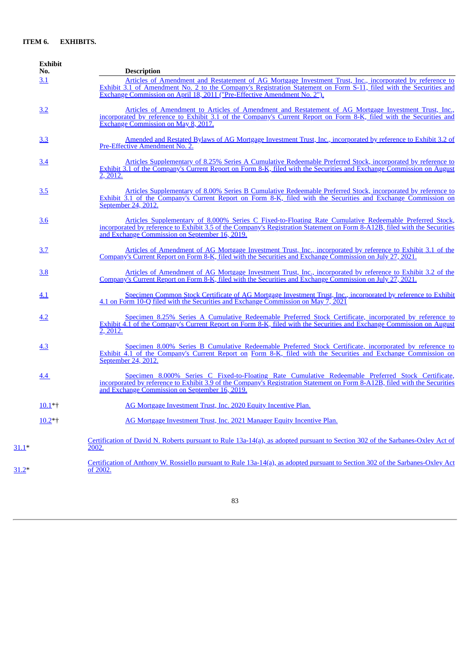|         | <b>Exhibit</b><br>No. | <b>Description</b>                                                                                                                                                                                                                                                                                          |  |  |  |
|---------|-----------------------|-------------------------------------------------------------------------------------------------------------------------------------------------------------------------------------------------------------------------------------------------------------------------------------------------------------|--|--|--|
|         | 3.1                   | Articles of Amendment and Restatement of AG Mortgage Investment Trust, Inc., incorporated by reference to<br>Exhibit 3.1 of Amendment No. 2 to the Company's Registration Statement on Form S-11, filed with the Securities and<br>Exchange Commission on April 18, 2011 ("Pre-Effective Amendment No. 2"). |  |  |  |
|         | 3.2                   | Articles of Amendment to Articles of Amendment and Restatement of AG Mortgage Investment Trust, Inc.,<br>incorporated by reference to Exhibit 3.1 of the Company's Current Report on Form 8-K, filed with the Securities and<br>Exchange Commission on May 8, 2017.                                         |  |  |  |
|         | 3.3                   | Amended and Restated Bylaws of AG Mortgage Investment Trust, Inc., incorporated by reference to Exhibit 3.2 of<br>Pre-Effective Amendment No. 2.                                                                                                                                                            |  |  |  |
|         | <u>3.4</u>            | Articles Supplementary of 8.25% Series A Cumulative Redeemable Preferred Stock, incorporated by reference to<br>Exhibit 3.1 of the Company's Current Report on Form 8-K, filed with the Securities and Exchange Commission on August<br>2012.                                                               |  |  |  |
|         | 3.5                   | Articles Supplementary of 8.00% Series B Cumulative Redeemable Preferred Stock, incorporated by reference to<br>Exhibit 3.1 of the Company's Current Report on Form 8-K, filed with the Securities and Exchange Commission on<br>September 24, 2012.                                                        |  |  |  |
|         | <u>3.6</u>            | Articles Supplementary of 8.000% Series C Fixed-to-Floating Rate Cumulative Redeemable Preferred Stock,<br>incorporated by reference to Exhibit 3.5 of the Company's Registration Statement on Form 8-A12B, filed with the Securities<br>and Exchange Commission on September 16, 2019.                     |  |  |  |
|         | 3.7                   | Articles of Amendment of AG Mortgage Investment Trust, Inc., incorporated by reference to Exhibit 3.1 of the Company's Current Report on Form 8-K, filed with the Securities and Exchange Commission on July 27, 2021.                                                                                      |  |  |  |
|         | 3.8                   | Articles of Amendment of AG Mortgage Investment Trust, Inc., incorporated by reference to Exhibit 3.2 of the Company's Current Report on Form 8-K, filed with the Securities and Exchange Commission on July 27, 2021.                                                                                      |  |  |  |
|         | 4.1                   | Specimen Common Stock Certificate of AG Mortgage Investment Trust, Inc., incorporated by reference to Exhibit<br>4.1 on Form 10-Q filed with the Securities and Exchange Commission on May 7, 2021                                                                                                          |  |  |  |
|         | 4.2                   | Specimen 8.25% Series A Cumulative Redeemable Preferred Stock Certificate, incorporated by reference to<br>Exhibit 4.1 of the Company's Current Report on Form 8-K, filed with the Securities and Exchange Commission on August<br>2, 2012.                                                                 |  |  |  |
|         | 4.3                   | Specimen 8.00% Series B Cumulative Redeemable Preferred Stock Certificate, incorporated by reference to<br>Exhibit 4.1 of the Company's Current Report on Form 8-K, filed with the Securities and Exchange Commission on<br>September 24, 2012.                                                             |  |  |  |
|         | 4.4                   | Specimen 8.000% Series C Fixed-to-Floating Rate Cumulative Redeemable Preferred Stock Certificate, incorporated by reference to Exhibit 3.9 of the Company's Registration Statement on Form 8-A12B, filed with the Securities<br>and Exchange Commission on September 16, 2019.                             |  |  |  |
|         | $10.1*$               | AG Mortgage Investment Trust, Inc. 2020 Equity Incentive Plan.                                                                                                                                                                                                                                              |  |  |  |
|         | $10.2$ *†             | AG Mortgage Investment Trust, Inc. 2021 Manager Equity Incentive Plan.                                                                                                                                                                                                                                      |  |  |  |
| $31.1*$ |                       | Certification of David N. Roberts pursuant to Rule 13a-14(a), as adopted pursuant to Section 302 of the Sarbanes-Oxley Act of<br>2002.                                                                                                                                                                      |  |  |  |
| $31.2*$ |                       | Certification of Anthony W. Rossiello pursuant to Rule 13a-14(a), as adopted pursuant to Section 302 of the Sarbanes-Oxley Act<br>of 2002.                                                                                                                                                                  |  |  |  |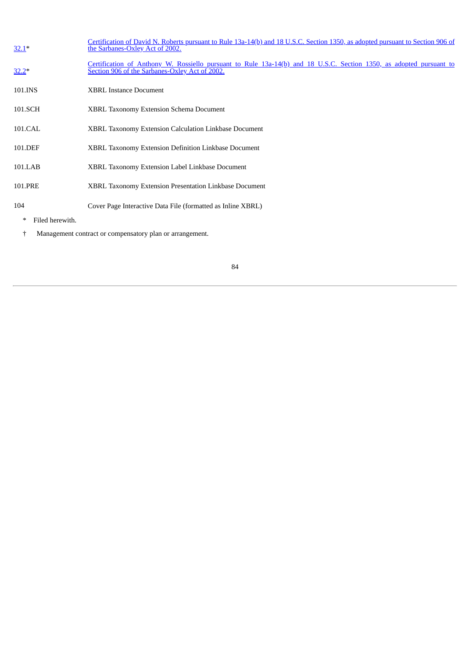| $32.1*$                                                  | Certification of David N. Roberts pursuant to Rule 13a-14(b) and 18 U.S.C. Section 1350, as adopted pursuant to Section 906 of<br>the Sarbanes-Oxley Act of 2002.     |  |  |  |
|----------------------------------------------------------|-----------------------------------------------------------------------------------------------------------------------------------------------------------------------|--|--|--|
| $32.2*$                                                  | Certification of Anthony W. Rossiello pursuant to Rule 13a-14(b) and 18 U.S.C. Section 1350, as adopted pursuant to<br>Section 906 of the Sarbanes-Oxley Act of 2002. |  |  |  |
| 101.INS                                                  | <b>XBRL Instance Document</b>                                                                                                                                         |  |  |  |
| 101.SCH                                                  | <b>XBRL Taxonomy Extension Schema Document</b>                                                                                                                        |  |  |  |
| 101.CAL                                                  | <b>XBRL Taxonomy Extension Calculation Linkbase Document</b>                                                                                                          |  |  |  |
| 101.DEF                                                  | XBRL Taxonomy Extension Definition Linkbase Document                                                                                                                  |  |  |  |
| 101.LAB                                                  | XBRL Taxonomy Extension Label Linkbase Document                                                                                                                       |  |  |  |
| 101.PRE                                                  | XBRL Taxonomy Extension Presentation Linkbase Document                                                                                                                |  |  |  |
| 104                                                      | Cover Page Interactive Data File (formatted as Inline XBRL)                                                                                                           |  |  |  |
| Filed herewith.<br>$\ast$                                |                                                                                                                                                                       |  |  |  |
| Management contract or compensatory plan or arrangement. |                                                                                                                                                                       |  |  |  |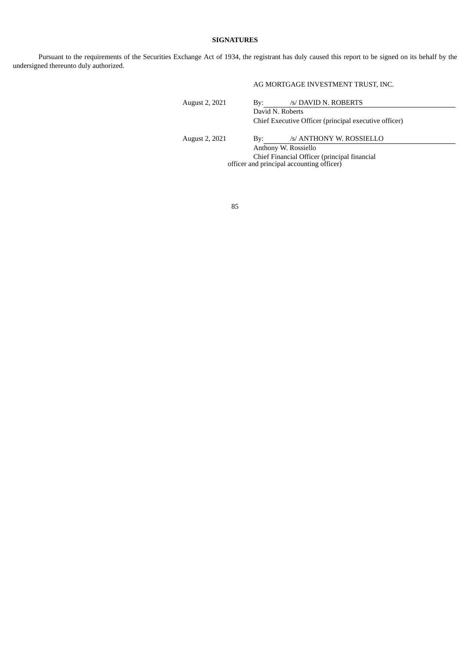## **SIGNATURES**

Pursuant to the requirements of the Securities Exchange Act of 1934, the registrant has duly caused this report to be signed on its behalf by the undersigned thereunto duly authorized.

AG MORTGAGE INVESTMENT TRUST, INC.

| August 2, 2021 | By: | /s/ DAVID N. ROBERTS                                                      |  |  |
|----------------|-----|---------------------------------------------------------------------------|--|--|
|                |     | David N. Roberts<br>Chief Executive Officer (principal executive officer) |  |  |
|                |     |                                                                           |  |  |
|                |     |                                                                           |  |  |

August 2, 2021 By: /s/ ANTHONY W. ROSSIELLO

Anthony W. Rossiello Chief Financial Officer (principal financial officer and principal accounting officer)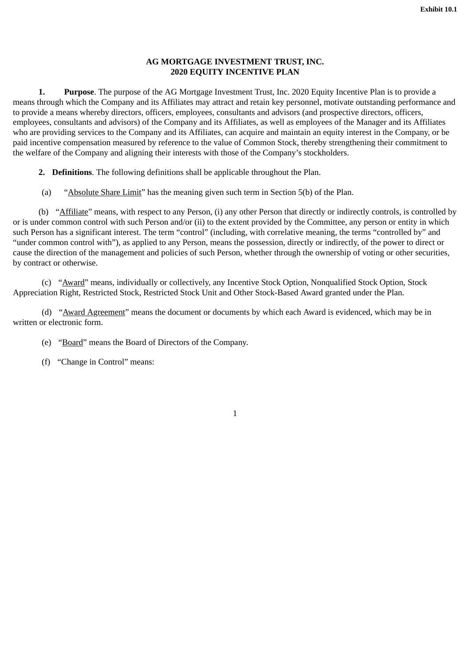# **AG MORTGAGE INVESTMENT TRUST, INC. 2020 EQUITY INCENTIVE PLAN**

<span id="page-85-0"></span>**1. Purpose**. The purpose of the AG Mortgage Investment Trust, Inc. 2020 Equity Incentive Plan is to provide a means through which the Company and its Affiliates may attract and retain key personnel, motivate outstanding performance and to provide a means whereby directors, officers, employees, consultants and advisors (and prospective directors, officers, employees, consultants and advisors) of the Company and its Affiliates, as well as employees of the Manager and its Affiliates who are providing services to the Company and its Affiliates, can acquire and maintain an equity interest in the Company, or be paid incentive compensation measured by reference to the value of Common Stock, thereby strengthening their commitment to the welfare of the Company and aligning their interests with those of the Company's stockholders.

- **2. Definitions**. The following definitions shall be applicable throughout the Plan.
- (a) "Absolute Share Limit" has the meaning given such term in Section 5(b) of the Plan.

(b) "Affiliate" means, with respect to any Person, (i) any other Person that directly or indirectly controls, is controlled by or is under common control with such Person and/or (ii) to the extent provided by the Committee, any person or entity in which such Person has a significant interest. The term "control" (including, with correlative meaning, the terms "controlled by" and "under common control with"), as applied to any Person, means the possession, directly or indirectly, of the power to direct or cause the direction of the management and policies of such Person, whether through the ownership of voting or other securities, by contract or otherwise.

(c) "Award" means, individually or collectively, any Incentive Stock Option, Nonqualified Stock Option, Stock Appreciation Right, Restricted Stock, Restricted Stock Unit and Other Stock-Based Award granted under the Plan.

(d) "Award Agreement" means the document or documents by which each Award is evidenced, which may be in written or electronic form.

- (e) "Board" means the Board of Directors of the Company.
- (f) "Change in Control" means: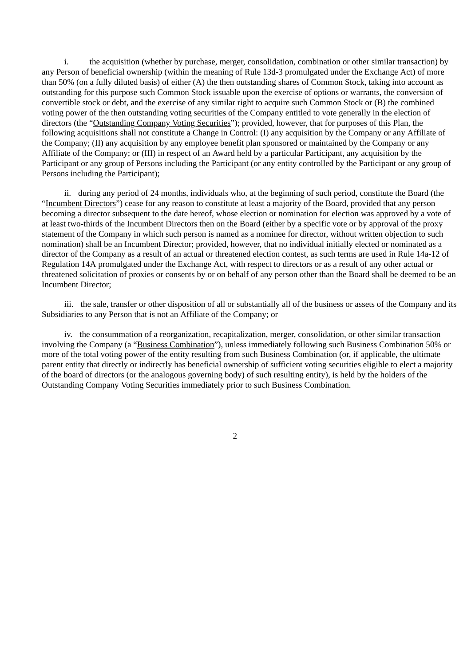i. the acquisition (whether by purchase, merger, consolidation, combination or other similar transaction) by any Person of beneficial ownership (within the meaning of Rule 13d-3 promulgated under the Exchange Act) of more than 50% (on a fully diluted basis) of either (A) the then outstanding shares of Common Stock, taking into account as outstanding for this purpose such Common Stock issuable upon the exercise of options or warrants, the conversion of convertible stock or debt, and the exercise of any similar right to acquire such Common Stock or (B) the combined voting power of the then outstanding voting securities of the Company entitled to vote generally in the election of directors (the "Outstanding Company Voting Securities"); provided, however, that for purposes of this Plan, the following acquisitions shall not constitute a Change in Control: (I) any acquisition by the Company or any Affiliate of the Company; (II) any acquisition by any employee benefit plan sponsored or maintained by the Company or any Affiliate of the Company; or (III) in respect of an Award held by a particular Participant, any acquisition by the Participant or any group of Persons including the Participant (or any entity controlled by the Participant or any group of Persons including the Participant);

ii. during any period of 24 months, individuals who, at the beginning of such period, constitute the Board (the "Incumbent Directors") cease for any reason to constitute at least a majority of the Board, provided that any person becoming a director subsequent to the date hereof, whose election or nomination for election was approved by a vote of at least two-thirds of the Incumbent Directors then on the Board (either by a specific vote or by approval of the proxy statement of the Company in which such person is named as a nominee for director, without written objection to such nomination) shall be an Incumbent Director; provided, however, that no individual initially elected or nominated as a director of the Company as a result of an actual or threatened election contest, as such terms are used in Rule 14a-12 of Regulation 14A promulgated under the Exchange Act, with respect to directors or as a result of any other actual or threatened solicitation of proxies or consents by or on behalf of any person other than the Board shall be deemed to be an Incumbent Director;

iii. the sale, transfer or other disposition of all or substantially all of the business or assets of the Company and its Subsidiaries to any Person that is not an Affiliate of the Company; or

iv. the consummation of a reorganization, recapitalization, merger, consolidation, or other similar transaction involving the Company (a "Business Combination"), unless immediately following such Business Combination 50% or more of the total voting power of the entity resulting from such Business Combination (or, if applicable, the ultimate parent entity that directly or indirectly has beneficial ownership of sufficient voting securities eligible to elect a majority of the board of directors (or the analogous governing body) of such resulting entity), is held by the holders of the Outstanding Company Voting Securities immediately prior to such Business Combination.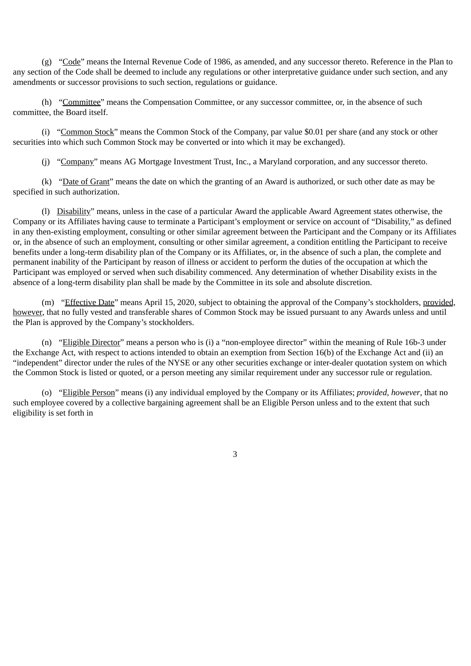(g) "Code" means the Internal Revenue Code of 1986, as amended, and any successor thereto. Reference in the Plan to any section of the Code shall be deemed to include any regulations or other interpretative guidance under such section, and any amendments or successor provisions to such section, regulations or guidance.

(h) "Committee" means the Compensation Committee, or any successor committee, or, in the absence of such committee, the Board itself.

(i) "Common Stock" means the Common Stock of the Company, par value \$0.01 per share (and any stock or other securities into which such Common Stock may be converted or into which it may be exchanged).

(j) "Company" means AG Mortgage Investment Trust, Inc., a Maryland corporation, and any successor thereto.

(k) "Date of Grant" means the date on which the granting of an Award is authorized, or such other date as may be specified in such authorization.

(l) Disability" means, unless in the case of a particular Award the applicable Award Agreement states otherwise, the Company or its Affiliates having cause to terminate a Participant's employment or service on account of "Disability," as defined in any then-existing employment, consulting or other similar agreement between the Participant and the Company or its Affiliates or, in the absence of such an employment, consulting or other similar agreement, a condition entitling the Participant to receive benefits under a long-term disability plan of the Company or its Affiliates, or, in the absence of such a plan, the complete and permanent inability of the Participant by reason of illness or accident to perform the duties of the occupation at which the Participant was employed or served when such disability commenced. Any determination of whether Disability exists in the absence of a long-term disability plan shall be made by the Committee in its sole and absolute discretion.

(m) "Effective Date" means April 15, 2020, subject to obtaining the approval of the Company's stockholders, provided, however, that no fully vested and transferable shares of Common Stock may be issued pursuant to any Awards unless and until the Plan is approved by the Company's stockholders.

(n) "Eligible Director" means a person who is (i) a "non-employee director" within the meaning of Rule 16b-3 under the Exchange Act, with respect to actions intended to obtain an exemption from Section 16(b) of the Exchange Act and (ii) an "independent" director under the rules of the NYSE or any other securities exchange or inter-dealer quotation system on which the Common Stock is listed or quoted, or a person meeting any similar requirement under any successor rule or regulation.

(o) "Eligible Person" means (i) any individual employed by the Company or its Affiliates; *provided, however*, that no such employee covered by a collective bargaining agreement shall be an Eligible Person unless and to the extent that such eligibility is set forth in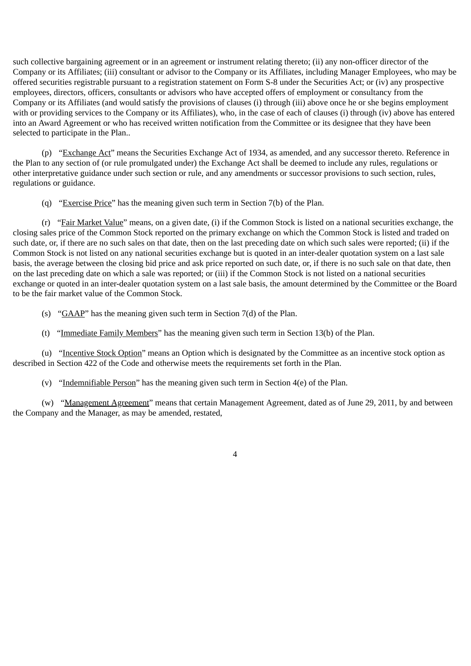such collective bargaining agreement or in an agreement or instrument relating thereto; (ii) any non-officer director of the Company or its Affiliates; (iii) consultant or advisor to the Company or its Affiliates, including Manager Employees, who may be offered securities registrable pursuant to a registration statement on Form S-8 under the Securities Act; or (iv) any prospective employees, directors, officers, consultants or advisors who have accepted offers of employment or consultancy from the Company or its Affiliates (and would satisfy the provisions of clauses (i) through (iii) above once he or she begins employment with or providing services to the Company or its Affiliates), who, in the case of each of clauses (i) through (iv) above has entered into an Award Agreement or who has received written notification from the Committee or its designee that they have been selected to participate in the Plan..

(p) "Exchange Act" means the Securities Exchange Act of 1934, as amended, and any successor thereto. Reference in the Plan to any section of (or rule promulgated under) the Exchange Act shall be deemed to include any rules, regulations or other interpretative guidance under such section or rule, and any amendments or successor provisions to such section, rules, regulations or guidance.

(q) "Exercise Price" has the meaning given such term in Section 7(b) of the Plan.

(r) "Fair Market Value" means, on a given date, (i) if the Common Stock is listed on a national securities exchange, the closing sales price of the Common Stock reported on the primary exchange on which the Common Stock is listed and traded on such date, or, if there are no such sales on that date, then on the last preceding date on which such sales were reported; (ii) if the Common Stock is not listed on any national securities exchange but is quoted in an inter-dealer quotation system on a last sale basis, the average between the closing bid price and ask price reported on such date, or, if there is no such sale on that date, then on the last preceding date on which a sale was reported; or (iii) if the Common Stock is not listed on a national securities exchange or quoted in an inter-dealer quotation system on a last sale basis, the amount determined by the Committee or the Board to be the fair market value of the Common Stock.

- (s) "GAAP" has the meaning given such term in Section 7(d) of the Plan.
- (t) "Immediate Family Members" has the meaning given such term in Section 13(b) of the Plan.

(u) "Incentive Stock Option" means an Option which is designated by the Committee as an incentive stock option as described in Section 422 of the Code and otherwise meets the requirements set forth in the Plan.

(v) "Indemnifiable Person" has the meaning given such term in Section 4(e) of the Plan.

(w) "Management Agreement" means that certain Management Agreement, dated as of June 29, 2011, by and between the Company and the Manager, as may be amended, restated,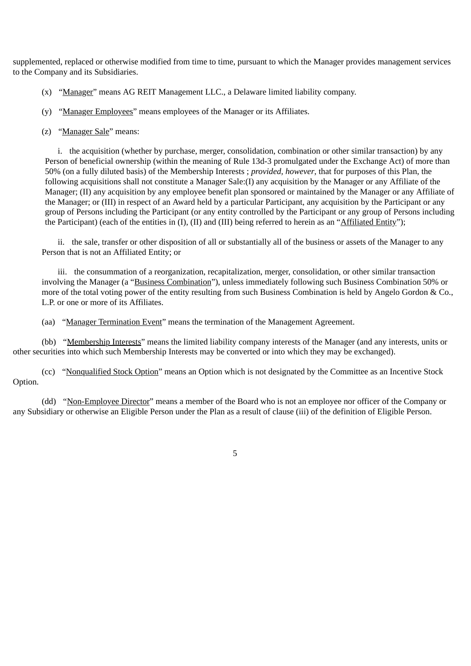supplemented, replaced or otherwise modified from time to time, pursuant to which the Manager provides management services to the Company and its Subsidiaries.

- (x) "Manager" means AG REIT Management LLC., a Delaware limited liability company.
- (y) "Manager Employees" means employees of the Manager or its Affiliates.
- (z) "Manager Sale" means:

i. the acquisition (whether by purchase, merger, consolidation, combination or other similar transaction) by any Person of beneficial ownership (within the meaning of Rule 13d-3 promulgated under the Exchange Act) of more than 50% (on a fully diluted basis) of the Membership Interests ; *provided, however*, that for purposes of this Plan, the following acquisitions shall not constitute a Manager Sale:(I) any acquisition by the Manager or any Affiliate of the Manager; (II) any acquisition by any employee benefit plan sponsored or maintained by the Manager or any Affiliate of the Manager; or (III) in respect of an Award held by a particular Participant, any acquisition by the Participant or any group of Persons including the Participant (or any entity controlled by the Participant or any group of Persons including the Participant) (each of the entities in (I), (II) and (III) being referred to herein as an "Affiliated Entity");

ii. the sale, transfer or other disposition of all or substantially all of the business or assets of the Manager to any Person that is not an Affiliated Entity; or

iii. the consummation of a reorganization, recapitalization, merger, consolidation, or other similar transaction involving the Manager (a "Business Combination"), unless immediately following such Business Combination 50% or more of the total voting power of the entity resulting from such Business Combination is held by Angelo Gordon & Co., L.P. or one or more of its Affiliates.

(aa) "Manager Termination Event" means the termination of the Management Agreement.

(bb) "Membership Interests" means the limited liability company interests of the Manager (and any interests, units or other securities into which such Membership Interests may be converted or into which they may be exchanged).

(cc) "Nonqualified Stock Option" means an Option which is not designated by the Committee as an Incentive Stock Option.

(dd) "Non-Employee Director" means a member of the Board who is not an employee nor officer of the Company or any Subsidiary or otherwise an Eligible Person under the Plan as a result of clause (iii) of the definition of Eligible Person.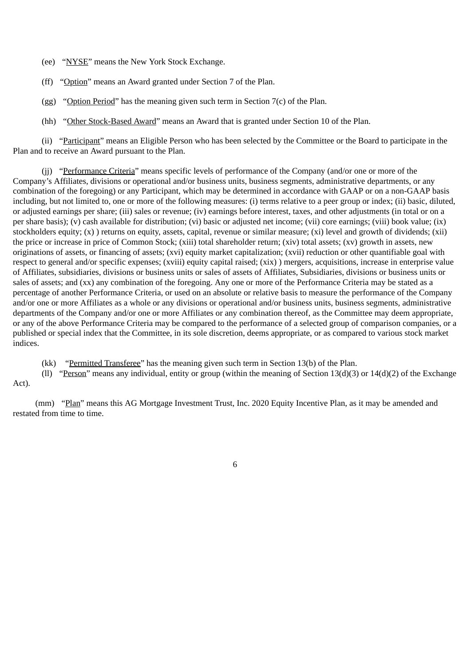- (ee) "NYSE" means the New York Stock Exchange.
- (ff) "Option" means an Award granted under Section 7 of the Plan.
- (gg) "Option Period" has the meaning given such term in Section 7(c) of the Plan.
- (hh) "Other Stock-Based Award" means an Award that is granted under Section 10 of the Plan.

(ii) "Participant" means an Eligible Person who has been selected by the Committee or the Board to participate in the Plan and to receive an Award pursuant to the Plan.

(jj) "Performance Criteria" means specific levels of performance of the Company (and/or one or more of the Company's Affiliates, divisions or operational and/or business units, business segments, administrative departments, or any combination of the foregoing) or any Participant, which may be determined in accordance with GAAP or on a non-GAAP basis including, but not limited to, one or more of the following measures: (i) terms relative to a peer group or index; (ii) basic, diluted, or adjusted earnings per share; (iii) sales or revenue; (iv) earnings before interest, taxes, and other adjustments (in total or on a per share basis); (v) cash available for distribution; (vi) basic or adjusted net income; (vii) core earnings; (viii) book value; (ix) stockholders equity; (x) ) returns on equity, assets, capital, revenue or similar measure; (xi) level and growth of dividends; (xii) the price or increase in price of Common Stock; (xiii) total shareholder return; (xiv) total assets; (xv) growth in assets, new originations of assets, or financing of assets; (xvi) equity market capitalization; (xvii) reduction or other quantifiable goal with respect to general and/or specific expenses; (xviii) equity capital raised; (xix) ) mergers, acquisitions, increase in enterprise value of Affiliates, subsidiaries, divisions or business units or sales of assets of Affiliates, Subsidiaries, divisions or business units or sales of assets; and (xx) any combination of the foregoing. Any one or more of the Performance Criteria may be stated as a percentage of another Performance Criteria, or used on an absolute or relative basis to measure the performance of the Company and/or one or more Affiliates as a whole or any divisions or operational and/or business units, business segments, administrative departments of the Company and/or one or more Affiliates or any combination thereof, as the Committee may deem appropriate, or any of the above Performance Criteria may be compared to the performance of a selected group of comparison companies, or a published or special index that the Committee, in its sole discretion, deems appropriate, or as compared to various stock market indices.

- (kk) "Permitted Transferee" has the meaning given such term in Section 13(b) of the Plan.
- (ll) "Person" means any individual, entity or group (within the meaning of Section 13(d)(3) or 14(d)(2) of the Exchange Act).

(mm) "Plan" means this AG Mortgage Investment Trust, Inc. 2020 Equity Incentive Plan, as it may be amended and restated from time to time.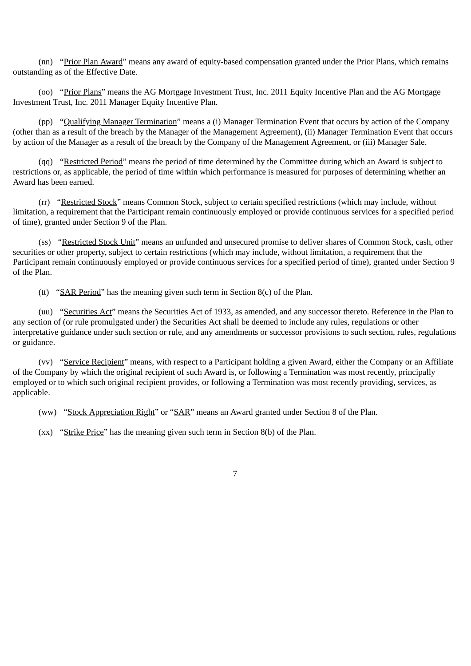(nn) "Prior Plan Award" means any award of equity-based compensation granted under the Prior Plans, which remains outstanding as of the Effective Date.

(oo) "Prior Plans" means the AG Mortgage Investment Trust, Inc. 2011 Equity Incentive Plan and the AG Mortgage Investment Trust, Inc. 2011 Manager Equity Incentive Plan.

(pp) "Qualifying Manager Termination" means a (i) Manager Termination Event that occurs by action of the Company (other than as a result of the breach by the Manager of the Management Agreement), (ii) Manager Termination Event that occurs by action of the Manager as a result of the breach by the Company of the Management Agreement, or (iii) Manager Sale.

(qq) "Restricted Period" means the period of time determined by the Committee during which an Award is subject to restrictions or, as applicable, the period of time within which performance is measured for purposes of determining whether an Award has been earned.

(rr) "Restricted Stock" means Common Stock, subject to certain specified restrictions (which may include, without limitation, a requirement that the Participant remain continuously employed or provide continuous services for a specified period of time), granted under Section 9 of the Plan.

(ss) "Restricted Stock Unit" means an unfunded and unsecured promise to deliver shares of Common Stock, cash, other securities or other property, subject to certain restrictions (which may include, without limitation, a requirement that the Participant remain continuously employed or provide continuous services for a specified period of time), granted under Section 9 of the Plan.

(tt) "SAR Period" has the meaning given such term in Section 8(c) of the Plan.

(uu) "Securities Act" means the Securities Act of 1933, as amended, and any successor thereto. Reference in the Plan to any section of (or rule promulgated under) the Securities Act shall be deemed to include any rules, regulations or other interpretative guidance under such section or rule, and any amendments or successor provisions to such section, rules, regulations or guidance.

(vv) "Service Recipient" means, with respect to a Participant holding a given Award, either the Company or an Affiliate of the Company by which the original recipient of such Award is, or following a Termination was most recently, principally employed or to which such original recipient provides, or following a Termination was most recently providing, services, as applicable.

(ww) "Stock Appreciation Right" or "SAR" means an Award granted under Section 8 of the Plan.

(xx) "Strike Price" has the meaning given such term in Section 8(b) of the Plan.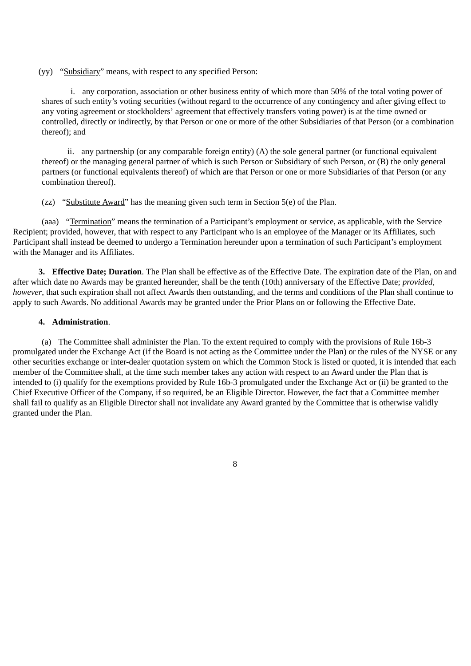(yy) "Subsidiary" means, with respect to any specified Person:

i. any corporation, association or other business entity of which more than 50% of the total voting power of shares of such entity's voting securities (without regard to the occurrence of any contingency and after giving effect to any voting agreement or stockholders' agreement that effectively transfers voting power) is at the time owned or controlled, directly or indirectly, by that Person or one or more of the other Subsidiaries of that Person (or a combination thereof); and

ii. any partnership (or any comparable foreign entity) (A) the sole general partner (or functional equivalent thereof) or the managing general partner of which is such Person or Subsidiary of such Person, or (B) the only general partners (or functional equivalents thereof) of which are that Person or one or more Subsidiaries of that Person (or any combination thereof).

(zz) "Substitute Award" has the meaning given such term in Section 5(e) of the Plan.

(aaa) "Termination" means the termination of a Participant's employment or service, as applicable, with the Service Recipient; provided, however, that with respect to any Participant who is an employee of the Manager or its Affiliates, such Participant shall instead be deemed to undergo a Termination hereunder upon a termination of such Participant's employment with the Manager and its Affiliates.

**3. Effective Date; Duration**. The Plan shall be effective as of the Effective Date. The expiration date of the Plan, on and after which date no Awards may be granted hereunder, shall be the tenth (10th) anniversary of the Effective Date; *provided, however*, that such expiration shall not affect Awards then outstanding, and the terms and conditions of the Plan shall continue to apply to such Awards. No additional Awards may be granted under the Prior Plans on or following the Effective Date.

## **4. Administration**.

(a) The Committee shall administer the Plan. To the extent required to comply with the provisions of Rule 16b-3 promulgated under the Exchange Act (if the Board is not acting as the Committee under the Plan) or the rules of the NYSE or any other securities exchange or inter-dealer quotation system on which the Common Stock is listed or quoted, it is intended that each member of the Committee shall, at the time such member takes any action with respect to an Award under the Plan that is intended to (i) qualify for the exemptions provided by Rule 16b-3 promulgated under the Exchange Act or (ii) be granted to the Chief Executive Officer of the Company, if so required, be an Eligible Director. However, the fact that a Committee member shall fail to qualify as an Eligible Director shall not invalidate any Award granted by the Committee that is otherwise validly granted under the Plan.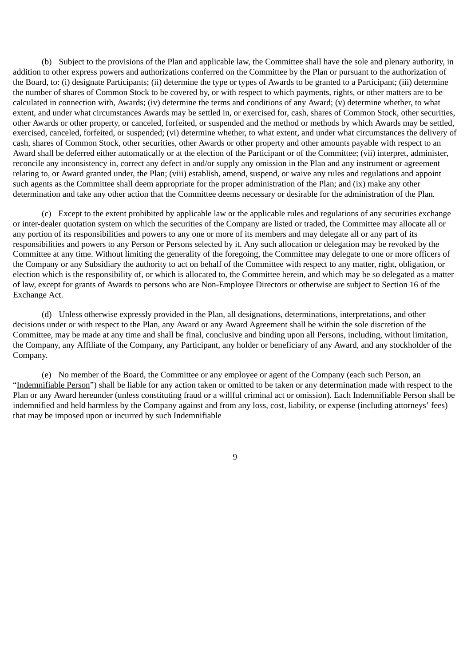(b) Subject to the provisions of the Plan and applicable law, the Committee shall have the sole and plenary authority, in addition to other express powers and authorizations conferred on the Committee by the Plan or pursuant to the authorization of the Board, to: (i) designate Participants; (ii) determine the type or types of Awards to be granted to a Participant; (iii) determine the number of shares of Common Stock to be covered by, or with respect to which payments, rights, or other matters are to be calculated in connection with, Awards; (iv) determine the terms and conditions of any Award; (v) determine whether, to what extent, and under what circumstances Awards may be settled in, or exercised for, cash, shares of Common Stock, other securities, other Awards or other property, or canceled, forfeited, or suspended and the method or methods by which Awards may be settled, exercised, canceled, forfeited, or suspended; (vi) determine whether, to what extent, and under what circumstances the delivery of cash, shares of Common Stock, other securities, other Awards or other property and other amounts payable with respect to an Award shall be deferred either automatically or at the election of the Participant or of the Committee; (vii) interpret, administer, reconcile any inconsistency in, correct any defect in and/or supply any omission in the Plan and any instrument or agreement relating to, or Award granted under, the Plan; (viii) establish, amend, suspend, or waive any rules and regulations and appoint such agents as the Committee shall deem appropriate for the proper administration of the Plan; and (ix) make any other determination and take any other action that the Committee deems necessary or desirable for the administration of the Plan.

(c) Except to the extent prohibited by applicable law or the applicable rules and regulations of any securities exchange or inter-dealer quotation system on which the securities of the Company are listed or traded, the Committee may allocate all or any portion of its responsibilities and powers to any one or more of its members and may delegate all or any part of its responsibilities and powers to any Person or Persons selected by it. Any such allocation or delegation may be revoked by the Committee at any time. Without limiting the generality of the foregoing, the Committee may delegate to one or more officers of the Company or any Subsidiary the authority to act on behalf of the Committee with respect to any matter, right, obligation, or election which is the responsibility of, or which is allocated to, the Committee herein, and which may be so delegated as a matter of law, except for grants of Awards to persons who are Non-Employee Directors or otherwise are subject to Section 16 of the Exchange Act.

(d) Unless otherwise expressly provided in the Plan, all designations, determinations, interpretations, and other decisions under or with respect to the Plan, any Award or any Award Agreement shall be within the sole discretion of the Committee, may be made at any time and shall be final, conclusive and binding upon all Persons, including, without limitation, the Company, any Affiliate of the Company, any Participant, any holder or beneficiary of any Award, and any stockholder of the Company.

(e) No member of the Board, the Committee or any employee or agent of the Company (each such Person, an "Indemnifiable Person") shall be liable for any action taken or omitted to be taken or any determination made with respect to the Plan or any Award hereunder (unless constituting fraud or a willful criminal act or omission). Each Indemnifiable Person shall be indemnified and held harmless by the Company against and from any loss, cost, liability, or expense (including attorneys' fees) that may be imposed upon or incurred by such Indemnifiable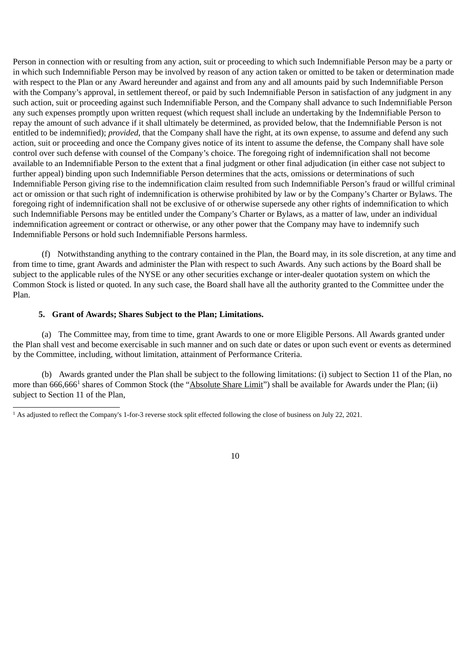Person in connection with or resulting from any action, suit or proceeding to which such Indemnifiable Person may be a party or in which such Indemnifiable Person may be involved by reason of any action taken or omitted to be taken or determination made with respect to the Plan or any Award hereunder and against and from any and all amounts paid by such Indemnifiable Person with the Company's approval, in settlement thereof, or paid by such Indemnifiable Person in satisfaction of any judgment in any such action, suit or proceeding against such Indemnifiable Person, and the Company shall advance to such Indemnifiable Person any such expenses promptly upon written request (which request shall include an undertaking by the Indemnifiable Person to repay the amount of such advance if it shall ultimately be determined, as provided below, that the Indemnifiable Person is not entitled to be indemnified); *provided*, that the Company shall have the right, at its own expense, to assume and defend any such action, suit or proceeding and once the Company gives notice of its intent to assume the defense, the Company shall have sole control over such defense with counsel of the Company's choice. The foregoing right of indemnification shall not become available to an Indemnifiable Person to the extent that a final judgment or other final adjudication (in either case not subject to further appeal) binding upon such Indemnifiable Person determines that the acts, omissions or determinations of such Indemnifiable Person giving rise to the indemnification claim resulted from such Indemnifiable Person's fraud or willful criminal act or omission or that such right of indemnification is otherwise prohibited by law or by the Company's Charter or Bylaws. The foregoing right of indemnification shall not be exclusive of or otherwise supersede any other rights of indemnification to which such Indemnifiable Persons may be entitled under the Company's Charter or Bylaws, as a matter of law, under an individual indemnification agreement or contract or otherwise, or any other power that the Company may have to indemnify such Indemnifiable Persons or hold such Indemnifiable Persons harmless.

(f) Notwithstanding anything to the contrary contained in the Plan, the Board may, in its sole discretion, at any time and from time to time, grant Awards and administer the Plan with respect to such Awards. Any such actions by the Board shall be subject to the applicable rules of the NYSE or any other securities exchange or inter-dealer quotation system on which the Common Stock is listed or quoted. In any such case, the Board shall have all the authority granted to the Committee under the Plan.

# **5. Grant of Awards; Shares Subject to the Plan; Limitations.**

(a) The Committee may, from time to time, grant Awards to one or more Eligible Persons. All Awards granted under the Plan shall vest and become exercisable in such manner and on such date or dates or upon such event or events as determined by the Committee, including, without limitation, attainment of Performance Criteria.

(b) Awards granted under the Plan shall be subject to the following limitations: (i) subject to Section 11 of the Plan, no more than 666,666<sup>1</sup> shares of Common Stock (the "Absolute Share Limit") shall be available for Awards under the Plan; (ii) subject to Section 11 of the Plan,

<sup>&</sup>lt;sup>1</sup> As adjusted to reflect the Company's 1-for-3 reverse stock split effected following the close of business on July 22, 2021.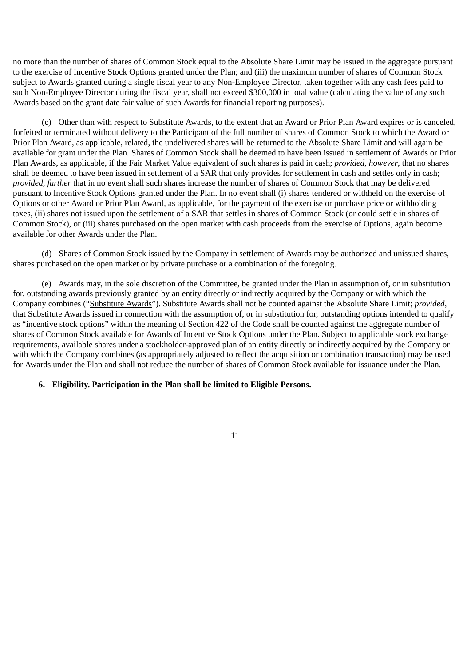no more than the number of shares of Common Stock equal to the Absolute Share Limit may be issued in the aggregate pursuant to the exercise of Incentive Stock Options granted under the Plan; and (iii) the maximum number of shares of Common Stock subject to Awards granted during a single fiscal year to any Non-Employee Director, taken together with any cash fees paid to such Non-Employee Director during the fiscal year, shall not exceed \$300,000 in total value (calculating the value of any such Awards based on the grant date fair value of such Awards for financial reporting purposes).

(c) Other than with respect to Substitute Awards, to the extent that an Award or Prior Plan Award expires or is canceled, forfeited or terminated without delivery to the Participant of the full number of shares of Common Stock to which the Award or Prior Plan Award, as applicable, related, the undelivered shares will be returned to the Absolute Share Limit and will again be available for grant under the Plan. Shares of Common Stock shall be deemed to have been issued in settlement of Awards or Prior Plan Awards, as applicable, if the Fair Market Value equivalent of such shares is paid in cash; *provided, however*, that no shares shall be deemed to have been issued in settlement of a SAR that only provides for settlement in cash and settles only in cash; *provided, further* that in no event shall such shares increase the number of shares of Common Stock that may be delivered pursuant to Incentive Stock Options granted under the Plan. In no event shall (i) shares tendered or withheld on the exercise of Options or other Award or Prior Plan Award, as applicable, for the payment of the exercise or purchase price or withholding taxes, (ii) shares not issued upon the settlement of a SAR that settles in shares of Common Stock (or could settle in shares of Common Stock), or (iii) shares purchased on the open market with cash proceeds from the exercise of Options, again become available for other Awards under the Plan.

(d) Shares of Common Stock issued by the Company in settlement of Awards may be authorized and unissued shares, shares purchased on the open market or by private purchase or a combination of the foregoing.

(e) Awards may, in the sole discretion of the Committee, be granted under the Plan in assumption of, or in substitution for, outstanding awards previously granted by an entity directly or indirectly acquired by the Company or with which the Company combines ("Substitute Awards"). Substitute Awards shall not be counted against the Absolute Share Limit; *provided*, that Substitute Awards issued in connection with the assumption of, or in substitution for, outstanding options intended to qualify as "incentive stock options" within the meaning of Section 422 of the Code shall be counted against the aggregate number of shares of Common Stock available for Awards of Incentive Stock Options under the Plan. Subject to applicable stock exchange requirements, available shares under a stockholder-approved plan of an entity directly or indirectly acquired by the Company or with which the Company combines (as appropriately adjusted to reflect the acquisition or combination transaction) may be used for Awards under the Plan and shall not reduce the number of shares of Common Stock available for issuance under the Plan.

# **6. Eligibility. Participation in the Plan shall be limited to Eligible Persons.**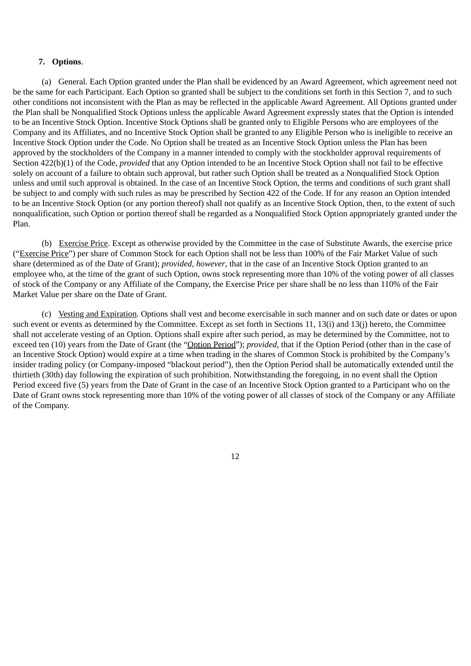## **7. Options**.

(a) General. Each Option granted under the Plan shall be evidenced by an Award Agreement, which agreement need not be the same for each Participant. Each Option so granted shall be subject to the conditions set forth in this Section 7, and to such other conditions not inconsistent with the Plan as may be reflected in the applicable Award Agreement. All Options granted under the Plan shall be Nonqualified Stock Options unless the applicable Award Agreement expressly states that the Option is intended to be an Incentive Stock Option. Incentive Stock Options shall be granted only to Eligible Persons who are employees of the Company and its Affiliates, and no Incentive Stock Option shall be granted to any Eligible Person who is ineligible to receive an Incentive Stock Option under the Code. No Option shall be treated as an Incentive Stock Option unless the Plan has been approved by the stockholders of the Company in a manner intended to comply with the stockholder approval requirements of Section 422(b)(1) of the Code, *provided* that any Option intended to be an Incentive Stock Option shall not fail to be effective solely on account of a failure to obtain such approval, but rather such Option shall be treated as a Nonqualified Stock Option unless and until such approval is obtained. In the case of an Incentive Stock Option, the terms and conditions of such grant shall be subject to and comply with such rules as may be prescribed by Section 422 of the Code. If for any reason an Option intended to be an Incentive Stock Option (or any portion thereof) shall not qualify as an Incentive Stock Option, then, to the extent of such nonqualification, such Option or portion thereof shall be regarded as a Nonqualified Stock Option appropriately granted under the Plan.

(b) Exercise Price. Except as otherwise provided by the Committee in the case of Substitute Awards, the exercise price ("Exercise Price") per share of Common Stock for each Option shall not be less than 100% of the Fair Market Value of such share (determined as of the Date of Grant); *provided, however*, that in the case of an Incentive Stock Option granted to an employee who, at the time of the grant of such Option, owns stock representing more than 10% of the voting power of all classes of stock of the Company or any Affiliate of the Company, the Exercise Price per share shall be no less than 110% of the Fair Market Value per share on the Date of Grant.

(c) Vesting and Expiration. Options shall vest and become exercisable in such manner and on such date or dates or upon such event or events as determined by the Committee. Except as set forth in Sections 11, 13(i) and 13(j) hereto, the Committee shall not accelerate vesting of an Option. Options shall expire after such period, as may be determined by the Committee, not to exceed ten (10) years from the Date of Grant (the "Option Period"); *provided*, that if the Option Period (other than in the case of an Incentive Stock Option) would expire at a time when trading in the shares of Common Stock is prohibited by the Company's insider trading policy (or Company-imposed "blackout period"), then the Option Period shall be automatically extended until the thirtieth (30th) day following the expiration of such prohibition. Notwithstanding the foregoing, in no event shall the Option Period exceed five (5) years from the Date of Grant in the case of an Incentive Stock Option granted to a Participant who on the Date of Grant owns stock representing more than 10% of the voting power of all classes of stock of the Company or any Affiliate of the Company.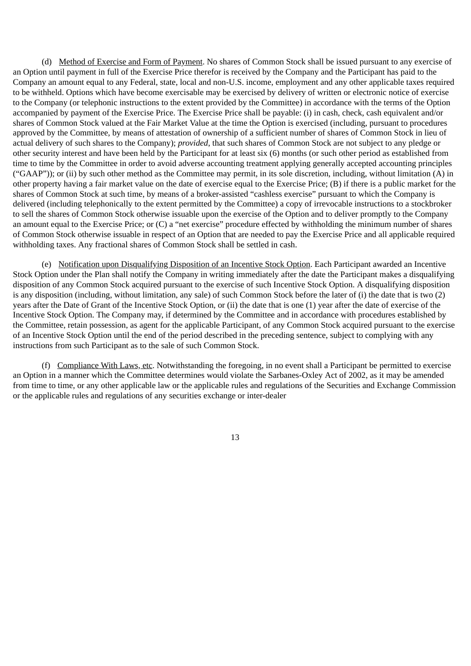(d) Method of Exercise and Form of Payment. No shares of Common Stock shall be issued pursuant to any exercise of an Option until payment in full of the Exercise Price therefor is received by the Company and the Participant has paid to the Company an amount equal to any Federal, state, local and non-U.S. income, employment and any other applicable taxes required to be withheld. Options which have become exercisable may be exercised by delivery of written or electronic notice of exercise to the Company (or telephonic instructions to the extent provided by the Committee) in accordance with the terms of the Option accompanied by payment of the Exercise Price. The Exercise Price shall be payable: (i) in cash, check, cash equivalent and/or shares of Common Stock valued at the Fair Market Value at the time the Option is exercised (including, pursuant to procedures approved by the Committee, by means of attestation of ownership of a sufficient number of shares of Common Stock in lieu of actual delivery of such shares to the Company); *provided*, that such shares of Common Stock are not subject to any pledge or other security interest and have been held by the Participant for at least six (6) months (or such other period as established from time to time by the Committee in order to avoid adverse accounting treatment applying generally accepted accounting principles ("GAAP")); or (ii) by such other method as the Committee may permit, in its sole discretion, including, without limitation (A) in other property having a fair market value on the date of exercise equal to the Exercise Price; (B) if there is a public market for the shares of Common Stock at such time, by means of a broker-assisted "cashless exercise" pursuant to which the Company is delivered (including telephonically to the extent permitted by the Committee) a copy of irrevocable instructions to a stockbroker to sell the shares of Common Stock otherwise issuable upon the exercise of the Option and to deliver promptly to the Company an amount equal to the Exercise Price; or (C) a "net exercise" procedure effected by withholding the minimum number of shares of Common Stock otherwise issuable in respect of an Option that are needed to pay the Exercise Price and all applicable required withholding taxes. Any fractional shares of Common Stock shall be settled in cash.

(e) Notification upon Disqualifying Disposition of an Incentive Stock Option. Each Participant awarded an Incentive Stock Option under the Plan shall notify the Company in writing immediately after the date the Participant makes a disqualifying disposition of any Common Stock acquired pursuant to the exercise of such Incentive Stock Option. A disqualifying disposition is any disposition (including, without limitation, any sale) of such Common Stock before the later of (i) the date that is two (2) years after the Date of Grant of the Incentive Stock Option, or (ii) the date that is one (1) year after the date of exercise of the Incentive Stock Option. The Company may, if determined by the Committee and in accordance with procedures established by the Committee, retain possession, as agent for the applicable Participant, of any Common Stock acquired pursuant to the exercise of an Incentive Stock Option until the end of the period described in the preceding sentence, subject to complying with any instructions from such Participant as to the sale of such Common Stock.

(f) Compliance With Laws, etc. Notwithstanding the foregoing, in no event shall a Participant be permitted to exercise an Option in a manner which the Committee determines would violate the Sarbanes-Oxley Act of 2002, as it may be amended from time to time, or any other applicable law or the applicable rules and regulations of the Securities and Exchange Commission or the applicable rules and regulations of any securities exchange or inter-dealer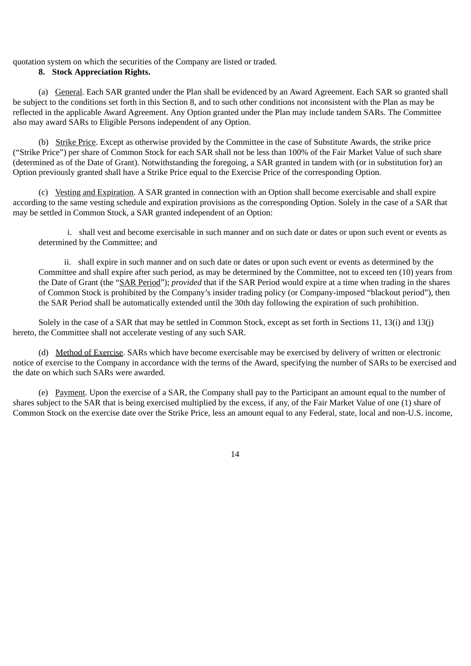quotation system on which the securities of the Company are listed or traded.

# **8. Stock Appreciation Rights.**

(a) General. Each SAR granted under the Plan shall be evidenced by an Award Agreement. Each SAR so granted shall be subject to the conditions set forth in this Section 8, and to such other conditions not inconsistent with the Plan as may be reflected in the applicable Award Agreement. Any Option granted under the Plan may include tandem SARs. The Committee also may award SARs to Eligible Persons independent of any Option.

(b) Strike Price. Except as otherwise provided by the Committee in the case of Substitute Awards, the strike price ("Strike Price") per share of Common Stock for each SAR shall not be less than 100% of the Fair Market Value of such share (determined as of the Date of Grant). Notwithstanding the foregoing, a SAR granted in tandem with (or in substitution for) an Option previously granted shall have a Strike Price equal to the Exercise Price of the corresponding Option.

(c) Vesting and Expiration. A SAR granted in connection with an Option shall become exercisable and shall expire according to the same vesting schedule and expiration provisions as the corresponding Option. Solely in the case of a SAR that may be settled in Common Stock, a SAR granted independent of an Option:

i. shall vest and become exercisable in such manner and on such date or dates or upon such event or events as determined by the Committee; and

ii. shall expire in such manner and on such date or dates or upon such event or events as determined by the Committee and shall expire after such period, as may be determined by the Committee, not to exceed ten (10) years from the Date of Grant (the "SAR Period"); *provided* that if the SAR Period would expire at a time when trading in the shares of Common Stock is prohibited by the Company's insider trading policy (or Company-imposed "blackout period"), then the SAR Period shall be automatically extended until the 30th day following the expiration of such prohibition.

Solely in the case of a SAR that may be settled in Common Stock, except as set forth in Sections 11, 13(i) and 13(j) hereto, the Committee shall not accelerate vesting of any such SAR.

(d) Method of Exercise. SARs which have become exercisable may be exercised by delivery of written or electronic notice of exercise to the Company in accordance with the terms of the Award, specifying the number of SARs to be exercised and the date on which such SARs were awarded.

(e) Payment. Upon the exercise of a SAR, the Company shall pay to the Participant an amount equal to the number of shares subject to the SAR that is being exercised multiplied by the excess, if any, of the Fair Market Value of one (1) share of Common Stock on the exercise date over the Strike Price, less an amount equal to any Federal, state, local and non-U.S. income,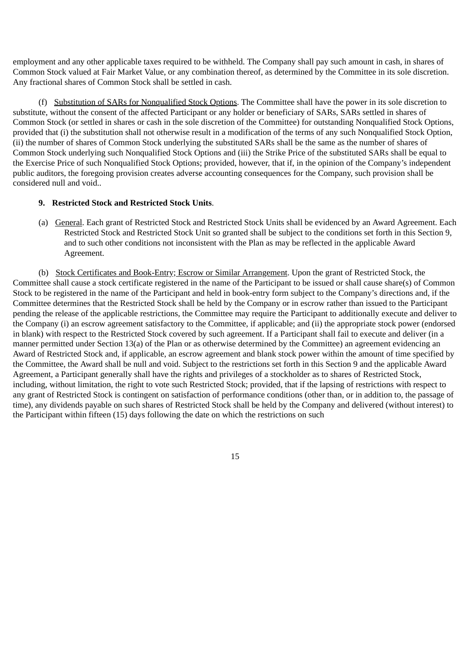employment and any other applicable taxes required to be withheld. The Company shall pay such amount in cash, in shares of Common Stock valued at Fair Market Value, or any combination thereof, as determined by the Committee in its sole discretion. Any fractional shares of Common Stock shall be settled in cash.

(f) Substitution of SARs for Nonqualified Stock Options. The Committee shall have the power in its sole discretion to substitute, without the consent of the affected Participant or any holder or beneficiary of SARs, SARs settled in shares of Common Stock (or settled in shares or cash in the sole discretion of the Committee) for outstanding Nonqualified Stock Options, provided that (i) the substitution shall not otherwise result in a modification of the terms of any such Nonqualified Stock Option, (ii) the number of shares of Common Stock underlying the substituted SARs shall be the same as the number of shares of Common Stock underlying such Nonqualified Stock Options and (iii) the Strike Price of the substituted SARs shall be equal to the Exercise Price of such Nonqualified Stock Options; provided, however, that if, in the opinion of the Company's independent public auditors, the foregoing provision creates adverse accounting consequences for the Company, such provision shall be considered null and void..

# **9. Restricted Stock and Restricted Stock Units**.

(a) General. Each grant of Restricted Stock and Restricted Stock Units shall be evidenced by an Award Agreement. Each Restricted Stock and Restricted Stock Unit so granted shall be subject to the conditions set forth in this Section 9, and to such other conditions not inconsistent with the Plan as may be reflected in the applicable Award Agreement.

(b) Stock Certificates and Book-Entry; Escrow or Similar Arrangement. Upon the grant of Restricted Stock, the Committee shall cause a stock certificate registered in the name of the Participant to be issued or shall cause share(s) of Common Stock to be registered in the name of the Participant and held in book-entry form subject to the Company's directions and, if the Committee determines that the Restricted Stock shall be held by the Company or in escrow rather than issued to the Participant pending the release of the applicable restrictions, the Committee may require the Participant to additionally execute and deliver to the Company (i) an escrow agreement satisfactory to the Committee, if applicable; and (ii) the appropriate stock power (endorsed in blank) with respect to the Restricted Stock covered by such agreement. If a Participant shall fail to execute and deliver (in a manner permitted under Section 13(a) of the Plan or as otherwise determined by the Committee) an agreement evidencing an Award of Restricted Stock and, if applicable, an escrow agreement and blank stock power within the amount of time specified by the Committee, the Award shall be null and void. Subject to the restrictions set forth in this Section 9 and the applicable Award Agreement, a Participant generally shall have the rights and privileges of a stockholder as to shares of Restricted Stock, including, without limitation, the right to vote such Restricted Stock; provided, that if the lapsing of restrictions with respect to any grant of Restricted Stock is contingent on satisfaction of performance conditions (other than, or in addition to, the passage of time), any dividends payable on such shares of Restricted Stock shall be held by the Company and delivered (without interest) to the Participant within fifteen (15) days following the date on which the restrictions on such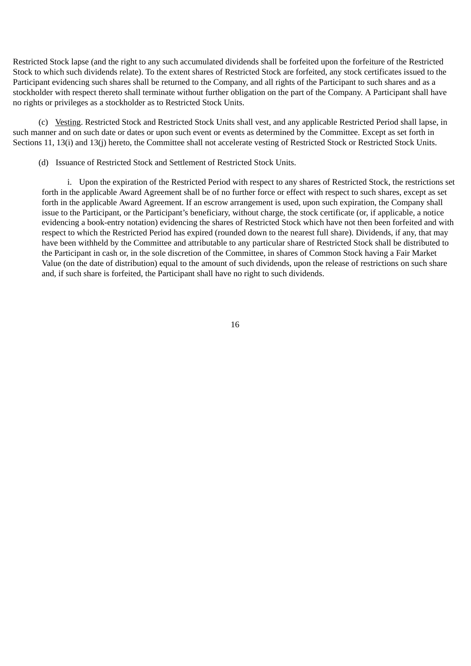Restricted Stock lapse (and the right to any such accumulated dividends shall be forfeited upon the forfeiture of the Restricted Stock to which such dividends relate). To the extent shares of Restricted Stock are forfeited, any stock certificates issued to the Participant evidencing such shares shall be returned to the Company, and all rights of the Participant to such shares and as a stockholder with respect thereto shall terminate without further obligation on the part of the Company. A Participant shall have no rights or privileges as a stockholder as to Restricted Stock Units.

(c) Vesting. Restricted Stock and Restricted Stock Units shall vest, and any applicable Restricted Period shall lapse, in such manner and on such date or dates or upon such event or events as determined by the Committee. Except as set forth in Sections 11, 13(i) and 13(j) hereto, the Committee shall not accelerate vesting of Restricted Stock or Restricted Stock Units.

(d) Issuance of Restricted Stock and Settlement of Restricted Stock Units.

i. Upon the expiration of the Restricted Period with respect to any shares of Restricted Stock, the restrictions set forth in the applicable Award Agreement shall be of no further force or effect with respect to such shares, except as set forth in the applicable Award Agreement. If an escrow arrangement is used, upon such expiration, the Company shall issue to the Participant, or the Participant's beneficiary, without charge, the stock certificate (or, if applicable, a notice evidencing a book-entry notation) evidencing the shares of Restricted Stock which have not then been forfeited and with respect to which the Restricted Period has expired (rounded down to the nearest full share). Dividends, if any, that may have been withheld by the Committee and attributable to any particular share of Restricted Stock shall be distributed to the Participant in cash or, in the sole discretion of the Committee, in shares of Common Stock having a Fair Market Value (on the date of distribution) equal to the amount of such dividends, upon the release of restrictions on such share and, if such share is forfeited, the Participant shall have no right to such dividends.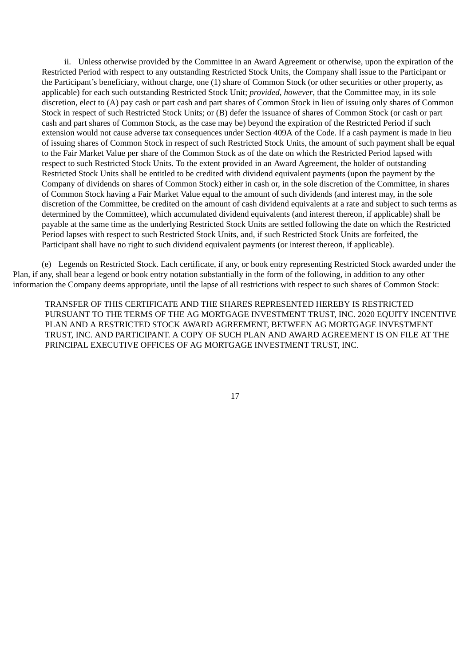ii. Unless otherwise provided by the Committee in an Award Agreement or otherwise, upon the expiration of the Restricted Period with respect to any outstanding Restricted Stock Units, the Company shall issue to the Participant or the Participant's beneficiary, without charge, one (1) share of Common Stock (or other securities or other property, as applicable) for each such outstanding Restricted Stock Unit; *provided, however*, that the Committee may, in its sole discretion, elect to (A) pay cash or part cash and part shares of Common Stock in lieu of issuing only shares of Common Stock in respect of such Restricted Stock Units; or (B) defer the issuance of shares of Common Stock (or cash or part cash and part shares of Common Stock, as the case may be) beyond the expiration of the Restricted Period if such extension would not cause adverse tax consequences under Section 409A of the Code. If a cash payment is made in lieu of issuing shares of Common Stock in respect of such Restricted Stock Units, the amount of such payment shall be equal to the Fair Market Value per share of the Common Stock as of the date on which the Restricted Period lapsed with respect to such Restricted Stock Units. To the extent provided in an Award Agreement, the holder of outstanding Restricted Stock Units shall be entitled to be credited with dividend equivalent payments (upon the payment by the Company of dividends on shares of Common Stock) either in cash or, in the sole discretion of the Committee, in shares of Common Stock having a Fair Market Value equal to the amount of such dividends (and interest may, in the sole discretion of the Committee, be credited on the amount of cash dividend equivalents at a rate and subject to such terms as determined by the Committee), which accumulated dividend equivalents (and interest thereon, if applicable) shall be payable at the same time as the underlying Restricted Stock Units are settled following the date on which the Restricted Period lapses with respect to such Restricted Stock Units, and, if such Restricted Stock Units are forfeited, the Participant shall have no right to such dividend equivalent payments (or interest thereon, if applicable).

(e) Legends on Restricted Stock. Each certificate, if any, or book entry representing Restricted Stock awarded under the Plan, if any, shall bear a legend or book entry notation substantially in the form of the following, in addition to any other information the Company deems appropriate, until the lapse of all restrictions with respect to such shares of Common Stock:

TRANSFER OF THIS CERTIFICATE AND THE SHARES REPRESENTED HEREBY IS RESTRICTED PURSUANT TO THE TERMS OF THE AG MORTGAGE INVESTMENT TRUST, INC. 2020 EQUITY INCENTIVE PLAN AND A RESTRICTED STOCK AWARD AGREEMENT, BETWEEN AG MORTGAGE INVESTMENT TRUST, INC. AND PARTICIPANT. A COPY OF SUCH PLAN AND AWARD AGREEMENT IS ON FILE AT THE PRINCIPAL EXECUTIVE OFFICES OF AG MORTGAGE INVESTMENT TRUST, INC.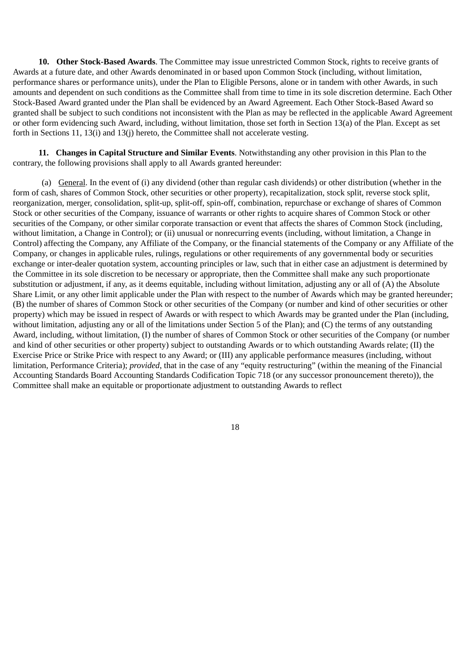**10. Other Stock-Based Awards**. The Committee may issue unrestricted Common Stock, rights to receive grants of Awards at a future date, and other Awards denominated in or based upon Common Stock (including, without limitation, performance shares or performance units), under the Plan to Eligible Persons, alone or in tandem with other Awards, in such amounts and dependent on such conditions as the Committee shall from time to time in its sole discretion determine. Each Other Stock-Based Award granted under the Plan shall be evidenced by an Award Agreement. Each Other Stock-Based Award so granted shall be subject to such conditions not inconsistent with the Plan as may be reflected in the applicable Award Agreement or other form evidencing such Award, including, without limitation, those set forth in Section 13(a) of the Plan. Except as set forth in Sections 11, 13(i) and 13(j) hereto, the Committee shall not accelerate vesting.

**11. Changes in Capital Structure and Similar Events**. Notwithstanding any other provision in this Plan to the contrary, the following provisions shall apply to all Awards granted hereunder:

(a) General. In the event of (i) any dividend (other than regular cash dividends) or other distribution (whether in the form of cash, shares of Common Stock, other securities or other property), recapitalization, stock split, reverse stock split, reorganization, merger, consolidation, split-up, split-off, spin-off, combination, repurchase or exchange of shares of Common Stock or other securities of the Company, issuance of warrants or other rights to acquire shares of Common Stock or other securities of the Company, or other similar corporate transaction or event that affects the shares of Common Stock (including, without limitation, a Change in Control); or (ii) unusual or nonrecurring events (including, without limitation, a Change in Control) affecting the Company, any Affiliate of the Company, or the financial statements of the Company or any Affiliate of the Company, or changes in applicable rules, rulings, regulations or other requirements of any governmental body or securities exchange or inter-dealer quotation system, accounting principles or law, such that in either case an adjustment is determined by the Committee in its sole discretion to be necessary or appropriate, then the Committee shall make any such proportionate substitution or adjustment, if any, as it deems equitable, including without limitation, adjusting any or all of (A) the Absolute Share Limit, or any other limit applicable under the Plan with respect to the number of Awards which may be granted hereunder; (B) the number of shares of Common Stock or other securities of the Company (or number and kind of other securities or other property) which may be issued in respect of Awards or with respect to which Awards may be granted under the Plan (including, without limitation, adjusting any or all of the limitations under Section 5 of the Plan); and (C) the terms of any outstanding Award, including, without limitation, (I) the number of shares of Common Stock or other securities of the Company (or number and kind of other securities or other property) subject to outstanding Awards or to which outstanding Awards relate; (II) the Exercise Price or Strike Price with respect to any Award; or (III) any applicable performance measures (including, without limitation, Performance Criteria); *provided*, that in the case of any "equity restructuring" (within the meaning of the Financial Accounting Standards Board Accounting Standards Codification Topic 718 (or any successor pronouncement thereto)), the Committee shall make an equitable or proportionate adjustment to outstanding Awards to reflect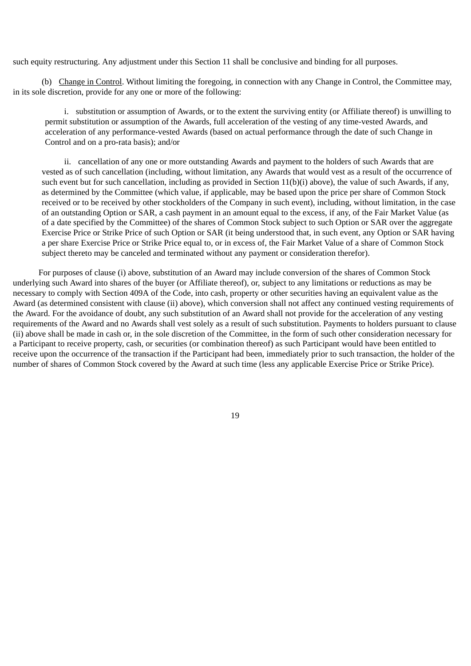such equity restructuring. Any adjustment under this Section 11 shall be conclusive and binding for all purposes.

(b) Change in Control. Without limiting the foregoing, in connection with any Change in Control, the Committee may, in its sole discretion, provide for any one or more of the following:

i. substitution or assumption of Awards, or to the extent the surviving entity (or Affiliate thereof) is unwilling to permit substitution or assumption of the Awards, full acceleration of the vesting of any time-vested Awards, and acceleration of any performance-vested Awards (based on actual performance through the date of such Change in Control and on a pro-rata basis); and/or

ii. cancellation of any one or more outstanding Awards and payment to the holders of such Awards that are vested as of such cancellation (including, without limitation, any Awards that would vest as a result of the occurrence of such event but for such cancellation, including as provided in Section 11(b)(i) above), the value of such Awards, if any, as determined by the Committee (which value, if applicable, may be based upon the price per share of Common Stock received or to be received by other stockholders of the Company in such event), including, without limitation, in the case of an outstanding Option or SAR, a cash payment in an amount equal to the excess, if any, of the Fair Market Value (as of a date specified by the Committee) of the shares of Common Stock subject to such Option or SAR over the aggregate Exercise Price or Strike Price of such Option or SAR (it being understood that, in such event, any Option or SAR having a per share Exercise Price or Strike Price equal to, or in excess of, the Fair Market Value of a share of Common Stock subject thereto may be canceled and terminated without any payment or consideration therefor).

For purposes of clause (i) above, substitution of an Award may include conversion of the shares of Common Stock underlying such Award into shares of the buyer (or Affiliate thereof), or, subject to any limitations or reductions as may be necessary to comply with Section 409A of the Code, into cash, property or other securities having an equivalent value as the Award (as determined consistent with clause (ii) above), which conversion shall not affect any continued vesting requirements of the Award. For the avoidance of doubt, any such substitution of an Award shall not provide for the acceleration of any vesting requirements of the Award and no Awards shall vest solely as a result of such substitution. Payments to holders pursuant to clause (ii) above shall be made in cash or, in the sole discretion of the Committee, in the form of such other consideration necessary for a Participant to receive property, cash, or securities (or combination thereof) as such Participant would have been entitled to receive upon the occurrence of the transaction if the Participant had been, immediately prior to such transaction, the holder of the number of shares of Common Stock covered by the Award at such time (less any applicable Exercise Price or Strike Price).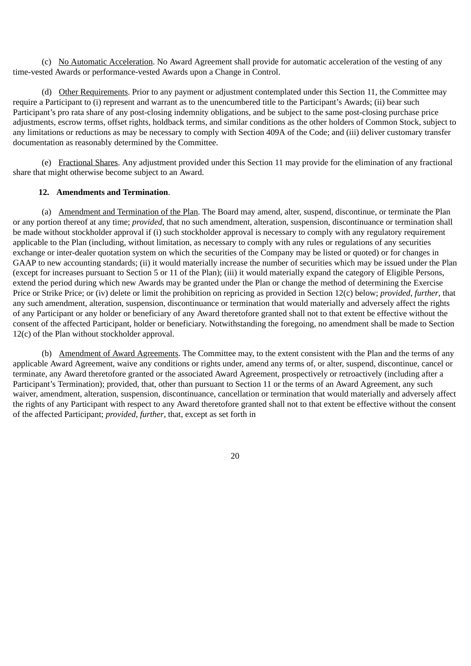(c) No Automatic Acceleration. No Award Agreement shall provide for automatic acceleration of the vesting of any time-vested Awards or performance-vested Awards upon a Change in Control.

(d) Other Requirements. Prior to any payment or adjustment contemplated under this Section 11, the Committee may require a Participant to (i) represent and warrant as to the unencumbered title to the Participant's Awards; (ii) bear such Participant's pro rata share of any post-closing indemnity obligations, and be subject to the same post-closing purchase price adjustments, escrow terms, offset rights, holdback terms, and similar conditions as the other holders of Common Stock, subject to any limitations or reductions as may be necessary to comply with Section 409A of the Code; and (iii) deliver customary transfer documentation as reasonably determined by the Committee.

(e) Fractional Shares. Any adjustment provided under this Section 11 may provide for the elimination of any fractional share that might otherwise become subject to an Award.

# **12. Amendments and Termination**.

(a) Amendment and Termination of the Plan. The Board may amend, alter, suspend, discontinue, or terminate the Plan or any portion thereof at any time; *provided*, that no such amendment, alteration, suspension, discontinuance or termination shall be made without stockholder approval if (i) such stockholder approval is necessary to comply with any regulatory requirement applicable to the Plan (including, without limitation, as necessary to comply with any rules or regulations of any securities exchange or inter-dealer quotation system on which the securities of the Company may be listed or quoted) or for changes in GAAP to new accounting standards; (ii) it would materially increase the number of securities which may be issued under the Plan (except for increases pursuant to Section 5 or 11 of the Plan); (iii) it would materially expand the category of Eligible Persons, extend the period during which new Awards may be granted under the Plan or change the method of determining the Exercise Price or Strike Price; or (iv) delete or limit the prohibition on repricing as provided in Section 12(c) below; *provided, further*, that any such amendment, alteration, suspension, discontinuance or termination that would materially and adversely affect the rights of any Participant or any holder or beneficiary of any Award theretofore granted shall not to that extent be effective without the consent of the affected Participant, holder or beneficiary. Notwithstanding the foregoing, no amendment shall be made to Section 12(c) of the Plan without stockholder approval.

(b) Amendment of Award Agreements. The Committee may, to the extent consistent with the Plan and the terms of any applicable Award Agreement, waive any conditions or rights under, amend any terms of, or alter, suspend, discontinue, cancel or terminate, any Award theretofore granted or the associated Award Agreement, prospectively or retroactively (including after a Participant's Termination); provided, that, other than pursuant to Section 11 or the terms of an Award Agreement, any such waiver, amendment, alteration, suspension, discontinuance, cancellation or termination that would materially and adversely affect the rights of any Participant with respect to any Award theretofore granted shall not to that extent be effective without the consent of the affected Participant; *provided, further*, that, except as set forth in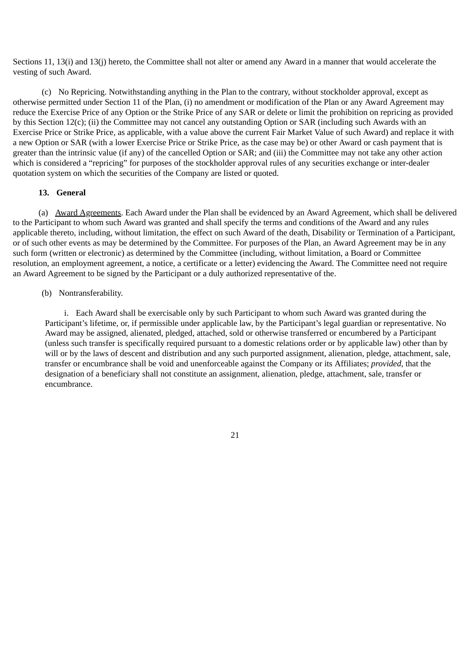Sections 11, 13(i) and 13(j) hereto, the Committee shall not alter or amend any Award in a manner that would accelerate the vesting of such Award.

(c) No Repricing. Notwithstanding anything in the Plan to the contrary, without stockholder approval, except as otherwise permitted under Section 11 of the Plan, (i) no amendment or modification of the Plan or any Award Agreement may reduce the Exercise Price of any Option or the Strike Price of any SAR or delete or limit the prohibition on repricing as provided by this Section 12(c); (ii) the Committee may not cancel any outstanding Option or SAR (including such Awards with an Exercise Price or Strike Price, as applicable, with a value above the current Fair Market Value of such Award) and replace it with a new Option or SAR (with a lower Exercise Price or Strike Price, as the case may be) or other Award or cash payment that is greater than the intrinsic value (if any) of the cancelled Option or SAR; and (iii) the Committee may not take any other action which is considered a "repricing" for purposes of the stockholder approval rules of any securities exchange or inter-dealer quotation system on which the securities of the Company are listed or quoted.

# **13. General**

(a) Award Agreements. Each Award under the Plan shall be evidenced by an Award Agreement, which shall be delivered to the Participant to whom such Award was granted and shall specify the terms and conditions of the Award and any rules applicable thereto, including, without limitation, the effect on such Award of the death, Disability or Termination of a Participant, or of such other events as may be determined by the Committee. For purposes of the Plan, an Award Agreement may be in any such form (written or electronic) as determined by the Committee (including, without limitation, a Board or Committee resolution, an employment agreement, a notice, a certificate or a letter) evidencing the Award. The Committee need not require an Award Agreement to be signed by the Participant or a duly authorized representative of the.

# (b) Nontransferability.

i. Each Award shall be exercisable only by such Participant to whom such Award was granted during the Participant's lifetime, or, if permissible under applicable law, by the Participant's legal guardian or representative. No Award may be assigned, alienated, pledged, attached, sold or otherwise transferred or encumbered by a Participant (unless such transfer is specifically required pursuant to a domestic relations order or by applicable law) other than by will or by the laws of descent and distribution and any such purported assignment, alienation, pledge, attachment, sale, transfer or encumbrance shall be void and unenforceable against the Company or its Affiliates; *provided*, that the designation of a beneficiary shall not constitute an assignment, alienation, pledge, attachment, sale, transfer or encumbrance.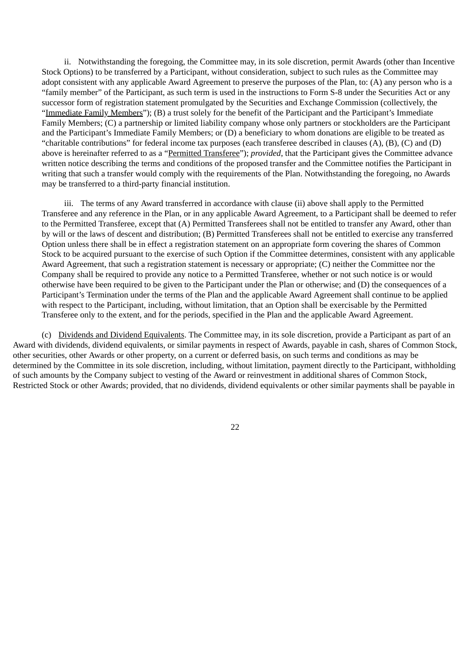ii. Notwithstanding the foregoing, the Committee may, in its sole discretion, permit Awards (other than Incentive Stock Options) to be transferred by a Participant, without consideration, subject to such rules as the Committee may adopt consistent with any applicable Award Agreement to preserve the purposes of the Plan, to: (A) any person who is a "family member" of the Participant, as such term is used in the instructions to Form S-8 under the Securities Act or any successor form of registration statement promulgated by the Securities and Exchange Commission (collectively, the "Immediate Family Members"); (B) a trust solely for the benefit of the Participant and the Participant's Immediate Family Members; (C) a partnership or limited liability company whose only partners or stockholders are the Participant and the Participant's Immediate Family Members; or (D) a beneficiary to whom donations are eligible to be treated as "charitable contributions" for federal income tax purposes (each transferee described in clauses (A), (B), (C) and (D) above is hereinafter referred to as a "Permitted Transferee"); *provided*, that the Participant gives the Committee advance written notice describing the terms and conditions of the proposed transfer and the Committee notifies the Participant in writing that such a transfer would comply with the requirements of the Plan. Notwithstanding the foregoing, no Awards may be transferred to a third-party financial institution.

iii. The terms of any Award transferred in accordance with clause (ii) above shall apply to the Permitted Transferee and any reference in the Plan, or in any applicable Award Agreement, to a Participant shall be deemed to refer to the Permitted Transferee, except that (A) Permitted Transferees shall not be entitled to transfer any Award, other than by will or the laws of descent and distribution; (B) Permitted Transferees shall not be entitled to exercise any transferred Option unless there shall be in effect a registration statement on an appropriate form covering the shares of Common Stock to be acquired pursuant to the exercise of such Option if the Committee determines, consistent with any applicable Award Agreement, that such a registration statement is necessary or appropriate; (C) neither the Committee nor the Company shall be required to provide any notice to a Permitted Transferee, whether or not such notice is or would otherwise have been required to be given to the Participant under the Plan or otherwise; and (D) the consequences of a Participant's Termination under the terms of the Plan and the applicable Award Agreement shall continue to be applied with respect to the Participant, including, without limitation, that an Option shall be exercisable by the Permitted Transferee only to the extent, and for the periods, specified in the Plan and the applicable Award Agreement.

(c) Dividends and Dividend Equivalents. The Committee may, in its sole discretion, provide a Participant as part of an Award with dividends, dividend equivalents, or similar payments in respect of Awards, payable in cash, shares of Common Stock, other securities, other Awards or other property, on a current or deferred basis, on such terms and conditions as may be determined by the Committee in its sole discretion, including, without limitation, payment directly to the Participant, withholding of such amounts by the Company subject to vesting of the Award or reinvestment in additional shares of Common Stock, Restricted Stock or other Awards; provided, that no dividends, dividend equivalents or other similar payments shall be payable in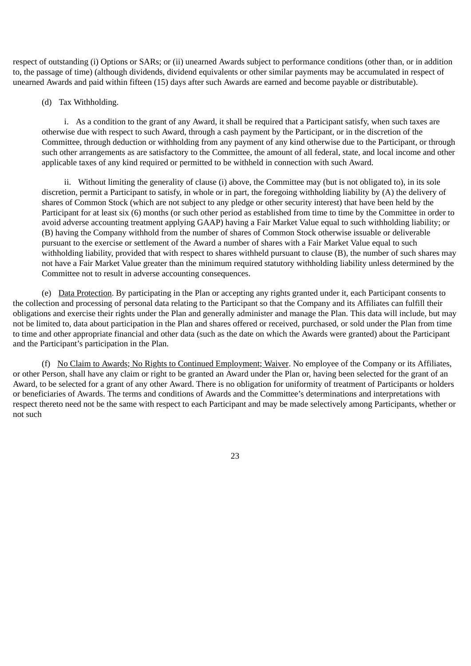respect of outstanding (i) Options or SARs; or (ii) unearned Awards subject to performance conditions (other than, or in addition to, the passage of time) (although dividends, dividend equivalents or other similar payments may be accumulated in respect of unearned Awards and paid within fifteen (15) days after such Awards are earned and become payable or distributable).

# (d) Tax Withholding.

i. As a condition to the grant of any Award, it shall be required that a Participant satisfy, when such taxes are otherwise due with respect to such Award, through a cash payment by the Participant, or in the discretion of the Committee, through deduction or withholding from any payment of any kind otherwise due to the Participant, or through such other arrangements as are satisfactory to the Committee, the amount of all federal, state, and local income and other applicable taxes of any kind required or permitted to be withheld in connection with such Award.

ii. Without limiting the generality of clause (i) above, the Committee may (but is not obligated to), in its sole discretion, permit a Participant to satisfy, in whole or in part, the foregoing withholding liability by (A) the delivery of shares of Common Stock (which are not subject to any pledge or other security interest) that have been held by the Participant for at least six (6) months (or such other period as established from time to time by the Committee in order to avoid adverse accounting treatment applying GAAP) having a Fair Market Value equal to such withholding liability; or (B) having the Company withhold from the number of shares of Common Stock otherwise issuable or deliverable pursuant to the exercise or settlement of the Award a number of shares with a Fair Market Value equal to such withholding liability, provided that with respect to shares withheld pursuant to clause (B), the number of such shares may not have a Fair Market Value greater than the minimum required statutory withholding liability unless determined by the Committee not to result in adverse accounting consequences.

(e) Data Protection. By participating in the Plan or accepting any rights granted under it, each Participant consents to the collection and processing of personal data relating to the Participant so that the Company and its Affiliates can fulfill their obligations and exercise their rights under the Plan and generally administer and manage the Plan. This data will include, but may not be limited to, data about participation in the Plan and shares offered or received, purchased, or sold under the Plan from time to time and other appropriate financial and other data (such as the date on which the Awards were granted) about the Participant and the Participant's participation in the Plan.

(f) No Claim to Awards; No Rights to Continued Employment; Waiver. No employee of the Company or its Affiliates, or other Person, shall have any claim or right to be granted an Award under the Plan or, having been selected for the grant of an Award, to be selected for a grant of any other Award. There is no obligation for uniformity of treatment of Participants or holders or beneficiaries of Awards. The terms and conditions of Awards and the Committee's determinations and interpretations with respect thereto need not be the same with respect to each Participant and may be made selectively among Participants, whether or not such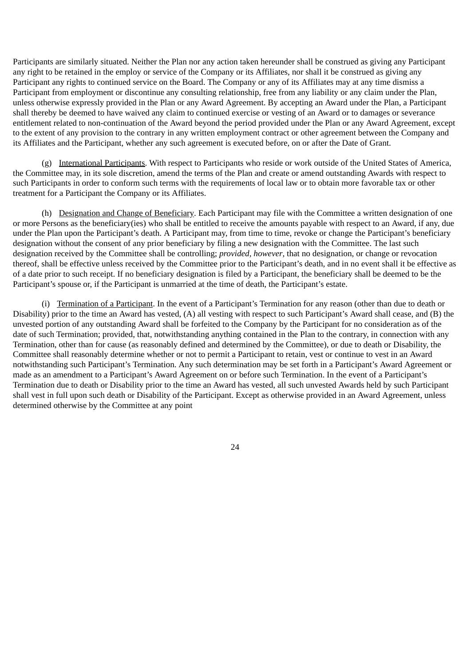Participants are similarly situated. Neither the Plan nor any action taken hereunder shall be construed as giving any Participant any right to be retained in the employ or service of the Company or its Affiliates, nor shall it be construed as giving any Participant any rights to continued service on the Board. The Company or any of its Affiliates may at any time dismiss a Participant from employment or discontinue any consulting relationship, free from any liability or any claim under the Plan, unless otherwise expressly provided in the Plan or any Award Agreement. By accepting an Award under the Plan, a Participant shall thereby be deemed to have waived any claim to continued exercise or vesting of an Award or to damages or severance entitlement related to non-continuation of the Award beyond the period provided under the Plan or any Award Agreement, except to the extent of any provision to the contrary in any written employment contract or other agreement between the Company and its Affiliates and the Participant, whether any such agreement is executed before, on or after the Date of Grant.

(g) International Participants. With respect to Participants who reside or work outside of the United States of America, the Committee may, in its sole discretion, amend the terms of the Plan and create or amend outstanding Awards with respect to such Participants in order to conform such terms with the requirements of local law or to obtain more favorable tax or other treatment for a Participant the Company or its Affiliates.

(h) Designation and Change of Beneficiary. Each Participant may file with the Committee a written designation of one or more Persons as the beneficiary(ies) who shall be entitled to receive the amounts payable with respect to an Award, if any, due under the Plan upon the Participant's death. A Participant may, from time to time, revoke or change the Participant's beneficiary designation without the consent of any prior beneficiary by filing a new designation with the Committee. The last such designation received by the Committee shall be controlling; *provided, however*, that no designation, or change or revocation thereof, shall be effective unless received by the Committee prior to the Participant's death, and in no event shall it be effective as of a date prior to such receipt. If no beneficiary designation is filed by a Participant, the beneficiary shall be deemed to be the Participant's spouse or, if the Participant is unmarried at the time of death, the Participant's estate.

(i) Termination of a Participant. In the event of a Participant's Termination for any reason (other than due to death or Disability) prior to the time an Award has vested, (A) all vesting with respect to such Participant's Award shall cease, and (B) the unvested portion of any outstanding Award shall be forfeited to the Company by the Participant for no consideration as of the date of such Termination; provided, that, notwithstanding anything contained in the Plan to the contrary, in connection with any Termination, other than for cause (as reasonably defined and determined by the Committee), or due to death or Disability, the Committee shall reasonably determine whether or not to permit a Participant to retain, vest or continue to vest in an Award notwithstanding such Participant's Termination. Any such determination may be set forth in a Participant's Award Agreement or made as an amendment to a Participant's Award Agreement on or before such Termination. In the event of a Participant's Termination due to death or Disability prior to the time an Award has vested, all such unvested Awards held by such Participant shall vest in full upon such death or Disability of the Participant. Except as otherwise provided in an Award Agreement, unless determined otherwise by the Committee at any point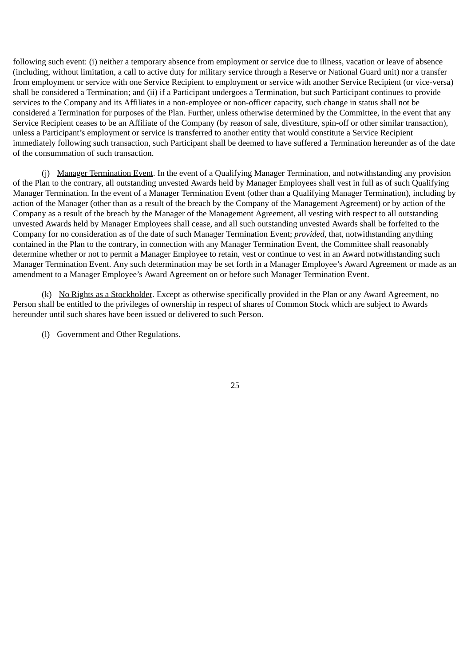following such event: (i) neither a temporary absence from employment or service due to illness, vacation or leave of absence (including, without limitation, a call to active duty for military service through a Reserve or National Guard unit) nor a transfer from employment or service with one Service Recipient to employment or service with another Service Recipient (or vice-versa) shall be considered a Termination; and (ii) if a Participant undergoes a Termination, but such Participant continues to provide services to the Company and its Affiliates in a non-employee or non-officer capacity, such change in status shall not be considered a Termination for purposes of the Plan. Further, unless otherwise determined by the Committee, in the event that any Service Recipient ceases to be an Affiliate of the Company (by reason of sale, divestiture, spin-off or other similar transaction), unless a Participant's employment or service is transferred to another entity that would constitute a Service Recipient immediately following such transaction, such Participant shall be deemed to have suffered a Termination hereunder as of the date of the consummation of such transaction.

(j) Manager Termination Event. In the event of a Qualifying Manager Termination, and notwithstanding any provision of the Plan to the contrary, all outstanding unvested Awards held by Manager Employees shall vest in full as of such Qualifying Manager Termination. In the event of a Manager Termination Event (other than a Qualifying Manager Termination), including by action of the Manager (other than as a result of the breach by the Company of the Management Agreement) or by action of the Company as a result of the breach by the Manager of the Management Agreement, all vesting with respect to all outstanding unvested Awards held by Manager Employees shall cease, and all such outstanding unvested Awards shall be forfeited to the Company for no consideration as of the date of such Manager Termination Event; *provided*, that, notwithstanding anything contained in the Plan to the contrary, in connection with any Manager Termination Event, the Committee shall reasonably determine whether or not to permit a Manager Employee to retain, vest or continue to vest in an Award notwithstanding such Manager Termination Event. Any such determination may be set forth in a Manager Employee's Award Agreement or made as an amendment to a Manager Employee's Award Agreement on or before such Manager Termination Event.

(k) No Rights as a Stockholder. Except as otherwise specifically provided in the Plan or any Award Agreement, no Person shall be entitled to the privileges of ownership in respect of shares of Common Stock which are subject to Awards hereunder until such shares have been issued or delivered to such Person.

(l) Government and Other Regulations.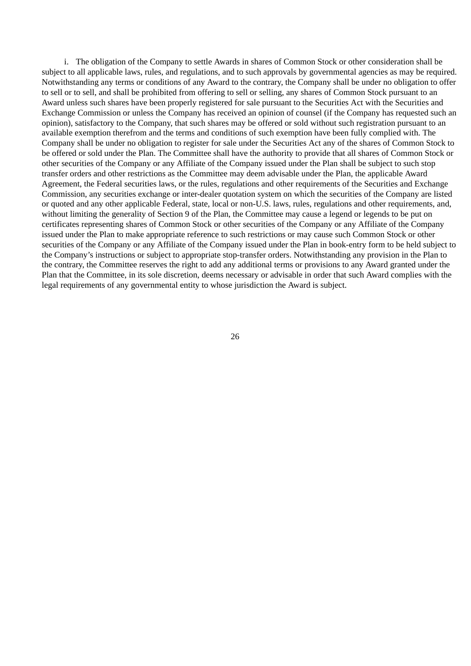i. The obligation of the Company to settle Awards in shares of Common Stock or other consideration shall be subject to all applicable laws, rules, and regulations, and to such approvals by governmental agencies as may be required. Notwithstanding any terms or conditions of any Award to the contrary, the Company shall be under no obligation to offer to sell or to sell, and shall be prohibited from offering to sell or selling, any shares of Common Stock pursuant to an Award unless such shares have been properly registered for sale pursuant to the Securities Act with the Securities and Exchange Commission or unless the Company has received an opinion of counsel (if the Company has requested such an opinion), satisfactory to the Company, that such shares may be offered or sold without such registration pursuant to an available exemption therefrom and the terms and conditions of such exemption have been fully complied with. The Company shall be under no obligation to register for sale under the Securities Act any of the shares of Common Stock to be offered or sold under the Plan. The Committee shall have the authority to provide that all shares of Common Stock or other securities of the Company or any Affiliate of the Company issued under the Plan shall be subject to such stop transfer orders and other restrictions as the Committee may deem advisable under the Plan, the applicable Award Agreement, the Federal securities laws, or the rules, regulations and other requirements of the Securities and Exchange Commission, any securities exchange or inter-dealer quotation system on which the securities of the Company are listed or quoted and any other applicable Federal, state, local or non-U.S. laws, rules, regulations and other requirements, and, without limiting the generality of Section 9 of the Plan, the Committee may cause a legend or legends to be put on certificates representing shares of Common Stock or other securities of the Company or any Affiliate of the Company issued under the Plan to make appropriate reference to such restrictions or may cause such Common Stock or other securities of the Company or any Affiliate of the Company issued under the Plan in book-entry form to be held subject to the Company's instructions or subject to appropriate stop-transfer orders. Notwithstanding any provision in the Plan to the contrary, the Committee reserves the right to add any additional terms or provisions to any Award granted under the Plan that the Committee, in its sole discretion, deems necessary or advisable in order that such Award complies with the legal requirements of any governmental entity to whose jurisdiction the Award is subject.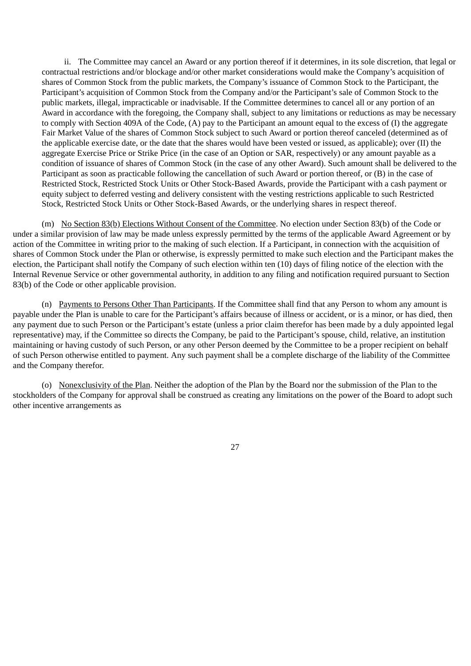ii. The Committee may cancel an Award or any portion thereof if it determines, in its sole discretion, that legal or contractual restrictions and/or blockage and/or other market considerations would make the Company's acquisition of shares of Common Stock from the public markets, the Company's issuance of Common Stock to the Participant, the Participant's acquisition of Common Stock from the Company and/or the Participant's sale of Common Stock to the public markets, illegal, impracticable or inadvisable. If the Committee determines to cancel all or any portion of an Award in accordance with the foregoing, the Company shall, subject to any limitations or reductions as may be necessary to comply with Section 409A of the Code, (A) pay to the Participant an amount equal to the excess of (I) the aggregate Fair Market Value of the shares of Common Stock subject to such Award or portion thereof canceled (determined as of the applicable exercise date, or the date that the shares would have been vested or issued, as applicable); over (II) the aggregate Exercise Price or Strike Price (in the case of an Option or SAR, respectively) or any amount payable as a condition of issuance of shares of Common Stock (in the case of any other Award). Such amount shall be delivered to the Participant as soon as practicable following the cancellation of such Award or portion thereof, or (B) in the case of Restricted Stock, Restricted Stock Units or Other Stock-Based Awards, provide the Participant with a cash payment or equity subject to deferred vesting and delivery consistent with the vesting restrictions applicable to such Restricted Stock, Restricted Stock Units or Other Stock-Based Awards, or the underlying shares in respect thereof.

(m) No Section 83(b) Elections Without Consent of the Committee. No election under Section 83(b) of the Code or under a similar provision of law may be made unless expressly permitted by the terms of the applicable Award Agreement or by action of the Committee in writing prior to the making of such election. If a Participant, in connection with the acquisition of shares of Common Stock under the Plan or otherwise, is expressly permitted to make such election and the Participant makes the election, the Participant shall notify the Company of such election within ten (10) days of filing notice of the election with the Internal Revenue Service or other governmental authority, in addition to any filing and notification required pursuant to Section 83(b) of the Code or other applicable provision.

(n) Payments to Persons Other Than Participants. If the Committee shall find that any Person to whom any amount is payable under the Plan is unable to care for the Participant's affairs because of illness or accident, or is a minor, or has died, then any payment due to such Person or the Participant's estate (unless a prior claim therefor has been made by a duly appointed legal representative) may, if the Committee so directs the Company, be paid to the Participant's spouse, child, relative, an institution maintaining or having custody of such Person, or any other Person deemed by the Committee to be a proper recipient on behalf of such Person otherwise entitled to payment. Any such payment shall be a complete discharge of the liability of the Committee and the Company therefor.

(o) Nonexclusivity of the Plan. Neither the adoption of the Plan by the Board nor the submission of the Plan to the stockholders of the Company for approval shall be construed as creating any limitations on the power of the Board to adopt such other incentive arrangements as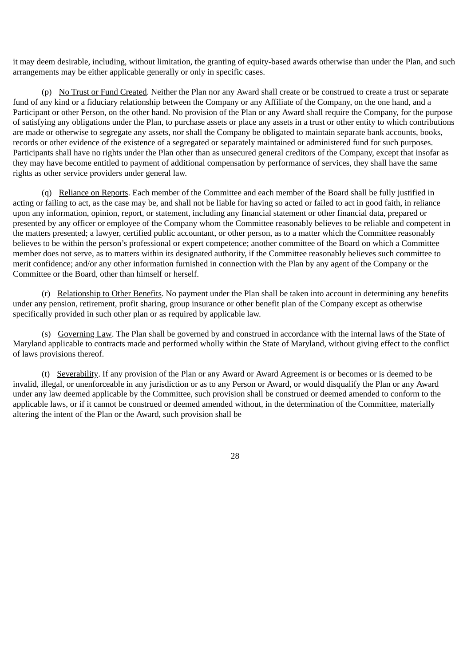it may deem desirable, including, without limitation, the granting of equity-based awards otherwise than under the Plan, and such arrangements may be either applicable generally or only in specific cases.

(p) No Trust or Fund Created. Neither the Plan nor any Award shall create or be construed to create a trust or separate fund of any kind or a fiduciary relationship between the Company or any Affiliate of the Company, on the one hand, and a Participant or other Person, on the other hand. No provision of the Plan or any Award shall require the Company, for the purpose of satisfying any obligations under the Plan, to purchase assets or place any assets in a trust or other entity to which contributions are made or otherwise to segregate any assets, nor shall the Company be obligated to maintain separate bank accounts, books, records or other evidence of the existence of a segregated or separately maintained or administered fund for such purposes. Participants shall have no rights under the Plan other than as unsecured general creditors of the Company, except that insofar as they may have become entitled to payment of additional compensation by performance of services, they shall have the same rights as other service providers under general law.

(q) Reliance on Reports. Each member of the Committee and each member of the Board shall be fully justified in acting or failing to act, as the case may be, and shall not be liable for having so acted or failed to act in good faith, in reliance upon any information, opinion, report, or statement, including any financial statement or other financial data, prepared or presented by any officer or employee of the Company whom the Committee reasonably believes to be reliable and competent in the matters presented; a lawyer, certified public accountant, or other person, as to a matter which the Committee reasonably believes to be within the person's professional or expert competence; another committee of the Board on which a Committee member does not serve, as to matters within its designated authority, if the Committee reasonably believes such committee to merit confidence; and/or any other information furnished in connection with the Plan by any agent of the Company or the Committee or the Board, other than himself or herself.

(r) Relationship to Other Benefits. No payment under the Plan shall be taken into account in determining any benefits under any pension, retirement, profit sharing, group insurance or other benefit plan of the Company except as otherwise specifically provided in such other plan or as required by applicable law.

(s) Governing Law. The Plan shall be governed by and construed in accordance with the internal laws of the State of Maryland applicable to contracts made and performed wholly within the State of Maryland, without giving effect to the conflict of laws provisions thereof.

(t) Severability. If any provision of the Plan or any Award or Award Agreement is or becomes or is deemed to be invalid, illegal, or unenforceable in any jurisdiction or as to any Person or Award, or would disqualify the Plan or any Award under any law deemed applicable by the Committee, such provision shall be construed or deemed amended to conform to the applicable laws, or if it cannot be construed or deemed amended without, in the determination of the Committee, materially altering the intent of the Plan or the Award, such provision shall be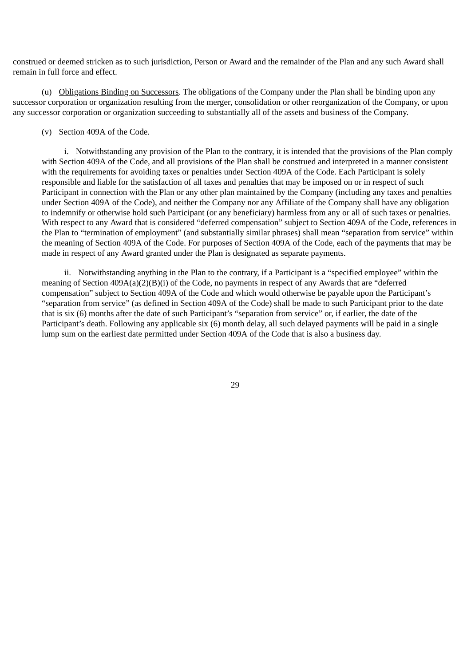construed or deemed stricken as to such jurisdiction, Person or Award and the remainder of the Plan and any such Award shall remain in full force and effect.

(u) Obligations Binding on Successors. The obligations of the Company under the Plan shall be binding upon any successor corporation or organization resulting from the merger, consolidation or other reorganization of the Company, or upon any successor corporation or organization succeeding to substantially all of the assets and business of the Company.

(v) Section 409A of the Code.

i. Notwithstanding any provision of the Plan to the contrary, it is intended that the provisions of the Plan comply with Section 409A of the Code, and all provisions of the Plan shall be construed and interpreted in a manner consistent with the requirements for avoiding taxes or penalties under Section 409A of the Code. Each Participant is solely responsible and liable for the satisfaction of all taxes and penalties that may be imposed on or in respect of such Participant in connection with the Plan or any other plan maintained by the Company (including any taxes and penalties under Section 409A of the Code), and neither the Company nor any Affiliate of the Company shall have any obligation to indemnify or otherwise hold such Participant (or any beneficiary) harmless from any or all of such taxes or penalties. With respect to any Award that is considered "deferred compensation" subject to Section 409A of the Code, references in the Plan to "termination of employment" (and substantially similar phrases) shall mean "separation from service" within the meaning of Section 409A of the Code. For purposes of Section 409A of the Code, each of the payments that may be made in respect of any Award granted under the Plan is designated as separate payments.

ii. Notwithstanding anything in the Plan to the contrary, if a Participant is a "specified employee" within the meaning of Section 409A(a)(2)(B)(i) of the Code, no payments in respect of any Awards that are "deferred compensation" subject to Section 409A of the Code and which would otherwise be payable upon the Participant's "separation from service" (as defined in Section 409A of the Code) shall be made to such Participant prior to the date that is six (6) months after the date of such Participant's "separation from service" or, if earlier, the date of the Participant's death. Following any applicable six (6) month delay, all such delayed payments will be paid in a single lump sum on the earliest date permitted under Section 409A of the Code that is also a business day.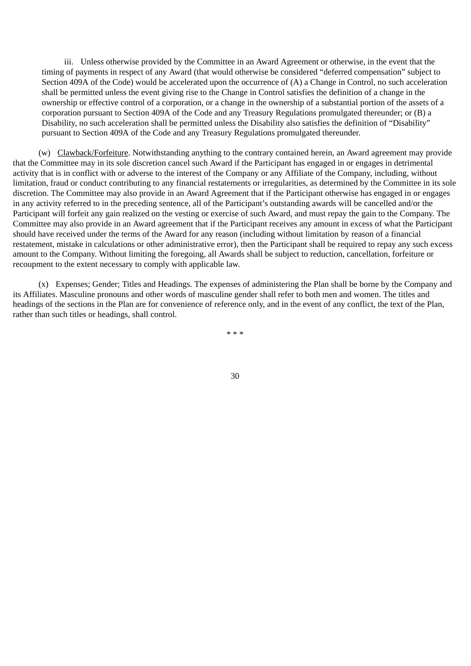iii. Unless otherwise provided by the Committee in an Award Agreement or otherwise, in the event that the timing of payments in respect of any Award (that would otherwise be considered "deferred compensation" subject to Section 409A of the Code) would be accelerated upon the occurrence of (A) a Change in Control, no such acceleration shall be permitted unless the event giving rise to the Change in Control satisfies the definition of a change in the ownership or effective control of a corporation, or a change in the ownership of a substantial portion of the assets of a corporation pursuant to Section 409A of the Code and any Treasury Regulations promulgated thereunder; or (B) a Disability, no such acceleration shall be permitted unless the Disability also satisfies the definition of "Disability" pursuant to Section 409A of the Code and any Treasury Regulations promulgated thereunder.

(w) Clawback/Forfeiture. Notwithstanding anything to the contrary contained herein, an Award agreement may provide that the Committee may in its sole discretion cancel such Award if the Participant has engaged in or engages in detrimental activity that is in conflict with or adverse to the interest of the Company or any Affiliate of the Company, including, without limitation, fraud or conduct contributing to any financial restatements or irregularities, as determined by the Committee in its sole discretion. The Committee may also provide in an Award Agreement that if the Participant otherwise has engaged in or engages in any activity referred to in the preceding sentence, all of the Participant's outstanding awards will be cancelled and/or the Participant will forfeit any gain realized on the vesting or exercise of such Award, and must repay the gain to the Company. The Committee may also provide in an Award agreement that if the Participant receives any amount in excess of what the Participant should have received under the terms of the Award for any reason (including without limitation by reason of a financial restatement, mistake in calculations or other administrative error), then the Participant shall be required to repay any such excess amount to the Company. Without limiting the foregoing, all Awards shall be subject to reduction, cancellation, forfeiture or recoupment to the extent necessary to comply with applicable law.

(x) Expenses; Gender; Titles and Headings. The expenses of administering the Plan shall be borne by the Company and its Affiliates. Masculine pronouns and other words of masculine gender shall refer to both men and women. The titles and headings of the sections in the Plan are for convenience of reference only, and in the event of any conflict, the text of the Plan, rather than such titles or headings, shall control.

\* \* \*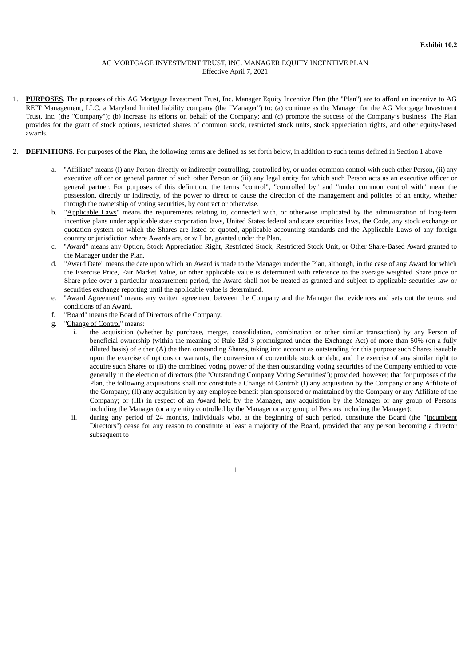# AG MORTGAGE INVESTMENT TRUST, INC. MANAGER EQUITY INCENTIVE PLAN Effective April 7, 2021

- 1. **PURPOSES**. The purposes of this AG Mortgage Investment Trust, Inc. Manager Equity Incentive Plan (the "Plan") are to afford an incentive to AG REIT Management, LLC, a Maryland limited liability company (the "Manager") to: (a) continue as the Manager for the AG Mortgage Investment Trust, Inc. (the "Company"); (b) increase its efforts on behalf of the Company; and (c) promote the success of the Company's business. The Plan provides for the grant of stock options, restricted shares of common stock, restricted stock units, stock appreciation rights, and other equity-based awards.
- 2. **DEFINITIONS**. For purposes of the Plan, the following terms are defined as set forth below, in addition to such terms defined in Section 1 above:
	- a. "Affiliate" means (i) any Person directly or indirectly controlling, controlled by, or under common control with such other Person, (ii) any executive officer or general partner of such other Person or (iii) any legal entity for which such Person acts as an executive officer or general partner. For purposes of this definition, the terms "control", "controlled by" and "under common control with" mean the possession, directly or indirectly, of the power to direct or cause the direction of the management and policies of an entity, whether through the ownership of voting securities, by contract or otherwise.
	- b. "Applicable Laws" means the requirements relating to, connected with, or otherwise implicated by the administration of long-term incentive plans under applicable state corporation laws, United States federal and state securities laws, the Code, any stock exchange or quotation system on which the Shares are listed or quoted, applicable accounting standards and the Applicable Laws of any foreign country or jurisdiction where Awards are, or will be, granted under the Plan.
	- c. "Award" means any Option, Stock Appreciation Right, Restricted Stock, Restricted Stock Unit, or Other Share-Based Award granted to the Manager under the Plan.
	- d. "Award Date" means the date upon which an Award is made to the Manager under the Plan, although, in the case of any Award for which the Exercise Price, Fair Market Value, or other applicable value is determined with reference to the average weighted Share price or Share price over a particular measurement period, the Award shall not be treated as granted and subject to applicable securities law or securities exchange reporting until the applicable value is determined.
	- e. "Award Agreement" means any written agreement between the Company and the Manager that evidences and sets out the terms and conditions of an Award.
	- f. "Board" means the Board of Directors of the Company.
	- g. "Change of Control" means:
		- i. the acquisition (whether by purchase, merger, consolidation, combination or other similar transaction) by any Person of beneficial ownership (within the meaning of Rule 13d-3 promulgated under the Exchange Act) of more than 50% (on a fully diluted basis) of either (A) the then outstanding Shares, taking into account as outstanding for this purpose such Shares issuable upon the exercise of options or warrants, the conversion of convertible stock or debt, and the exercise of any similar right to acquire such Shares or (B) the combined voting power of the then outstanding voting securities of the Company entitled to vote generally in the election of directors (the "Outstanding Company Voting Securities"); provided, however, that for purposes of the Plan, the following acquisitions shall not constitute a Change of Control: (I) any acquisition by the Company or any Affiliate of the Company; (II) any acquisition by any employee benefit plan sponsored or maintained by the Company or any Affiliate of the Company; or (III) in respect of an Award held by the Manager, any acquisition by the Manager or any group of Persons including the Manager (or any entity controlled by the Manager or any group of Persons including the Manager);
		- ii. during any period of 24 months, individuals who, at the beginning of such period, constitute the Board (the "Incumbent Directors") cease for any reason to constitute at least a majority of the Board, provided that any person becoming a director subsequent to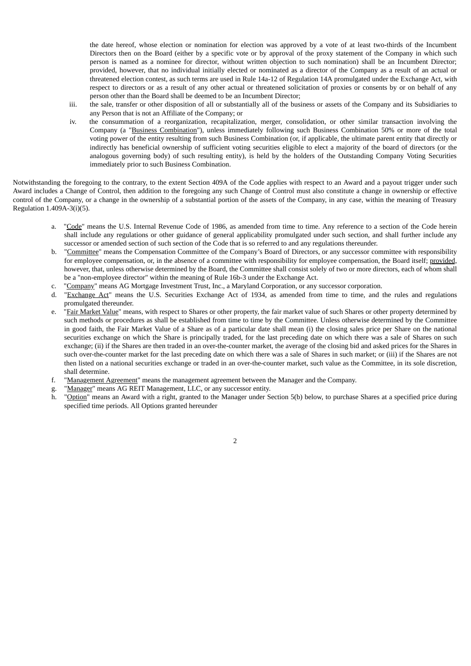the date hereof, whose election or nomination for election was approved by a vote of at least two-thirds of the Incumbent Directors then on the Board (either by a specific vote or by approval of the proxy statement of the Company in which such person is named as a nominee for director, without written objection to such nomination) shall be an Incumbent Director; provided, however, that no individual initially elected or nominated as a director of the Company as a result of an actual or threatened election contest, as such terms are used in Rule 14a-12 of Regulation 14A promulgated under the Exchange Act, with respect to directors or as a result of any other actual or threatened solicitation of proxies or consents by or on behalf of any person other than the Board shall be deemed to be an Incumbent Director;

- iii. the sale, transfer or other disposition of all or substantially all of the business or assets of the Company and its Subsidiaries to any Person that is not an Affiliate of the Company; or
- iv. the consummation of a reorganization, recapitalization, merger, consolidation, or other similar transaction involving the Company (a "Business Combination"), unless immediately following such Business Combination 50% or more of the total voting power of the entity resulting from such Business Combination (or, if applicable, the ultimate parent entity that directly or indirectly has beneficial ownership of sufficient voting securities eligible to elect a majority of the board of directors (or the analogous governing body) of such resulting entity), is held by the holders of the Outstanding Company Voting Securities immediately prior to such Business Combination.

Notwithstanding the foregoing to the contrary, to the extent Section 409A of the Code applies with respect to an Award and a payout trigger under such Award includes a Change of Control, then addition to the foregoing any such Change of Control must also constitute a change in ownership or effective control of the Company, or a change in the ownership of a substantial portion of the assets of the Company, in any case, within the meaning of Treasury Regulation 1.409A-3(i)(5).

- a. "Code" means the U.S. Internal Revenue Code of 1986, as amended from time to time. Any reference to a section of the Code herein shall include any regulations or other guidance of general applicability promulgated under such section, and shall further include any successor or amended section of such section of the Code that is so referred to and any regulations thereunder.
- b. "Committee" means the Compensation Committee of the Company's Board of Directors, or any successor committee with responsibility for employee compensation, or, in the absence of a committee with responsibility for employee compensation, the Board itself; provided, however, that, unless otherwise determined by the Board, the Committee shall consist solely of two or more directors, each of whom shall be a "non-employee director" within the meaning of Rule 16b-3 under the Exchange Act.
- c. "Company" means AG Mortgage Investment Trust, Inc., a Maryland Corporation, or any successor corporation.
- d. "Exchange Act" means the U.S. Securities Exchange Act of 1934, as amended from time to time, and the rules and regulations promulgated thereunder.
- e. "Fair Market Value" means, with respect to Shares or other property, the fair market value of such Shares or other property determined by such methods or procedures as shall be established from time to time by the Committee. Unless otherwise determined by the Committee in good faith, the Fair Market Value of a Share as of a particular date shall mean (i) the closing sales price per Share on the national securities exchange on which the Share is principally traded, for the last preceding date on which there was a sale of Shares on such exchange; (ii) if the Shares are then traded in an over-the-counter market, the average of the closing bid and asked prices for the Shares in such over-the-counter market for the last preceding date on which there was a sale of Shares in such market; or (iii) if the Shares are not then listed on a national securities exchange or traded in an over-the-counter market, such value as the Committee, in its sole discretion, shall determine.
- f. "Management Agreement" means the management agreement between the Manager and the Company.
- g. "Manager" means AG REIT Management, LLC, or any successor entity.
- h. "Option" means an Award with a right, granted to the Manager under Section 5(b) below, to purchase Shares at a specified price during specified time periods. All Options granted hereunder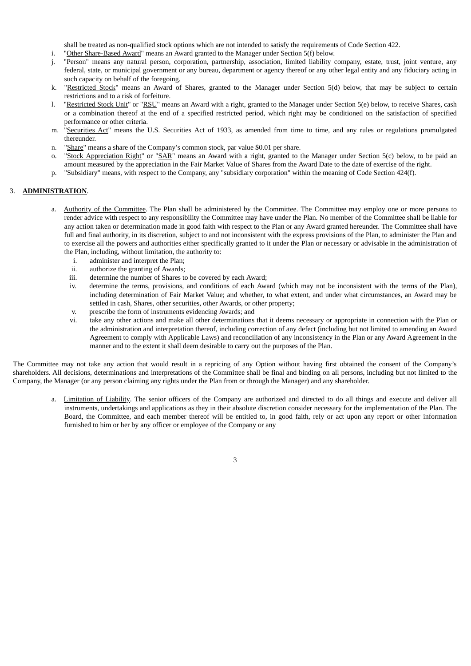shall be treated as non-qualified stock options which are not intended to satisfy the requirements of Code Section 422.

- i. "Other Share-Based Award" means an Award granted to the Manager under Section 5(f) below.
- j. "Person" means any natural person, corporation, partnership, association, limited liability company, estate, trust, joint venture, any federal, state, or municipal government or any bureau, department or agency thereof or any other legal entity and any fiduciary acting in such capacity on behalf of the foregoing.
- k. "Restricted Stock" means an Award of Shares, granted to the Manager under Section 5(d) below, that may be subject to certain restrictions and to a risk of forfeiture.
- l. "Restricted Stock Unit" or "RSU" means an Award with a right, granted to the Manager under Section 5(e) below, to receive Shares, cash or a combination thereof at the end of a specified restricted period, which right may be conditioned on the satisfaction of specified performance or other criteria.
- m. "Securities Act" means the U.S. Securities Act of 1933, as amended from time to time, and any rules or regulations promulgated thereunder.
- n. "Share" means a share of the Company's common stock, par value \$0.01 per share.
- o. "Stock Appreciation Right" or "SAR" means an Award with a right, granted to the Manager under Section 5(c) below, to be paid an amount measured by the appreciation in the Fair Market Value of Shares from the Award Date to the date of exercise of the right.
- p. "Subsidiary" means, with respect to the Company, any "subsidiary corporation" within the meaning of Code Section 424(f).

### 3. **ADMINISTRATION**.

- a. Authority of the Committee. The Plan shall be administered by the Committee. The Committee may employ one or more persons to render advice with respect to any responsibility the Committee may have under the Plan. No member of the Committee shall be liable for any action taken or determination made in good faith with respect to the Plan or any Award granted hereunder. The Committee shall have full and final authority, in its discretion, subject to and not inconsistent with the express provisions of the Plan, to administer the Plan and to exercise all the powers and authorities either specifically granted to it under the Plan or necessary or advisable in the administration of the Plan, including, without limitation, the authority to:
	- i. administer and interpret the Plan;
	- ii. authorize the granting of Awards;
	- iii. determine the number of Shares to be covered by each Award;
	- iv. determine the terms, provisions, and conditions of each Award (which may not be inconsistent with the terms of the Plan), including determination of Fair Market Value; and whether, to what extent, and under what circumstances, an Award may be settled in cash, Shares, other securities, other Awards, or other property;
	- v. prescribe the form of instruments evidencing Awards; and
	- vi. take any other actions and make all other determinations that it deems necessary or appropriate in connection with the Plan or the administration and interpretation thereof, including correction of any defect (including but not limited to amending an Award Agreement to comply with Applicable Laws) and reconciliation of any inconsistency in the Plan or any Award Agreement in the manner and to the extent it shall deem desirable to carry out the purposes of the Plan.

The Committee may not take any action that would result in a repricing of any Option without having first obtained the consent of the Company's shareholders. All decisions, determinations and interpretations of the Committee shall be final and binding on all persons, including but not limited to the Company, the Manager (or any person claiming any rights under the Plan from or through the Manager) and any shareholder.

a. Limitation of Liability. The senior officers of the Company are authorized and directed to do all things and execute and deliver all instruments, undertakings and applications as they in their absolute discretion consider necessary for the implementation of the Plan. The Board, the Committee, and each member thereof will be entitled to, in good faith, rely or act upon any report or other information furnished to him or her by any officer or employee of the Company or any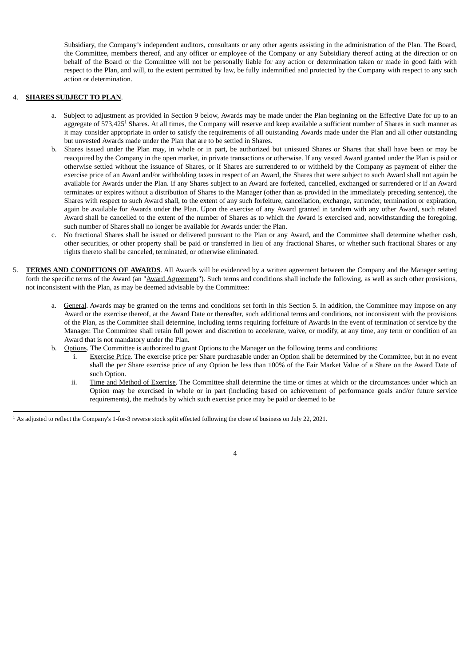Subsidiary, the Company's independent auditors, consultants or any other agents assisting in the administration of the Plan. The Board, the Committee, members thereof, and any officer or employee of the Company or any Subsidiary thereof acting at the direction or on behalf of the Board or the Committee will not be personally liable for any action or determination taken or made in good faith with respect to the Plan, and will, to the extent permitted by law, be fully indemnified and protected by the Company with respect to any such action or determination.

### 4. **SHARES SUBJECT TO PLAN**.

- a. Subject to adjustment as provided in Section 9 below, Awards may be made under the Plan beginning on the Effective Date for up to an aggregate of 573,425<sup>1</sup> Shares. At all times, the Company will reserve and keep available a sufficient number of Shares in such manner as it may consider appropriate in order to satisfy the requirements of all outstanding Awards made under the Plan and all other outstanding but unvested Awards made under the Plan that are to be settled in Shares.
- b. Shares issued under the Plan may, in whole or in part, be authorized but unissued Shares or Shares that shall have been or may be reacquired by the Company in the open market, in private transactions or otherwise. If any vested Award granted under the Plan is paid or otherwise settled without the issuance of Shares, or if Shares are surrendered to or withheld by the Company as payment of either the exercise price of an Award and/or withholding taxes in respect of an Award, the Shares that were subject to such Award shall not again be available for Awards under the Plan. If any Shares subject to an Award are forfeited, cancelled, exchanged or surrendered or if an Award terminates or expires without a distribution of Shares to the Manager (other than as provided in the immediately preceding sentence), the Shares with respect to such Award shall, to the extent of any such forfeiture, cancellation, exchange, surrender, termination or expiration, again be available for Awards under the Plan. Upon the exercise of any Award granted in tandem with any other Award, such related Award shall be cancelled to the extent of the number of Shares as to which the Award is exercised and, notwithstanding the foregoing, such number of Shares shall no longer be available for Awards under the Plan.
- c. No fractional Shares shall be issued or delivered pursuant to the Plan or any Award, and the Committee shall determine whether cash, other securities, or other property shall be paid or transferred in lieu of any fractional Shares, or whether such fractional Shares or any rights thereto shall be canceled, terminated, or otherwise eliminated.
- 5. **TERMS AND CONDITIONS OF AWARDS**. All Awards will be evidenced by a written agreement between the Company and the Manager setting forth the specific terms of the Award (an "Award Agreement"). Such terms and conditions shall include the following, as well as such other provisions, not inconsistent with the Plan, as may be deemed advisable by the Committee:
	- a. General. Awards may be granted on the terms and conditions set forth in this Section 5. In addition, the Committee may impose on any Award or the exercise thereof, at the Award Date or thereafter, such additional terms and conditions, not inconsistent with the provisions of the Plan, as the Committee shall determine, including terms requiring forfeiture of Awards in the event of termination of service by the Manager. The Committee shall retain full power and discretion to accelerate, waive, or modify, at any time, any term or condition of an Award that is not mandatory under the Plan.
	- b. Options. The Committee is authorized to grant Options to the Manager on the following terms and conditions:
		- i. Exercise Price. The exercise price per Share purchasable under an Option shall be determined by the Committee, but in no event shall the per Share exercise price of any Option be less than 100% of the Fair Market Value of a Share on the Award Date of such Option.
		- ii. Time and Method of Exercise. The Committee shall determine the time or times at which or the circumstances under which an Option may be exercised in whole or in part (including based on achievement of performance goals and/or future service requirements), the methods by which such exercise price may be paid or deemed to be

 $^1$  As adjusted to reflect the Company's 1-for-3 reverse stock split effected following the close of business on July 22, 2021.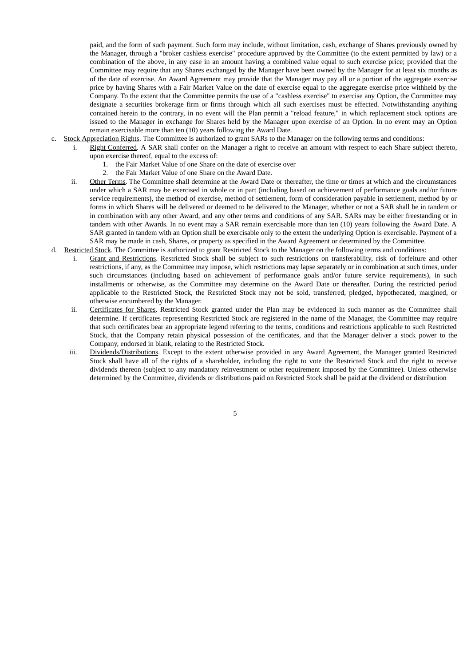paid, and the form of such payment. Such form may include, without limitation, cash, exchange of Shares previously owned by the Manager, through a "broker cashless exercise" procedure approved by the Committee (to the extent permitted by law) or a combination of the above, in any case in an amount having a combined value equal to such exercise price; provided that the Committee may require that any Shares exchanged by the Manager have been owned by the Manager for at least six months as of the date of exercise. An Award Agreement may provide that the Manager may pay all or a portion of the aggregate exercise price by having Shares with a Fair Market Value on the date of exercise equal to the aggregate exercise price withheld by the Company. To the extent that the Committee permits the use of a "cashless exercise" to exercise any Option, the Committee may designate a securities brokerage firm or firms through which all such exercises must be effected. Notwithstanding anything contained herein to the contrary, in no event will the Plan permit a "reload feature," in which replacement stock options are issued to the Manager in exchange for Shares held by the Manager upon exercise of an Option. In no event may an Option remain exercisable more than ten (10) years following the Award Date.

- c. Stock Appreciation Rights. The Committee is authorized to grant SARs to the Manager on the following terms and conditions:
	- i. Right Conferred. A SAR shall confer on the Manager a right to receive an amount with respect to each Share subject thereto, upon exercise thereof, equal to the excess of:
		- 1. the Fair Market Value of one Share on the date of exercise over
		- 2. the Fair Market Value of one Share on the Award Date.
		- ii. Other Terms. The Committee shall determine at the Award Date or thereafter, the time or times at which and the circumstances under which a SAR may be exercised in whole or in part (including based on achievement of performance goals and/or future service requirements), the method of exercise, method of settlement, form of consideration payable in settlement, method by or forms in which Shares will be delivered or deemed to be delivered to the Manager, whether or not a SAR shall be in tandem or in combination with any other Award, and any other terms and conditions of any SAR. SARs may be either freestanding or in tandem with other Awards. In no event may a SAR remain exercisable more than ten (10) years following the Award Date. A SAR granted in tandem with an Option shall be exercisable only to the extent the underlying Option is exercisable. Payment of a SAR may be made in cash, Shares, or property as specified in the Award Agreement or determined by the Committee.
- d. Restricted Stock. The Committee is authorized to grant Restricted Stock to the Manager on the following terms and conditions:
	- i. Grant and Restrictions. Restricted Stock shall be subject to such restrictions on transferability, risk of forfeiture and other restrictions, if any, as the Committee may impose, which restrictions may lapse separately or in combination at such times, under such circumstances (including based on achievement of performance goals and/or future service requirements), in such installments or otherwise, as the Committee may determine on the Award Date or thereafter. During the restricted period applicable to the Restricted Stock, the Restricted Stock may not be sold, transferred, pledged, hypothecated, margined, or otherwise encumbered by the Manager.
	- ii. Certificates for Shares. Restricted Stock granted under the Plan may be evidenced in such manner as the Committee shall determine. If certificates representing Restricted Stock are registered in the name of the Manager, the Committee may require that such certificates bear an appropriate legend referring to the terms, conditions and restrictions applicable to such Restricted Stock, that the Company retain physical possession of the certificates, and that the Manager deliver a stock power to the Company, endorsed in blank, relating to the Restricted Stock.
	- iii. Dividends/Distributions. Except to the extent otherwise provided in any Award Agreement, the Manager granted Restricted Stock shall have all of the rights of a shareholder, including the right to vote the Restricted Stock and the right to receive dividends thereon (subject to any mandatory reinvestment or other requirement imposed by the Committee). Unless otherwise determined by the Committee, dividends or distributions paid on Restricted Stock shall be paid at the dividend or distribution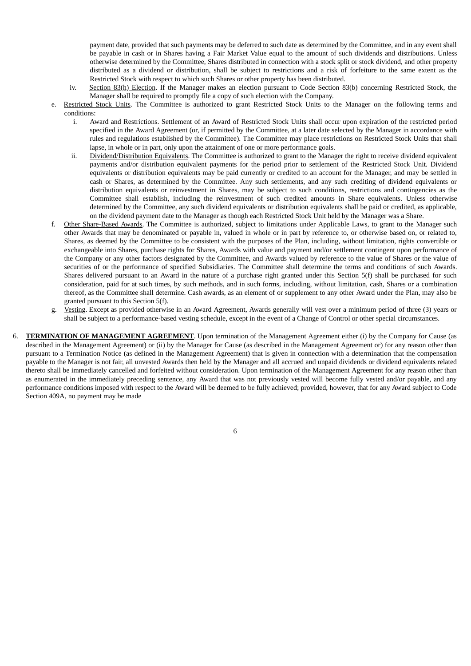payment date, provided that such payments may be deferred to such date as determined by the Committee, and in any event shall be payable in cash or in Shares having a Fair Market Value equal to the amount of such dividends and distributions. Unless otherwise determined by the Committee, Shares distributed in connection with a stock split or stock dividend, and other property distributed as a dividend or distribution, shall be subject to restrictions and a risk of forfeiture to the same extent as the Restricted Stock with respect to which such Shares or other property has been distributed.

- iv. Section 83(h) Election. If the Manager makes an election pursuant to Code Section 83(b) concerning Restricted Stock, the Manager shall be required to promptly file a copy of such election with the Company.
- e. Restricted Stock Units. The Committee is authorized to grant Restricted Stock Units to the Manager on the following terms and conditions:
	- i. Award and Restrictions. Settlement of an Award of Restricted Stock Units shall occur upon expiration of the restricted period specified in the Award Agreement (or, if permitted by the Committee, at a later date selected by the Manager in accordance with rules and regulations established by the Committee). The Committee may place restrictions on Restricted Stock Units that shall lapse, in whole or in part, only upon the attainment of one or more performance goals.
	- ii. Dividend/Distribution Equivalents. The Committee is authorized to grant to the Manager the right to receive dividend equivalent payments and/or distribution equivalent payments for the period prior to settlement of the Restricted Stock Unit. Dividend equivalents or distribution equivalents may be paid currently or credited to an account for the Manager, and may be settled in cash or Shares, as determined by the Committee. Any such settlements, and any such crediting of dividend equivalents or distribution equivalents or reinvestment in Shares, may be subject to such conditions, restrictions and contingencies as the Committee shall establish, including the reinvestment of such credited amounts in Share equivalents. Unless otherwise determined by the Committee, any such dividend equivalents or distribution equivalents shall be paid or credited, as applicable, on the dividend payment date to the Manager as though each Restricted Stock Unit held by the Manager was a Share.
- f. Other Share-Based Awards. The Committee is authorized, subject to limitations under Applicable Laws, to grant to the Manager such other Awards that may be denominated or payable in, valued in whole or in part by reference to, or otherwise based on, or related to, Shares, as deemed by the Committee to be consistent with the purposes of the Plan, including, without limitation, rights convertible or exchangeable into Shares, purchase rights for Shares, Awards with value and payment and/or settlement contingent upon performance of the Company or any other factors designated by the Committee, and Awards valued by reference to the value of Shares or the value of securities of or the performance of specified Subsidiaries. The Committee shall determine the terms and conditions of such Awards. Shares delivered pursuant to an Award in the nature of a purchase right granted under this Section 5(f) shall be purchased for such consideration, paid for at such times, by such methods, and in such forms, including, without limitation, cash, Shares or a combination thereof, as the Committee shall determine. Cash awards, as an element of or supplement to any other Award under the Plan, may also be granted pursuant to this Section 5(f).
- g. Vesting. Except as provided otherwise in an Award Agreement, Awards generally will vest over a minimum period of three (3) years or shall be subject to a performance-based vesting schedule, except in the event of a Change of Control or other special circumstances.
- 6. **TERMINATION OF MANAGEMENT AGREEMENT**. Upon termination of the Management Agreement either (i) by the Company for Cause (as described in the Management Agreement) or (ii) by the Manager for Cause (as described in the Management Agreement or) for any reason other than pursuant to a Termination Notice (as defined in the Management Agreement) that is given in connection with a determination that the compensation payable to the Manager is not fair, all unvested Awards then held by the Manager and all accrued and unpaid dividends or dividend equivalents related thereto shall be immediately cancelled and forfeited without consideration. Upon termination of the Management Agreement for any reason other than as enumerated in the immediately preceding sentence, any Award that was not previously vested will become fully vested and/or payable, and any performance conditions imposed with respect to the Award will be deemed to be fully achieved; provided, however, that for any Award subject to Code Section 409A, no payment may be made
	- 6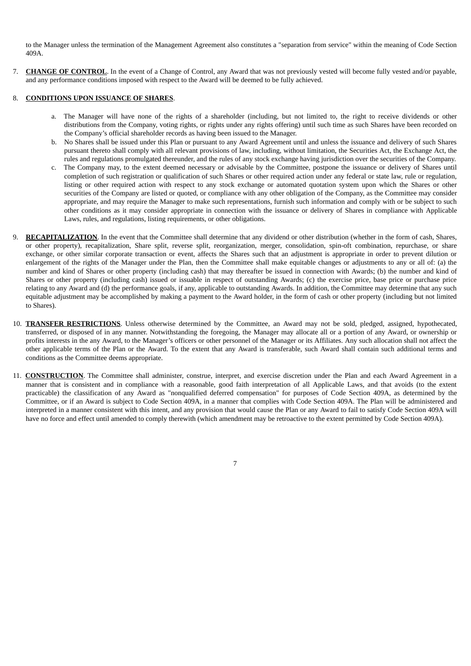to the Manager unless the termination of the Management Agreement also constitutes a "separation from service" within the meaning of Code Section 409A.

7. **CHANGE OF CONTROL**. In the event of a Change of Control, any Award that was not previously vested will become fully vested and/or payable, and any performance conditions imposed with respect to the Award will be deemed to be fully achieved.

### 8. **CONDITIONS UPON ISSUANCE OF SHARES**.

- a. The Manager will have none of the rights of a shareholder (including, but not limited to, the right to receive dividends or other distributions from the Company, voting rights, or rights under any rights offering) until such time as such Shares have been recorded on the Company's official shareholder records as having been issued to the Manager.
- b. No Shares shall be issued under this Plan or pursuant to any Award Agreement until and unless the issuance and delivery of such Shares pursuant thereto shall comply with all relevant provisions of law, including, without limitation, the Securities Act, the Exchange Act, the rules and regulations promulgated thereunder, and the rules of any stock exchange having jurisdiction over the securities of the Company.
- c. The Company may, to the extent deemed necessary or advisable by the Committee, postpone the issuance or delivery of Shares until completion of such registration or qualification of such Shares or other required action under any federal or state law, rule or regulation, listing or other required action with respect to any stock exchange or automated quotation system upon which the Shares or other securities of the Company are listed or quoted, or compliance with any other obligation of the Company, as the Committee may consider appropriate, and may require the Manager to make such representations, furnish such information and comply with or be subject to such other conditions as it may consider appropriate in connection with the issuance or delivery of Shares in compliance with Applicable Laws, rules, and regulations, listing requirements, or other obligations.
- 9. **RECAPITALIZATION**. In the event that the Committee shall determine that any dividend or other distribution (whether in the form of cash, Shares, or other property), recapitalization, Share split, reverse split, reorganization, merger, consolidation, spin-oft combination, repurchase, or share exchange, or other similar corporate transaction or event, affects the Shares such that an adjustment is appropriate in order to prevent dilution or enlargement of the rights of the Manager under the Plan, then the Committee shall make equitable changes or adjustments to any or all of: (a) the number and kind of Shares or other property (including cash) that may thereafter be issued in connection with Awards; (b) the number and kind of Shares or other property (including cash) issued or issuable in respect of outstanding Awards; (c) the exercise price, base price or purchase price relating to any Award and (d) the performance goals, if any, applicable to outstanding Awards. In addition, the Committee may determine that any such equitable adjustment may be accomplished by making a payment to the Award holder, in the form of cash or other property (including but not limited to Shares).
- 10. **TRANSFER RESTRICTIONS**. Unless otherwise determined by the Committee, an Award may not be sold, pledged, assigned, hypothecated, transferred, or disposed of in any manner. Notwithstanding the foregoing, the Manager may allocate all or a portion of any Award, or ownership or profits interests in the any Award, to the Manager's officers or other personnel of the Manager or its Affiliates. Any such allocation shall not affect the other applicable terms of the Plan or the Award. To the extent that any Award is transferable, such Award shall contain such additional terms and conditions as the Committee deems appropriate.
- 11. **CONSTRUCTION**. The Committee shall administer, construe, interpret, and exercise discretion under the Plan and each Award Agreement in a manner that is consistent and in compliance with a reasonable, good faith interpretation of all Applicable Laws, and that avoids (to the extent practicable) the classification of any Award as "nonqualified deferred compensation" for purposes of Code Section 409A, as determined by the Committee, or if an Award is subject to Code Section 409A, in a manner that complies with Code Section 409A. The Plan will be administered and interpreted in a manner consistent with this intent, and any provision that would cause the Plan or any Award to fail to satisfy Code Section 409A will have no force and effect until amended to comply therewith (which amendment may be retroactive to the extent permitted by Code Section 409A).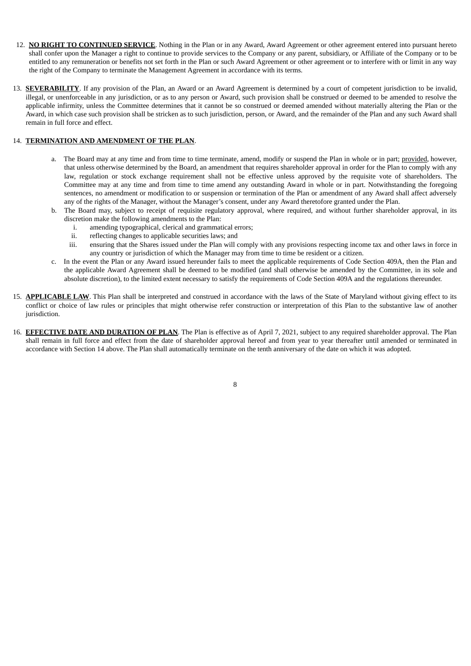- 12. **NO RIGHT TO CONTINUED SERVICE**. Nothing in the Plan or in any Award, Award Agreement or other agreement entered into pursuant hereto shall confer upon the Manager a right to continue to provide services to the Company or any parent, subsidiary, or Affiliate of the Company or to be entitled to any remuneration or benefits not set forth in the Plan or such Award Agreement or other agreement or to interfere with or limit in any way the right of the Company to terminate the Management Agreement in accordance with its terms.
- 13. **SEVERABILITY**. If any provision of the Plan, an Award or an Award Agreement is determined by a court of competent jurisdiction to be invalid, illegal, or unenforceable in any jurisdiction, or as to any person or Award, such provision shall be construed or deemed to be amended to resolve the applicable infirmity, unless the Committee determines that it cannot be so construed or deemed amended without materially altering the Plan or the Award, in which case such provision shall be stricken as to such jurisdiction, person, or Award, and the remainder of the Plan and any such Award shall remain in full force and effect.

### 14. **TERMINATION AND AMENDMENT OF THE PLAN**.

- a. The Board may at any time and from time to time terminate, amend, modify or suspend the Plan in whole or in part; provided, however, that unless otherwise determined by the Board, an amendment that requires shareholder approval in order for the Plan to comply with any law, regulation or stock exchange requirement shall not be effective unless approved by the requisite vote of shareholders. The Committee may at any time and from time to time amend any outstanding Award in whole or in part. Notwithstanding the foregoing sentences, no amendment or modification to or suspension or termination of the Plan or amendment of any Award shall affect adversely any of the rights of the Manager, without the Manager's consent, under any Award theretofore granted under the Plan.
- b. The Board may, subject to receipt of requisite regulatory approval, where required, and without further shareholder approval, in its discretion make the following amendments to the Plan:
	- i. amending typographical, clerical and grammatical errors;
	- ii. reflecting changes to applicable securities laws; and
	- iii. ensuring that the Shares issued under the Plan will comply with any provisions respecting income tax and other laws in force in any country or jurisdiction of which the Manager may from time to time be resident or a citizen.
- c. In the event the Plan or any Award issued hereunder fails to meet the applicable requirements of Code Section 409A, then the Plan and the applicable Award Agreement shall be deemed to be modified (and shall otherwise be amended by the Committee, in its sole and absolute discretion), to the limited extent necessary to satisfy the requirements of Code Section 409A and the regulations thereunder.
- 15. **APPLICABLE LAW**. This Plan shall be interpreted and construed in accordance with the laws of the State of Maryland without giving effect to its conflict or choice of law rules or principles that might otherwise refer construction or interpretation of this Plan to the substantive law of another jurisdiction.
- 16. **EFFECTIVE DATE AND DURATION OF PLAN**. The Plan is effective as of April 7, 2021, subject to any required shareholder approval. The Plan shall remain in full force and effect from the date of shareholder approval hereof and from year to year thereafter until amended or terminated in accordance with Section 14 above. The Plan shall automatically terminate on the tenth anniversary of the date on which it was adopted.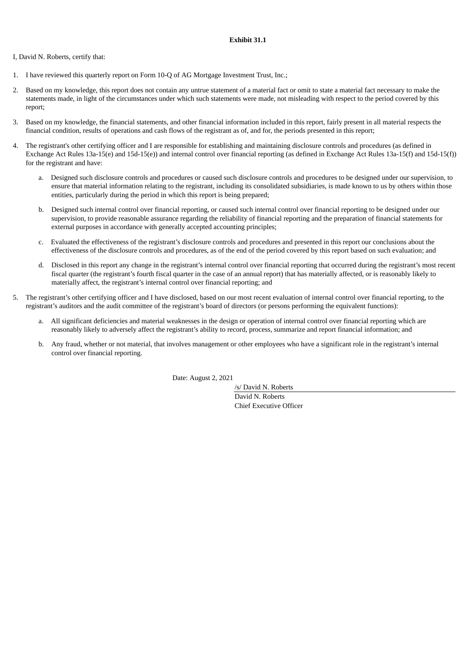# **Exhibit 31.1**

I, David N. Roberts, certify that:

- 1. I have reviewed this quarterly report on Form 10-Q of AG Mortgage Investment Trust, Inc.;
- 2. Based on my knowledge, this report does not contain any untrue statement of a material fact or omit to state a material fact necessary to make the statements made, in light of the circumstances under which such statements were made, not misleading with respect to the period covered by this report;
- 3. Based on my knowledge, the financial statements, and other financial information included in this report, fairly present in all material respects the financial condition, results of operations and cash flows of the registrant as of, and for, the periods presented in this report;
- 4. The registrant's other certifying officer and I are responsible for establishing and maintaining disclosure controls and procedures (as defined in Exchange Act Rules 13a-15(e) and 15d-15(e)) and internal control over financial reporting (as defined in Exchange Act Rules 13a-15(f) and 15d-15(f)) for the registrant and have:
	- a. Designed such disclosure controls and procedures or caused such disclosure controls and procedures to be designed under our supervision, to ensure that material information relating to the registrant, including its consolidated subsidiaries, is made known to us by others within those entities, particularly during the period in which this report is being prepared;
	- b. Designed such internal control over financial reporting, or caused such internal control over financial reporting to be designed under our supervision, to provide reasonable assurance regarding the reliability of financial reporting and the preparation of financial statements for external purposes in accordance with generally accepted accounting principles;
	- c. Evaluated the effectiveness of the registrant's disclosure controls and procedures and presented in this report our conclusions about the effectiveness of the disclosure controls and procedures, as of the end of the period covered by this report based on such evaluation; and
	- d. Disclosed in this report any change in the registrant's internal control over financial reporting that occurred during the registrant's most recent fiscal quarter (the registrant's fourth fiscal quarter in the case of an annual report) that has materially affected, or is reasonably likely to materially affect, the registrant's internal control over financial reporting; and
- 5. The registrant's other certifying officer and I have disclosed, based on our most recent evaluation of internal control over financial reporting, to the registrant's auditors and the audit committee of the registrant's board of directors (or persons performing the equivalent functions):
	- a. All significant deficiencies and material weaknesses in the design or operation of internal control over financial reporting which are reasonably likely to adversely affect the registrant's ability to record, process, summarize and report financial information; and
	- b. Any fraud, whether or not material, that involves management or other employees who have a significant role in the registrant's internal control over financial reporting.

Date: August 2, 2021

/s/ David N. Roberts David N. Roberts Chief Executive Officer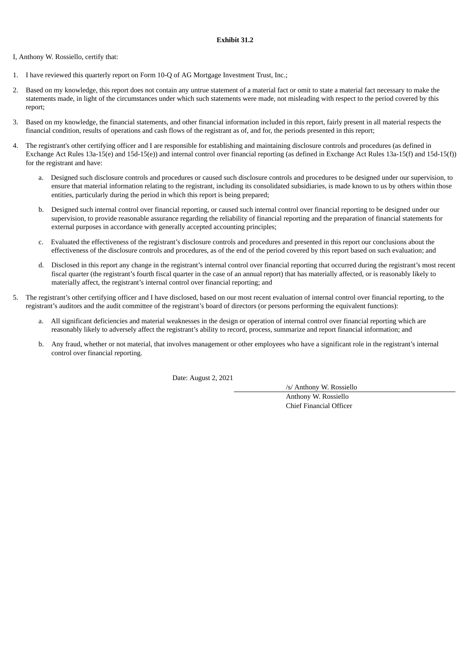### **Exhibit 31.2**

I, Anthony W. Rossiello, certify that:

- 1. I have reviewed this quarterly report on Form 10-Q of AG Mortgage Investment Trust, Inc.;
- 2. Based on my knowledge, this report does not contain any untrue statement of a material fact or omit to state a material fact necessary to make the statements made, in light of the circumstances under which such statements were made, not misleading with respect to the period covered by this report;
- 3. Based on my knowledge, the financial statements, and other financial information included in this report, fairly present in all material respects the financial condition, results of operations and cash flows of the registrant as of, and for, the periods presented in this report;
- 4. The registrant's other certifying officer and I are responsible for establishing and maintaining disclosure controls and procedures (as defined in Exchange Act Rules 13a-15(e) and 15d-15(e)) and internal control over financial reporting (as defined in Exchange Act Rules 13a-15(f) and 15d-15(f)) for the registrant and have:
	- a. Designed such disclosure controls and procedures or caused such disclosure controls and procedures to be designed under our supervision, to ensure that material information relating to the registrant, including its consolidated subsidiaries, is made known to us by others within those entities, particularly during the period in which this report is being prepared;
	- b. Designed such internal control over financial reporting, or caused such internal control over financial reporting to be designed under our supervision, to provide reasonable assurance regarding the reliability of financial reporting and the preparation of financial statements for external purposes in accordance with generally accepted accounting principles;
	- c. Evaluated the effectiveness of the registrant's disclosure controls and procedures and presented in this report our conclusions about the effectiveness of the disclosure controls and procedures, as of the end of the period covered by this report based on such evaluation; and
	- d. Disclosed in this report any change in the registrant's internal control over financial reporting that occurred during the registrant's most recent fiscal quarter (the registrant's fourth fiscal quarter in the case of an annual report) that has materially affected, or is reasonably likely to materially affect, the registrant's internal control over financial reporting; and
- 5. The registrant's other certifying officer and I have disclosed, based on our most recent evaluation of internal control over financial reporting, to the registrant's auditors and the audit committee of the registrant's board of directors (or persons performing the equivalent functions):
	- a. All significant deficiencies and material weaknesses in the design or operation of internal control over financial reporting which are reasonably likely to adversely affect the registrant's ability to record, process, summarize and report financial information; and
	- b. Any fraud, whether or not material, that involves management or other employees who have a significant role in the registrant's internal control over financial reporting.

Date: August 2, 2021

/s/ Anthony W. Rossiello

Anthony W. Rossiello Chief Financial Officer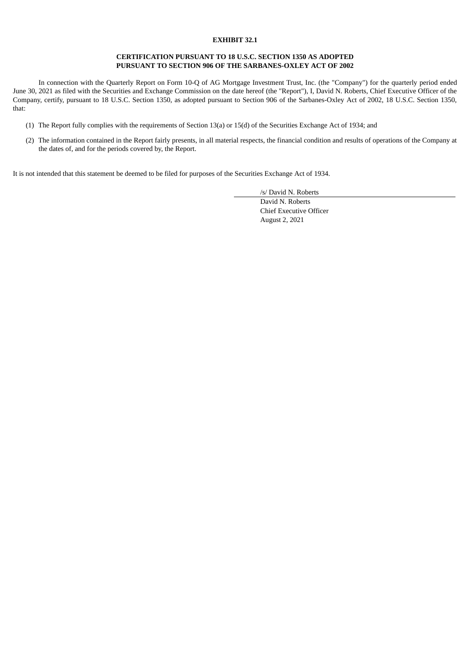# **EXHIBIT 32.1**

# **CERTIFICATION PURSUANT TO 18 U.S.C. SECTION 1350 AS ADOPTED PURSUANT TO SECTION 906 OF THE SARBANES-OXLEY ACT OF 2002**

In connection with the Quarterly Report on Form 10-Q of AG Mortgage Investment Trust, Inc. (the "Company") for the quarterly period ended June 30, 2021 as filed with the Securities and Exchange Commission on the date hereof (the "Report"), I, David N. Roberts, Chief Executive Officer of the Company, certify, pursuant to 18 U.S.C. Section 1350, as adopted pursuant to Section 906 of the Sarbanes-Oxley Act of 2002, 18 U.S.C. Section 1350, that:

- (1) The Report fully complies with the requirements of Section 13(a) or 15(d) of the Securities Exchange Act of 1934; and
- (2) The information contained in the Report fairly presents, in all material respects, the financial condition and results of operations of the Company at the dates of, and for the periods covered by, the Report.

It is not intended that this statement be deemed to be filed for purposes of the Securities Exchange Act of 1934.

/s/ David N. Roberts

David N. Roberts Chief Executive Officer August 2, 2021